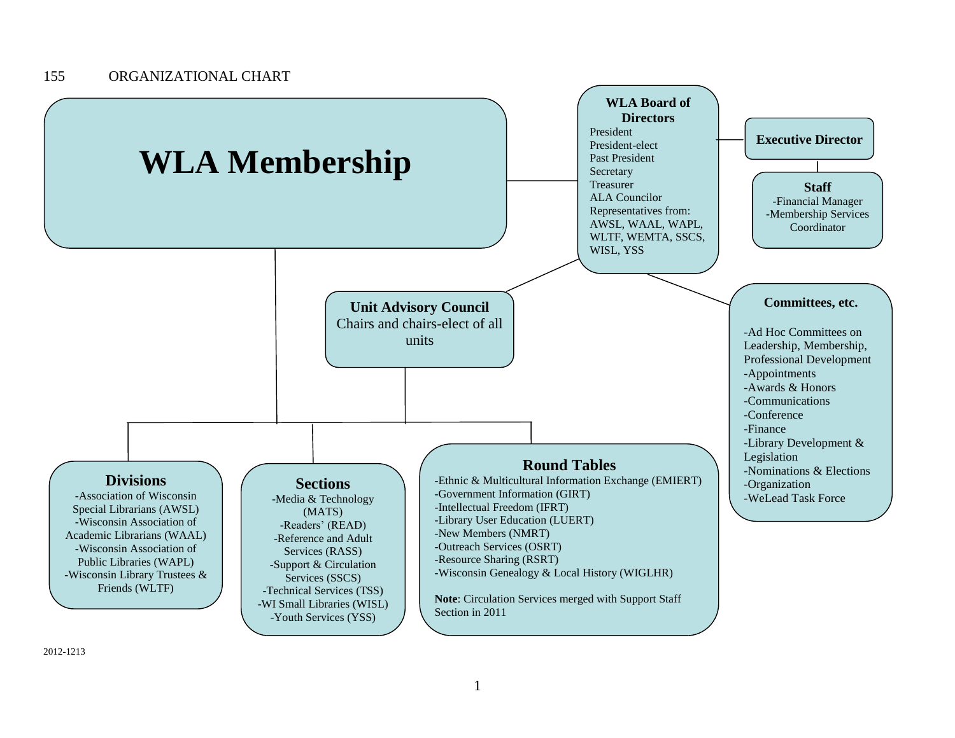

2012-1213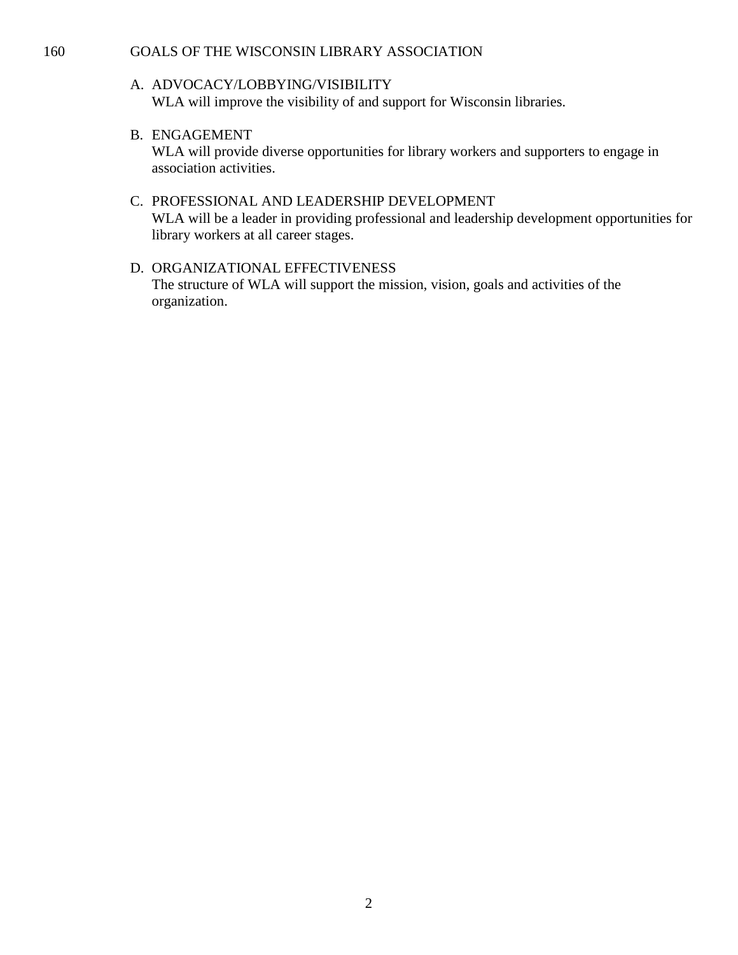#### 160 GOALS OF THE WISCONSIN LIBRARY ASSOCIATION

#### A. ADVOCACY/LOBBYING/VISIBILITY WLA will improve the visibility of and support for Wisconsin libraries.

B. ENGAGEMENT

WLA will provide diverse opportunities for library workers and supporters to engage in association activities.

- C. PROFESSIONAL AND LEADERSHIP DEVELOPMENT WLA will be a leader in providing professional and leadership development opportunities for library workers at all career stages.
- D. ORGANIZATIONAL EFFECTIVENESS The structure of WLA will support the mission, vision, goals and activities of the organization.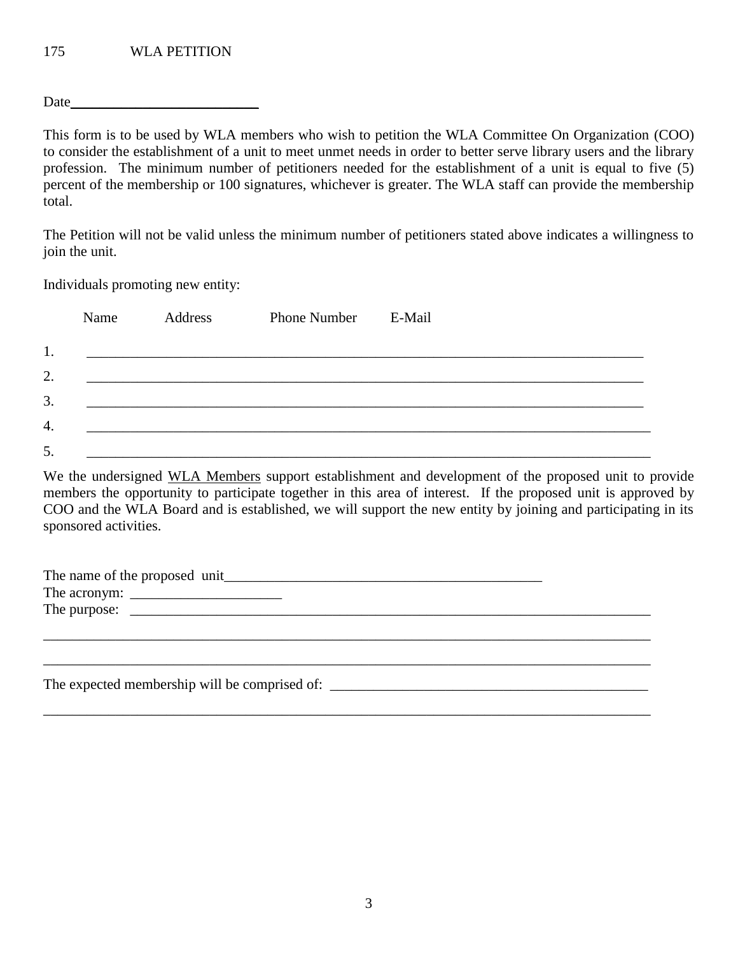Date

This form is to be used by WLA members who wish to petition the WLA Committee On Organization (COO) to consider the establishment of a unit to meet unmet needs in order to better serve library users and the library profession. The minimum number of petitioners needed for the establishment of a unit is equal to five (5) percent of the membership or 100 signatures, whichever is greater. The WLA staff can provide the membership total.

The Petition will not be valid unless the minimum number of petitioners stated above indicates a willingness to join the unit.

Individuals promoting new entity:

|    | Name | Address | Phone Number E-Mail |  |
|----|------|---------|---------------------|--|
| 1. |      |         |                     |  |
| 2. |      |         |                     |  |
| 3. |      |         |                     |  |
| 4. |      |         |                     |  |
| 5. |      |         |                     |  |

We the undersigned WLA Members support establishment and development of the proposed unit to provide members the opportunity to participate together in this area of interest. If the proposed unit is approved by COO and the WLA Board and is established, we will support the new entity by joining and participating in its sponsored activities.

| The expected membership will be comprised of: |  |
|-----------------------------------------------|--|
|                                               |  |
|                                               |  |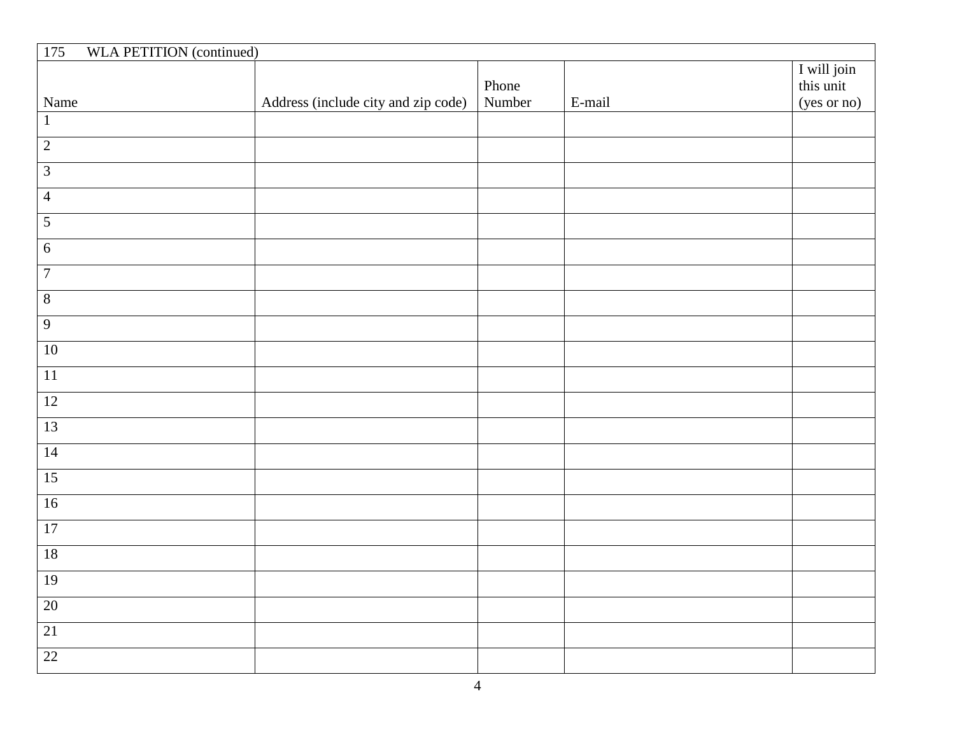| <b>WLA PETITION</b> (continued)<br>175 |                                     |                 |        |                                         |
|----------------------------------------|-------------------------------------|-----------------|--------|-----------------------------------------|
| Name                                   | Address (include city and zip code) | Phone<br>Number | E-mail | I will join<br>this unit<br>(yes or no) |
| $\mathbf{1}$                           |                                     |                 |        |                                         |
| $\overline{2}$                         |                                     |                 |        |                                         |
| $\overline{3}$                         |                                     |                 |        |                                         |
| $\overline{4}$                         |                                     |                 |        |                                         |
| $\overline{5}$                         |                                     |                 |        |                                         |
| $\sqrt{6}$                             |                                     |                 |        |                                         |
| $\overline{7}$                         |                                     |                 |        |                                         |
| $\overline{8}$                         |                                     |                 |        |                                         |
| $\overline{9}$                         |                                     |                 |        |                                         |
| $10\,$                                 |                                     |                 |        |                                         |
| $11\,$                                 |                                     |                 |        |                                         |
| 12                                     |                                     |                 |        |                                         |
| $\overline{13}$                        |                                     |                 |        |                                         |
| 14                                     |                                     |                 |        |                                         |
| $\overline{15}$                        |                                     |                 |        |                                         |
| 16                                     |                                     |                 |        |                                         |
| $\overline{17}$                        |                                     |                 |        |                                         |
| $\overline{18}$                        |                                     |                 |        |                                         |
| $\overline{19}$                        |                                     |                 |        |                                         |
| $\overline{20}$                        |                                     |                 |        |                                         |
| $\overline{21}$                        |                                     |                 |        |                                         |
| $\overline{22}$                        |                                     |                 |        |                                         |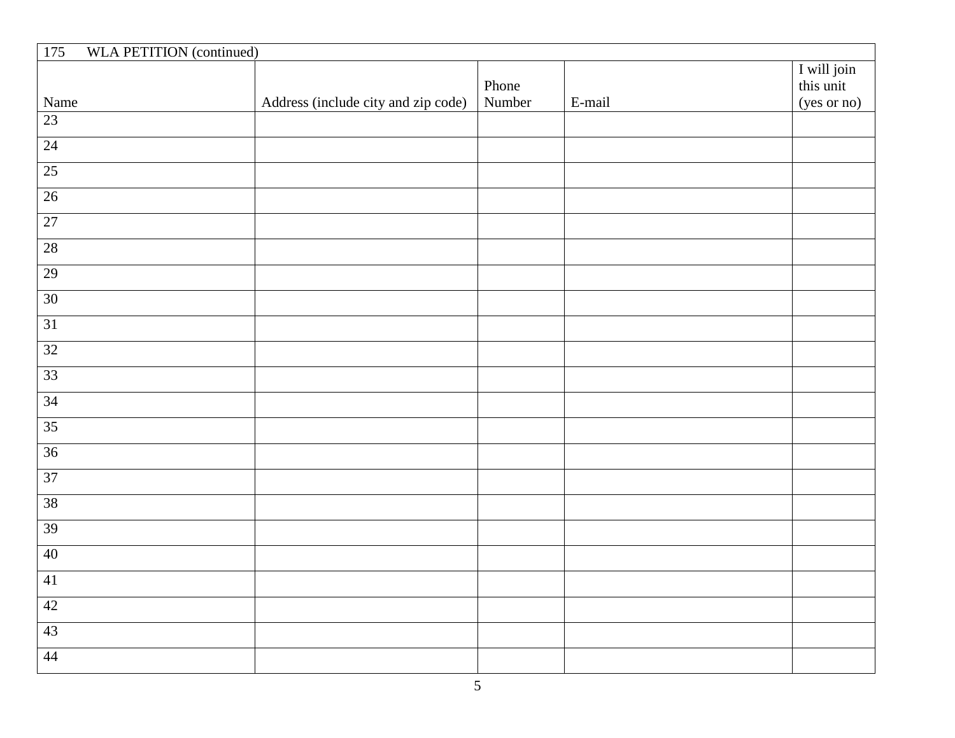| <b>WLA PETITION</b> (continued)<br>175 |                                     |                 |        |                                         |
|----------------------------------------|-------------------------------------|-----------------|--------|-----------------------------------------|
| Name                                   | Address (include city and zip code) | Phone<br>Number | E-mail | I will join<br>this unit<br>(yes or no) |
| 23                                     |                                     |                 |        |                                         |
| 24                                     |                                     |                 |        |                                         |
| $\overline{25}$                        |                                     |                 |        |                                         |
| 26                                     |                                     |                 |        |                                         |
| $\overline{27}$                        |                                     |                 |        |                                         |
| $28$                                   |                                     |                 |        |                                         |
| 29                                     |                                     |                 |        |                                         |
| $\overline{30}$                        |                                     |                 |        |                                         |
| $\overline{31}$                        |                                     |                 |        |                                         |
| $\overline{32}$                        |                                     |                 |        |                                         |
| 33                                     |                                     |                 |        |                                         |
| $\overline{34}$                        |                                     |                 |        |                                         |
| $\overline{35}$                        |                                     |                 |        |                                         |
| 36                                     |                                     |                 |        |                                         |
| $\overline{37}$                        |                                     |                 |        |                                         |
| 38                                     |                                     |                 |        |                                         |
| 39                                     |                                     |                 |        |                                         |
| 40                                     |                                     |                 |        |                                         |
| 41                                     |                                     |                 |        |                                         |
| 42                                     |                                     |                 |        |                                         |
| 43                                     |                                     |                 |        |                                         |
| 44                                     |                                     |                 |        |                                         |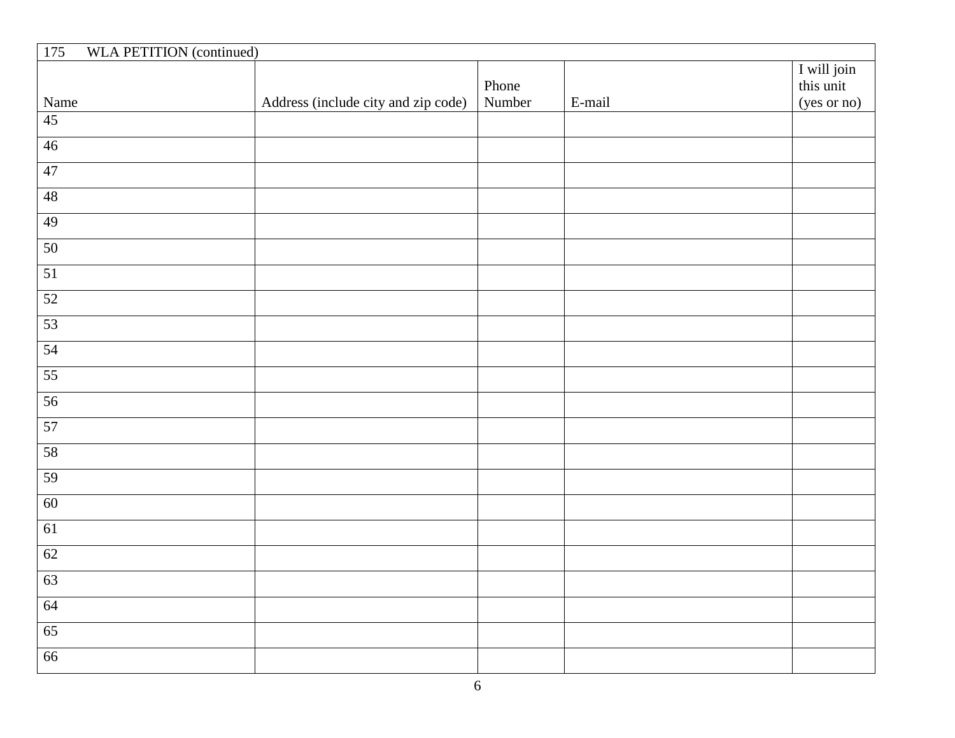| <b>WLA PETITION</b> (continued)<br>175 |                                     |        |        |                          |
|----------------------------------------|-------------------------------------|--------|--------|--------------------------|
|                                        |                                     | Phone  |        | I will join<br>this unit |
| Name                                   | Address (include city and zip code) | Number | E-mail | (yes or no)              |
| $\overline{45}$                        |                                     |        |        |                          |
| 46                                     |                                     |        |        |                          |
| 47                                     |                                     |        |        |                          |
| $\overline{48}$                        |                                     |        |        |                          |
| 49                                     |                                     |        |        |                          |
| 50                                     |                                     |        |        |                          |
| $\overline{51}$                        |                                     |        |        |                          |
| $\overline{52}$                        |                                     |        |        |                          |
| 53                                     |                                     |        |        |                          |
| 54                                     |                                     |        |        |                          |
| $\overline{55}$                        |                                     |        |        |                          |
| 56                                     |                                     |        |        |                          |
| 57                                     |                                     |        |        |                          |
| 58                                     |                                     |        |        |                          |
| 59                                     |                                     |        |        |                          |
| 60                                     |                                     |        |        |                          |
| 61                                     |                                     |        |        |                          |
| 62                                     |                                     |        |        |                          |
| 63                                     |                                     |        |        |                          |
| 64                                     |                                     |        |        |                          |
| 65                                     |                                     |        |        |                          |
| 66                                     |                                     |        |        |                          |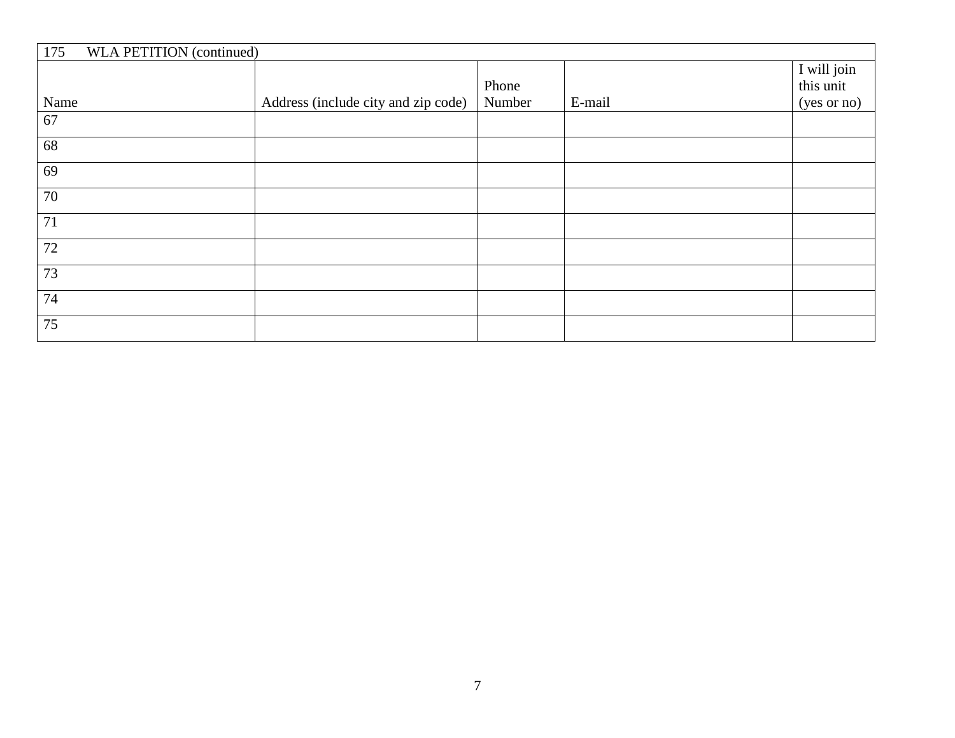| 175<br>WLA PETITION (continued) |                                     |        |        |             |
|---------------------------------|-------------------------------------|--------|--------|-------------|
|                                 |                                     |        |        | I will join |
|                                 |                                     | Phone  |        | this unit   |
| Name                            | Address (include city and zip code) | Number | E-mail | (yes or no) |
| 67                              |                                     |        |        |             |
| 68                              |                                     |        |        |             |
| 69                              |                                     |        |        |             |
| 70                              |                                     |        |        |             |
| 71                              |                                     |        |        |             |
| 72                              |                                     |        |        |             |
| 73                              |                                     |        |        |             |
| 74                              |                                     |        |        |             |
| 75                              |                                     |        |        |             |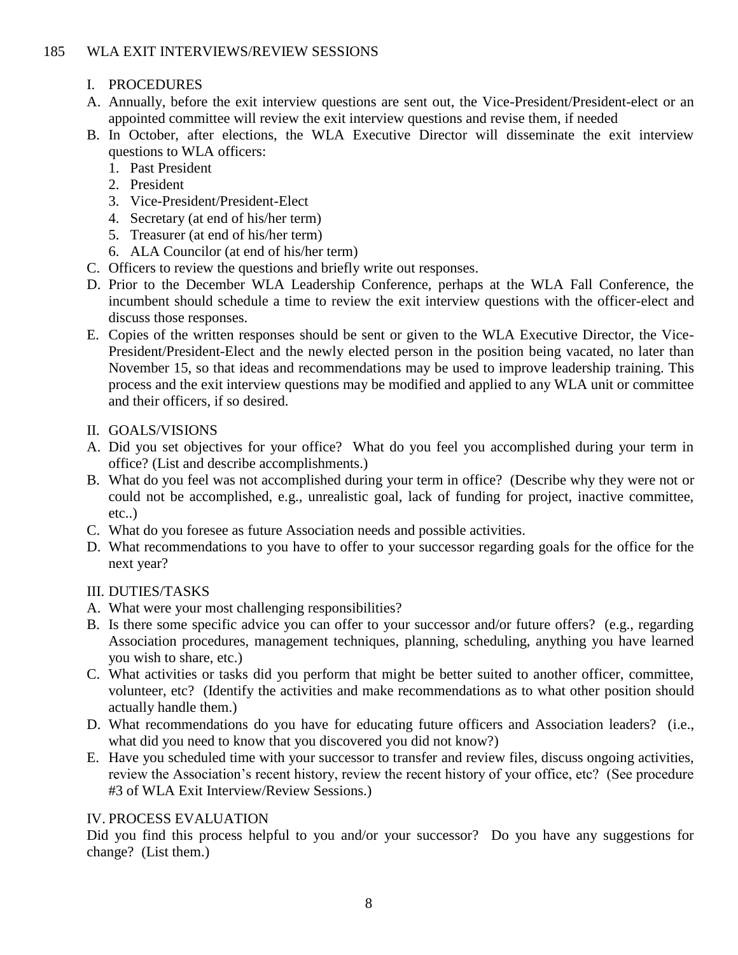# 185 WLA EXIT INTERVIEWS/REVIEW SESSIONS

- I. PROCEDURES
- A. Annually, before the exit interview questions are sent out, the Vice-President/President-elect or an appointed committee will review the exit interview questions and revise them, if needed
- B. In October, after elections, the WLA Executive Director will disseminate the exit interview questions to WLA officers:
	- 1. Past President
	- 2. President
	- 3. Vice-President/President-Elect
	- 4. Secretary (at end of his/her term)
	- 5. Treasurer (at end of his/her term)
	- 6. ALA Councilor (at end of his/her term)
- C. Officers to review the questions and briefly write out responses.
- D. Prior to the December WLA Leadership Conference, perhaps at the WLA Fall Conference, the incumbent should schedule a time to review the exit interview questions with the officer-elect and discuss those responses.
- E. Copies of the written responses should be sent or given to the WLA Executive Director, the Vice-President/President-Elect and the newly elected person in the position being vacated, no later than November 15, so that ideas and recommendations may be used to improve leadership training. This process and the exit interview questions may be modified and applied to any WLA unit or committee and their officers, if so desired.
- II. GOALS/VISIONS
- A. Did you set objectives for your office? What do you feel you accomplished during your term in office? (List and describe accomplishments.)
- B. What do you feel was not accomplished during your term in office? (Describe why they were not or could not be accomplished, e.g., unrealistic goal, lack of funding for project, inactive committee, etc..)
- C. What do you foresee as future Association needs and possible activities.
- D. What recommendations to you have to offer to your successor regarding goals for the office for the next year?

# III. DUTIES/TASKS

- A. What were your most challenging responsibilities?
- B. Is there some specific advice you can offer to your successor and/or future offers? (e.g., regarding Association procedures, management techniques, planning, scheduling, anything you have learned you wish to share, etc.)
- C. What activities or tasks did you perform that might be better suited to another officer, committee, volunteer, etc? (Identify the activities and make recommendations as to what other position should actually handle them.)
- D. What recommendations do you have for educating future officers and Association leaders? (i.e., what did you need to know that you discovered you did not know?)
- E. Have you scheduled time with your successor to transfer and review files, discuss ongoing activities, review the Association's recent history, review the recent history of your office, etc? (See procedure #3 of WLA Exit Interview/Review Sessions.)

# IV. PROCESS EVALUATION

Did you find this process helpful to you and/or your successor? Do you have any suggestions for change? (List them.)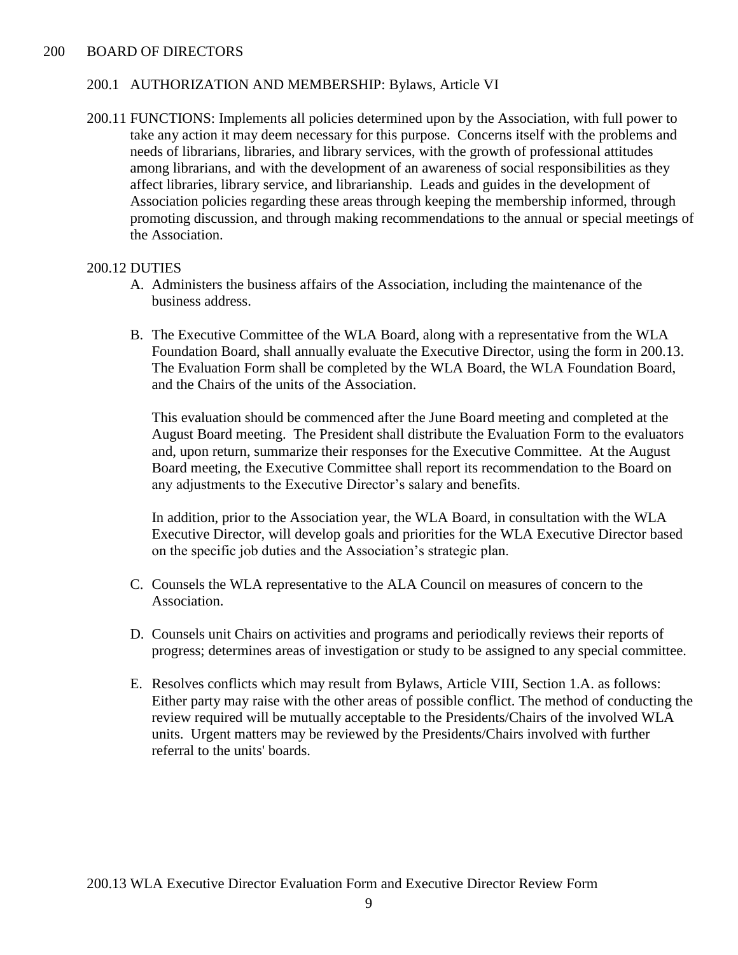#### 200 BOARD OF DIRECTORS

#### 200.1 AUTHORIZATION AND MEMBERSHIP: Bylaws, Article VI

200.11 FUNCTIONS: Implements all policies determined upon by the Association, with full power to take any action it may deem necessary for this purpose. Concerns itself with the problems and needs of librarians, libraries, and library services, with the growth of professional attitudes among librarians, and with the development of an awareness of social responsibilities as they affect libraries, library service, and librarianship. Leads and guides in the development of Association policies regarding these areas through keeping the membership informed, through promoting discussion, and through making recommendations to the annual or special meetings of the Association.

#### 200.12 DUTIES

- A. Administers the business affairs of the Association, including the maintenance of the business address.
- B. The Executive Committee of the WLA Board, along with a representative from the WLA Foundation Board, shall annually evaluate the Executive Director, using the form in 200.13. The Evaluation Form shall be completed by the WLA Board, the WLA Foundation Board, and the Chairs of the units of the Association.

This evaluation should be commenced after the June Board meeting and completed at the August Board meeting. The President shall distribute the Evaluation Form to the evaluators and, upon return, summarize their responses for the Executive Committee. At the August Board meeting, the Executive Committee shall report its recommendation to the Board on any adjustments to the Executive Director's salary and benefits.

In addition, prior to the Association year, the WLA Board, in consultation with the WLA Executive Director, will develop goals and priorities for the WLA Executive Director based on the specific job duties and the Association's strategic plan.

- C. Counsels the WLA representative to the ALA Council on measures of concern to the Association.
- D. Counsels unit Chairs on activities and programs and periodically reviews their reports of progress; determines areas of investigation or study to be assigned to any special committee.
- E. Resolves conflicts which may result from Bylaws, Article VIII, Section 1.A. as follows: Either party may raise with the other areas of possible conflict. The method of conducting the review required will be mutually acceptable to the Presidents/Chairs of the involved WLA units. Urgent matters may be reviewed by the Presidents/Chairs involved with further referral to the units' boards.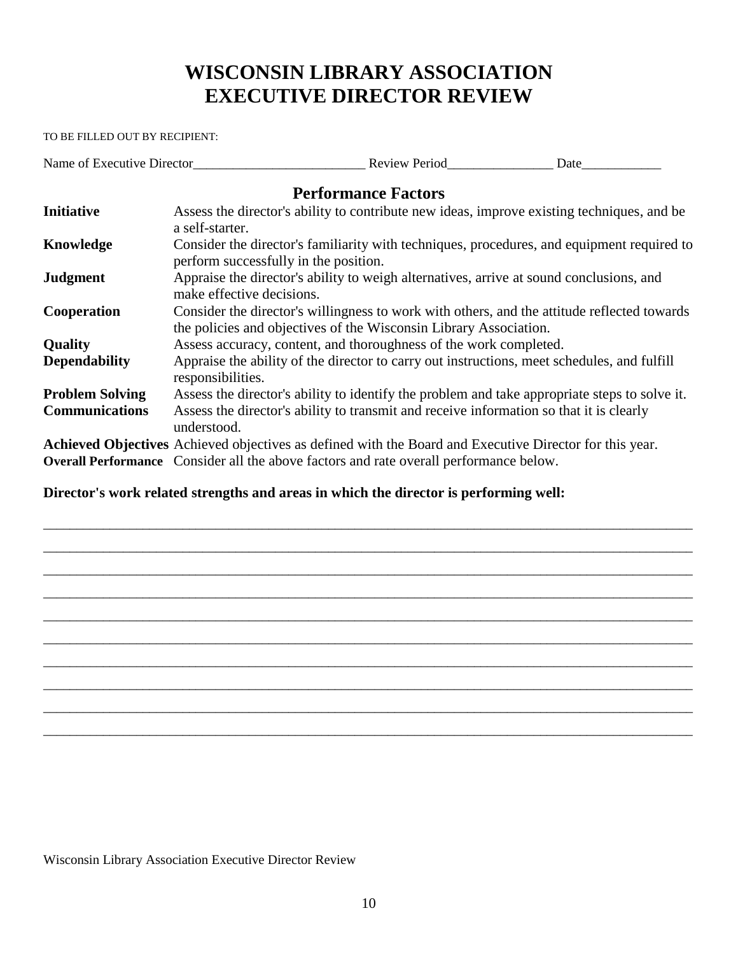# **WISCONSIN LIBRARY ASSOCIATION EXECUTIVE DIRECTOR REVIEW**

TO BE FILLED OUT BY RECIPIENT:

Name of Executive Director\_\_\_\_\_\_\_\_\_\_\_\_\_\_\_\_\_\_\_\_\_\_\_\_\_\_ Review Period\_\_\_\_\_\_\_\_\_\_\_\_\_\_\_\_ Date\_\_\_\_\_\_\_\_\_\_\_\_

# **Performance Factors**

| <b>Initiative</b>      | Assess the director's ability to contribute new ideas, improve existing techniques, and be<br>a self-starter.                                                    |
|------------------------|------------------------------------------------------------------------------------------------------------------------------------------------------------------|
| Knowledge              | Consider the director's familiarity with techniques, procedures, and equipment required to<br>perform successfully in the position.                              |
| <b>Judgment</b>        | Appraise the director's ability to weigh alternatives, arrive at sound conclusions, and<br>make effective decisions.                                             |
| Cooperation            | Consider the director's willingness to work with others, and the attitude reflected towards<br>the policies and objectives of the Wisconsin Library Association. |
| <b>Quality</b>         | Assess accuracy, content, and thoroughness of the work completed.                                                                                                |
| <b>Dependability</b>   | Appraise the ability of the director to carry out instructions, meet schedules, and fulfill<br>responsibilities.                                                 |
| <b>Problem Solving</b> | Assess the director's ability to identify the problem and take appropriate steps to solve it.                                                                    |
| <b>Communications</b>  | Assess the director's ability to transmit and receive information so that it is clearly<br>understood.                                                           |
|                        | <b>Achieved Objectives</b> Achieved objectives as defined with the Board and Executive Director for this year.                                                   |
|                        | <b>Overall Performance</b> Consider all the above factors and rate overall performance below.                                                                    |

\_\_\_\_\_\_\_\_\_\_\_\_\_\_\_\_\_\_\_\_\_\_\_\_\_\_\_\_\_\_\_\_\_\_\_\_\_\_\_\_\_\_\_\_\_\_\_\_\_\_\_\_\_\_\_\_\_\_\_\_\_\_\_\_\_\_\_\_\_\_\_\_\_\_\_\_\_\_\_\_\_\_\_\_\_\_\_\_\_\_\_\_\_\_\_\_\_\_ \_\_\_\_\_\_\_\_\_\_\_\_\_\_\_\_\_\_\_\_\_\_\_\_\_\_\_\_\_\_\_\_\_\_\_\_\_\_\_\_\_\_\_\_\_\_\_\_\_\_\_\_\_\_\_\_\_\_\_\_\_\_\_\_\_\_\_\_\_\_\_\_\_\_\_\_\_\_\_\_\_\_\_\_\_\_\_\_\_\_\_\_\_\_\_\_\_\_ \_\_\_\_\_\_\_\_\_\_\_\_\_\_\_\_\_\_\_\_\_\_\_\_\_\_\_\_\_\_\_\_\_\_\_\_\_\_\_\_\_\_\_\_\_\_\_\_\_\_\_\_\_\_\_\_\_\_\_\_\_\_\_\_\_\_\_\_\_\_\_\_\_\_\_\_\_\_\_\_\_\_\_\_\_\_\_\_\_\_\_\_\_\_\_\_\_\_ \_\_\_\_\_\_\_\_\_\_\_\_\_\_\_\_\_\_\_\_\_\_\_\_\_\_\_\_\_\_\_\_\_\_\_\_\_\_\_\_\_\_\_\_\_\_\_\_\_\_\_\_\_\_\_\_\_\_\_\_\_\_\_\_\_\_\_\_\_\_\_\_\_\_\_\_\_\_\_\_\_\_\_\_\_\_\_\_\_\_\_\_\_\_\_\_\_\_ \_\_\_\_\_\_\_\_\_\_\_\_\_\_\_\_\_\_\_\_\_\_\_\_\_\_\_\_\_\_\_\_\_\_\_\_\_\_\_\_\_\_\_\_\_\_\_\_\_\_\_\_\_\_\_\_\_\_\_\_\_\_\_\_\_\_\_\_\_\_\_\_\_\_\_\_\_\_\_\_\_\_\_\_\_\_\_\_\_\_\_\_\_\_\_\_\_\_ \_\_\_\_\_\_\_\_\_\_\_\_\_\_\_\_\_\_\_\_\_\_\_\_\_\_\_\_\_\_\_\_\_\_\_\_\_\_\_\_\_\_\_\_\_\_\_\_\_\_\_\_\_\_\_\_\_\_\_\_\_\_\_\_\_\_\_\_\_\_\_\_\_\_\_\_\_\_\_\_\_\_\_\_\_\_\_\_\_\_\_\_\_\_\_\_\_\_ \_\_\_\_\_\_\_\_\_\_\_\_\_\_\_\_\_\_\_\_\_\_\_\_\_\_\_\_\_\_\_\_\_\_\_\_\_\_\_\_\_\_\_\_\_\_\_\_\_\_\_\_\_\_\_\_\_\_\_\_\_\_\_\_\_\_\_\_\_\_\_\_\_\_\_\_\_\_\_\_\_\_\_\_\_\_\_\_\_\_\_\_\_\_\_\_\_\_ \_\_\_\_\_\_\_\_\_\_\_\_\_\_\_\_\_\_\_\_\_\_\_\_\_\_\_\_\_\_\_\_\_\_\_\_\_\_\_\_\_\_\_\_\_\_\_\_\_\_\_\_\_\_\_\_\_\_\_\_\_\_\_\_\_\_\_\_\_\_\_\_\_\_\_\_\_\_\_\_\_\_\_\_\_\_\_\_\_\_\_\_\_\_\_\_\_\_ \_\_\_\_\_\_\_\_\_\_\_\_\_\_\_\_\_\_\_\_\_\_\_\_\_\_\_\_\_\_\_\_\_\_\_\_\_\_\_\_\_\_\_\_\_\_\_\_\_\_\_\_\_\_\_\_\_\_\_\_\_\_\_\_\_\_\_\_\_\_\_\_\_\_\_\_\_\_\_\_\_\_\_\_\_\_\_\_\_\_\_\_\_\_\_\_\_\_ \_\_\_\_\_\_\_\_\_\_\_\_\_\_\_\_\_\_\_\_\_\_\_\_\_\_\_\_\_\_\_\_\_\_\_\_\_\_\_\_\_\_\_\_\_\_\_\_\_\_\_\_\_\_\_\_\_\_\_\_\_\_\_\_\_\_\_\_\_\_\_\_\_\_\_\_\_\_\_\_\_\_\_\_\_\_\_\_\_\_\_\_\_\_\_\_\_\_

# **Director's work related strengths and areas in which the director is performing well:**

Wisconsin Library Association Executive Director Review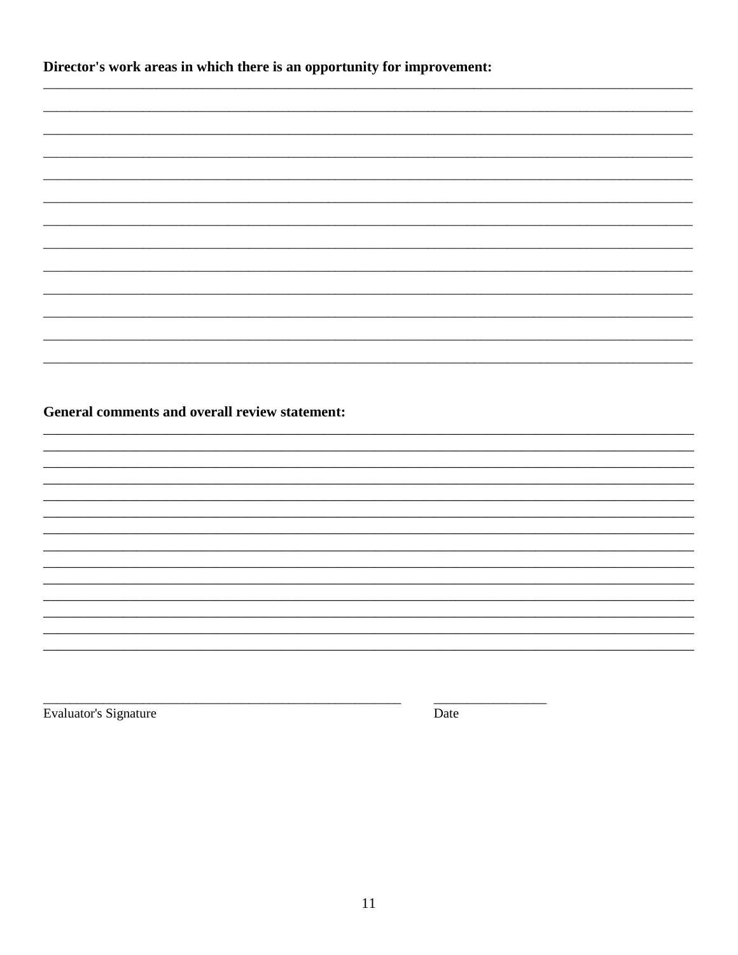| Director's work areas in which there is an opportunity for improvement: |
|-------------------------------------------------------------------------|
|-------------------------------------------------------------------------|

| General comments and overall review statement: |  |
|------------------------------------------------|--|
|                                                |  |
|                                                |  |
|                                                |  |
|                                                |  |
|                                                |  |
|                                                |  |
|                                                |  |
|                                                |  |
|                                                |  |
|                                                |  |
|                                                |  |
|                                                |  |

Evaluator's Signature

Date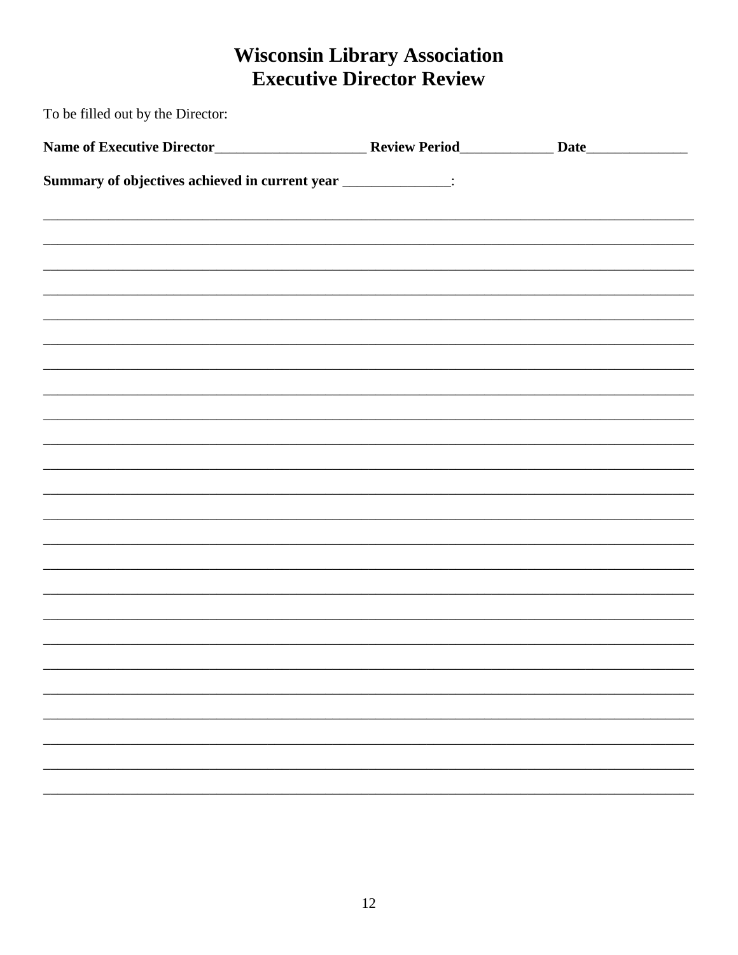# **Wisconsin Library Association<br>Executive Director Review**

| To be filled out by the Director:                                |  |  |  |  |  |
|------------------------------------------------------------------|--|--|--|--|--|
|                                                                  |  |  |  |  |  |
| Summary of objectives achieved in current year ________________: |  |  |  |  |  |
|                                                                  |  |  |  |  |  |
|                                                                  |  |  |  |  |  |
|                                                                  |  |  |  |  |  |
|                                                                  |  |  |  |  |  |
|                                                                  |  |  |  |  |  |
|                                                                  |  |  |  |  |  |
|                                                                  |  |  |  |  |  |
|                                                                  |  |  |  |  |  |
|                                                                  |  |  |  |  |  |
|                                                                  |  |  |  |  |  |
|                                                                  |  |  |  |  |  |
|                                                                  |  |  |  |  |  |
|                                                                  |  |  |  |  |  |
|                                                                  |  |  |  |  |  |
|                                                                  |  |  |  |  |  |
|                                                                  |  |  |  |  |  |
|                                                                  |  |  |  |  |  |
|                                                                  |  |  |  |  |  |
|                                                                  |  |  |  |  |  |
|                                                                  |  |  |  |  |  |
|                                                                  |  |  |  |  |  |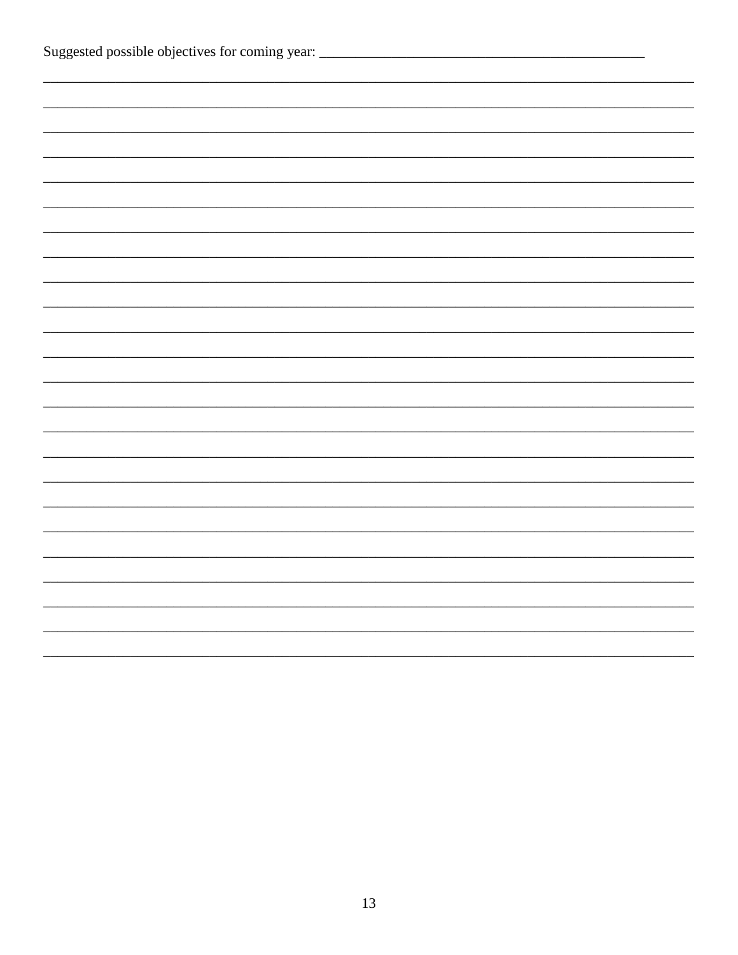| Suggested possible objectives for coming year: _________________________________ |  |  |  |
|----------------------------------------------------------------------------------|--|--|--|
|                                                                                  |  |  |  |
|                                                                                  |  |  |  |
|                                                                                  |  |  |  |
|                                                                                  |  |  |  |
|                                                                                  |  |  |  |
|                                                                                  |  |  |  |
|                                                                                  |  |  |  |
|                                                                                  |  |  |  |
|                                                                                  |  |  |  |
|                                                                                  |  |  |  |
|                                                                                  |  |  |  |
|                                                                                  |  |  |  |
|                                                                                  |  |  |  |
|                                                                                  |  |  |  |
|                                                                                  |  |  |  |
|                                                                                  |  |  |  |
|                                                                                  |  |  |  |
|                                                                                  |  |  |  |
|                                                                                  |  |  |  |
|                                                                                  |  |  |  |
|                                                                                  |  |  |  |
|                                                                                  |  |  |  |
|                                                                                  |  |  |  |
|                                                                                  |  |  |  |
|                                                                                  |  |  |  |
|                                                                                  |  |  |  |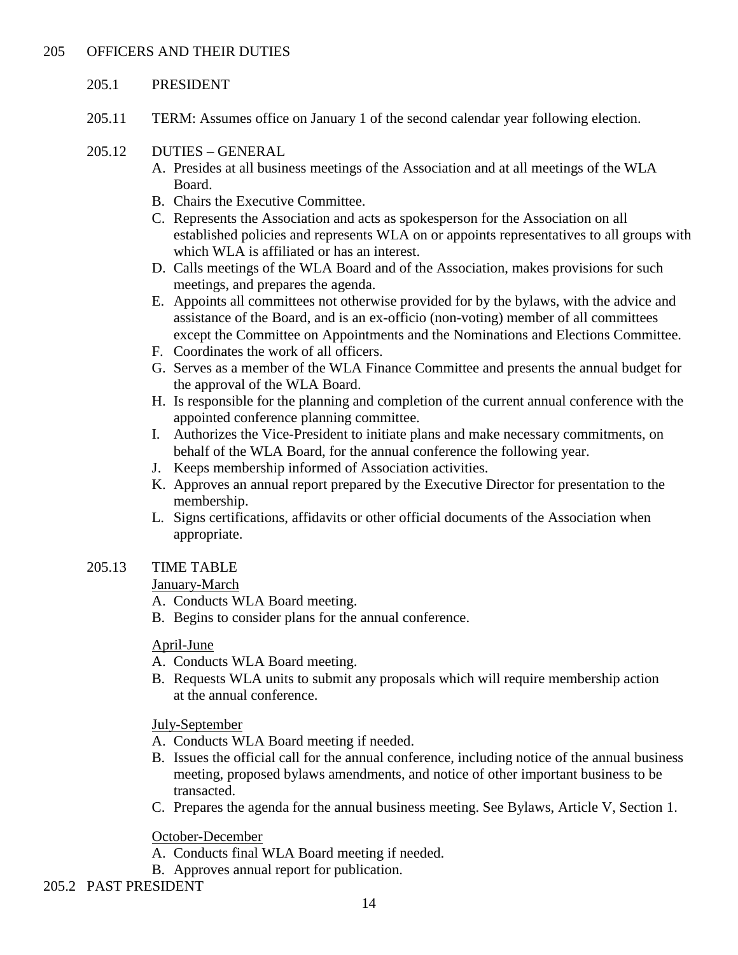#### 205.1 PRESIDENT

- 205.11 TERM: Assumes office on January 1 of the second calendar year following election.
- 205.12 DUTIES GENERAL
	- A. Presides at all business meetings of the Association and at all meetings of the WLA Board.
	- B. Chairs the Executive Committee.
	- C. Represents the Association and acts as spokesperson for the Association on all established policies and represents WLA on or appoints representatives to all groups with which WLA is affiliated or has an interest.
	- D. Calls meetings of the WLA Board and of the Association, makes provisions for such meetings, and prepares the agenda.
	- E. Appoints all committees not otherwise provided for by the bylaws, with the advice and assistance of the Board, and is an ex-officio (non-voting) member of all committees except the Committee on Appointments and the Nominations and Elections Committee.
	- F. Coordinates the work of all officers.
	- G. Serves as a member of the WLA Finance Committee and presents the annual budget for the approval of the WLA Board.
	- H. Is responsible for the planning and completion of the current annual conference with the appointed conference planning committee.
	- I. Authorizes the Vice-President to initiate plans and make necessary commitments, on behalf of the WLA Board, for the annual conference the following year.
	- J. Keeps membership informed of Association activities.
	- K. Approves an annual report prepared by the Executive Director for presentation to the membership.
	- L. Signs certifications, affidavits or other official documents of the Association when appropriate.
- 205.13 TIME TABLE

January-March

- A. Conducts WLA Board meeting.
- B. Begins to consider plans for the annual conference.

April-June

- A. Conducts WLA Board meeting.
- B. Requests WLA units to submit any proposals which will require membership action at the annual conference.

July-September

- A. Conducts WLA Board meeting if needed.
- B. Issues the official call for the annual conference, including notice of the annual business meeting, proposed bylaws amendments, and notice of other important business to be transacted.
- C. Prepares the agenda for the annual business meeting. See Bylaws, Article V, Section 1.

October-December

- A. Conducts final WLA Board meeting if needed.
- B. Approves annual report for publication.
- 205.2 PAST PRESIDENT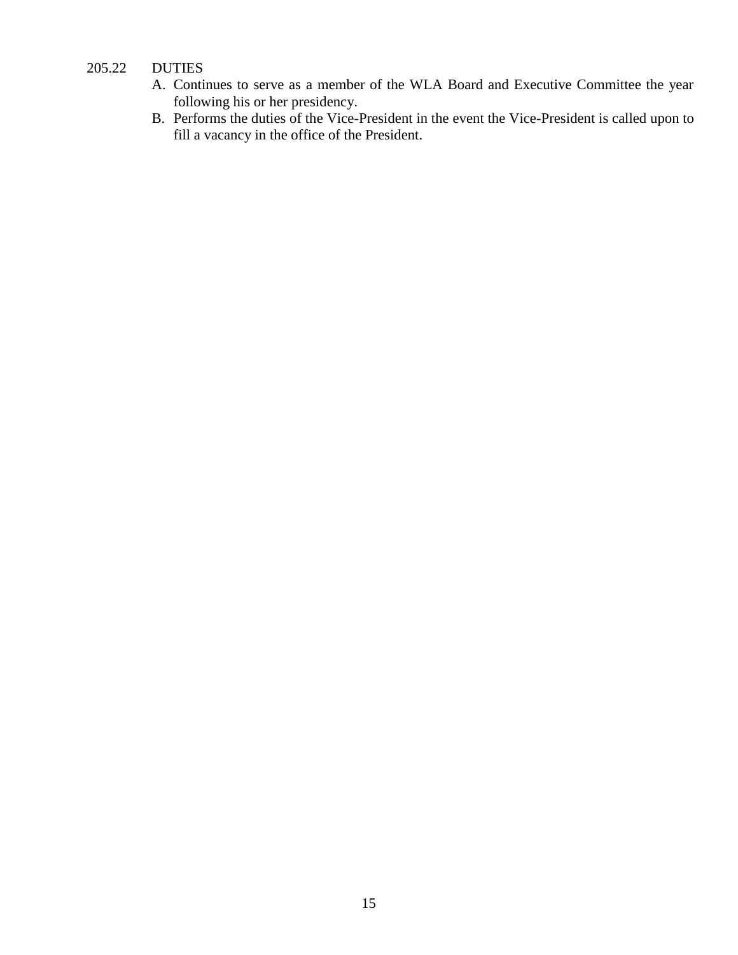# 205.22 DUTIES

- A. Continues to serve as a member of the WLA Board and Executive Committee the year following his or her presidency.
- B. Performs the duties of the Vice-President in the event the Vice-President is called upon to fill a vacancy in the office of the President.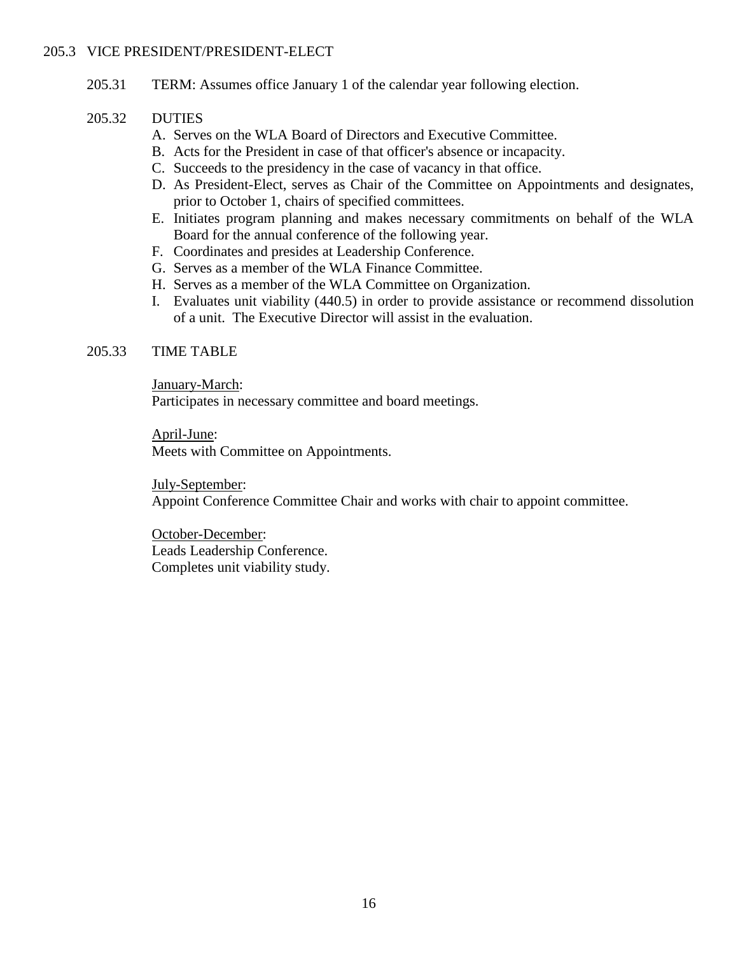#### 205.3 VICE PRESIDENT/PRESIDENT-ELECT

205.31 TERM: Assumes office January 1 of the calendar year following election.

#### 205.32 DUTIES

- A. Serves on the WLA Board of Directors and Executive Committee.
- B. Acts for the President in case of that officer's absence or incapacity.
- C. Succeeds to the presidency in the case of vacancy in that office.
- D. As President-Elect, serves as Chair of the Committee on Appointments and designates, prior to October 1, chairs of specified committees.
- E. Initiates program planning and makes necessary commitments on behalf of the WLA Board for the annual conference of the following year.
- F. Coordinates and presides at Leadership Conference.
- G. Serves as a member of the WLA Finance Committee.
- H. Serves as a member of the WLA Committee on Organization.
- I. Evaluates unit viability (440.5) in order to provide assistance or recommend dissolution of a unit. The Executive Director will assist in the evaluation.

# 205.33 TIME TABLE

January-March:

Participates in necessary committee and board meetings.

April-June: Meets with Committee on Appointments.

July-September: Appoint Conference Committee Chair and works with chair to appoint committee.

October-December: Leads Leadership Conference. Completes unit viability study.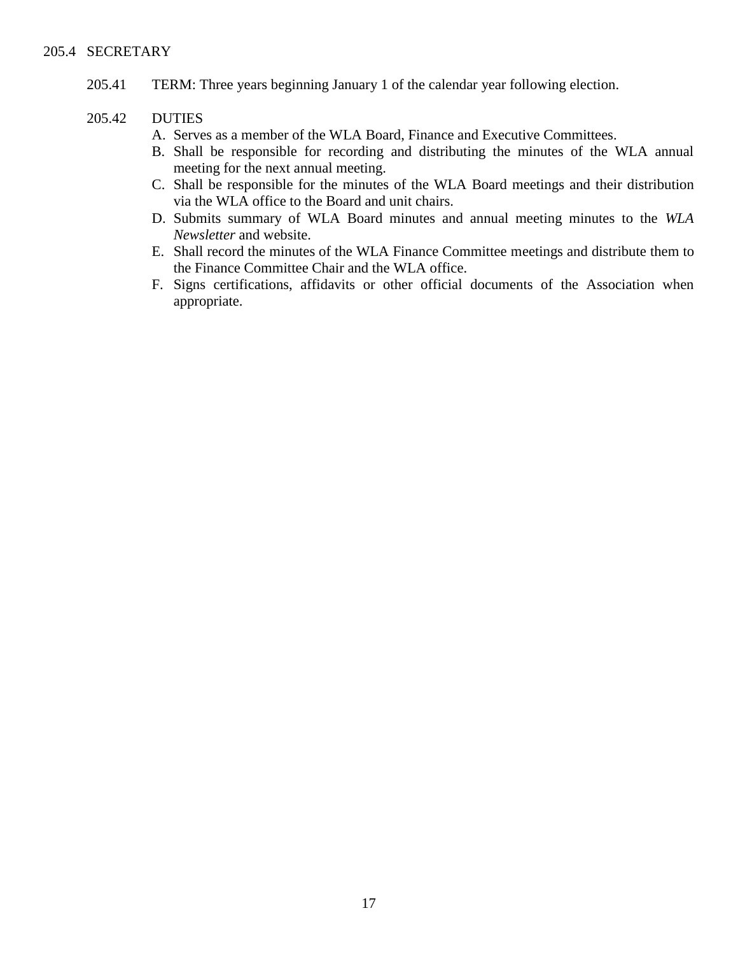205.41 TERM: Three years beginning January 1 of the calendar year following election.

#### 205.42 DUTIES

- A. Serves as a member of the WLA Board, Finance and Executive Committees.
- B. Shall be responsible for recording and distributing the minutes of the WLA annual meeting for the next annual meeting.
- C. Shall be responsible for the minutes of the WLA Board meetings and their distribution via the WLA office to the Board and unit chairs.
- D. Submits summary of WLA Board minutes and annual meeting minutes to the *WLA Newsletter* and website.
- E. Shall record the minutes of the WLA Finance Committee meetings and distribute them to the Finance Committee Chair and the WLA office.
- F. Signs certifications, affidavits or other official documents of the Association when appropriate.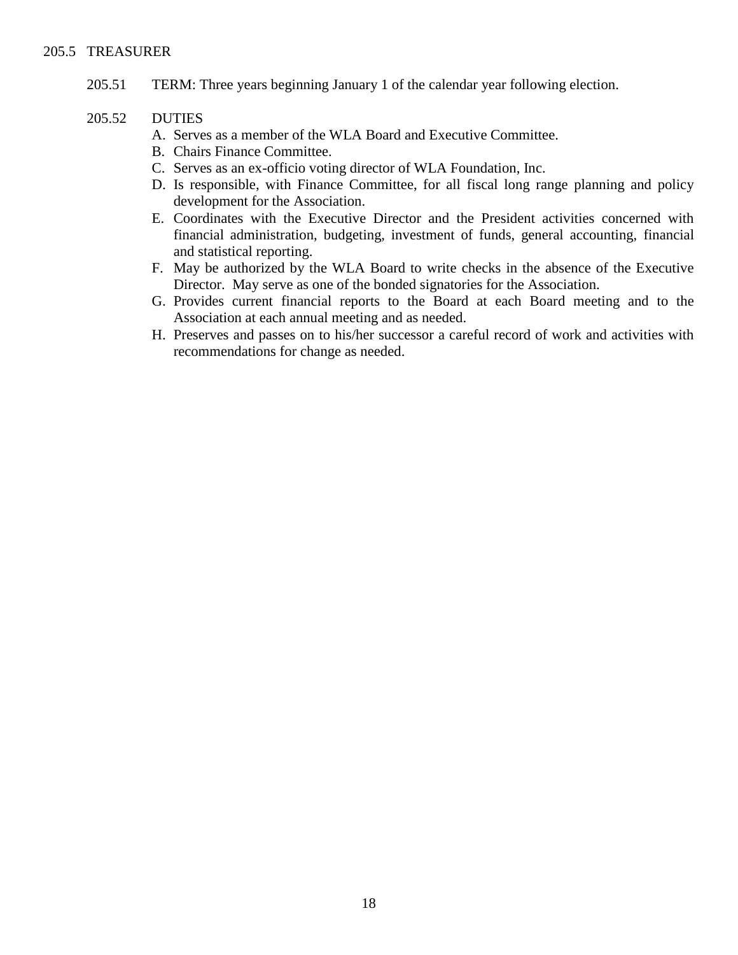#### 205.5 TREASURER

205.51 TERM: Three years beginning January 1 of the calendar year following election.

#### 205.52 DUTIES

- A. Serves as a member of the WLA Board and Executive Committee.
- B. Chairs Finance Committee.
- C. Serves as an ex-officio voting director of WLA Foundation, Inc.
- D. Is responsible, with Finance Committee, for all fiscal long range planning and policy development for the Association.
- E. Coordinates with the Executive Director and the President activities concerned with financial administration, budgeting, investment of funds, general accounting, financial and statistical reporting.
- F. May be authorized by the WLA Board to write checks in the absence of the Executive Director. May serve as one of the bonded signatories for the Association.
- G. Provides current financial reports to the Board at each Board meeting and to the Association at each annual meeting and as needed.
- H. Preserves and passes on to his/her successor a careful record of work and activities with recommendations for change as needed.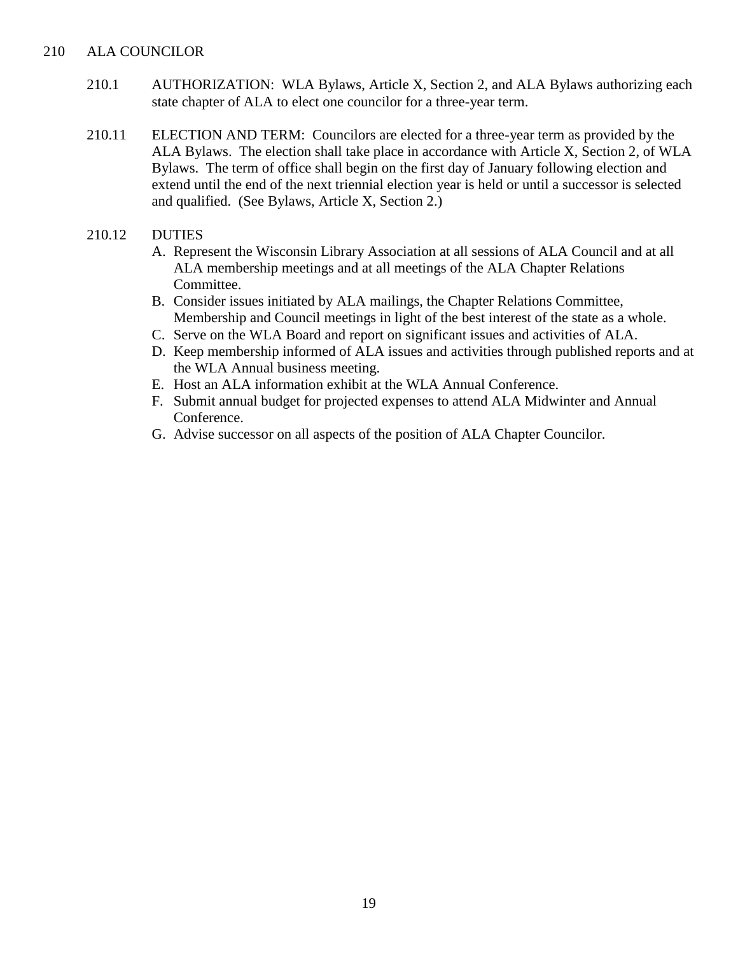#### 210 ALA COUNCILOR

- 210.1 AUTHORIZATION: WLA Bylaws, Article X, Section 2, and ALA Bylaws authorizing each state chapter of ALA to elect one councilor for a three-year term.
- 210.11 ELECTION AND TERM: Councilors are elected for a three-year term as provided by the ALA Bylaws. The election shall take place in accordance with Article X, Section 2, of WLA Bylaws. The term of office shall begin on the first day of January following election and extend until the end of the next triennial election year is held or until a successor is selected and qualified. (See Bylaws, Article X, Section 2.)

#### 210.12 DUTIES

- A. Represent the Wisconsin Library Association at all sessions of ALA Council and at all ALA membership meetings and at all meetings of the ALA Chapter Relations Committee.
- B. Consider issues initiated by ALA mailings, the Chapter Relations Committee, Membership and Council meetings in light of the best interest of the state as a whole.
- C. Serve on the WLA Board and report on significant issues and activities of ALA.
- D. Keep membership informed of ALA issues and activities through published reports and at the WLA Annual business meeting.
- E. Host an ALA information exhibit at the WLA Annual Conference.
- F. Submit annual budget for projected expenses to attend ALA Midwinter and Annual Conference.
- G. Advise successor on all aspects of the position of ALA Chapter Councilor.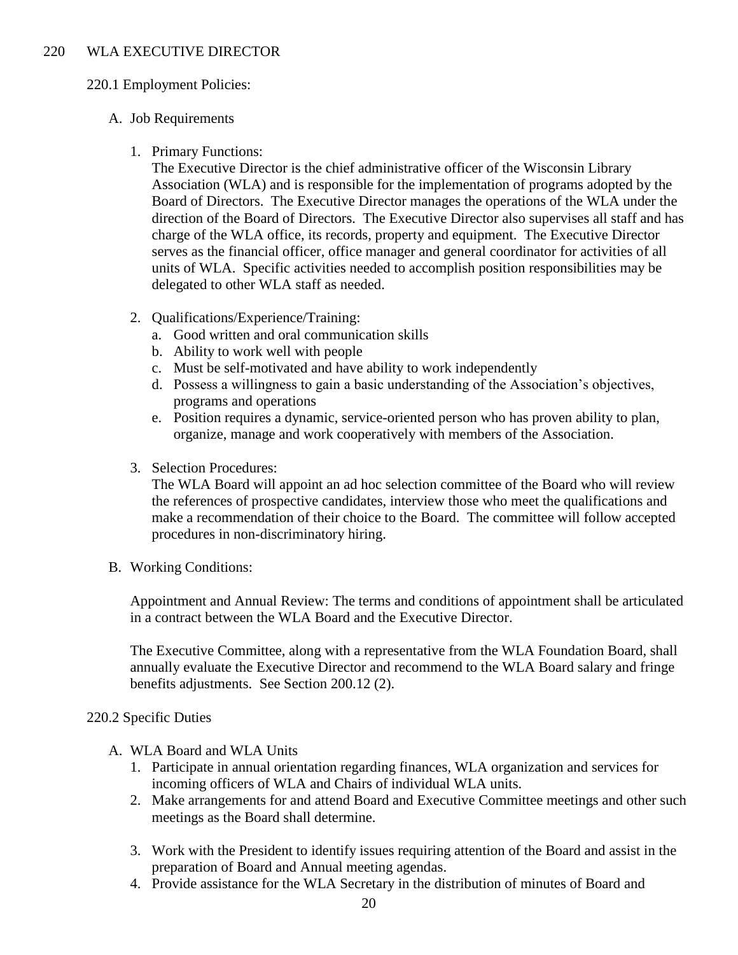#### 220 WLA EXECUTIVE DIRECTOR

#### 220.1 Employment Policies:

# A. Job Requirements

# 1. Primary Functions:

The Executive Director is the chief administrative officer of the Wisconsin Library Association (WLA) and is responsible for the implementation of programs adopted by the Board of Directors. The Executive Director manages the operations of the WLA under the direction of the Board of Directors. The Executive Director also supervises all staff and has charge of the WLA office, its records, property and equipment. The Executive Director serves as the financial officer, office manager and general coordinator for activities of all units of WLA. Specific activities needed to accomplish position responsibilities may be delegated to other WLA staff as needed.

- 2. Qualifications/Experience/Training:
	- a. Good written and oral communication skills
	- b. Ability to work well with people
	- c. Must be self-motivated and have ability to work independently
	- d. Possess a willingness to gain a basic understanding of the Association's objectives, programs and operations
	- e. Position requires a dynamic, service-oriented person who has proven ability to plan, organize, manage and work cooperatively with members of the Association.
- 3. Selection Procedures:

The WLA Board will appoint an ad hoc selection committee of the Board who will review the references of prospective candidates, interview those who meet the qualifications and make a recommendation of their choice to the Board. The committee will follow accepted procedures in non-discriminatory hiring.

B. Working Conditions:

Appointment and Annual Review: The terms and conditions of appointment shall be articulated in a contract between the WLA Board and the Executive Director.

The Executive Committee, along with a representative from the WLA Foundation Board, shall annually evaluate the Executive Director and recommend to the WLA Board salary and fringe benefits adjustments. See Section 200.12 (2).

#### 220.2 Specific Duties

- A. WLA Board and WLA Units
	- 1. Participate in annual orientation regarding finances, WLA organization and services for incoming officers of WLA and Chairs of individual WLA units.
	- 2. Make arrangements for and attend Board and Executive Committee meetings and other such meetings as the Board shall determine.
	- 3. Work with the President to identify issues requiring attention of the Board and assist in the preparation of Board and Annual meeting agendas.
	- 4. Provide assistance for the WLA Secretary in the distribution of minutes of Board and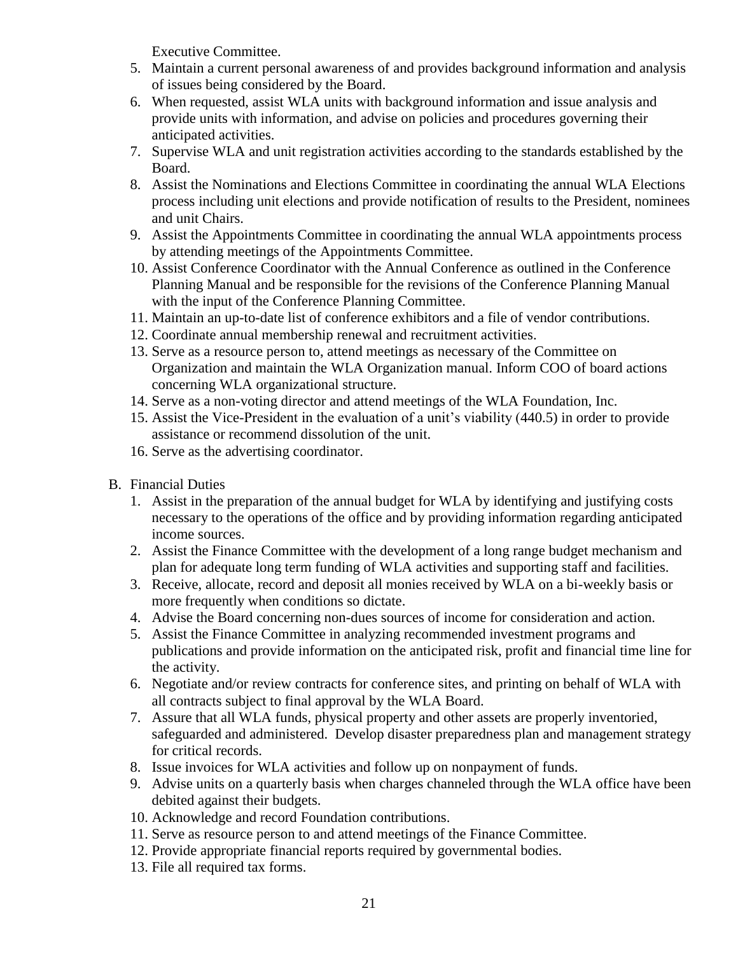Executive Committee.

- 5. Maintain a current personal awareness of and provides background information and analysis of issues being considered by the Board.
- 6. When requested, assist WLA units with background information and issue analysis and provide units with information, and advise on policies and procedures governing their anticipated activities.
- 7. Supervise WLA and unit registration activities according to the standards established by the Board.
- 8. Assist the Nominations and Elections Committee in coordinating the annual WLA Elections process including unit elections and provide notification of results to the President, nominees and unit Chairs.
- 9. Assist the Appointments Committee in coordinating the annual WLA appointments process by attending meetings of the Appointments Committee.
- 10. Assist Conference Coordinator with the Annual Conference as outlined in the Conference Planning Manual and be responsible for the revisions of the Conference Planning Manual with the input of the Conference Planning Committee.
- 11. Maintain an up-to-date list of conference exhibitors and a file of vendor contributions.
- 12. Coordinate annual membership renewal and recruitment activities.
- 13. Serve as a resource person to, attend meetings as necessary of the Committee on Organization and maintain the WLA Organization manual. Inform COO of board actions concerning WLA organizational structure.
- 14. Serve as a non-voting director and attend meetings of the WLA Foundation, Inc.
- 15. Assist the Vice-President in the evaluation of a unit's viability (440.5) in order to provide assistance or recommend dissolution of the unit.
- 16. Serve as the advertising coordinator.
- B. Financial Duties
	- 1. Assist in the preparation of the annual budget for WLA by identifying and justifying costs necessary to the operations of the office and by providing information regarding anticipated income sources.
	- 2. Assist the Finance Committee with the development of a long range budget mechanism and plan for adequate long term funding of WLA activities and supporting staff and facilities.
	- 3. Receive, allocate, record and deposit all monies received by WLA on a bi-weekly basis or more frequently when conditions so dictate.
	- 4. Advise the Board concerning non-dues sources of income for consideration and action.
	- 5. Assist the Finance Committee in analyzing recommended investment programs and publications and provide information on the anticipated risk, profit and financial time line for the activity.
	- 6. Negotiate and/or review contracts for conference sites, and printing on behalf of WLA with all contracts subject to final approval by the WLA Board.
	- 7. Assure that all WLA funds, physical property and other assets are properly inventoried, safeguarded and administered. Develop disaster preparedness plan and management strategy for critical records.
	- 8. Issue invoices for WLA activities and follow up on nonpayment of funds.
	- 9. Advise units on a quarterly basis when charges channeled through the WLA office have been debited against their budgets.
	- 10. Acknowledge and record Foundation contributions.
	- 11. Serve as resource person to and attend meetings of the Finance Committee.
	- 12. Provide appropriate financial reports required by governmental bodies.
	- 13. File all required tax forms.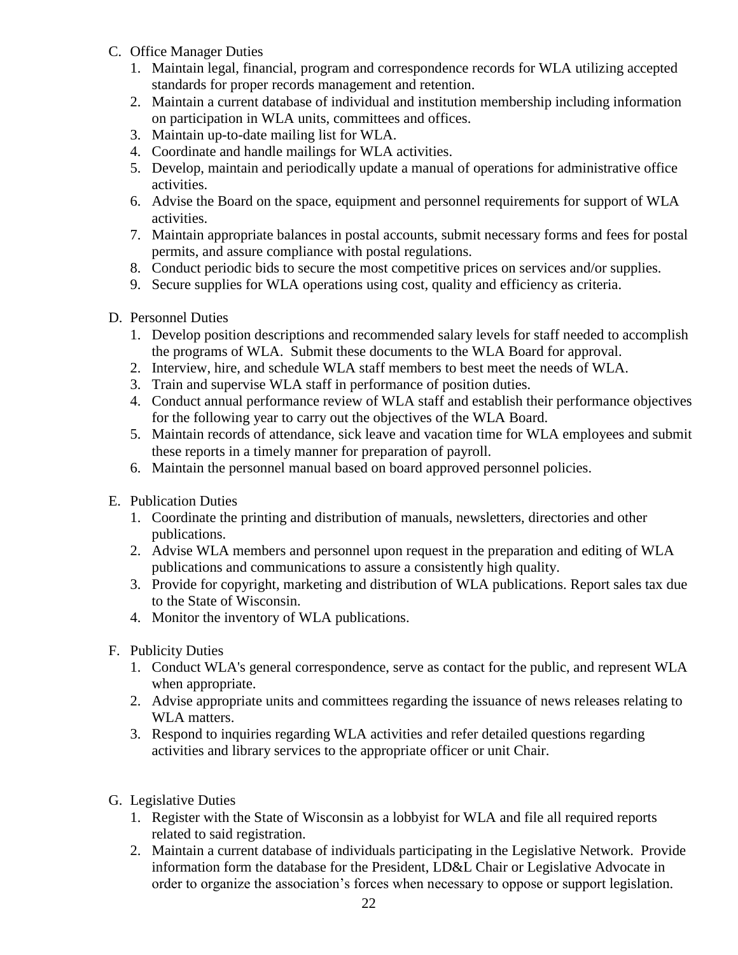- C. Office Manager Duties
	- 1. Maintain legal, financial, program and correspondence records for WLA utilizing accepted standards for proper records management and retention.
	- 2. Maintain a current database of individual and institution membership including information on participation in WLA units, committees and offices.
	- 3. Maintain up-to-date mailing list for WLA.
	- 4. Coordinate and handle mailings for WLA activities.
	- 5. Develop, maintain and periodically update a manual of operations for administrative office activities.
	- 6. Advise the Board on the space, equipment and personnel requirements for support of WLA activities.
	- 7. Maintain appropriate balances in postal accounts, submit necessary forms and fees for postal permits, and assure compliance with postal regulations.
	- 8. Conduct periodic bids to secure the most competitive prices on services and/or supplies.
	- 9. Secure supplies for WLA operations using cost, quality and efficiency as criteria.
- D. Personnel Duties
	- 1. Develop position descriptions and recommended salary levels for staff needed to accomplish the programs of WLA. Submit these documents to the WLA Board for approval.
	- 2. Interview, hire, and schedule WLA staff members to best meet the needs of WLA.
	- 3. Train and supervise WLA staff in performance of position duties.
	- 4. Conduct annual performance review of WLA staff and establish their performance objectives for the following year to carry out the objectives of the WLA Board.
	- 5. Maintain records of attendance, sick leave and vacation time for WLA employees and submit these reports in a timely manner for preparation of payroll.
	- 6. Maintain the personnel manual based on board approved personnel policies.
- E. Publication Duties
	- 1. Coordinate the printing and distribution of manuals, newsletters, directories and other publications.
	- 2. Advise WLA members and personnel upon request in the preparation and editing of WLA publications and communications to assure a consistently high quality.
	- 3. Provide for copyright, marketing and distribution of WLA publications. Report sales tax due to the State of Wisconsin.
	- 4. Monitor the inventory of WLA publications.
- F. Publicity Duties
	- 1. Conduct WLA's general correspondence, serve as contact for the public, and represent WLA when appropriate.
	- 2. Advise appropriate units and committees regarding the issuance of news releases relating to WLA matters.
	- 3. Respond to inquiries regarding WLA activities and refer detailed questions regarding activities and library services to the appropriate officer or unit Chair.
- G. Legislative Duties
	- 1. Register with the State of Wisconsin as a lobbyist for WLA and file all required reports related to said registration.
	- 2. Maintain a current database of individuals participating in the Legislative Network. Provide information form the database for the President, LD&L Chair or Legislative Advocate in order to organize the association's forces when necessary to oppose or support legislation.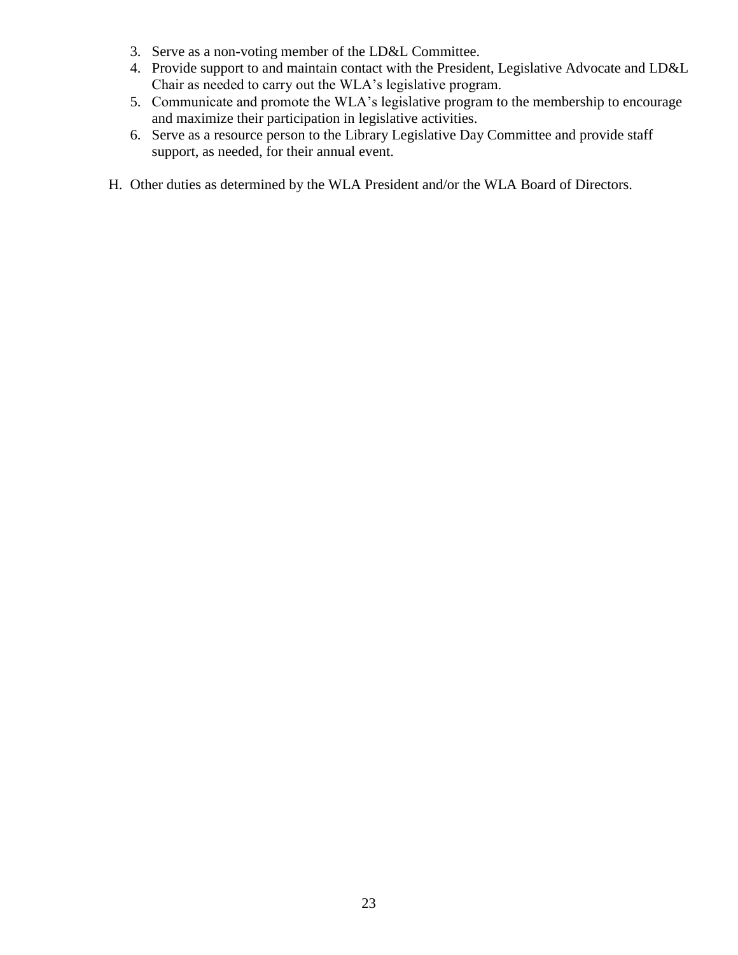- 3. Serve as a non-voting member of the LD&L Committee.
- 4. Provide support to and maintain contact with the President, Legislative Advocate and LD&L Chair as needed to carry out the WLA's legislative program.
- 5. Communicate and promote the WLA's legislative program to the membership to encourage and maximize their participation in legislative activities.
- 6. Serve as a resource person to the Library Legislative Day Committee and provide staff support, as needed, for their annual event.
- H. Other duties as determined by the WLA President and/or the WLA Board of Directors.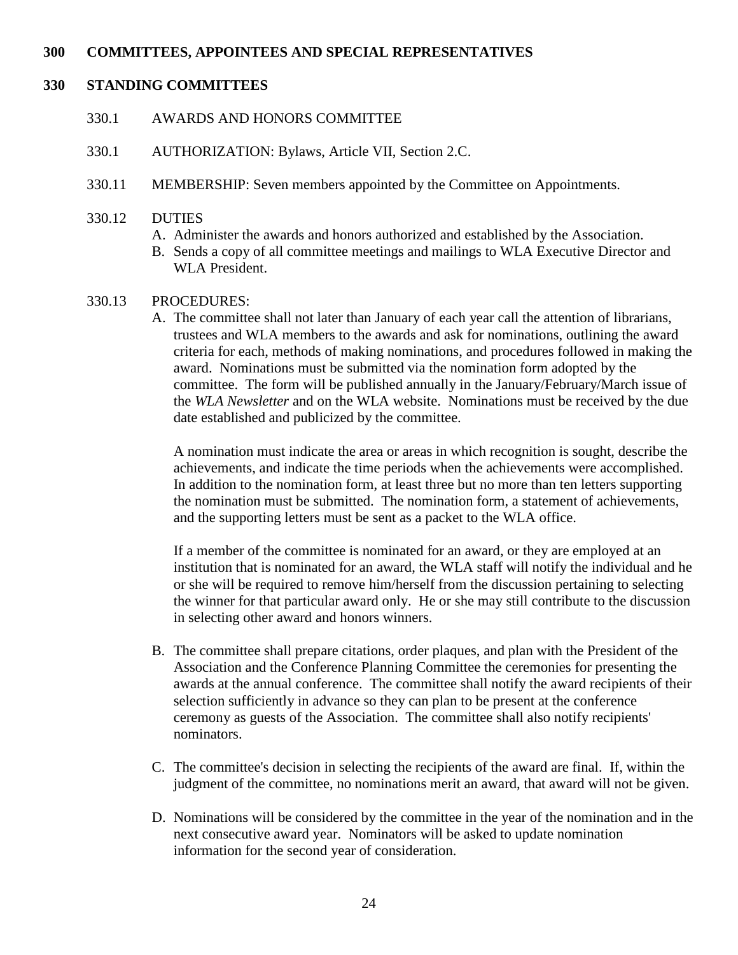# **300 COMMITTEES, APPOINTEES AND SPECIAL REPRESENTATIVES**

#### **330 STANDING COMMITTEES**

- 330.1 AWARDS AND HONORS COMMITTEE
- 330.1 AUTHORIZATION: Bylaws, Article VII, Section 2.C.
- 330.11 MEMBERSHIP: Seven members appointed by the Committee on Appointments.
- 330.12 DUTIES
	- A. Administer the awards and honors authorized and established by the Association.
	- B. Sends a copy of all committee meetings and mailings to WLA Executive Director and WLA President.
- 330.13 PROCEDURES:
	- A. The committee shall not later than January of each year call the attention of librarians, trustees and WLA members to the awards and ask for nominations, outlining the award criteria for each, methods of making nominations, and procedures followed in making the award. Nominations must be submitted via the nomination form adopted by the committee. The form will be published annually in the January/February/March issue of the *WLA Newsletter* and on the WLA website. Nominations must be received by the due date established and publicized by the committee.

A nomination must indicate the area or areas in which recognition is sought, describe the achievements, and indicate the time periods when the achievements were accomplished. In addition to the nomination form, at least three but no more than ten letters supporting the nomination must be submitted. The nomination form, a statement of achievements, and the supporting letters must be sent as a packet to the WLA office.

If a member of the committee is nominated for an award, or they are employed at an institution that is nominated for an award, the WLA staff will notify the individual and he or she will be required to remove him/herself from the discussion pertaining to selecting the winner for that particular award only. He or she may still contribute to the discussion in selecting other award and honors winners.

- B. The committee shall prepare citations, order plaques, and plan with the President of the Association and the Conference Planning Committee the ceremonies for presenting the awards at the annual conference. The committee shall notify the award recipients of their selection sufficiently in advance so they can plan to be present at the conference ceremony as guests of the Association. The committee shall also notify recipients' nominators.
- C. The committee's decision in selecting the recipients of the award are final. If, within the judgment of the committee, no nominations merit an award, that award will not be given.
- D. Nominations will be considered by the committee in the year of the nomination and in the next consecutive award year. Nominators will be asked to update nomination information for the second year of consideration.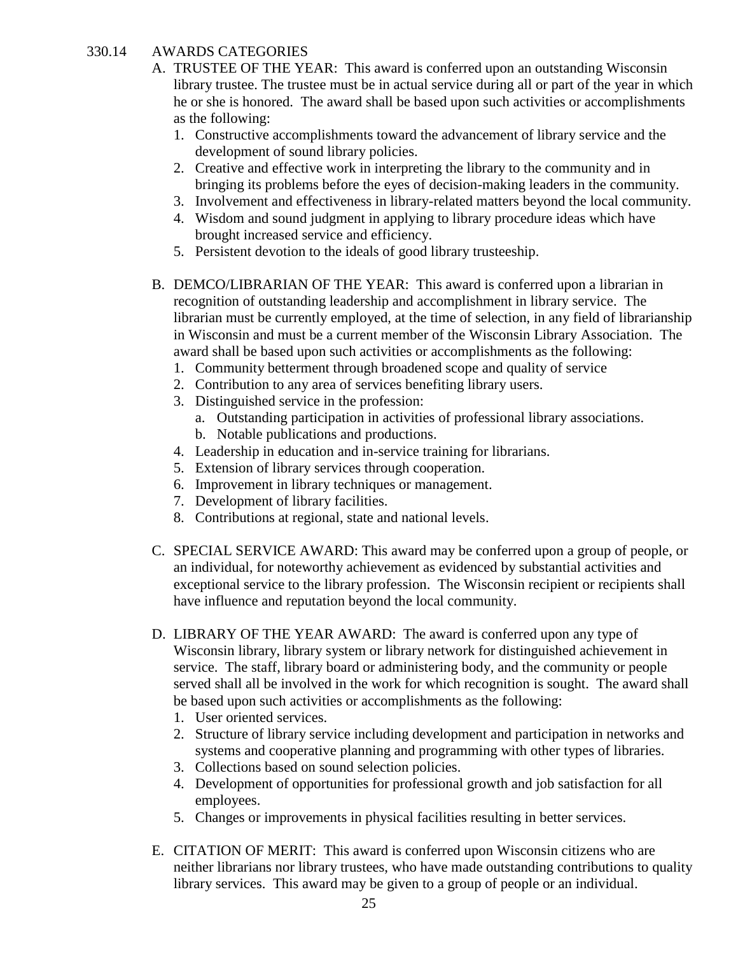#### 330.14 AWARDS CATEGORIES

- A. TRUSTEE OF THE YEAR: This award is conferred upon an outstanding Wisconsin library trustee. The trustee must be in actual service during all or part of the year in which he or she is honored. The award shall be based upon such activities or accomplishments as the following:
	- 1. Constructive accomplishments toward the advancement of library service and the development of sound library policies.
	- 2. Creative and effective work in interpreting the library to the community and in bringing its problems before the eyes of decision-making leaders in the community.
	- 3. Involvement and effectiveness in library-related matters beyond the local community.
	- 4. Wisdom and sound judgment in applying to library procedure ideas which have brought increased service and efficiency.
	- 5. Persistent devotion to the ideals of good library trusteeship.
- B. DEMCO/LIBRARIAN OF THE YEAR: This award is conferred upon a librarian in recognition of outstanding leadership and accomplishment in library service. The librarian must be currently employed, at the time of selection, in any field of librarianship in Wisconsin and must be a current member of the Wisconsin Library Association. The award shall be based upon such activities or accomplishments as the following:
	- 1. Community betterment through broadened scope and quality of service
	- 2. Contribution to any area of services benefiting library users.
	- 3. Distinguished service in the profession:
		- a. Outstanding participation in activities of professional library associations.
		- b. Notable publications and productions.
	- 4. Leadership in education and in-service training for librarians.
	- 5. Extension of library services through cooperation.
	- 6. Improvement in library techniques or management.
	- 7. Development of library facilities.
	- 8. Contributions at regional, state and national levels.
- C. SPECIAL SERVICE AWARD: This award may be conferred upon a group of people, or an individual, for noteworthy achievement as evidenced by substantial activities and exceptional service to the library profession. The Wisconsin recipient or recipients shall have influence and reputation beyond the local community.
- D. LIBRARY OF THE YEAR AWARD: The award is conferred upon any type of Wisconsin library, library system or library network for distinguished achievement in service. The staff, library board or administering body, and the community or people served shall all be involved in the work for which recognition is sought. The award shall be based upon such activities or accomplishments as the following:
	- 1. User oriented services.
	- 2. Structure of library service including development and participation in networks and systems and cooperative planning and programming with other types of libraries.
	- 3. Collections based on sound selection policies.
	- 4. Development of opportunities for professional growth and job satisfaction for all employees.
	- 5. Changes or improvements in physical facilities resulting in better services.
- E. CITATION OF MERIT: This award is conferred upon Wisconsin citizens who are neither librarians nor library trustees, who have made outstanding contributions to quality library services. This award may be given to a group of people or an individual.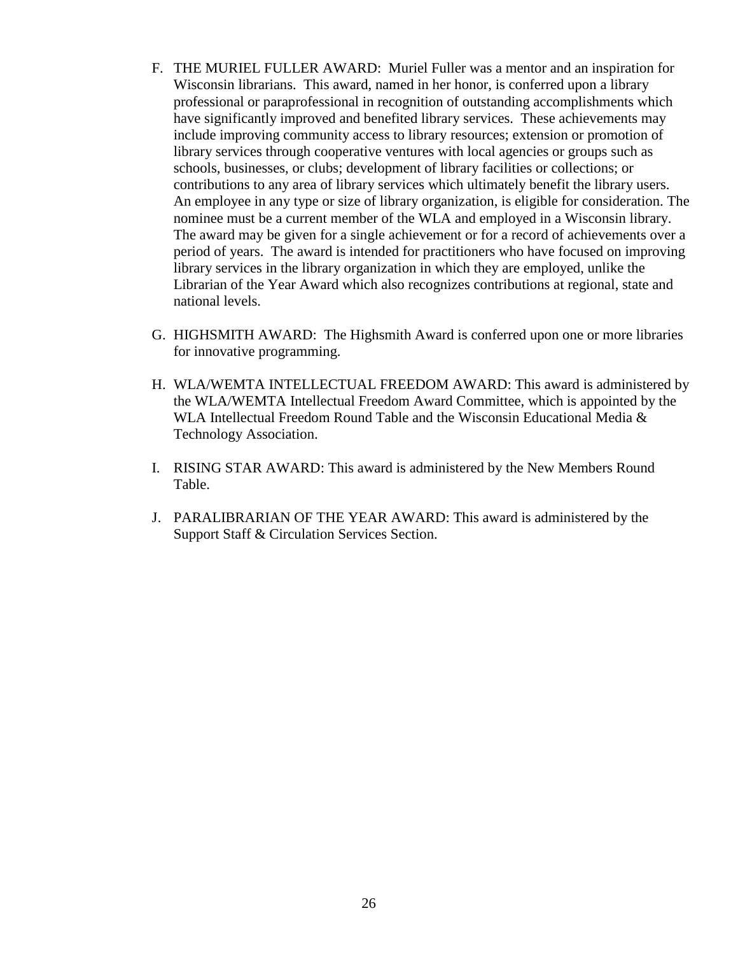- F. THE MURIEL FULLER AWARD: Muriel Fuller was a mentor and an inspiration for Wisconsin librarians. This award, named in her honor, is conferred upon a library professional or paraprofessional in recognition of outstanding accomplishments which have significantly improved and benefited library services. These achievements may include improving community access to library resources; extension or promotion of library services through cooperative ventures with local agencies or groups such as schools, businesses, or clubs; development of library facilities or collections; or contributions to any area of library services which ultimately benefit the library users. An employee in any type or size of library organization, is eligible for consideration. The nominee must be a current member of the WLA and employed in a Wisconsin library. The award may be given for a single achievement or for a record of achievements over a period of years. The award is intended for practitioners who have focused on improving library services in the library organization in which they are employed, unlike the Librarian of the Year Award which also recognizes contributions at regional, state and national levels.
- G. HIGHSMITH AWARD: The Highsmith Award is conferred upon one or more libraries for innovative programming.
- H. WLA/WEMTA INTELLECTUAL FREEDOM AWARD: This award is administered by the WLA/WEMTA Intellectual Freedom Award Committee, which is appointed by the WLA Intellectual Freedom Round Table and the Wisconsin Educational Media & Technology Association.
- I. RISING STAR AWARD: This award is administered by the New Members Round Table.
- J. PARALIBRARIAN OF THE YEAR AWARD: This award is administered by the Support Staff & Circulation Services Section.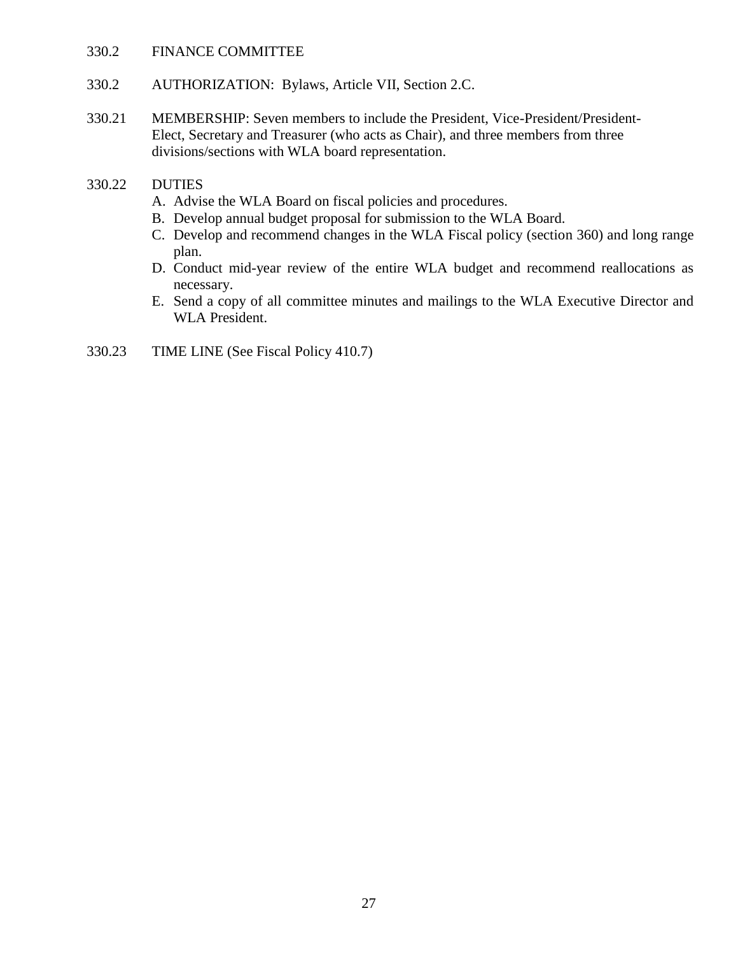#### 330.2 FINANCE COMMITTEE

- 330.2 AUTHORIZATION: Bylaws, Article VII, Section 2.C.
- 330.21 MEMBERSHIP: Seven members to include the President, Vice-President/President-Elect, Secretary and Treasurer (who acts as Chair), and three members from three divisions/sections with WLA board representation.

#### 330.22 DUTIES

- A. Advise the WLA Board on fiscal policies and procedures.
- B. Develop annual budget proposal for submission to the WLA Board.
- C. Develop and recommend changes in the WLA Fiscal policy (section 360) and long range plan.
- D. Conduct mid-year review of the entire WLA budget and recommend reallocations as necessary.
- E. Send a copy of all committee minutes and mailings to the WLA Executive Director and WLA President.
- 330.23 TIME LINE (See Fiscal Policy 410.7)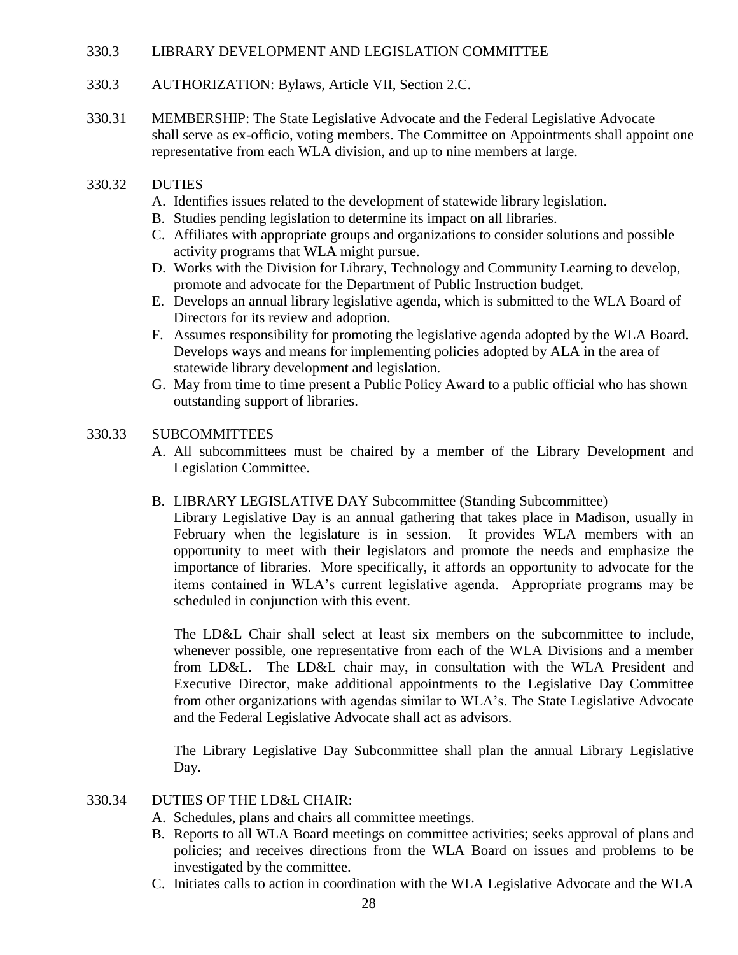### 330.3 LIBRARY DEVELOPMENT AND LEGISLATION COMMITTEE

- 330.3 AUTHORIZATION: Bylaws, Article VII, Section 2.C.
- 330.31 MEMBERSHIP: The State Legislative Advocate and the Federal Legislative Advocate shall serve as ex-officio, voting members. The Committee on Appointments shall appoint one representative from each WLA division, and up to nine members at large.
- 330.32 DUTIES
	- A. Identifies issues related to the development of statewide library legislation.
	- B. Studies pending legislation to determine its impact on all libraries.
	- C. Affiliates with appropriate groups and organizations to consider solutions and possible activity programs that WLA might pursue.
	- D. Works with the Division for Library, Technology and Community Learning to develop, promote and advocate for the Department of Public Instruction budget.
	- E. Develops an annual library legislative agenda, which is submitted to the WLA Board of Directors for its review and adoption.
	- F. Assumes responsibility for promoting the legislative agenda adopted by the WLA Board. Develops ways and means for implementing policies adopted by ALA in the area of statewide library development and legislation.
	- G. May from time to time present a Public Policy Award to a public official who has shown outstanding support of libraries.

# 330.33 SUBCOMMITTEES

A. All subcommittees must be chaired by a member of the Library Development and Legislation Committee.

#### B. LIBRARY LEGISLATIVE DAY Subcommittee (Standing Subcommittee)

Library Legislative Day is an annual gathering that takes place in Madison, usually in February when the legislature is in session. It provides WLA members with an opportunity to meet with their legislators and promote the needs and emphasize the importance of libraries. More specifically, it affords an opportunity to advocate for the items contained in WLA's current legislative agenda. Appropriate programs may be scheduled in conjunction with this event.

The LD&L Chair shall select at least six members on the subcommittee to include. whenever possible, one representative from each of the WLA Divisions and a member from LD&L. The LD&L chair may, in consultation with the WLA President and Executive Director, make additional appointments to the Legislative Day Committee from other organizations with agendas similar to WLA's. The State Legislative Advocate and the Federal Legislative Advocate shall act as advisors.

The Library Legislative Day Subcommittee shall plan the annual Library Legislative Day.

#### 330.34 DUTIES OF THE LD&L CHAIR:

- A. Schedules, plans and chairs all committee meetings.
- B. Reports to all WLA Board meetings on committee activities; seeks approval of plans and policies; and receives directions from the WLA Board on issues and problems to be investigated by the committee.
- C. Initiates calls to action in coordination with the WLA Legislative Advocate and the WLA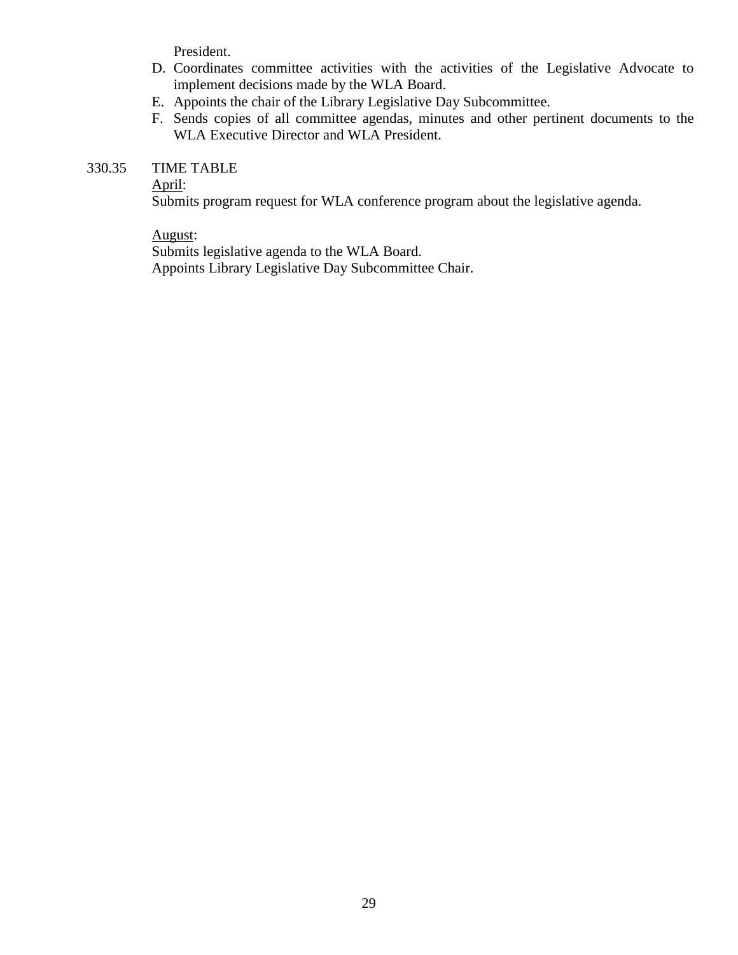President.

- D. Coordinates committee activities with the activities of the Legislative Advocate to implement decisions made by the WLA Board.
- E. Appoints the chair of the Library Legislative Day Subcommittee.
- F. Sends copies of all committee agendas, minutes and other pertinent documents to the WLA Executive Director and WLA President.

# 330.35 TIME TABLE

#### April:

Submits program request for WLA conference program about the legislative agenda.

#### August:

Submits legislative agenda to the WLA Board. Appoints Library Legislative Day Subcommittee Chair.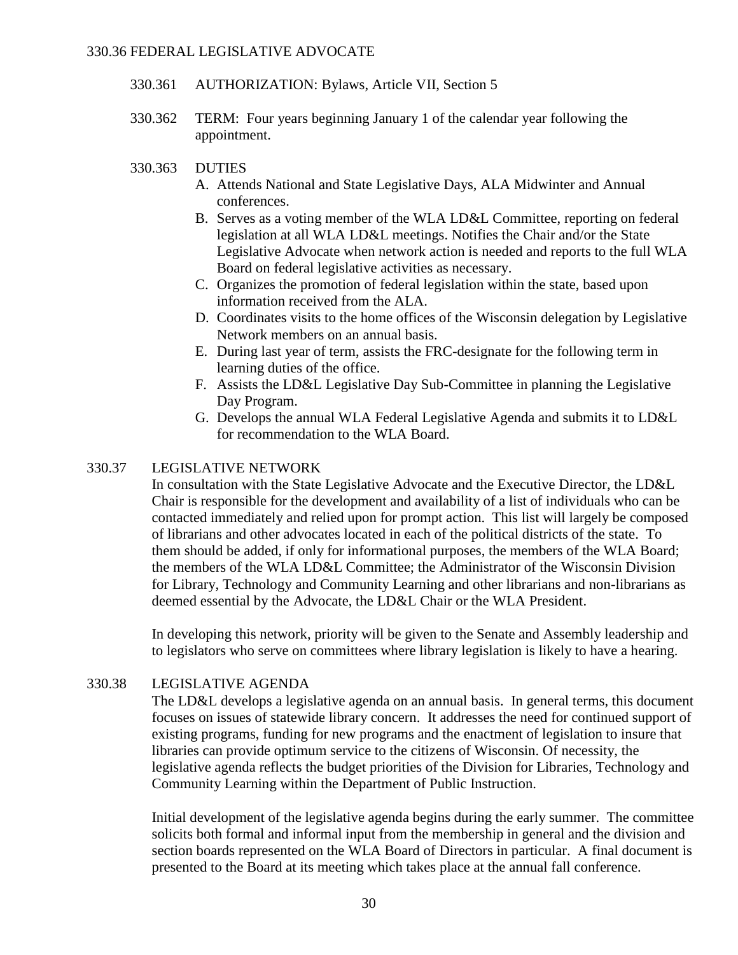- 330.361 AUTHORIZATION: Bylaws, Article VII, Section 5
- 330.362 TERM: Four years beginning January 1 of the calendar year following the appointment.

#### 330.363 DUTIES

- A. Attends National and State Legislative Days, ALA Midwinter and Annual conferences.
- B. Serves as a voting member of the WLA LD&L Committee, reporting on federal legislation at all WLA LD&L meetings. Notifies the Chair and/or the State Legislative Advocate when network action is needed and reports to the full WLA Board on federal legislative activities as necessary.
- C. Organizes the promotion of federal legislation within the state, based upon information received from the ALA.
- D. Coordinates visits to the home offices of the Wisconsin delegation by Legislative Network members on an annual basis.
- E. During last year of term, assists the FRC-designate for the following term in learning duties of the office.
- F. Assists the LD&L Legislative Day Sub-Committee in planning the Legislative Day Program.
- G. Develops the annual WLA Federal Legislative Agenda and submits it to LD&L for recommendation to the WLA Board.

# 330.37 LEGISLATIVE NETWORK

In consultation with the State Legislative Advocate and the Executive Director, the LD&L Chair is responsible for the development and availability of a list of individuals who can be contacted immediately and relied upon for prompt action. This list will largely be composed of librarians and other advocates located in each of the political districts of the state. To them should be added, if only for informational purposes, the members of the WLA Board; the members of the WLA LD&L Committee; the Administrator of the Wisconsin Division for Library, Technology and Community Learning and other librarians and non-librarians as deemed essential by the Advocate, the LD&L Chair or the WLA President.

In developing this network, priority will be given to the Senate and Assembly leadership and to legislators who serve on committees where library legislation is likely to have a hearing.

# 330.38 LEGISLATIVE AGENDA

The LD&L develops a legislative agenda on an annual basis. In general terms, this document focuses on issues of statewide library concern. It addresses the need for continued support of existing programs, funding for new programs and the enactment of legislation to insure that libraries can provide optimum service to the citizens of Wisconsin. Of necessity, the legislative agenda reflects the budget priorities of the Division for Libraries, Technology and Community Learning within the Department of Public Instruction.

Initial development of the legislative agenda begins during the early summer. The committee solicits both formal and informal input from the membership in general and the division and section boards represented on the WLA Board of Directors in particular. A final document is presented to the Board at its meeting which takes place at the annual fall conference.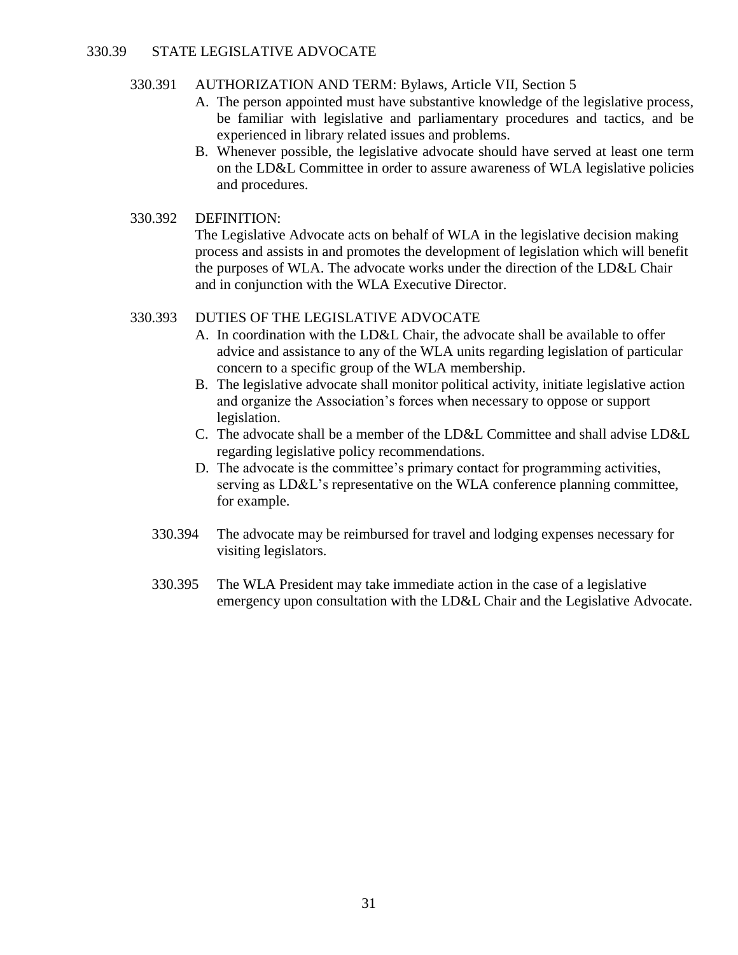#### 330.39 STATE LEGISLATIVE ADVOCATE

#### 330.391 AUTHORIZATION AND TERM: Bylaws, Article VII, Section 5

- A. The person appointed must have substantive knowledge of the legislative process, be familiar with legislative and parliamentary procedures and tactics, and be experienced in library related issues and problems.
- B. Whenever possible, the legislative advocate should have served at least one term on the LD&L Committee in order to assure awareness of WLA legislative policies and procedures.

#### 330.392 DEFINITION:

The Legislative Advocate acts on behalf of WLA in the legislative decision making process and assists in and promotes the development of legislation which will benefit the purposes of WLA. The advocate works under the direction of the LD&L Chair and in conjunction with the WLA Executive Director.

#### 330.393 DUTIES OF THE LEGISLATIVE ADVOCATE

- A. In coordination with the LD&L Chair, the advocate shall be available to offer advice and assistance to any of the WLA units regarding legislation of particular concern to a specific group of the WLA membership.
- B. The legislative advocate shall monitor political activity, initiate legislative action and organize the Association's forces when necessary to oppose or support legislation.
- C. The advocate shall be a member of the LD&L Committee and shall advise LD&L regarding legislative policy recommendations.
- D. The advocate is the committee's primary contact for programming activities, serving as LD&L's representative on the WLA conference planning committee, for example.
- 330.394 The advocate may be reimbursed for travel and lodging expenses necessary for visiting legislators.
- 330.395 The WLA President may take immediate action in the case of a legislative emergency upon consultation with the LD&L Chair and the Legislative Advocate.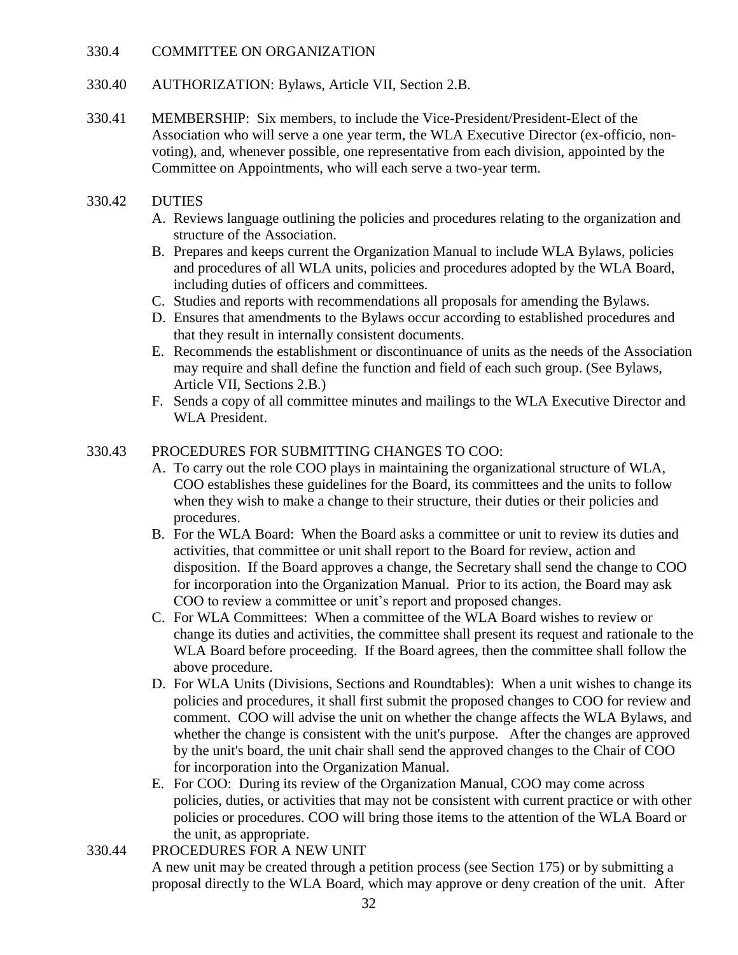#### 330.4 COMMITTEE ON ORGANIZATION

- 330.40 AUTHORIZATION: Bylaws, Article VII, Section 2.B.
- 330.41 MEMBERSHIP: Six members, to include the Vice-President/President-Elect of the Association who will serve a one year term, the WLA Executive Director (ex-officio, nonvoting), and, whenever possible, one representative from each division, appointed by the Committee on Appointments, who will each serve a two-year term.

# 330.42 DUTIES

- A. Reviews language outlining the policies and procedures relating to the organization and structure of the Association.
- B. Prepares and keeps current the Organization Manual to include WLA Bylaws, policies and procedures of all WLA units, policies and procedures adopted by the WLA Board, including duties of officers and committees.
- C. Studies and reports with recommendations all proposals for amending the Bylaws.
- D. Ensures that amendments to the Bylaws occur according to established procedures and that they result in internally consistent documents.
- E. Recommends the establishment or discontinuance of units as the needs of the Association may require and shall define the function and field of each such group. (See Bylaws, Article VII, Sections 2.B.)
- F. Sends a copy of all committee minutes and mailings to the WLA Executive Director and WLA President.

# 330.43 PROCEDURES FOR SUBMITTING CHANGES TO COO:

- A. To carry out the role COO plays in maintaining the organizational structure of WLA, COO establishes these guidelines for the Board, its committees and the units to follow when they wish to make a change to their structure, their duties or their policies and procedures.
- B. For the WLA Board: When the Board asks a committee or unit to review its duties and activities, that committee or unit shall report to the Board for review, action and disposition. If the Board approves a change, the Secretary shall send the change to COO for incorporation into the Organization Manual. Prior to its action, the Board may ask COO to review a committee or unit's report and proposed changes.
- C. For WLA Committees: When a committee of the WLA Board wishes to review or change its duties and activities, the committee shall present its request and rationale to the WLA Board before proceeding. If the Board agrees, then the committee shall follow the above procedure.
- D. For WLA Units (Divisions, Sections and Roundtables): When a unit wishes to change its policies and procedures, it shall first submit the proposed changes to COO for review and comment. COO will advise the unit on whether the change affects the WLA Bylaws, and whether the change is consistent with the unit's purpose. After the changes are approved by the unit's board, the unit chair shall send the approved changes to the Chair of COO for incorporation into the Organization Manual.
- E. For COO: During its review of the Organization Manual, COO may come across policies, duties, or activities that may not be consistent with current practice or with other policies or procedures. COO will bring those items to the attention of the WLA Board or the unit, as appropriate.
- 330.44 PROCEDURES FOR A NEW UNIT A new unit may be created through a petition process (see Section 175) or by submitting a proposal directly to the WLA Board, which may approve or deny creation of the unit. After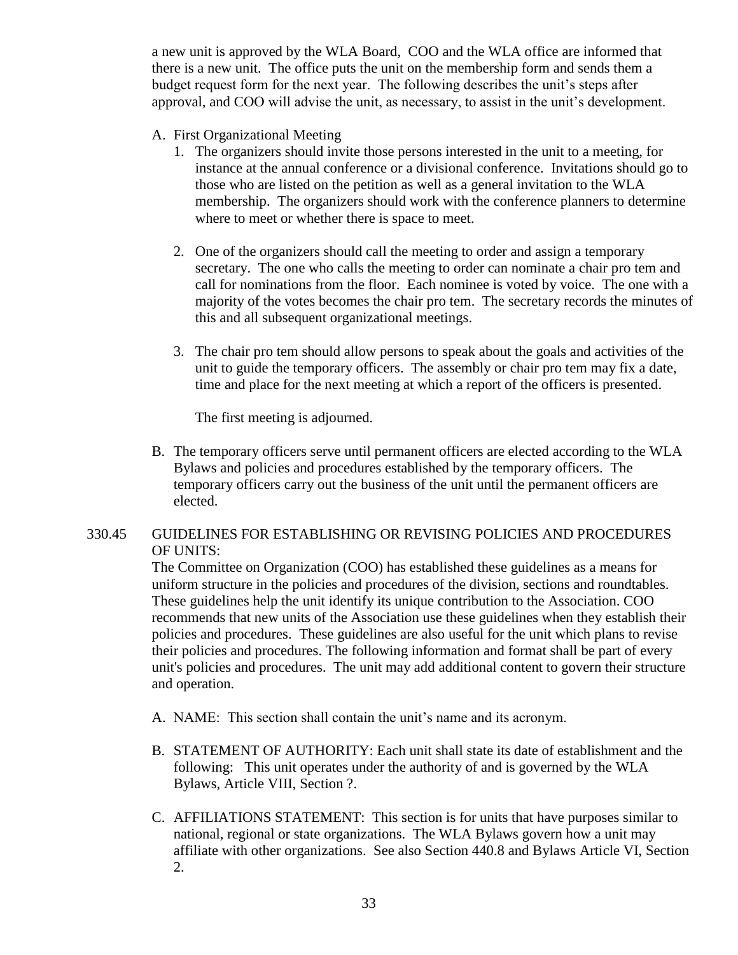a new unit is approved by the WLA Board, COO and the WLA office are informed that there is a new unit. The office puts the unit on the membership form and sends them a budget request form for the next year. The following describes the unit's steps after approval, and COO will advise the unit, as necessary, to assist in the unit's development.

- A. First Organizational Meeting
	- 1. The organizers should invite those persons interested in the unit to a meeting, for instance at the annual conference or a divisional conference. Invitations should go to those who are listed on the petition as well as a general invitation to the WLA membership. The organizers should work with the conference planners to determine where to meet or whether there is space to meet.
	- 2. One of the organizers should call the meeting to order and assign a temporary secretary. The one who calls the meeting to order can nominate a chair pro tem and call for nominations from the floor. Each nominee is voted by voice. The one with a majority of the votes becomes the chair pro tem. The secretary records the minutes of this and all subsequent organizational meetings.
	- 3. The chair pro tem should allow persons to speak about the goals and activities of the unit to guide the temporary officers. The assembly or chair pro tem may fix a date, time and place for the next meeting at which a report of the officers is presented.

The first meeting is adjourned.

B. The temporary officers serve until permanent officers are elected according to the WLA Bylaws and policies and procedures established by the temporary officers. The temporary officers carry out the business of the unit until the permanent officers are elected.

# 330.45 GUIDELINES FOR ESTABLISHING OR REVISING POLICIES AND PROCEDURES OF UNITS:

The Committee on Organization (COO) has established these guidelines as a means for uniform structure in the policies and procedures of the division, sections and roundtables. These guidelines help the unit identify its unique contribution to the Association. COO recommends that new units of the Association use these guidelines when they establish their policies and procedures. These guidelines are also useful for the unit which plans to revise their policies and procedures. The following information and format shall be part of every unit's policies and procedures. The unit may add additional content to govern their structure and operation.

- A. NAME: This section shall contain the unit's name and its acronym.
- B. STATEMENT OF AUTHORITY: Each unit shall state its date of establishment and the following: This unit operates under the authority of and is governed by the WLA Bylaws, Article VIII, Section ?.
- C. AFFILIATIONS STATEMENT: This section is for units that have purposes similar to national, regional or state organizations. The WLA Bylaws govern how a unit may affiliate with other organizations. See also Section 440.8 and Bylaws Article VI, Section 2.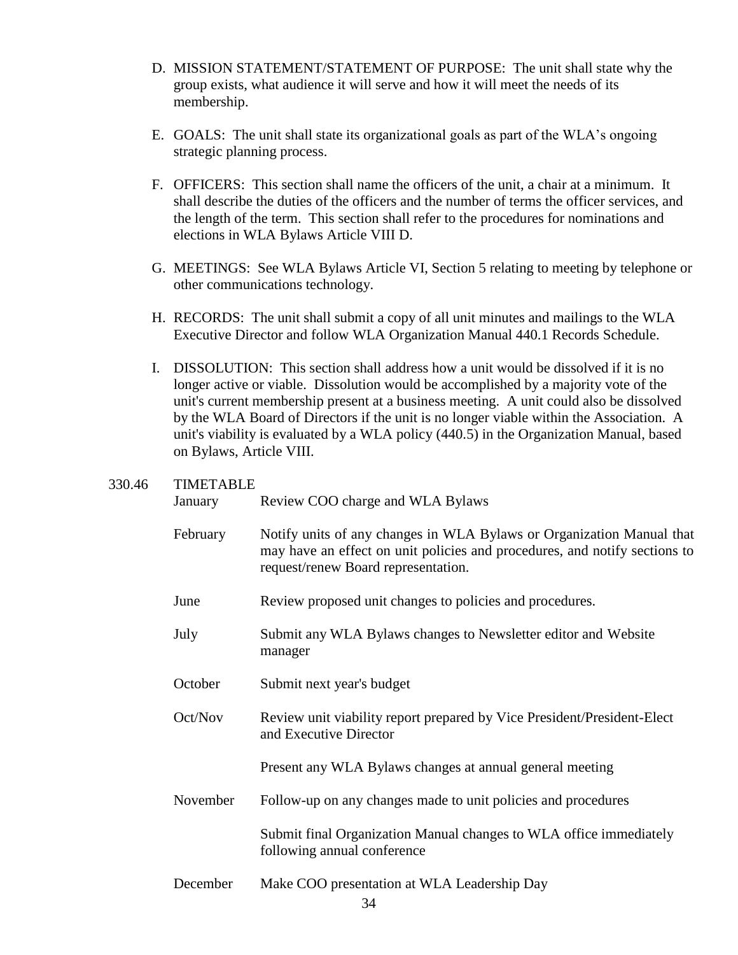- D. MISSION STATEMENT/STATEMENT OF PURPOSE: The unit shall state why the group exists, what audience it will serve and how it will meet the needs of its membership.
- E. GOALS: The unit shall state its organizational goals as part of the WLA's ongoing strategic planning process.
- F. OFFICERS: This section shall name the officers of the unit, a chair at a minimum. It shall describe the duties of the officers and the number of terms the officer services, and the length of the term. This section shall refer to the procedures for nominations and elections in WLA Bylaws Article VIII D.
- G. MEETINGS: See WLA Bylaws Article VI, Section 5 relating to meeting by telephone or other communications technology.
- H. RECORDS: The unit shall submit a copy of all unit minutes and mailings to the WLA Executive Director and follow WLA Organization Manual 440.1 Records Schedule.
- I. DISSOLUTION: This section shall address how a unit would be dissolved if it is no longer active or viable. Dissolution would be accomplished by a majority vote of the unit's current membership present at a business meeting. A unit could also be dissolved by the WLA Board of Directors if the unit is no longer viable within the Association. A unit's viability is evaluated by a WLA policy (440.5) in the Organization Manual, based on Bylaws, Article VIII.

#### 330.46 TIMETABLE

January Review COO charge and WLA Bylaws

- February Notify units of any changes in WLA Bylaws or Organization Manual that may have an effect on unit policies and procedures, and notify sections to request/renew Board representation.
- June Review proposed unit changes to policies and procedures.
- July Submit any WLA Bylaws changes to Newsletter editor and Website manager
- October Submit next year's budget
- Oct/Nov Review unit viability report prepared by Vice President/President-Elect and Executive Director

Present any WLA Bylaws changes at annual general meeting

November Follow-up on any changes made to unit policies and procedures

Submit final Organization Manual changes to WLA office immediately following annual conference

December Make COO presentation at WLA Leadership Day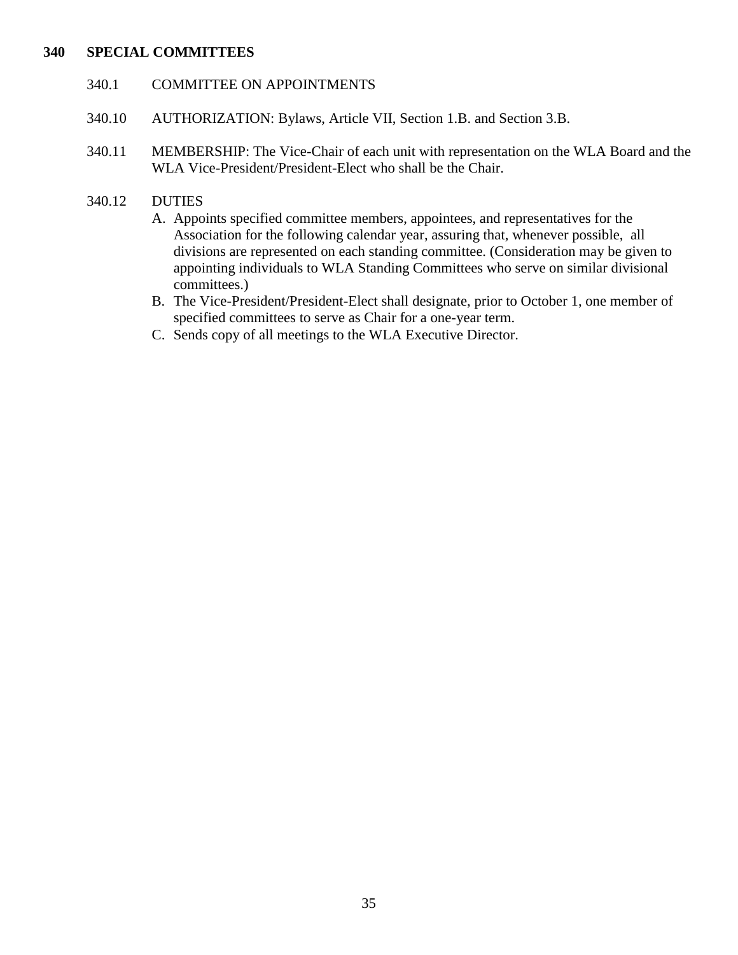#### **340 SPECIAL COMMITTEES**

#### 340.1 COMMITTEE ON APPOINTMENTS

- 340.10 AUTHORIZATION: Bylaws, Article VII, Section 1.B. and Section 3.B.
- 340.11 MEMBERSHIP: The Vice-Chair of each unit with representation on the WLA Board and the WLA Vice-President/President-Elect who shall be the Chair.
- 340.12 DUTIES
	- A. Appoints specified committee members, appointees, and representatives for the Association for the following calendar year, assuring that, whenever possible, all divisions are represented on each standing committee. (Consideration may be given to appointing individuals to WLA Standing Committees who serve on similar divisional committees.)
	- B. The Vice-President/President-Elect shall designate, prior to October 1, one member of specified committees to serve as Chair for a one-year term.
	- C. Sends copy of all meetings to the WLA Executive Director.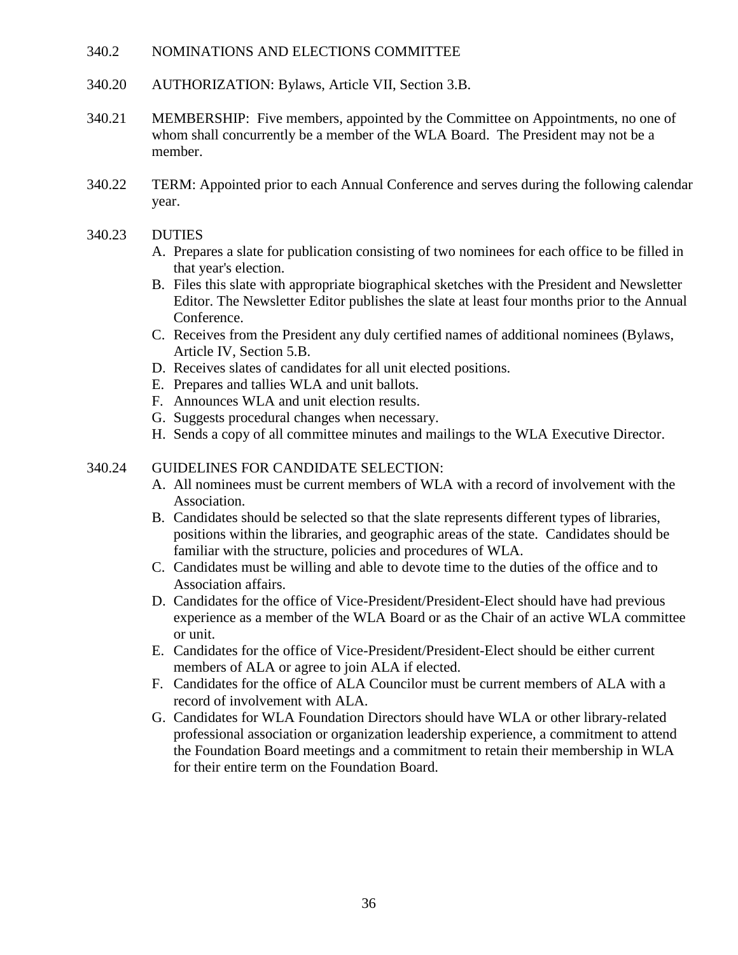#### 340.2 NOMINATIONS AND ELECTIONS COMMITTEE

- 340.20 AUTHORIZATION: Bylaws, Article VII, Section 3.B.
- 340.21 MEMBERSHIP: Five members, appointed by the Committee on Appointments, no one of whom shall concurrently be a member of the WLA Board. The President may not be a member.
- 340.22 TERM: Appointed prior to each Annual Conference and serves during the following calendar year.
- 340.23 DUTIES
	- A. Prepares a slate for publication consisting of two nominees for each office to be filled in that year's election.
	- B. Files this slate with appropriate biographical sketches with the President and Newsletter Editor. The Newsletter Editor publishes the slate at least four months prior to the Annual Conference.
	- C. Receives from the President any duly certified names of additional nominees (Bylaws, Article IV, Section 5.B.
	- D. Receives slates of candidates for all unit elected positions.
	- E. Prepares and tallies WLA and unit ballots.
	- F. Announces WLA and unit election results.
	- G. Suggests procedural changes when necessary.
	- H. Sends a copy of all committee minutes and mailings to the WLA Executive Director.

# 340.24 GUIDELINES FOR CANDIDATE SELECTION:

- A. All nominees must be current members of WLA with a record of involvement with the Association.
- B. Candidates should be selected so that the slate represents different types of libraries, positions within the libraries, and geographic areas of the state. Candidates should be familiar with the structure, policies and procedures of WLA.
- C. Candidates must be willing and able to devote time to the duties of the office and to Association affairs.
- D. Candidates for the office of Vice-President/President-Elect should have had previous experience as a member of the WLA Board or as the Chair of an active WLA committee or unit.
- E. Candidates for the office of Vice-President/President-Elect should be either current members of ALA or agree to join ALA if elected.
- F. Candidates for the office of ALA Councilor must be current members of ALA with a record of involvement with ALA.
- G. Candidates for WLA Foundation Directors should have WLA or other library-related professional association or organization leadership experience, a commitment to attend the Foundation Board meetings and a commitment to retain their membership in WLA for their entire term on the Foundation Board.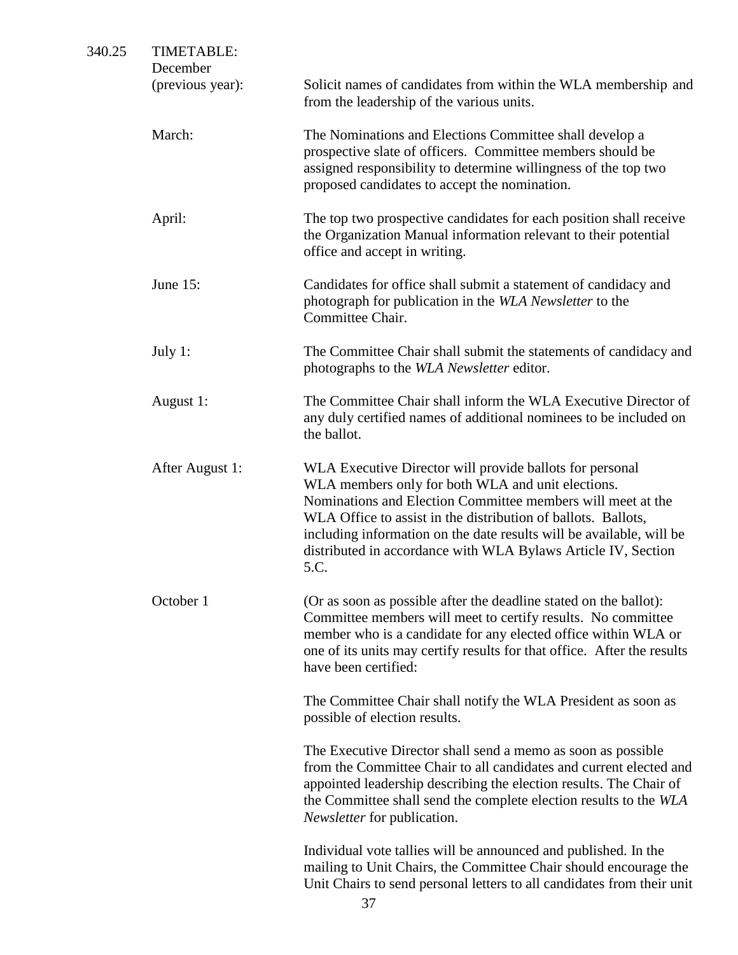| 340.25 | <b>TIMETABLE:</b><br>December<br>(previous year): | Solicit names of candidates from within the WLA membership and<br>from the leadership of the various units.                                                                                                                                                                                                                                                                                    |
|--------|---------------------------------------------------|------------------------------------------------------------------------------------------------------------------------------------------------------------------------------------------------------------------------------------------------------------------------------------------------------------------------------------------------------------------------------------------------|
|        | March:                                            | The Nominations and Elections Committee shall develop a<br>prospective slate of officers. Committee members should be<br>assigned responsibility to determine willingness of the top two<br>proposed candidates to accept the nomination.                                                                                                                                                      |
|        | April:                                            | The top two prospective candidates for each position shall receive<br>the Organization Manual information relevant to their potential<br>office and accept in writing.                                                                                                                                                                                                                         |
|        | June 15:                                          | Candidates for office shall submit a statement of candidacy and<br>photograph for publication in the WLA Newsletter to the<br>Committee Chair.                                                                                                                                                                                                                                                 |
|        | July 1:                                           | The Committee Chair shall submit the statements of candidacy and<br>photographs to the WLA Newsletter editor.                                                                                                                                                                                                                                                                                  |
|        | August 1:                                         | The Committee Chair shall inform the WLA Executive Director of<br>any duly certified names of additional nominees to be included on<br>the ballot.                                                                                                                                                                                                                                             |
|        | After August 1:                                   | WLA Executive Director will provide ballots for personal<br>WLA members only for both WLA and unit elections.<br>Nominations and Election Committee members will meet at the<br>WLA Office to assist in the distribution of ballots. Ballots,<br>including information on the date results will be available, will be<br>distributed in accordance with WLA Bylaws Article IV, Section<br>5.C. |
|        | October 1                                         | (Or as soon as possible after the deadline stated on the ballot):<br>Committee members will meet to certify results. No committee<br>member who is a candidate for any elected office within WLA or<br>one of its units may certify results for that office. After the results<br>have been certified:                                                                                         |
|        |                                                   | The Committee Chair shall notify the WLA President as soon as<br>possible of election results.                                                                                                                                                                                                                                                                                                 |
|        |                                                   | The Executive Director shall send a memo as soon as possible<br>from the Committee Chair to all candidates and current elected and<br>appointed leadership describing the election results. The Chair of<br>the Committee shall send the complete election results to the WLA<br><i>Newsletter</i> for publication.                                                                            |
|        |                                                   | Individual vote tallies will be announced and published. In the<br>mailing to Unit Chairs, the Committee Chair should encourage the<br>Unit Chairs to send personal letters to all candidates from their unit<br>37                                                                                                                                                                            |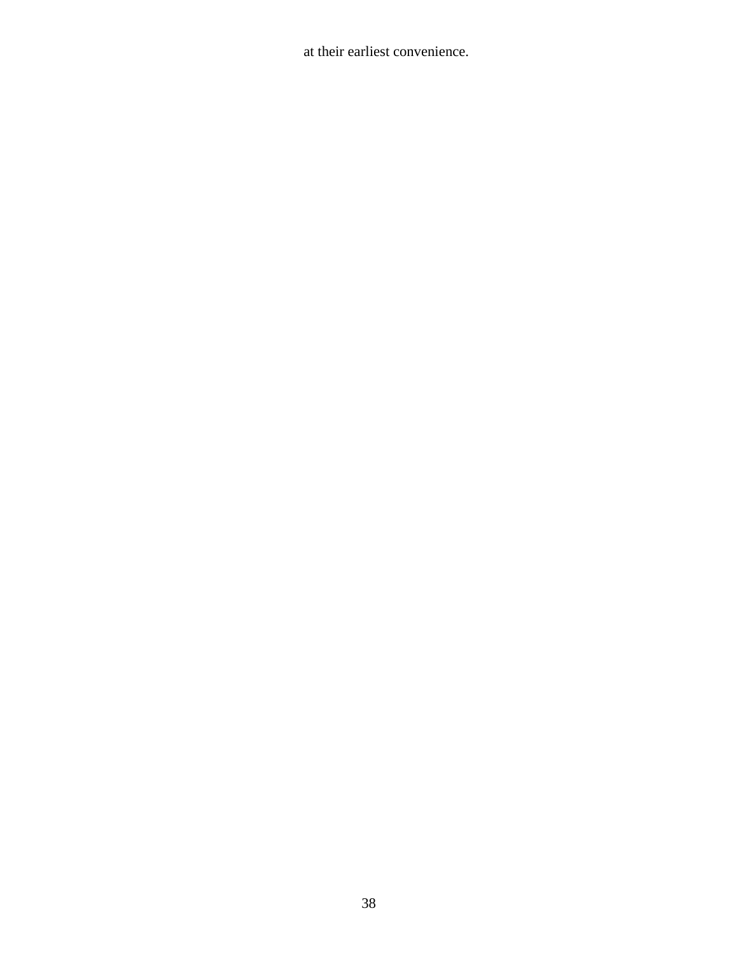at their earliest convenience.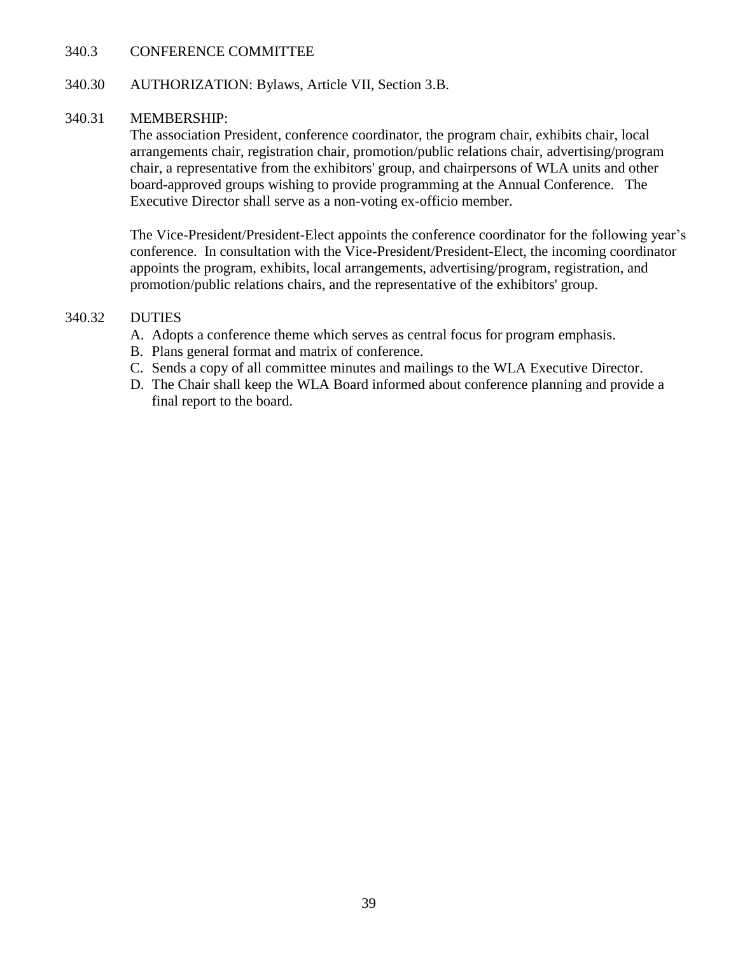### 340.3 CONFERENCE COMMITTEE

## 340.30 AUTHORIZATION: Bylaws, Article VII, Section 3.B.

### 340.31 MEMBERSHIP:

The association President, conference coordinator, the program chair, exhibits chair, local arrangements chair, registration chair, promotion/public relations chair, advertising/program chair, a representative from the exhibitors' group, and chairpersons of WLA units and other board-approved groups wishing to provide programming at the Annual Conference. The Executive Director shall serve as a non-voting ex-officio member.

The Vice-President/President-Elect appoints the conference coordinator for the following year's conference. In consultation with the Vice-President/President-Elect, the incoming coordinator appoints the program, exhibits, local arrangements, advertising/program, registration, and promotion/public relations chairs, and the representative of the exhibitors' group.

## 340.32 DUTIES

- A. Adopts a conference theme which serves as central focus for program emphasis.
- B. Plans general format and matrix of conference.
- C. Sends a copy of all committee minutes and mailings to the WLA Executive Director.
- D. The Chair shall keep the WLA Board informed about conference planning and provide a final report to the board.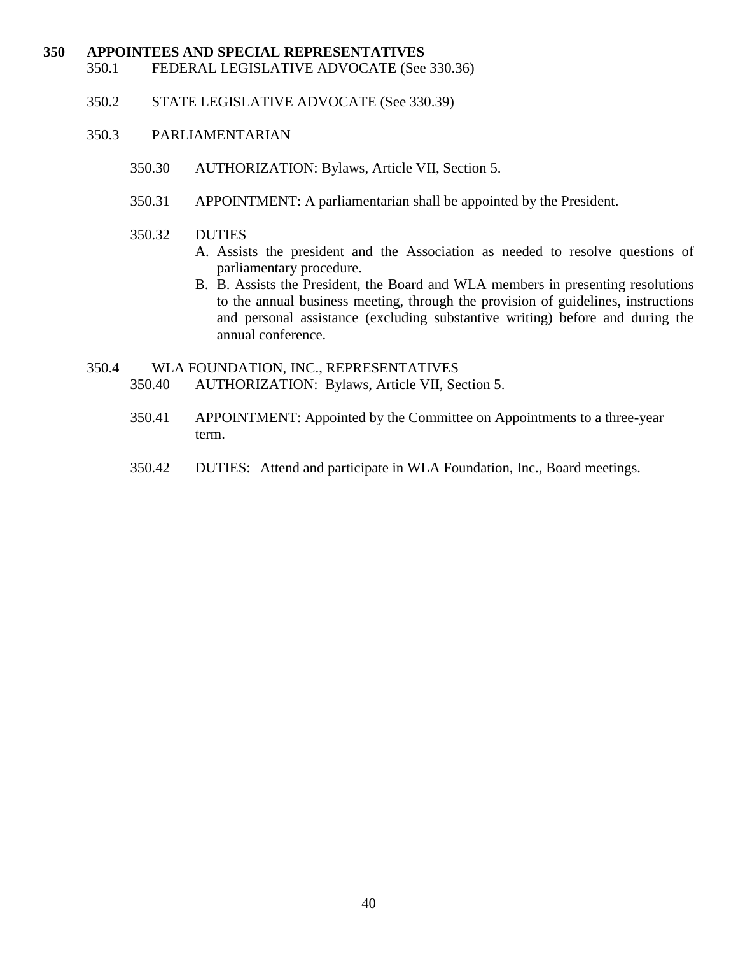#### **350 APPOINTEES AND SPECIAL REPRESENTATIVES**

- 350.1 FEDERAL LEGISLATIVE ADVOCATE (See 330.36)
- 350.2 STATE LEGISLATIVE ADVOCATE (See 330.39)

#### 350.3 PARLIAMENTARIAN

- 350.30 AUTHORIZATION: Bylaws, Article VII, Section 5.
- 350.31 APPOINTMENT: A parliamentarian shall be appointed by the President.
- 350.32 DUTIES
	- A. Assists the president and the Association as needed to resolve questions of parliamentary procedure.
	- B. B. Assists the President, the Board and WLA members in presenting resolutions to the annual business meeting, through the provision of guidelines, instructions and personal assistance (excluding substantive writing) before and during the annual conference.
- 350.4 WLA FOUNDATION, INC., REPRESENTATIVES 350.40 AUTHORIZATION: Bylaws, Article VII, Section 5.
	- 350.41 APPOINTMENT: Appointed by the Committee on Appointments to a three-year term.
	- 350.42 DUTIES: Attend and participate in WLA Foundation, Inc., Board meetings.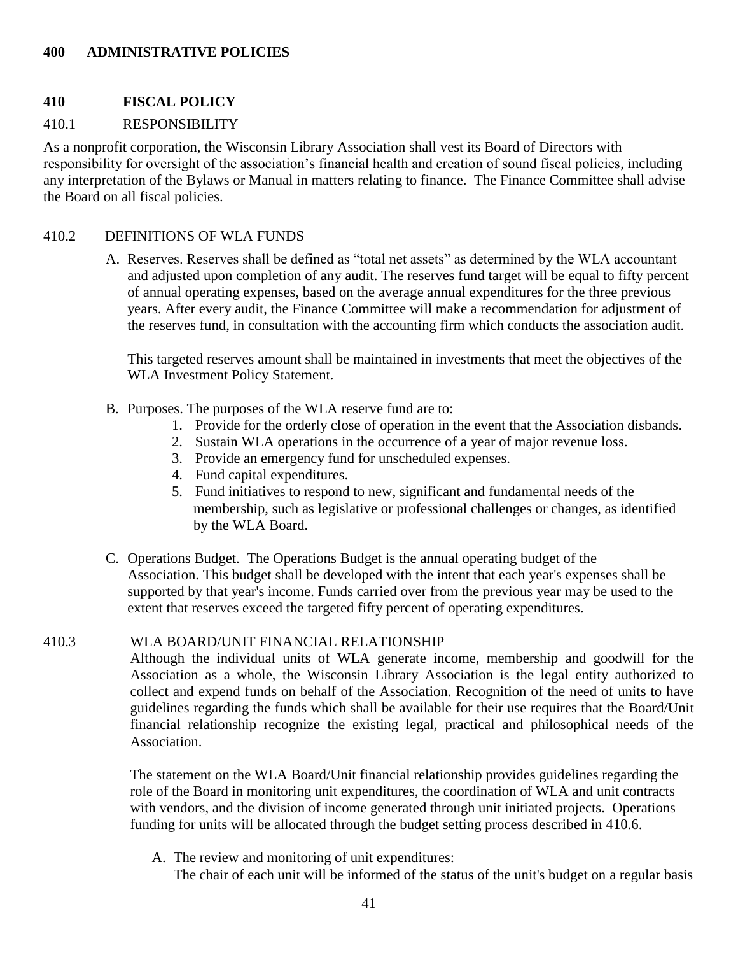## **400 ADMINISTRATIVE POLICIES**

## **410 FISCAL POLICY**

## 410.1 RESPONSIBILITY

As a nonprofit corporation, the Wisconsin Library Association shall vest its Board of Directors with responsibility for oversight of the association's financial health and creation of sound fiscal policies, including any interpretation of the Bylaws or Manual in matters relating to finance. The Finance Committee shall advise the Board on all fiscal policies.

#### 410.2 DEFINITIONS OF WLA FUNDS

A. Reserves. Reserves shall be defined as "total net assets" as determined by the WLA accountant and adjusted upon completion of any audit. The reserves fund target will be equal to fifty percent of annual operating expenses, based on the average annual expenditures for the three previous years. After every audit, the Finance Committee will make a recommendation for adjustment of the reserves fund, in consultation with the accounting firm which conducts the association audit.

This targeted reserves amount shall be maintained in investments that meet the objectives of the WLA Investment Policy Statement.

- B. Purposes. The purposes of the WLA reserve fund are to:
	- 1. Provide for the orderly close of operation in the event that the Association disbands.
	- 2. Sustain WLA operations in the occurrence of a year of major revenue loss.
	- 3. Provide an emergency fund for unscheduled expenses.
	- 4. Fund capital expenditures.
	- 5. Fund initiatives to respond to new, significant and fundamental needs of the membership, such as legislative or professional challenges or changes, as identified by the WLA Board.
- C. Operations Budget. The Operations Budget is the annual operating budget of the Association. This budget shall be developed with the intent that each year's expenses shall be supported by that year's income. Funds carried over from the previous year may be used to the extent that reserves exceed the targeted fifty percent of operating expenditures.

#### 410.3 WLA BOARD/UNIT FINANCIAL RELATIONSHIP

Although the individual units of WLA generate income, membership and goodwill for the Association as a whole, the Wisconsin Library Association is the legal entity authorized to collect and expend funds on behalf of the Association. Recognition of the need of units to have guidelines regarding the funds which shall be available for their use requires that the Board/Unit financial relationship recognize the existing legal, practical and philosophical needs of the Association.

The statement on the WLA Board/Unit financial relationship provides guidelines regarding the role of the Board in monitoring unit expenditures, the coordination of WLA and unit contracts with vendors, and the division of income generated through unit initiated projects. Operations funding for units will be allocated through the budget setting process described in 410.6.

A. The review and monitoring of unit expenditures:

The chair of each unit will be informed of the status of the unit's budget on a regular basis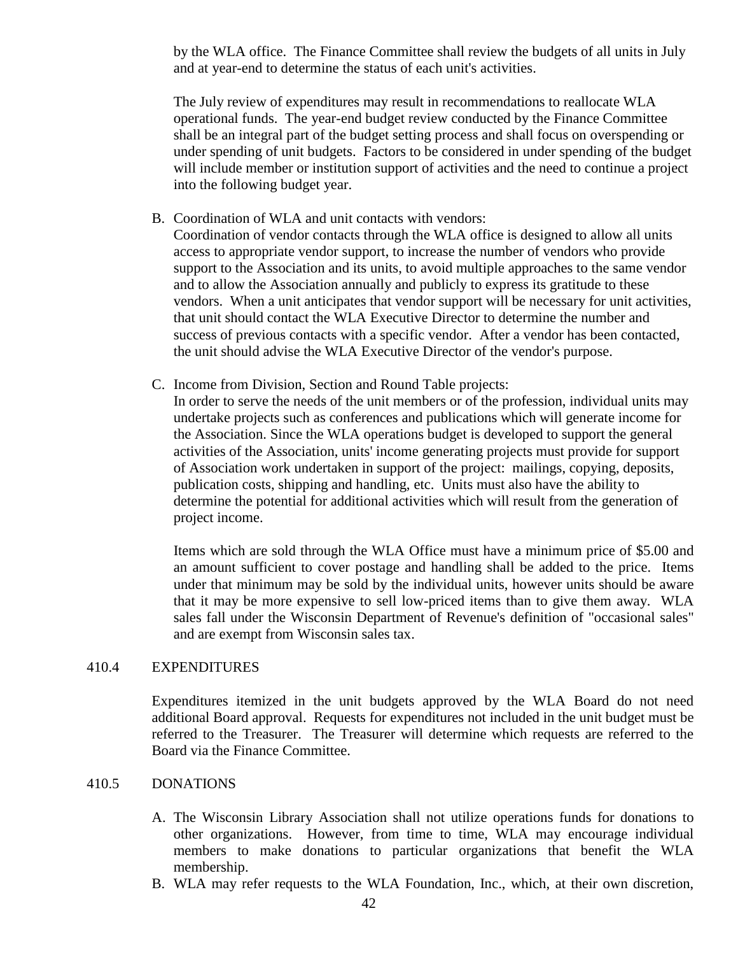by the WLA office. The Finance Committee shall review the budgets of all units in July and at year-end to determine the status of each unit's activities.

The July review of expenditures may result in recommendations to reallocate WLA operational funds. The year-end budget review conducted by the Finance Committee shall be an integral part of the budget setting process and shall focus on overspending or under spending of unit budgets. Factors to be considered in under spending of the budget will include member or institution support of activities and the need to continue a project into the following budget year.

B. Coordination of WLA and unit contacts with vendors:

Coordination of vendor contacts through the WLA office is designed to allow all units access to appropriate vendor support, to increase the number of vendors who provide support to the Association and its units, to avoid multiple approaches to the same vendor and to allow the Association annually and publicly to express its gratitude to these vendors. When a unit anticipates that vendor support will be necessary for unit activities, that unit should contact the WLA Executive Director to determine the number and success of previous contacts with a specific vendor. After a vendor has been contacted, the unit should advise the WLA Executive Director of the vendor's purpose.

C. Income from Division, Section and Round Table projects:

In order to serve the needs of the unit members or of the profession, individual units may undertake projects such as conferences and publications which will generate income for the Association. Since the WLA operations budget is developed to support the general activities of the Association, units' income generating projects must provide for support of Association work undertaken in support of the project: mailings, copying, deposits, publication costs, shipping and handling, etc. Units must also have the ability to determine the potential for additional activities which will result from the generation of project income.

Items which are sold through the WLA Office must have a minimum price of \$5.00 and an amount sufficient to cover postage and handling shall be added to the price. Items under that minimum may be sold by the individual units, however units should be aware that it may be more expensive to sell low-priced items than to give them away. WLA sales fall under the Wisconsin Department of Revenue's definition of "occasional sales" and are exempt from Wisconsin sales tax.

#### 410.4 EXPENDITURES

Expenditures itemized in the unit budgets approved by the WLA Board do not need additional Board approval. Requests for expenditures not included in the unit budget must be referred to the Treasurer. The Treasurer will determine which requests are referred to the Board via the Finance Committee.

## 410.5 DONATIONS

- A. The Wisconsin Library Association shall not utilize operations funds for donations to other organizations. However, from time to time, WLA may encourage individual members to make donations to particular organizations that benefit the WLA membership.
- B. WLA may refer requests to the WLA Foundation, Inc., which, at their own discretion,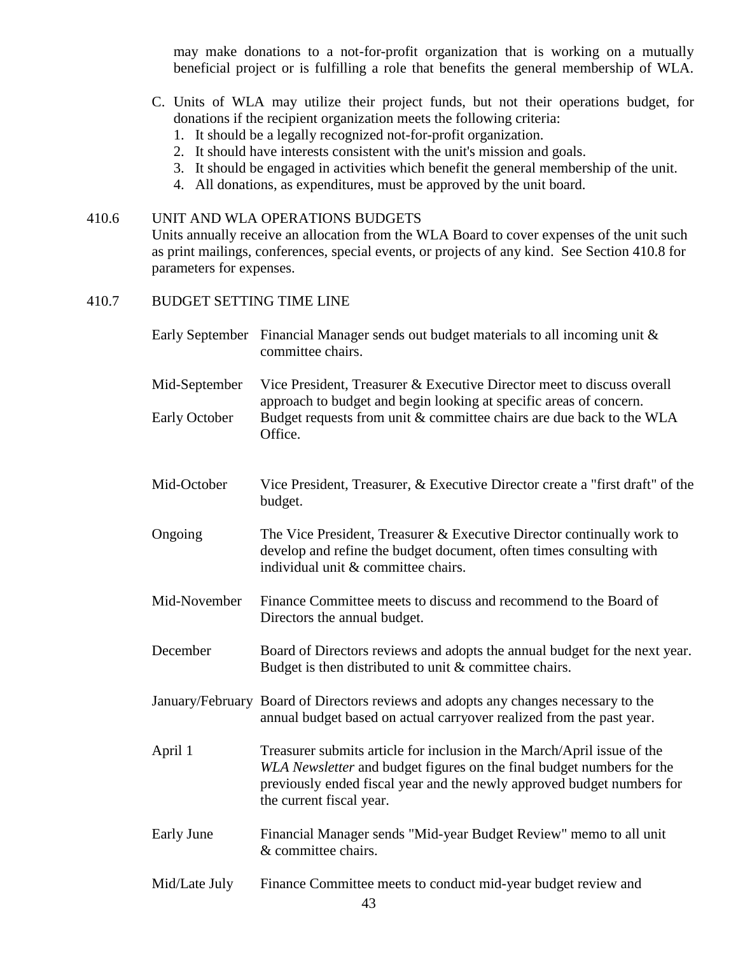may make donations to a not-for-profit organization that is working on a mutually beneficial project or is fulfilling a role that benefits the general membership of WLA.

- C. Units of WLA may utilize their project funds, but not their operations budget, for donations if the recipient organization meets the following criteria:
	- 1. It should be a legally recognized not-for-profit organization.
	- 2. It should have interests consistent with the unit's mission and goals.
	- 3. It should be engaged in activities which benefit the general membership of the unit.
	- 4. All donations, as expenditures, must be approved by the unit board.

### 410.6 UNIT AND WLA OPERATIONS BUDGETS

Units annually receive an allocation from the WLA Board to cover expenses of the unit such as print mailings, conferences, special events, or projects of any kind. See Section 410.8 for parameters for expenses.

### 410.7 BUDGET SETTING TIME LINE

|                      | Early September Financial Manager sends out budget materials to all incoming unit &<br>committee chairs.                                                                                                                                               |  |
|----------------------|--------------------------------------------------------------------------------------------------------------------------------------------------------------------------------------------------------------------------------------------------------|--|
| Mid-September        | Vice President, Treasurer & Executive Director meet to discuss overall<br>approach to budget and begin looking at specific areas of concern.                                                                                                           |  |
| <b>Early October</b> | Budget requests from unit & committee chairs are due back to the WLA<br>Office.                                                                                                                                                                        |  |
| Mid-October          | Vice President, Treasurer, & Executive Director create a "first draft" of the<br>budget.                                                                                                                                                               |  |
| Ongoing              | The Vice President, Treasurer & Executive Director continually work to<br>develop and refine the budget document, often times consulting with<br>individual unit & committee chairs.                                                                   |  |
| Mid-November         | Finance Committee meets to discuss and recommend to the Board of<br>Directors the annual budget.                                                                                                                                                       |  |
| December             | Board of Directors reviews and adopts the annual budget for the next year.<br>Budget is then distributed to unit $&$ committee chairs.                                                                                                                 |  |
|                      | January/February Board of Directors reviews and adopts any changes necessary to the<br>annual budget based on actual carryover realized from the past year.                                                                                            |  |
| April 1              | Treasurer submits article for inclusion in the March/April issue of the<br>WLA Newsletter and budget figures on the final budget numbers for the<br>previously ended fiscal year and the newly approved budget numbers for<br>the current fiscal year. |  |
| Early June           | Financial Manager sends "Mid-year Budget Review" memo to all unit<br>& committee chairs.                                                                                                                                                               |  |
| Mid/Late July        | Finance Committee meets to conduct mid-year budget review and                                                                                                                                                                                          |  |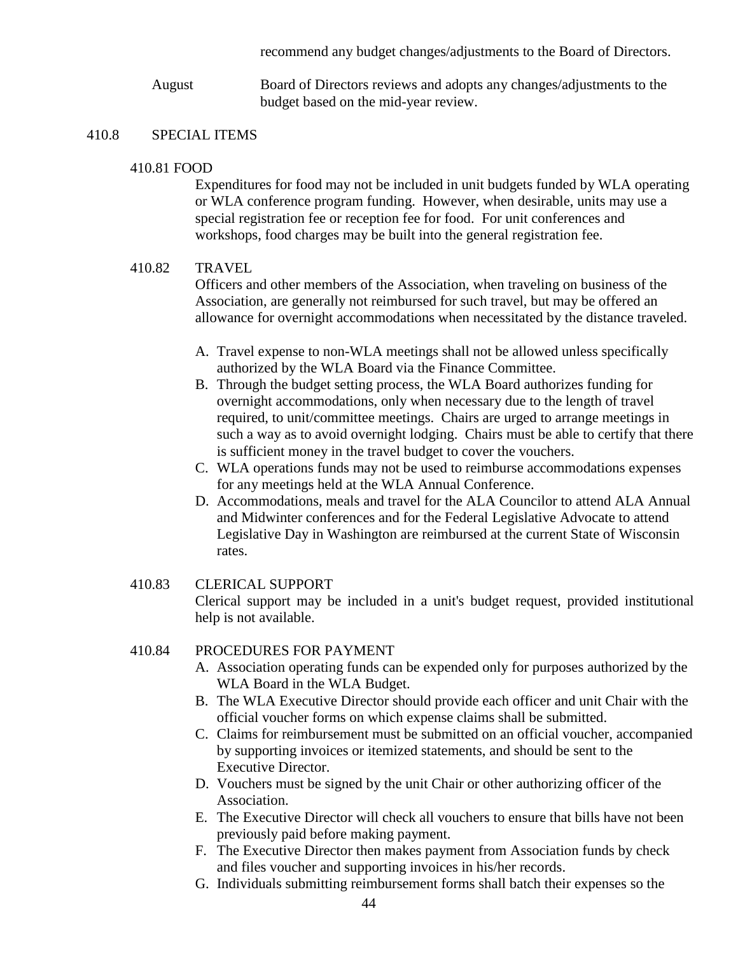recommend any budget changes/adjustments to the Board of Directors.

August Board of Directors reviews and adopts any changes/adjustments to the budget based on the mid-year review.

### 410.8 SPECIAL ITEMS

#### 410.81 FOOD

Expenditures for food may not be included in unit budgets funded by WLA operating or WLA conference program funding. However, when desirable, units may use a special registration fee or reception fee for food. For unit conferences and workshops, food charges may be built into the general registration fee.

## 410.82 TRAVEL

Officers and other members of the Association, when traveling on business of the Association, are generally not reimbursed for such travel, but may be offered an allowance for overnight accommodations when necessitated by the distance traveled.

- A. Travel expense to non-WLA meetings shall not be allowed unless specifically authorized by the WLA Board via the Finance Committee.
- B. Through the budget setting process, the WLA Board authorizes funding for overnight accommodations, only when necessary due to the length of travel required, to unit/committee meetings. Chairs are urged to arrange meetings in such a way as to avoid overnight lodging. Chairs must be able to certify that there is sufficient money in the travel budget to cover the vouchers.
- C. WLA operations funds may not be used to reimburse accommodations expenses for any meetings held at the WLA Annual Conference.
- D. Accommodations, meals and travel for the ALA Councilor to attend ALA Annual and Midwinter conferences and for the Federal Legislative Advocate to attend Legislative Day in Washington are reimbursed at the current State of Wisconsin rates.

## 410.83 CLERICAL SUPPORT Clerical support may be included in a unit's budget request, provided institutional help is not available.

## 410.84 PROCEDURES FOR PAYMENT

- A. Association operating funds can be expended only for purposes authorized by the WLA Board in the WLA Budget.
- B. The WLA Executive Director should provide each officer and unit Chair with the official voucher forms on which expense claims shall be submitted.
- C. Claims for reimbursement must be submitted on an official voucher, accompanied by supporting invoices or itemized statements, and should be sent to the Executive Director.
- D. Vouchers must be signed by the unit Chair or other authorizing officer of the Association.
- E. The Executive Director will check all vouchers to ensure that bills have not been previously paid before making payment.
- F. The Executive Director then makes payment from Association funds by check and files voucher and supporting invoices in his/her records.
- G. Individuals submitting reimbursement forms shall batch their expenses so the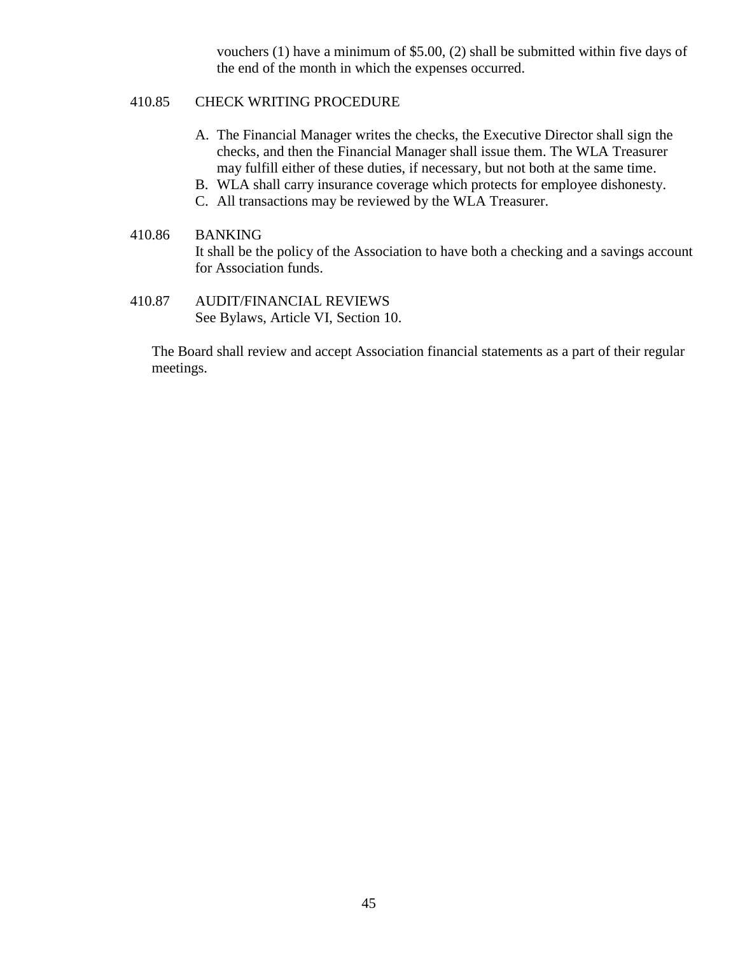vouchers (1) have a minimum of \$5.00, (2) shall be submitted within five days of the end of the month in which the expenses occurred.

## 410.85 CHECK WRITING PROCEDURE

- A. The Financial Manager writes the checks, the Executive Director shall sign the checks, and then the Financial Manager shall issue them. The WLA Treasurer may fulfill either of these duties, if necessary, but not both at the same time.
- B. WLA shall carry insurance coverage which protects for employee dishonesty.
- C. All transactions may be reviewed by the WLA Treasurer.
- 410.86 BANKING It shall be the policy of the Association to have both a checking and a savings account for Association funds.
- 410.87 AUDIT/FINANCIAL REVIEWS See Bylaws, Article VI, Section 10.

The Board shall review and accept Association financial statements as a part of their regular meetings.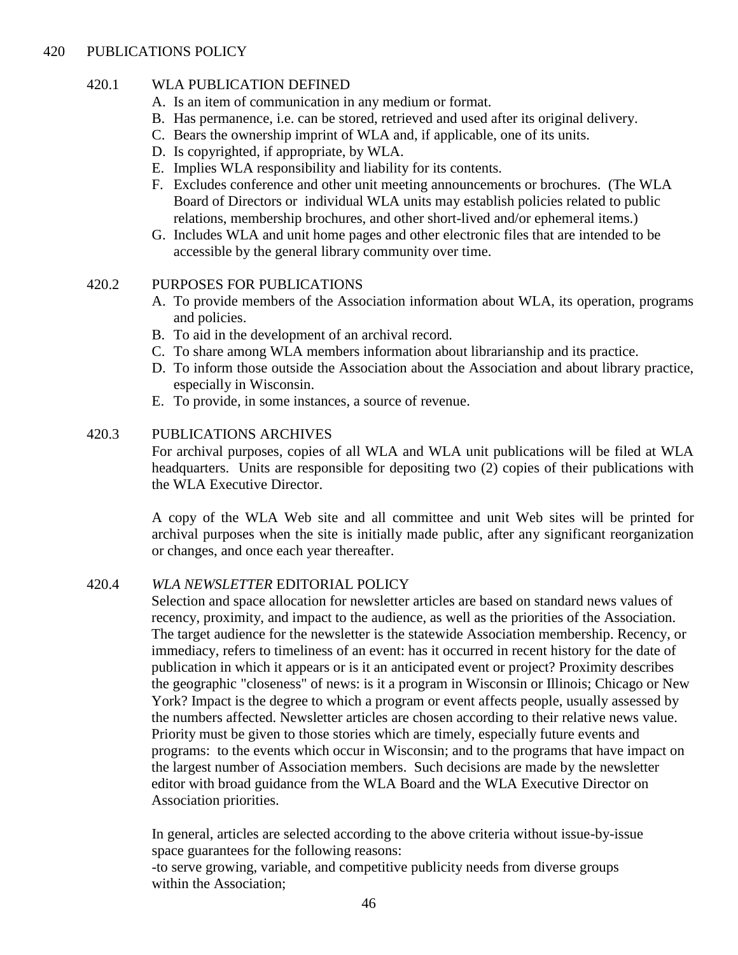## 420 PUBLICATIONS POLICY

## 420.1 WLA PUBLICATION DEFINED

- A. Is an item of communication in any medium or format.
- B. Has permanence, i.e. can be stored, retrieved and used after its original delivery.
- C. Bears the ownership imprint of WLA and, if applicable, one of its units.
- D. Is copyrighted, if appropriate, by WLA.
- E. Implies WLA responsibility and liability for its contents.
- F. Excludes conference and other unit meeting announcements or brochures. (The WLA Board of Directors or individual WLA units may establish policies related to public relations, membership brochures, and other short-lived and/or ephemeral items.)
- G. Includes WLA and unit home pages and other electronic files that are intended to be accessible by the general library community over time.

### 420.2 PURPOSES FOR PUBLICATIONS

- A. To provide members of the Association information about WLA, its operation, programs and policies.
- B. To aid in the development of an archival record.
- C. To share among WLA members information about librarianship and its practice.
- D. To inform those outside the Association about the Association and about library practice, especially in Wisconsin.
- E. To provide, in some instances, a source of revenue.

### 420.3 PUBLICATIONS ARCHIVES

For archival purposes, copies of all WLA and WLA unit publications will be filed at WLA headquarters. Units are responsible for depositing two (2) copies of their publications with the WLA Executive Director.

A copy of the WLA Web site and all committee and unit Web sites will be printed for archival purposes when the site is initially made public, after any significant reorganization or changes, and once each year thereafter.

## 420.4 *WLA NEWSLETTER* EDITORIAL POLICY

Selection and space allocation for newsletter articles are based on standard news values of recency, proximity, and impact to the audience, as well as the priorities of the Association. The target audience for the newsletter is the statewide Association membership. Recency, or immediacy, refers to timeliness of an event: has it occurred in recent history for the date of publication in which it appears or is it an anticipated event or project? Proximity describes the geographic "closeness" of news: is it a program in Wisconsin or Illinois; Chicago or New York? Impact is the degree to which a program or event affects people, usually assessed by the numbers affected. Newsletter articles are chosen according to their relative news value. Priority must be given to those stories which are timely, especially future events and programs: to the events which occur in Wisconsin; and to the programs that have impact on the largest number of Association members. Such decisions are made by the newsletter editor with broad guidance from the WLA Board and the WLA Executive Director on Association priorities.

In general, articles are selected according to the above criteria without issue-by-issue space guarantees for the following reasons:

-to serve growing, variable, and competitive publicity needs from diverse groups within the Association;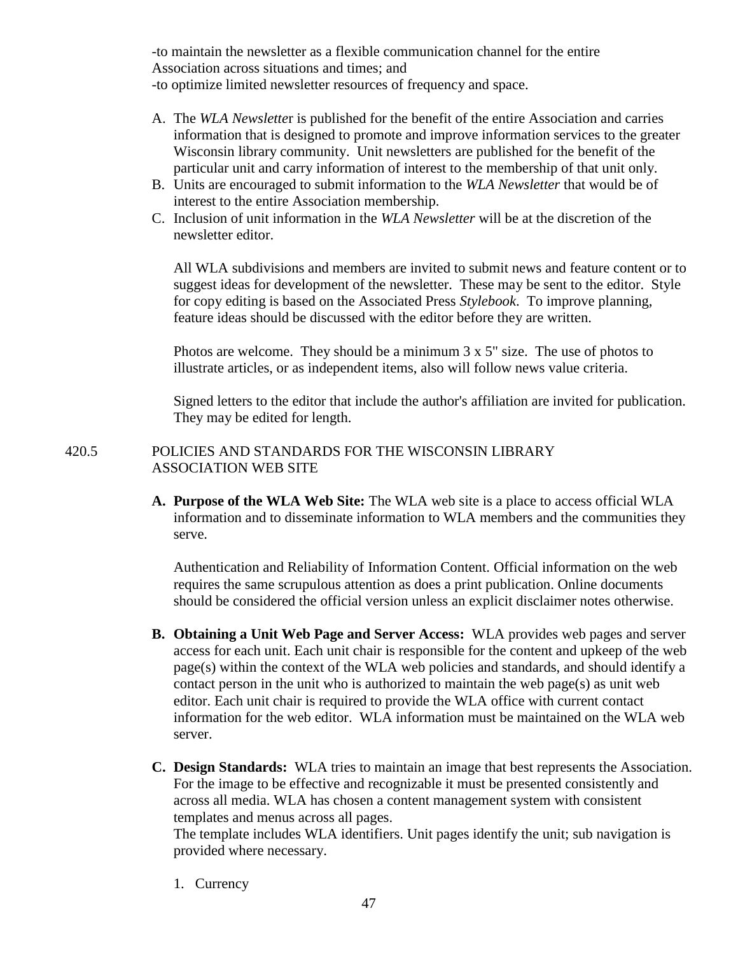-to maintain the newsletter as a flexible communication channel for the entire Association across situations and times; and -to optimize limited newsletter resources of frequency and space.

- A. The *WLA Newslette*r is published for the benefit of the entire Association and carries information that is designed to promote and improve information services to the greater Wisconsin library community. Unit newsletters are published for the benefit of the particular unit and carry information of interest to the membership of that unit only.
- B. Units are encouraged to submit information to the *WLA Newsletter* that would be of interest to the entire Association membership.
- C. Inclusion of unit information in the *WLA Newsletter* will be at the discretion of the newsletter editor.

All WLA subdivisions and members are invited to submit news and feature content or to suggest ideas for development of the newsletter. These may be sent to the editor. Style for copy editing is based on the Associated Press *Stylebook*. To improve planning, feature ideas should be discussed with the editor before they are written.

Photos are welcome. They should be a minimum 3 x 5" size. The use of photos to illustrate articles, or as independent items, also will follow news value criteria.

Signed letters to the editor that include the author's affiliation are invited for publication. They may be edited for length.

## 420.5 POLICIES AND STANDARDS FOR THE WISCONSIN LIBRARY ASSOCIATION WEB SITE

**A. Purpose of the WLA Web Site:** The WLA web site is a place to access official WLA information and to disseminate information to WLA members and the communities they serve.

Authentication and Reliability of Information Content. Official information on the web requires the same scrupulous attention as does a print publication. Online documents should be considered the official version unless an explicit disclaimer notes otherwise.

- **B. Obtaining a Unit Web Page and Server Access:** WLA provides web pages and server access for each unit. Each unit chair is responsible for the content and upkeep of the web page(s) within the context of the WLA web policies and standards, and should identify a contact person in the unit who is authorized to maintain the web page(s) as unit web editor. Each unit chair is required to provide the WLA office with current contact information for the web editor. WLA information must be maintained on the WLA web server.
- **C. Design Standards:** WLA tries to maintain an image that best represents the Association. For the image to be effective and recognizable it must be presented consistently and across all media. WLA has chosen a content management system with consistent templates and menus across all pages.

The template includes WLA identifiers. Unit pages identify the unit; sub navigation is provided where necessary.

1. Currency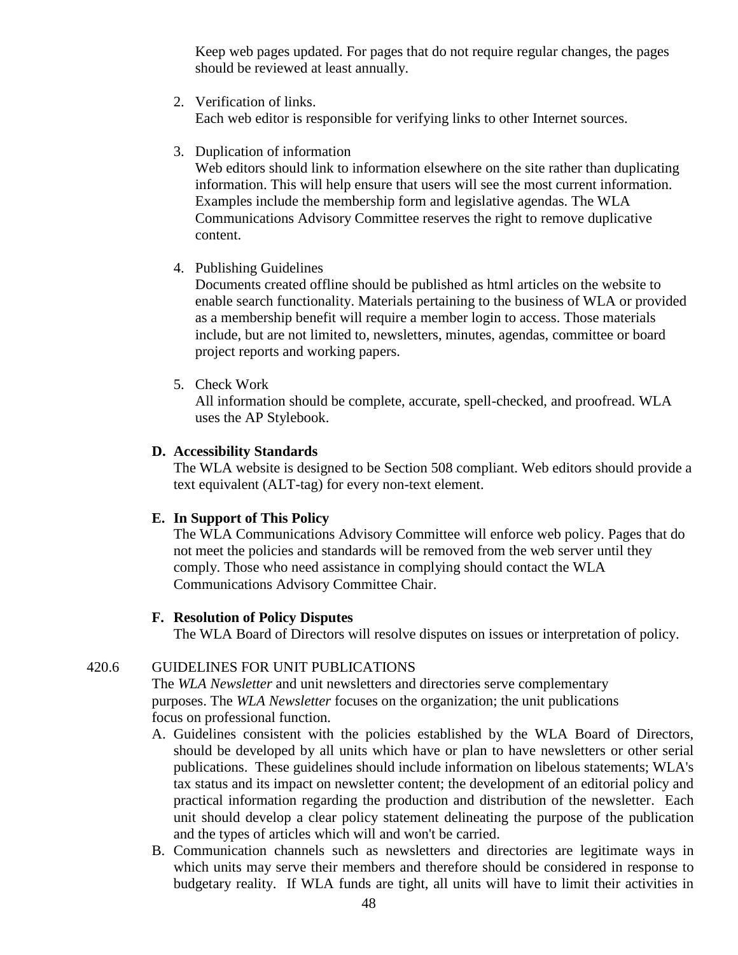Keep web pages updated. For pages that do not require regular changes, the pages should be reviewed at least annually.

2. Verification of links.

Each web editor is responsible for verifying links to other Internet sources.

3. Duplication of information

Web editors should link to information elsewhere on the site rather than duplicating information. This will help ensure that users will see the most current information. Examples include the membership form and legislative agendas. The WLA Communications Advisory Committee reserves the right to remove duplicative content.

4. Publishing Guidelines

Documents created offline should be published as html articles on the website to enable search functionality. Materials pertaining to the business of WLA or provided as a membership benefit will require a member login to access. Those materials include, but are not limited to, newsletters, minutes, agendas, committee or board project reports and working papers.

5. Check Work

All information should be complete, accurate, spell-checked, and proofread. WLA uses the AP Stylebook.

## **D. Accessibility Standards**

The WLA website is designed to be Section 508 compliant. Web editors should provide a text equivalent (ALT-tag) for every non-text element.

## **E. In Support of This Policy**

The WLA Communications Advisory Committee will enforce web policy. Pages that do not meet the policies and standards will be removed from the web server until they comply. Those who need assistance in complying should contact the WLA Communications Advisory Committee Chair.

#### **F. Resolution of Policy Disputes**

The WLA Board of Directors will resolve disputes on issues or interpretation of policy.

### 420.6 GUIDELINES FOR UNIT PUBLICATIONS

The *WLA Newsletter* and unit newsletters and directories serve complementary purposes. The *WLA Newsletter* focuses on the organization; the unit publications focus on professional function.

- A. Guidelines consistent with the policies established by the WLA Board of Directors, should be developed by all units which have or plan to have newsletters or other serial publications. These guidelines should include information on libelous statements; WLA's tax status and its impact on newsletter content; the development of an editorial policy and practical information regarding the production and distribution of the newsletter. Each unit should develop a clear policy statement delineating the purpose of the publication and the types of articles which will and won't be carried.
- B. Communication channels such as newsletters and directories are legitimate ways in which units may serve their members and therefore should be considered in response to budgetary reality. If WLA funds are tight, all units will have to limit their activities in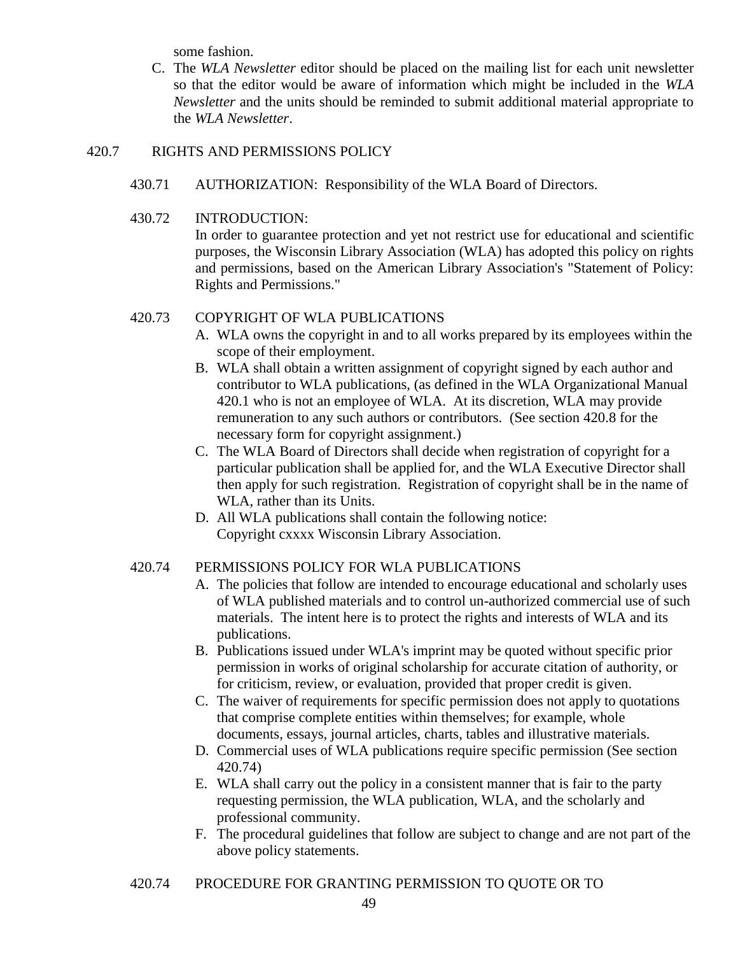some fashion.

C. The *WLA Newsletter* editor should be placed on the mailing list for each unit newsletter so that the editor would be aware of information which might be included in the *WLA Newsletter* and the units should be reminded to submit additional material appropriate to the *WLA Newsletter*.

## 420.7 RIGHTS AND PERMISSIONS POLICY

- 430.71 AUTHORIZATION: Responsibility of the WLA Board of Directors.
- 430.72 INTRODUCTION:

In order to guarantee protection and yet not restrict use for educational and scientific purposes, the Wisconsin Library Association (WLA) has adopted this policy on rights and permissions, based on the American Library Association's "Statement of Policy: Rights and Permissions."

## 420.73 COPYRIGHT OF WLA PUBLICATIONS

- A. WLA owns the copyright in and to all works prepared by its employees within the scope of their employment.
- B. WLA shall obtain a written assignment of copyright signed by each author and contributor to WLA publications, (as defined in the WLA Organizational Manual 420.1 who is not an employee of WLA. At its discretion, WLA may provide remuneration to any such authors or contributors. (See section 420.8 for the necessary form for copyright assignment.)
- C. The WLA Board of Directors shall decide when registration of copyright for a particular publication shall be applied for, and the WLA Executive Director shall then apply for such registration. Registration of copyright shall be in the name of WLA, rather than its Units.
- D. All WLA publications shall contain the following notice: Copyright cxxxx Wisconsin Library Association.

## 420.74 PERMISSIONS POLICY FOR WLA PUBLICATIONS

- A. The policies that follow are intended to encourage educational and scholarly uses of WLA published materials and to control un-authorized commercial use of such materials. The intent here is to protect the rights and interests of WLA and its publications.
- B. Publications issued under WLA's imprint may be quoted without specific prior permission in works of original scholarship for accurate citation of authority, or for criticism, review, or evaluation, provided that proper credit is given.
- C. The waiver of requirements for specific permission does not apply to quotations that comprise complete entities within themselves; for example, whole documents, essays, journal articles, charts, tables and illustrative materials.
- D. Commercial uses of WLA publications require specific permission (See section 420.74)
- E. WLA shall carry out the policy in a consistent manner that is fair to the party requesting permission, the WLA publication, WLA, and the scholarly and professional community.
- F. The procedural guidelines that follow are subject to change and are not part of the above policy statements.
- 420.74 PROCEDURE FOR GRANTING PERMISSION TO QUOTE OR TO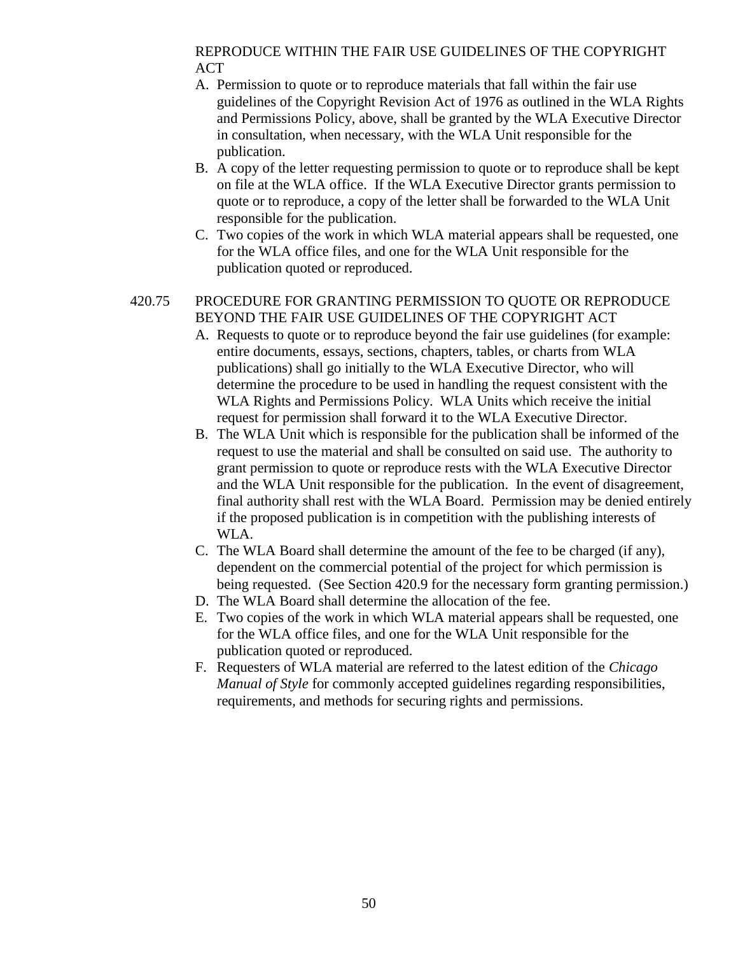## REPRODUCE WITHIN THE FAIR USE GUIDELINES OF THE COPYRIGHT ACT

- A. Permission to quote or to reproduce materials that fall within the fair use guidelines of the Copyright Revision Act of 1976 as outlined in the WLA Rights and Permissions Policy, above, shall be granted by the WLA Executive Director in consultation, when necessary, with the WLA Unit responsible for the publication.
- B. A copy of the letter requesting permission to quote or to reproduce shall be kept on file at the WLA office. If the WLA Executive Director grants permission to quote or to reproduce, a copy of the letter shall be forwarded to the WLA Unit responsible for the publication.
- C. Two copies of the work in which WLA material appears shall be requested, one for the WLA office files, and one for the WLA Unit responsible for the publication quoted or reproduced.

# 420.75 PROCEDURE FOR GRANTING PERMISSION TO QUOTE OR REPRODUCE BEYOND THE FAIR USE GUIDELINES OF THE COPYRIGHT ACT

- A. Requests to quote or to reproduce beyond the fair use guidelines (for example: entire documents, essays, sections, chapters, tables, or charts from WLA publications) shall go initially to the WLA Executive Director, who will determine the procedure to be used in handling the request consistent with the WLA Rights and Permissions Policy. WLA Units which receive the initial request for permission shall forward it to the WLA Executive Director.
- B. The WLA Unit which is responsible for the publication shall be informed of the request to use the material and shall be consulted on said use. The authority to grant permission to quote or reproduce rests with the WLA Executive Director and the WLA Unit responsible for the publication. In the event of disagreement, final authority shall rest with the WLA Board. Permission may be denied entirely if the proposed publication is in competition with the publishing interests of WLA.
- C. The WLA Board shall determine the amount of the fee to be charged (if any), dependent on the commercial potential of the project for which permission is being requested. (See Section 420.9 for the necessary form granting permission.)
- D. The WLA Board shall determine the allocation of the fee.
- E. Two copies of the work in which WLA material appears shall be requested, one for the WLA office files, and one for the WLA Unit responsible for the publication quoted or reproduced.
- F. Requesters of WLA material are referred to the latest edition of the *Chicago Manual of Style* for commonly accepted guidelines regarding responsibilities, requirements, and methods for securing rights and permissions.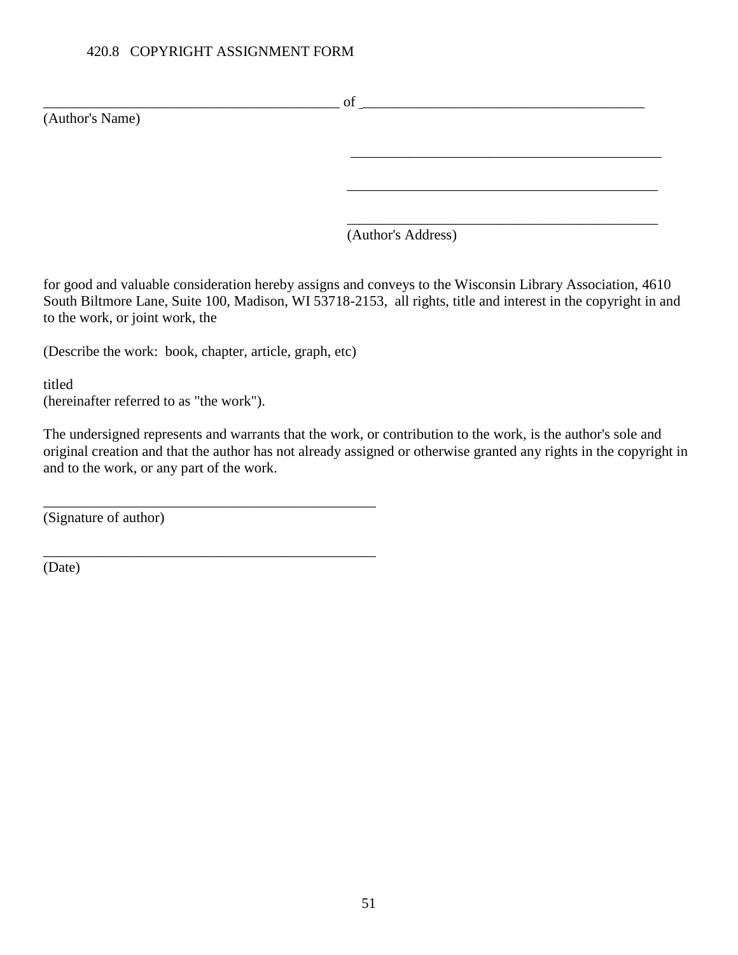## 420.8 COPYRIGHT ASSIGNMENT FORM

 $\circ$  of  $\Box$ (Author's Name) \_\_\_\_\_\_\_\_\_\_\_\_\_\_\_\_\_\_\_\_\_\_\_\_\_\_\_\_\_\_\_\_\_\_\_\_\_\_\_\_\_\_\_  $\overline{\phantom{a}}$  ,  $\overline{\phantom{a}}$  ,  $\overline{\phantom{a}}$  ,  $\overline{\phantom{a}}$  ,  $\overline{\phantom{a}}$  ,  $\overline{\phantom{a}}$  ,  $\overline{\phantom{a}}$  ,  $\overline{\phantom{a}}$  ,  $\overline{\phantom{a}}$  ,  $\overline{\phantom{a}}$  ,  $\overline{\phantom{a}}$  ,  $\overline{\phantom{a}}$  ,  $\overline{\phantom{a}}$  ,  $\overline{\phantom{a}}$  ,  $\overline{\phantom{a}}$  ,  $\overline{\phantom{a}}$  $\overline{\phantom{a}}$  ,  $\overline{\phantom{a}}$  ,  $\overline{\phantom{a}}$  ,  $\overline{\phantom{a}}$  ,  $\overline{\phantom{a}}$  ,  $\overline{\phantom{a}}$  ,  $\overline{\phantom{a}}$  ,  $\overline{\phantom{a}}$  ,  $\overline{\phantom{a}}$  ,  $\overline{\phantom{a}}$  ,  $\overline{\phantom{a}}$  ,  $\overline{\phantom{a}}$  ,  $\overline{\phantom{a}}$  ,  $\overline{\phantom{a}}$  ,  $\overline{\phantom{a}}$  ,  $\overline{\phantom{a}}$ 

(Author's Address)

for good and valuable consideration hereby assigns and conveys to the Wisconsin Library Association, 4610 South Biltmore Lane, Suite 100, Madison, WI 53718-2153, all rights, title and interest in the copyright in and to the work, or joint work, the

(Describe the work: book, chapter, article, graph, etc)

\_\_\_\_\_\_\_\_\_\_\_\_\_\_\_\_\_\_\_\_\_\_\_\_\_\_\_\_\_\_\_\_\_\_\_\_\_\_\_\_\_\_\_\_\_\_

\_\_\_\_\_\_\_\_\_\_\_\_\_\_\_\_\_\_\_\_\_\_\_\_\_\_\_\_\_\_\_\_\_\_\_\_\_\_\_\_\_\_\_\_\_\_

titled (hereinafter referred to as "the work").

The undersigned represents and warrants that the work, or contribution to the work, is the author's sole and original creation and that the author has not already assigned or otherwise granted any rights in the copyright in and to the work, or any part of the work.

(Signature of author)

(Date)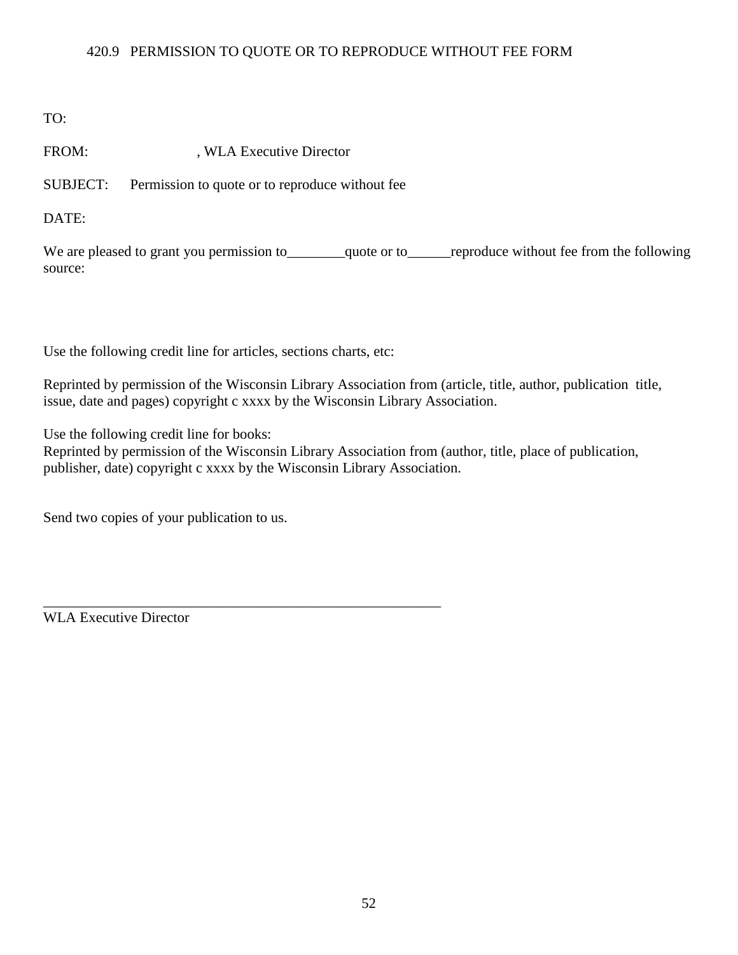## 420.9 PERMISSION TO QUOTE OR TO REPRODUCE WITHOUT FEE FORM

TO:

FROM: , WLA Executive Director

SUBJECT: Permission to quote or to reproduce without fee

DATE:

We are pleased to grant you permission to\_\_\_\_\_\_\_quote or to\_\_\_\_\_\_reproduce without fee from the following source:

Use the following credit line for articles, sections charts, etc:

\_\_\_\_\_\_\_\_\_\_\_\_\_\_\_\_\_\_\_\_\_\_\_\_\_\_\_\_\_\_\_\_\_\_\_\_\_\_\_\_\_\_\_\_\_\_\_\_\_\_\_\_\_\_\_

Reprinted by permission of the Wisconsin Library Association from (article, title, author, publication title, issue, date and pages) copyright c xxxx by the Wisconsin Library Association.

Use the following credit line for books:

Reprinted by permission of the Wisconsin Library Association from (author, title, place of publication, publisher, date) copyright c xxxx by the Wisconsin Library Association.

Send two copies of your publication to us.

WLA Executive Director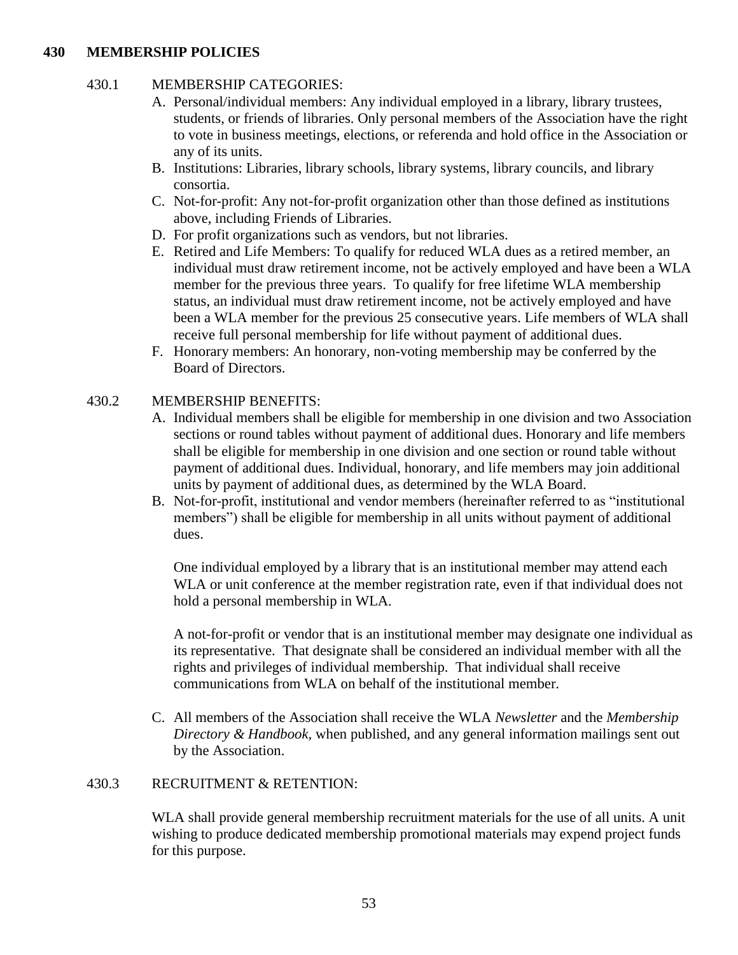## **430 MEMBERSHIP POLICIES**

## 430.1 MEMBERSHIP CATEGORIES:

- A. Personal/individual members: Any individual employed in a library, library trustees, students, or friends of libraries. Only personal members of the Association have the right to vote in business meetings, elections, or referenda and hold office in the Association or any of its units.
- B. Institutions: Libraries, library schools, library systems, library councils, and library consortia.
- C. Not-for-profit: Any not-for-profit organization other than those defined as institutions above, including Friends of Libraries.
- D. For profit organizations such as vendors, but not libraries.
- E. Retired and Life Members: To qualify for reduced WLA dues as a retired member, an individual must draw retirement income, not be actively employed and have been a WLA member for the previous three years. To qualify for free lifetime WLA membership status, an individual must draw retirement income, not be actively employed and have been a WLA member for the previous 25 consecutive years. Life members of WLA shall receive full personal membership for life without payment of additional dues.
- F. Honorary members: An honorary, non-voting membership may be conferred by the Board of Directors.

## 430.2 MEMBERSHIP BENEFITS:

- A. Individual members shall be eligible for membership in one division and two Association sections or round tables without payment of additional dues. Honorary and life members shall be eligible for membership in one division and one section or round table without payment of additional dues. Individual, honorary, and life members may join additional units by payment of additional dues, as determined by the WLA Board.
- B. Not-for-profit, institutional and vendor members (hereinafter referred to as "institutional members") shall be eligible for membership in all units without payment of additional dues.

One individual employed by a library that is an institutional member may attend each WLA or unit conference at the member registration rate, even if that individual does not hold a personal membership in WLA.

A not-for-profit or vendor that is an institutional member may designate one individual as its representative. That designate shall be considered an individual member with all the rights and privileges of individual membership. That individual shall receive communications from WLA on behalf of the institutional member.

C. All members of the Association shall receive the WLA *Newsletter* and the *Membership Directory & Handbook,* when published, and any general information mailings sent out by the Association.

## 430.3 RECRUITMENT & RETENTION:

WLA shall provide general membership recruitment materials for the use of all units. A unit wishing to produce dedicated membership promotional materials may expend project funds for this purpose.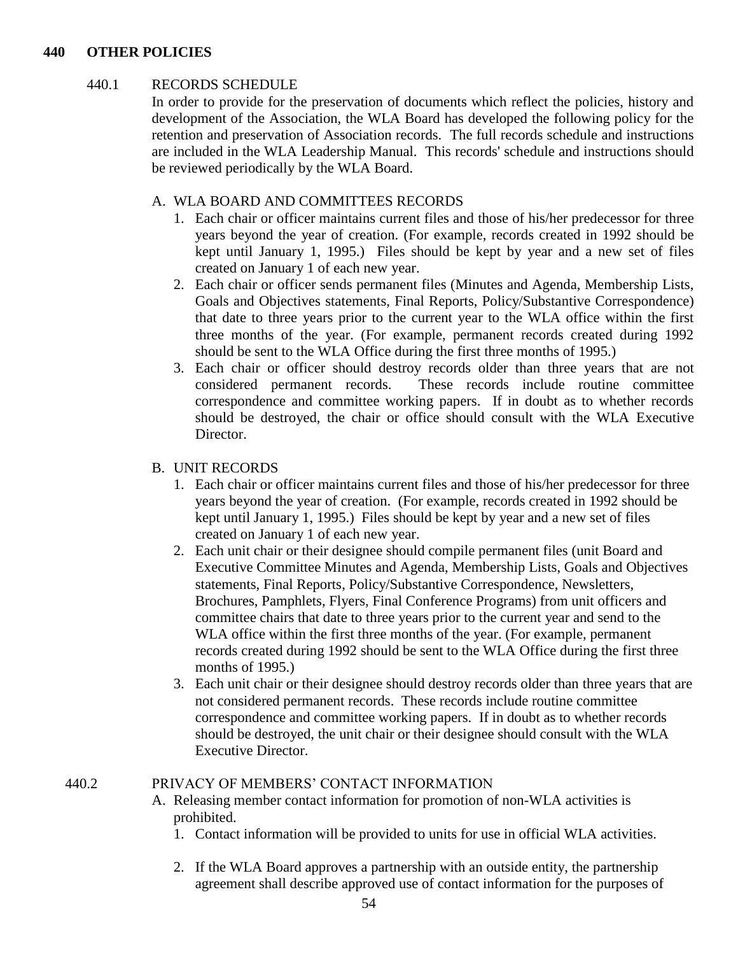#### **440 OTHER POLICIES**

### 440.1 RECORDS SCHEDULE

In order to provide for the preservation of documents which reflect the policies, history and development of the Association, the WLA Board has developed the following policy for the retention and preservation of Association records. The full records schedule and instructions are included in the WLA Leadership Manual. This records' schedule and instructions should be reviewed periodically by the WLA Board.

## A. WLA BOARD AND COMMITTEES RECORDS

- 1. Each chair or officer maintains current files and those of his/her predecessor for three years beyond the year of creation. (For example, records created in 1992 should be kept until January 1, 1995.) Files should be kept by year and a new set of files created on January 1 of each new year.
- 2. Each chair or officer sends permanent files (Minutes and Agenda, Membership Lists, Goals and Objectives statements, Final Reports, Policy/Substantive Correspondence) that date to three years prior to the current year to the WLA office within the first three months of the year. (For example, permanent records created during 1992 should be sent to the WLA Office during the first three months of 1995.)
- 3. Each chair or officer should destroy records older than three years that are not considered permanent records. These records include routine committee correspondence and committee working papers. If in doubt as to whether records should be destroyed, the chair or office should consult with the WLA Executive Director.

## B. UNIT RECORDS

- 1. Each chair or officer maintains current files and those of his/her predecessor for three years beyond the year of creation. (For example, records created in 1992 should be kept until January 1, 1995.) Files should be kept by year and a new set of files created on January 1 of each new year.
- 2. Each unit chair or their designee should compile permanent files (unit Board and Executive Committee Minutes and Agenda, Membership Lists, Goals and Objectives statements, Final Reports, Policy/Substantive Correspondence, Newsletters, Brochures, Pamphlets, Flyers, Final Conference Programs) from unit officers and committee chairs that date to three years prior to the current year and send to the WLA office within the first three months of the year. (For example, permanent records created during 1992 should be sent to the WLA Office during the first three months of 1995.)
- 3. Each unit chair or their designee should destroy records older than three years that are not considered permanent records. These records include routine committee correspondence and committee working papers. If in doubt as to whether records should be destroyed, the unit chair or their designee should consult with the WLA Executive Director.

## 440.2 PRIVACY OF MEMBERS' CONTACT INFORMATION

- A. Releasing member contact information for promotion of non-WLA activities is prohibited.
	- 1. Contact information will be provided to units for use in official WLA activities.
	- 2. If the WLA Board approves a partnership with an outside entity, the partnership agreement shall describe approved use of contact information for the purposes of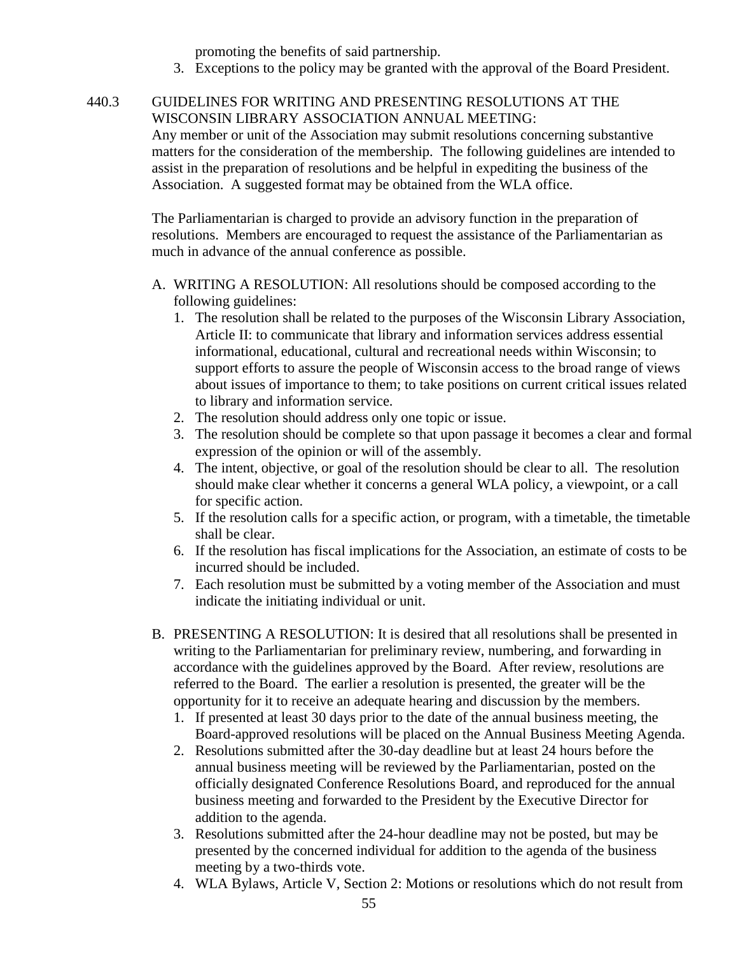promoting the benefits of said partnership.

3. Exceptions to the policy may be granted with the approval of the Board President.

## 440.3 GUIDELINES FOR WRITING AND PRESENTING RESOLUTIONS AT THE WISCONSIN LIBRARY ASSOCIATION ANNUAL MEETING:

Any member or unit of the Association may submit resolutions concerning substantive matters for the consideration of the membership. The following guidelines are intended to assist in the preparation of resolutions and be helpful in expediting the business of the Association. A suggested format may be obtained from the WLA office.

The Parliamentarian is charged to provide an advisory function in the preparation of resolutions. Members are encouraged to request the assistance of the Parliamentarian as much in advance of the annual conference as possible.

- A. WRITING A RESOLUTION: All resolutions should be composed according to the following guidelines:
	- 1. The resolution shall be related to the purposes of the Wisconsin Library Association, Article II: to communicate that library and information services address essential informational, educational, cultural and recreational needs within Wisconsin; to support efforts to assure the people of Wisconsin access to the broad range of views about issues of importance to them; to take positions on current critical issues related to library and information service.
	- 2. The resolution should address only one topic or issue.
	- 3. The resolution should be complete so that upon passage it becomes a clear and formal expression of the opinion or will of the assembly.
	- 4. The intent, objective, or goal of the resolution should be clear to all. The resolution should make clear whether it concerns a general WLA policy, a viewpoint, or a call for specific action.
	- 5. If the resolution calls for a specific action, or program, with a timetable, the timetable shall be clear.
	- 6. If the resolution has fiscal implications for the Association, an estimate of costs to be incurred should be included.
	- 7. Each resolution must be submitted by a voting member of the Association and must indicate the initiating individual or unit.
- B. PRESENTING A RESOLUTION: It is desired that all resolutions shall be presented in writing to the Parliamentarian for preliminary review, numbering, and forwarding in accordance with the guidelines approved by the Board. After review, resolutions are referred to the Board. The earlier a resolution is presented, the greater will be the opportunity for it to receive an adequate hearing and discussion by the members.
	- 1. If presented at least 30 days prior to the date of the annual business meeting, the Board-approved resolutions will be placed on the Annual Business Meeting Agenda.
	- 2. Resolutions submitted after the 30-day deadline but at least 24 hours before the annual business meeting will be reviewed by the Parliamentarian, posted on the officially designated Conference Resolutions Board, and reproduced for the annual business meeting and forwarded to the President by the Executive Director for addition to the agenda.
	- 3. Resolutions submitted after the 24-hour deadline may not be posted, but may be presented by the concerned individual for addition to the agenda of the business meeting by a two-thirds vote.
	- 4. WLA Bylaws, Article V, Section 2: Motions or resolutions which do not result from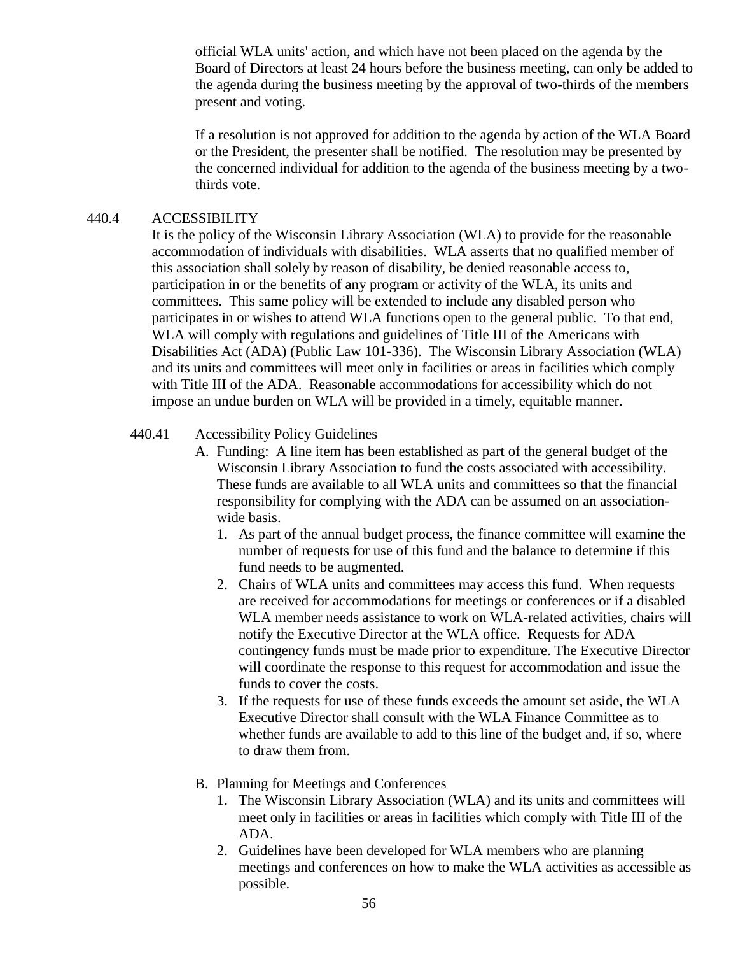official WLA units' action, and which have not been placed on the agenda by the Board of Directors at least 24 hours before the business meeting, can only be added to the agenda during the business meeting by the approval of two-thirds of the members present and voting.

If a resolution is not approved for addition to the agenda by action of the WLA Board or the President, the presenter shall be notified. The resolution may be presented by the concerned individual for addition to the agenda of the business meeting by a twothirds vote.

## 440.4 ACCESSIBILITY

It is the policy of the Wisconsin Library Association (WLA) to provide for the reasonable accommodation of individuals with disabilities. WLA asserts that no qualified member of this association shall solely by reason of disability, be denied reasonable access to, participation in or the benefits of any program or activity of the WLA, its units and committees. This same policy will be extended to include any disabled person who participates in or wishes to attend WLA functions open to the general public. To that end, WLA will comply with regulations and guidelines of Title III of the Americans with Disabilities Act (ADA) (Public Law 101-336). The Wisconsin Library Association (WLA) and its units and committees will meet only in facilities or areas in facilities which comply with Title III of the ADA. Reasonable accommodations for accessibility which do not impose an undue burden on WLA will be provided in a timely, equitable manner.

## 440.41 Accessibility Policy Guidelines

- A. Funding: A line item has been established as part of the general budget of the Wisconsin Library Association to fund the costs associated with accessibility. These funds are available to all WLA units and committees so that the financial responsibility for complying with the ADA can be assumed on an associationwide basis.
	- 1. As part of the annual budget process, the finance committee will examine the number of requests for use of this fund and the balance to determine if this fund needs to be augmented.
	- 2. Chairs of WLA units and committees may access this fund. When requests are received for accommodations for meetings or conferences or if a disabled WLA member needs assistance to work on WLA-related activities, chairs will notify the Executive Director at the WLA office. Requests for ADA contingency funds must be made prior to expenditure. The Executive Director will coordinate the response to this request for accommodation and issue the funds to cover the costs.
	- 3. If the requests for use of these funds exceeds the amount set aside, the WLA Executive Director shall consult with the WLA Finance Committee as to whether funds are available to add to this line of the budget and, if so, where to draw them from.
- B. Planning for Meetings and Conferences
	- 1. The Wisconsin Library Association (WLA) and its units and committees will meet only in facilities or areas in facilities which comply with Title III of the ADA.
	- 2. Guidelines have been developed for WLA members who are planning meetings and conferences on how to make the WLA activities as accessible as possible.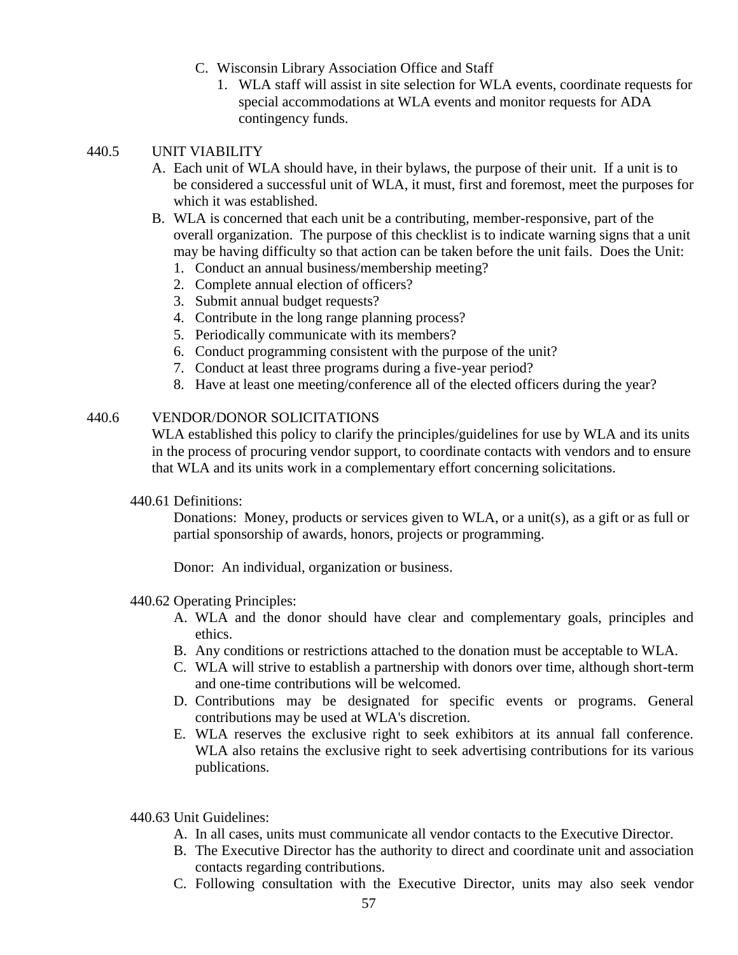- C. Wisconsin Library Association Office and Staff
	- 1. WLA staff will assist in site selection for WLA events, coordinate requests for special accommodations at WLA events and monitor requests for ADA contingency funds.

## 440.5 UNIT VIABILITY

- A. Each unit of WLA should have, in their bylaws, the purpose of their unit. If a unit is to be considered a successful unit of WLA, it must, first and foremost, meet the purposes for which it was established.
- B. WLA is concerned that each unit be a contributing, member-responsive, part of the overall organization. The purpose of this checklist is to indicate warning signs that a unit may be having difficulty so that action can be taken before the unit fails. Does the Unit:
	- 1. Conduct an annual business/membership meeting?
	- 2. Complete annual election of officers?
	- 3. Submit annual budget requests?
	- 4. Contribute in the long range planning process?
	- 5. Periodically communicate with its members?
	- 6. Conduct programming consistent with the purpose of the unit?
	- 7. Conduct at least three programs during a five-year period?
	- 8. Have at least one meeting/conference all of the elected officers during the year?

## 440.6 VENDOR/DONOR SOLICITATIONS

WLA established this policy to clarify the principles/guidelines for use by WLA and its units in the process of procuring vendor support, to coordinate contacts with vendors and to ensure that WLA and its units work in a complementary effort concerning solicitations.

440.61 Definitions:

Donations: Money, products or services given to WLA, or a unit(s), as a gift or as full or partial sponsorship of awards, honors, projects or programming.

Donor: An individual, organization or business.

#### 440.62 Operating Principles:

- A. WLA and the donor should have clear and complementary goals, principles and ethics.
- B. Any conditions or restrictions attached to the donation must be acceptable to WLA.
- C. WLA will strive to establish a partnership with donors over time, although short-term and one-time contributions will be welcomed.
- D. Contributions may be designated for specific events or programs. General contributions may be used at WLA's discretion.
- E. WLA reserves the exclusive right to seek exhibitors at its annual fall conference. WLA also retains the exclusive right to seek advertising contributions for its various publications.
- 440.63 Unit Guidelines:
	- A. In all cases, units must communicate all vendor contacts to the Executive Director.
	- B. The Executive Director has the authority to direct and coordinate unit and association contacts regarding contributions.
	- C. Following consultation with the Executive Director, units may also seek vendor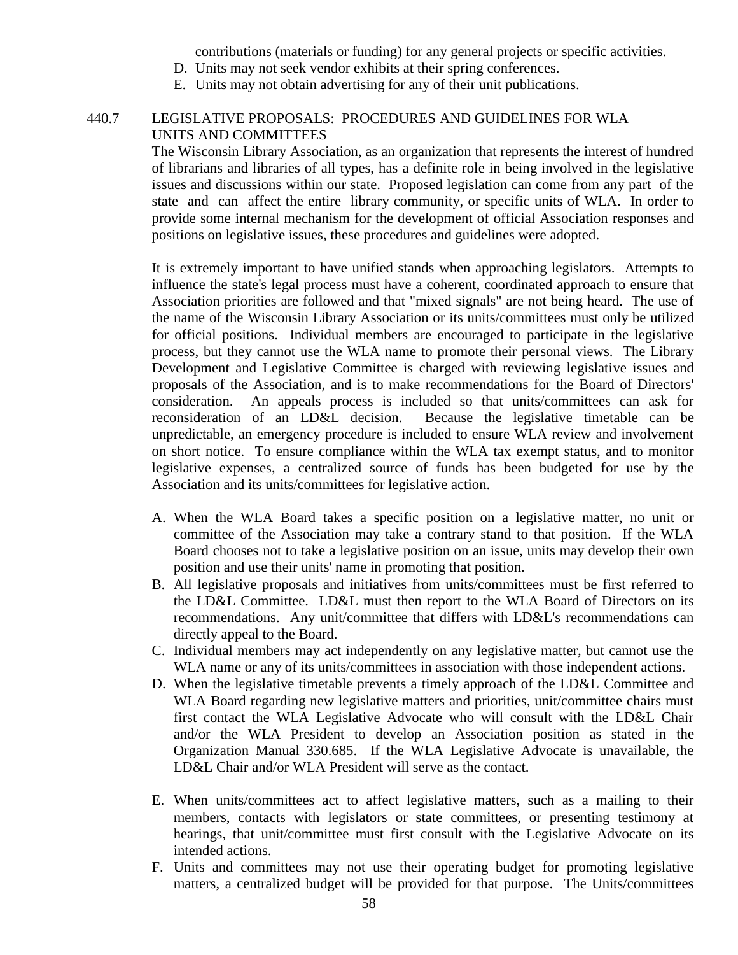contributions (materials or funding) for any general projects or specific activities.

- D. Units may not seek vendor exhibits at their spring conferences.
- E. Units may not obtain advertising for any of their unit publications.

### 440.7 LEGISLATIVE PROPOSALS: PROCEDURES AND GUIDELINES FOR WLA UNITS AND COMMITTEES

The Wisconsin Library Association, as an organization that represents the interest of hundred of librarians and libraries of all types, has a definite role in being involved in the legislative issues and discussions within our state. Proposed legislation can come from any part of the state and can affect the entire library community, or specific units of WLA. In order to provide some internal mechanism for the development of official Association responses and positions on legislative issues, these procedures and guidelines were adopted.

It is extremely important to have unified stands when approaching legislators. Attempts to influence the state's legal process must have a coherent, coordinated approach to ensure that Association priorities are followed and that "mixed signals" are not being heard. The use of the name of the Wisconsin Library Association or its units/committees must only be utilized for official positions. Individual members are encouraged to participate in the legislative process, but they cannot use the WLA name to promote their personal views. The Library Development and Legislative Committee is charged with reviewing legislative issues and proposals of the Association, and is to make recommendations for the Board of Directors' consideration. An appeals process is included so that units/committees can ask for reconsideration of an LD&L decision. Because the legislative timetable can be unpredictable, an emergency procedure is included to ensure WLA review and involvement on short notice. To ensure compliance within the WLA tax exempt status, and to monitor legislative expenses, a centralized source of funds has been budgeted for use by the Association and its units/committees for legislative action.

- A. When the WLA Board takes a specific position on a legislative matter, no unit or committee of the Association may take a contrary stand to that position. If the WLA Board chooses not to take a legislative position on an issue, units may develop their own position and use their units' name in promoting that position.
- B. All legislative proposals and initiatives from units/committees must be first referred to the LD&L Committee. LD&L must then report to the WLA Board of Directors on its recommendations. Any unit/committee that differs with LD&L's recommendations can directly appeal to the Board.
- C. Individual members may act independently on any legislative matter, but cannot use the WLA name or any of its units/committees in association with those independent actions.
- D. When the legislative timetable prevents a timely approach of the LD&L Committee and WLA Board regarding new legislative matters and priorities, unit/committee chairs must first contact the WLA Legislative Advocate who will consult with the LD&L Chair and/or the WLA President to develop an Association position as stated in the Organization Manual 330.685. If the WLA Legislative Advocate is unavailable, the LD&L Chair and/or WLA President will serve as the contact.
- E. When units/committees act to affect legislative matters, such as a mailing to their members, contacts with legislators or state committees, or presenting testimony at hearings, that unit/committee must first consult with the Legislative Advocate on its intended actions.
- F. Units and committees may not use their operating budget for promoting legislative matters, a centralized budget will be provided for that purpose. The Units/committees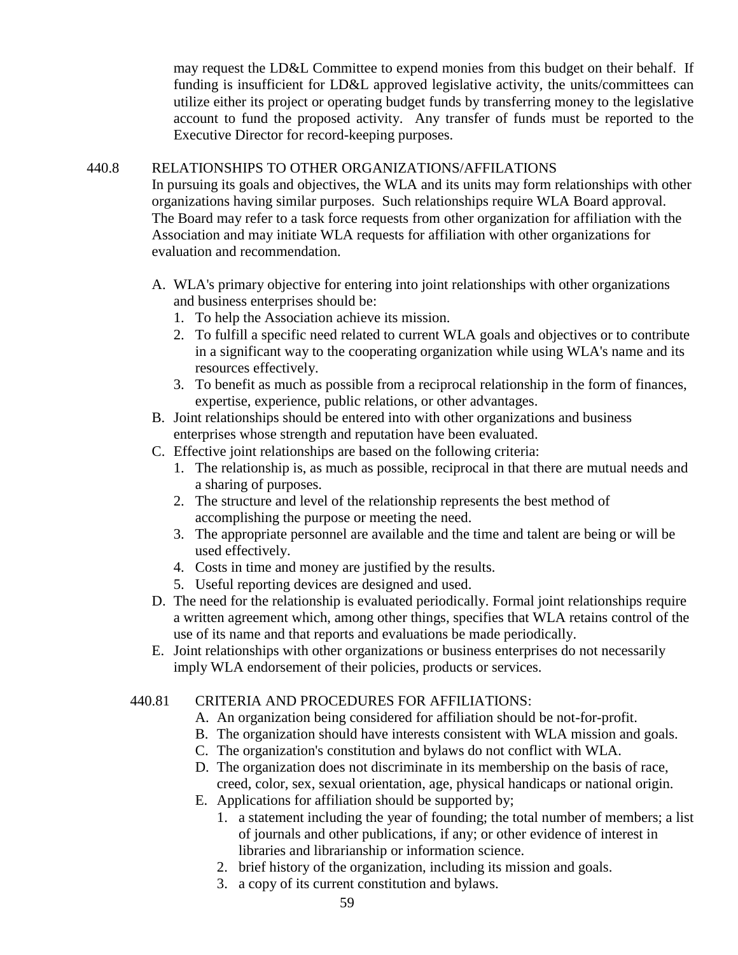may request the LD&L Committee to expend monies from this budget on their behalf. If funding is insufficient for LD&L approved legislative activity, the units/committees can utilize either its project or operating budget funds by transferring money to the legislative account to fund the proposed activity. Any transfer of funds must be reported to the Executive Director for record-keeping purposes.

## 440.8 RELATIONSHIPS TO OTHER ORGANIZATIONS/AFFILATIONS

In pursuing its goals and objectives, the WLA and its units may form relationships with other organizations having similar purposes. Such relationships require WLA Board approval. The Board may refer to a task force requests from other organization for affiliation with the Association and may initiate WLA requests for affiliation with other organizations for evaluation and recommendation.

- A. WLA's primary objective for entering into joint relationships with other organizations and business enterprises should be:
	- 1. To help the Association achieve its mission.
	- 2. To fulfill a specific need related to current WLA goals and objectives or to contribute in a significant way to the cooperating organization while using WLA's name and its resources effectively.
	- 3. To benefit as much as possible from a reciprocal relationship in the form of finances, expertise, experience, public relations, or other advantages.
- B. Joint relationships should be entered into with other organizations and business enterprises whose strength and reputation have been evaluated.
- C. Effective joint relationships are based on the following criteria:
	- 1. The relationship is, as much as possible, reciprocal in that there are mutual needs and a sharing of purposes.
	- 2. The structure and level of the relationship represents the best method of accomplishing the purpose or meeting the need.
	- 3. The appropriate personnel are available and the time and talent are being or will be used effectively.
	- 4. Costs in time and money are justified by the results.
	- 5. Useful reporting devices are designed and used.
- D. The need for the relationship is evaluated periodically. Formal joint relationships require a written agreement which, among other things, specifies that WLA retains control of the use of its name and that reports and evaluations be made periodically.
- E. Joint relationships with other organizations or business enterprises do not necessarily imply WLA endorsement of their policies, products or services.

## 440.81 CRITERIA AND PROCEDURES FOR AFFILIATIONS:

- A. An organization being considered for affiliation should be not-for-profit.
- B. The organization should have interests consistent with WLA mission and goals.
- C. The organization's constitution and bylaws do not conflict with WLA.
- D. The organization does not discriminate in its membership on the basis of race, creed, color, sex, sexual orientation, age, physical handicaps or national origin.
- E. Applications for affiliation should be supported by;
	- 1. a statement including the year of founding; the total number of members; a list of journals and other publications, if any; or other evidence of interest in libraries and librarianship or information science.
	- 2. brief history of the organization, including its mission and goals.
	- 3. a copy of its current constitution and bylaws.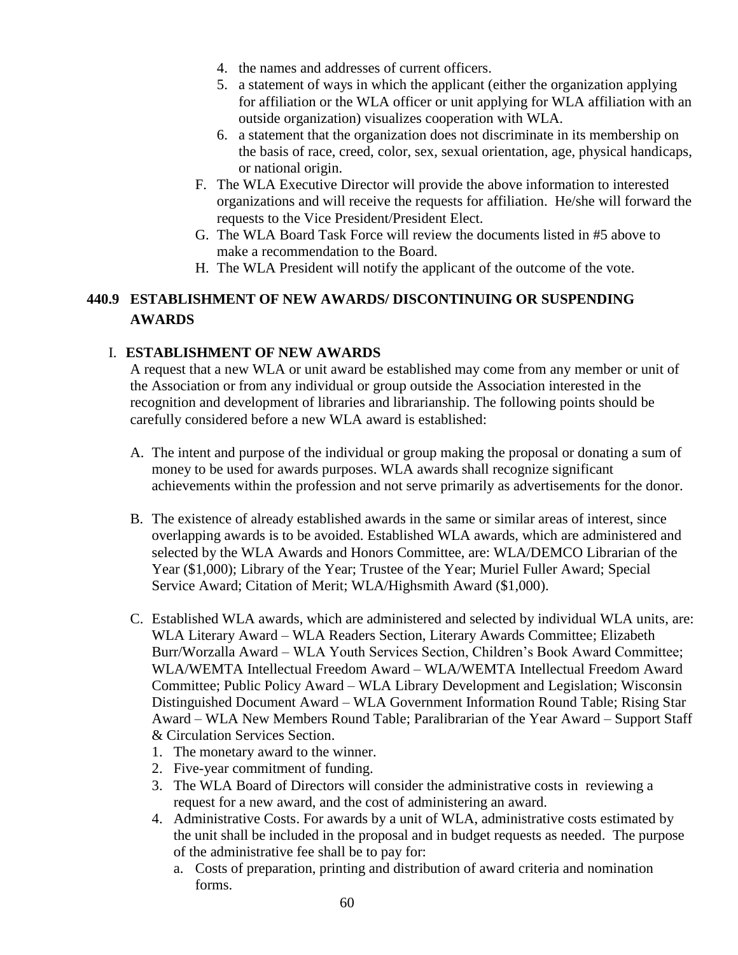- 4. the names and addresses of current officers.
- 5. a statement of ways in which the applicant (either the organization applying for affiliation or the WLA officer or unit applying for WLA affiliation with an outside organization) visualizes cooperation with WLA.
- 6. a statement that the organization does not discriminate in its membership on the basis of race, creed, color, sex, sexual orientation, age, physical handicaps, or national origin.
- F. The WLA Executive Director will provide the above information to interested organizations and will receive the requests for affiliation. He/she will forward the requests to the Vice President/President Elect.
- G. The WLA Board Task Force will review the documents listed in #5 above to make a recommendation to the Board.
- H. The WLA President will notify the applicant of the outcome of the vote.

# **440.9 ESTABLISHMENT OF NEW AWARDS/ DISCONTINUING OR SUSPENDING AWARDS**

## I. **ESTABLISHMENT OF NEW AWARDS**

A request that a new WLA or unit award be established may come from any member or unit of the Association or from any individual or group outside the Association interested in the recognition and development of libraries and librarianship. The following points should be carefully considered before a new WLA award is established:

- A. The intent and purpose of the individual or group making the proposal or donating a sum of money to be used for awards purposes. WLA awards shall recognize significant achievements within the profession and not serve primarily as advertisements for the donor.
- B. The existence of already established awards in the same or similar areas of interest, since overlapping awards is to be avoided. Established WLA awards, which are administered and selected by the WLA Awards and Honors Committee, are: WLA/DEMCO Librarian of the Year (\$1,000); Library of the Year; Trustee of the Year; Muriel Fuller Award; Special Service Award; Citation of Merit; WLA/Highsmith Award (\$1,000).
- C. Established WLA awards, which are administered and selected by individual WLA units, are: WLA Literary Award – WLA Readers Section, Literary Awards Committee; Elizabeth Burr/Worzalla Award – WLA Youth Services Section, Children's Book Award Committee; WLA/WEMTA Intellectual Freedom Award – WLA/WEMTA Intellectual Freedom Award Committee; Public Policy Award – WLA Library Development and Legislation; Wisconsin Distinguished Document Award – WLA Government Information Round Table; Rising Star Award – WLA New Members Round Table; Paralibrarian of the Year Award – Support Staff & Circulation Services Section.
	- 1. The monetary award to the winner.
	- 2. Five-year commitment of funding.
	- 3. The WLA Board of Directors will consider the administrative costs in reviewing a request for a new award, and the cost of administering an award.
	- 4. Administrative Costs. For awards by a unit of WLA, administrative costs estimated by the unit shall be included in the proposal and in budget requests as needed. The purpose of the administrative fee shall be to pay for:
		- a. Costs of preparation, printing and distribution of award criteria and nomination forms.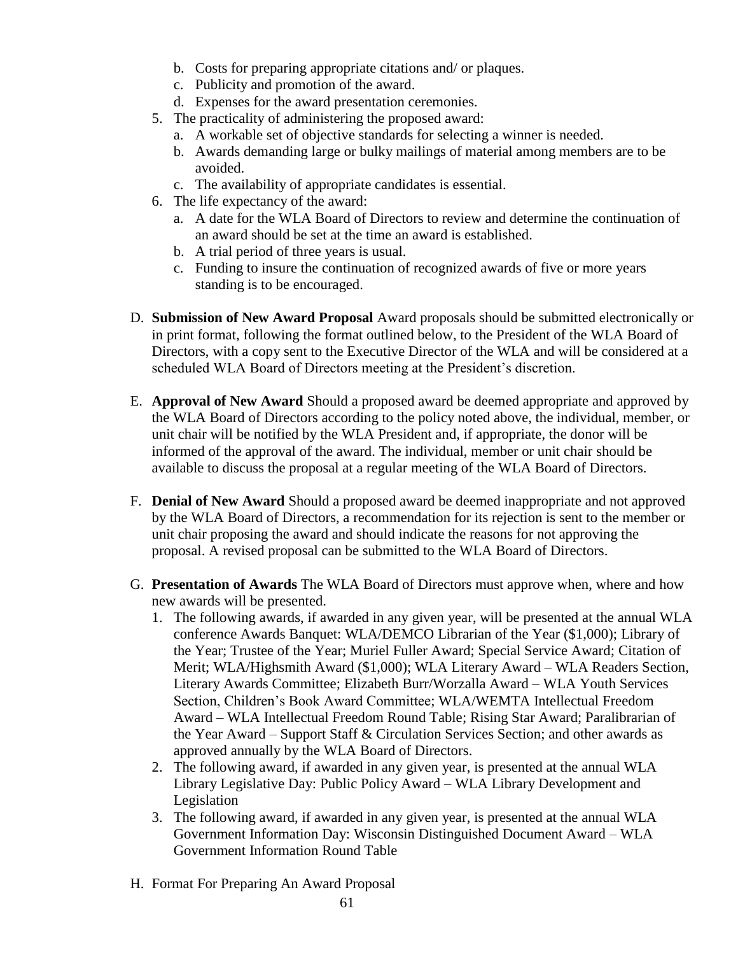- b. Costs for preparing appropriate citations and/ or plaques.
- c. Publicity and promotion of the award.
- d. Expenses for the award presentation ceremonies.
- 5. The practicality of administering the proposed award:
	- a. A workable set of objective standards for selecting a winner is needed.
	- b. Awards demanding large or bulky mailings of material among members are to be avoided.
	- c. The availability of appropriate candidates is essential.
- 6. The life expectancy of the award:
	- a. A date for the WLA Board of Directors to review and determine the continuation of an award should be set at the time an award is established.
	- b. A trial period of three years is usual.
	- c. Funding to insure the continuation of recognized awards of five or more years standing is to be encouraged.
- D. **Submission of New Award Proposal** Award proposals should be submitted electronically or in print format, following the format outlined below, to the President of the WLA Board of Directors, with a copy sent to the Executive Director of the WLA and will be considered at a scheduled WLA Board of Directors meeting at the President's discretion.
- E. **Approval of New Award** Should a proposed award be deemed appropriate and approved by the WLA Board of Directors according to the policy noted above, the individual, member, or unit chair will be notified by the WLA President and, if appropriate, the donor will be informed of the approval of the award. The individual, member or unit chair should be available to discuss the proposal at a regular meeting of the WLA Board of Directors.
- F. **Denial of New Award** Should a proposed award be deemed inappropriate and not approved by the WLA Board of Directors, a recommendation for its rejection is sent to the member or unit chair proposing the award and should indicate the reasons for not approving the proposal. A revised proposal can be submitted to the WLA Board of Directors.
- G. **Presentation of Awards** The WLA Board of Directors must approve when, where and how new awards will be presented.
	- 1. The following awards, if awarded in any given year, will be presented at the annual WLA conference Awards Banquet: WLA/DEMCO Librarian of the Year (\$1,000); Library of the Year; Trustee of the Year; Muriel Fuller Award; Special Service Award; Citation of Merit; WLA/Highsmith Award (\$1,000); WLA Literary Award – WLA Readers Section, Literary Awards Committee; Elizabeth Burr/Worzalla Award – WLA Youth Services Section, Children's Book Award Committee; WLA/WEMTA Intellectual Freedom Award – WLA Intellectual Freedom Round Table; Rising Star Award; Paralibrarian of the Year Award – Support Staff & Circulation Services Section; and other awards as approved annually by the WLA Board of Directors.
	- 2. The following award, if awarded in any given year, is presented at the annual WLA Library Legislative Day: Public Policy Award – WLA Library Development and Legislation
	- 3. The following award, if awarded in any given year, is presented at the annual WLA Government Information Day: Wisconsin Distinguished Document Award – WLA Government Information Round Table
- H. Format For Preparing An Award Proposal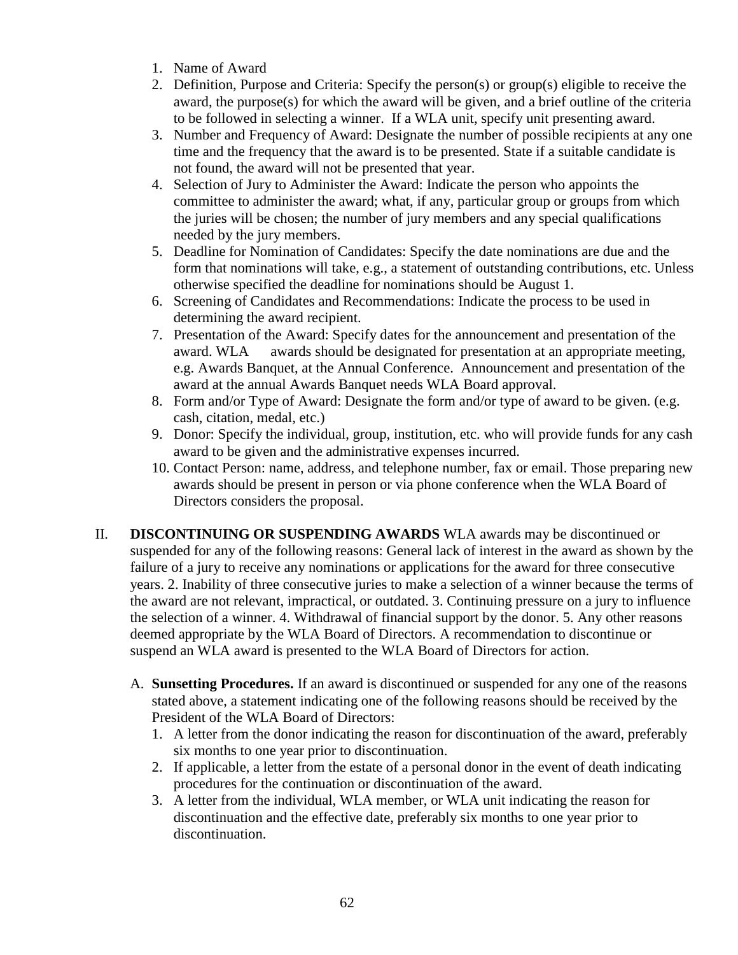- 1. Name of Award
- 2. Definition, Purpose and Criteria: Specify the person(s) or group(s) eligible to receive the award, the purpose(s) for which the award will be given, and a brief outline of the criteria to be followed in selecting a winner. If a WLA unit, specify unit presenting award.
- 3. Number and Frequency of Award: Designate the number of possible recipients at any one time and the frequency that the award is to be presented. State if a suitable candidate is not found, the award will not be presented that year.
- 4. Selection of Jury to Administer the Award: Indicate the person who appoints the committee to administer the award; what, if any, particular group or groups from which the juries will be chosen; the number of jury members and any special qualifications needed by the jury members.
- 5. Deadline for Nomination of Candidates: Specify the date nominations are due and the form that nominations will take, e.g., a statement of outstanding contributions, etc. Unless otherwise specified the deadline for nominations should be August 1.
- 6. Screening of Candidates and Recommendations: Indicate the process to be used in determining the award recipient.
- 7. Presentation of the Award: Specify dates for the announcement and presentation of the award. WLA awards should be designated for presentation at an appropriate meeting, e.g. Awards Banquet, at the Annual Conference. Announcement and presentation of the award at the annual Awards Banquet needs WLA Board approval.
- 8. Form and/or Type of Award: Designate the form and/or type of award to be given. (e.g. cash, citation, medal, etc.)
- 9. Donor: Specify the individual, group, institution, etc. who will provide funds for any cash award to be given and the administrative expenses incurred.
- 10. Contact Person: name, address, and telephone number, fax or email. Those preparing new awards should be present in person or via phone conference when the WLA Board of Directors considers the proposal.
- II. **DISCONTINUING OR SUSPENDING AWARDS** WLA awards may be discontinued or suspended for any of the following reasons: General lack of interest in the award as shown by the failure of a jury to receive any nominations or applications for the award for three consecutive years. 2. Inability of three consecutive juries to make a selection of a winner because the terms of the award are not relevant, impractical, or outdated. 3. Continuing pressure on a jury to influence the selection of a winner. 4. Withdrawal of financial support by the donor. 5. Any other reasons deemed appropriate by the WLA Board of Directors. A recommendation to discontinue or suspend an WLA award is presented to the WLA Board of Directors for action.
	- A. **Sunsetting Procedures.** If an award is discontinued or suspended for any one of the reasons stated above, a statement indicating one of the following reasons should be received by the President of the WLA Board of Directors:
		- 1. A letter from the donor indicating the reason for discontinuation of the award, preferably six months to one year prior to discontinuation.
		- 2. If applicable, a letter from the estate of a personal donor in the event of death indicating procedures for the continuation or discontinuation of the award.
		- 3. A letter from the individual, WLA member, or WLA unit indicating the reason for discontinuation and the effective date, preferably six months to one year prior to discontinuation.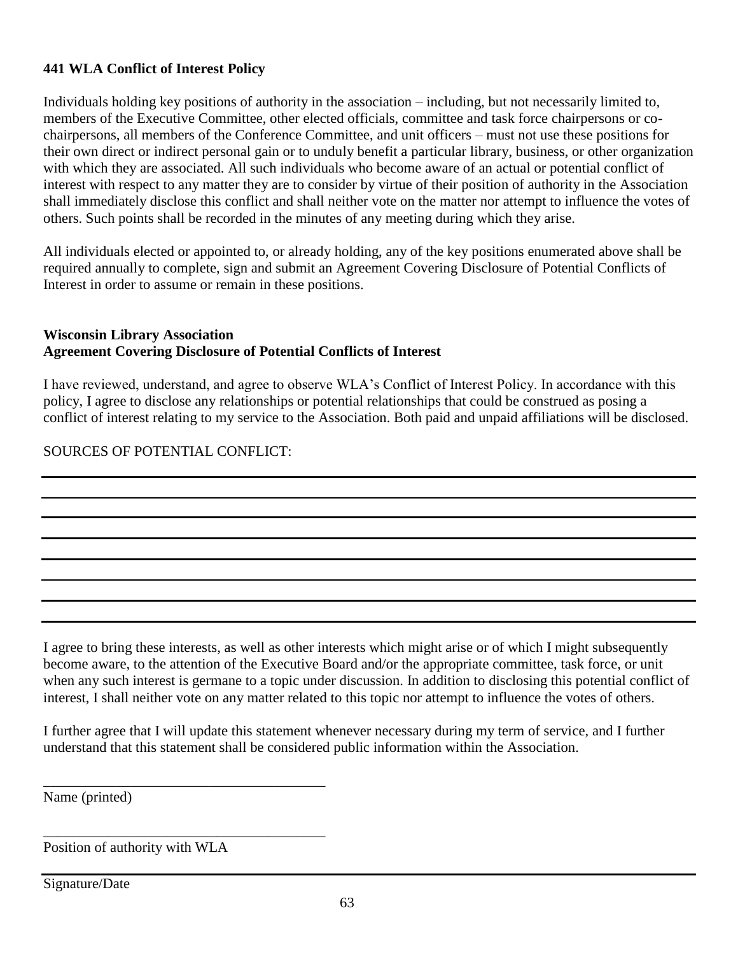## **441 WLA Conflict of Interest Policy**

Individuals holding key positions of authority in the association – including, but not necessarily limited to, members of the Executive Committee, other elected officials, committee and task force chairpersons or cochairpersons, all members of the Conference Committee, and unit officers – must not use these positions for their own direct or indirect personal gain or to unduly benefit a particular library, business, or other organization with which they are associated. All such individuals who become aware of an actual or potential conflict of interest with respect to any matter they are to consider by virtue of their position of authority in the Association shall immediately disclose this conflict and shall neither vote on the matter nor attempt to influence the votes of others. Such points shall be recorded in the minutes of any meeting during which they arise.

All individuals elected or appointed to, or already holding, any of the key positions enumerated above shall be required annually to complete, sign and submit an Agreement Covering Disclosure of Potential Conflicts of Interest in order to assume or remain in these positions.

## **Wisconsin Library Association Agreement Covering Disclosure of Potential Conflicts of Interest**

I have reviewed, understand, and agree to observe WLA's Conflict of Interest Policy. In accordance with this policy, I agree to disclose any relationships or potential relationships that could be construed as posing a conflict of interest relating to my service to the Association. Both paid and unpaid affiliations will be disclosed.

# SOURCES OF POTENTIAL CONFLICT:

I agree to bring these interests, as well as other interests which might arise or of which I might subsequently become aware, to the attention of the Executive Board and/or the appropriate committee, task force, or unit when any such interest is germane to a topic under discussion. In addition to disclosing this potential conflict of interest, I shall neither vote on any matter related to this topic nor attempt to influence the votes of others.

I further agree that I will update this statement whenever necessary during my term of service, and I further understand that this statement shall be considered public information within the Association.

Name (printed)

Position of authority with WLA

\_\_\_\_\_\_\_\_\_\_\_\_\_\_\_\_\_\_\_\_\_\_\_\_\_\_\_\_\_\_\_\_\_\_\_\_\_\_\_

\_\_\_\_\_\_\_\_\_\_\_\_\_\_\_\_\_\_\_\_\_\_\_\_\_\_\_\_\_\_\_\_\_\_\_\_\_\_\_

Signature/Date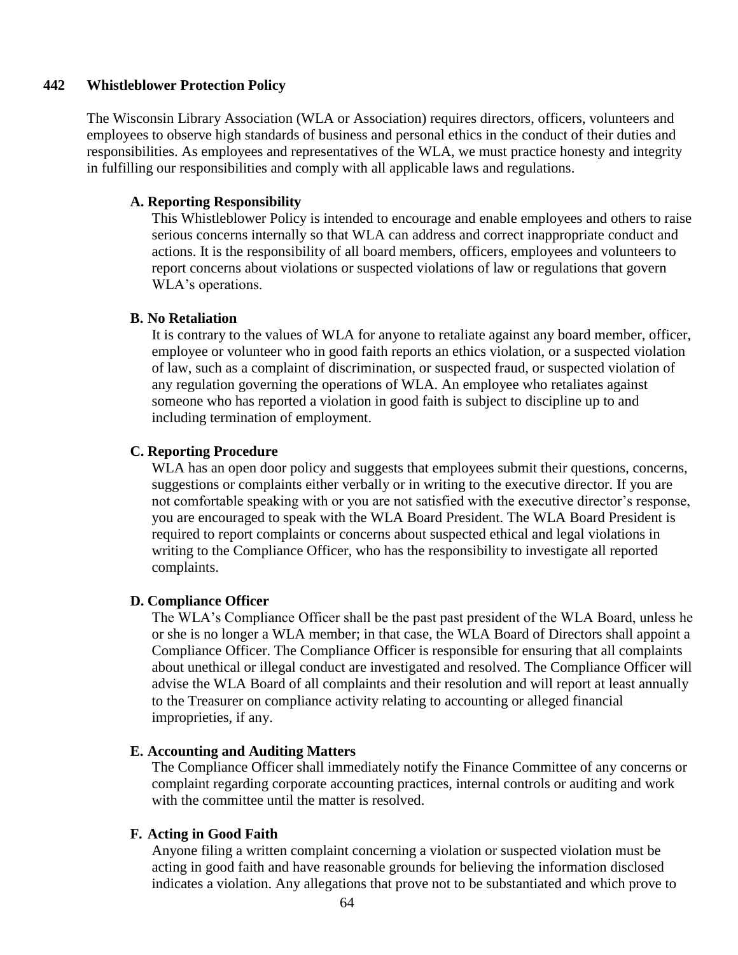#### **442 Whistleblower Protection Policy**

The Wisconsin Library Association (WLA or Association) requires directors, officers, volunteers and employees to observe high standards of business and personal ethics in the conduct of their duties and responsibilities. As employees and representatives of the WLA, we must practice honesty and integrity in fulfilling our responsibilities and comply with all applicable laws and regulations.

#### **A. Reporting Responsibility**

This Whistleblower Policy is intended to encourage and enable employees and others to raise serious concerns internally so that WLA can address and correct inappropriate conduct and actions. It is the responsibility of all board members, officers, employees and volunteers to report concerns about violations or suspected violations of law or regulations that govern WLA's operations.

## **B. No Retaliation**

It is contrary to the values of WLA for anyone to retaliate against any board member, officer, employee or volunteer who in good faith reports an ethics violation, or a suspected violation of law, such as a complaint of discrimination, or suspected fraud, or suspected violation of any regulation governing the operations of WLA. An employee who retaliates against someone who has reported a violation in good faith is subject to discipline up to and including termination of employment.

### **C. Reporting Procedure**

WLA has an open door policy and suggests that employees submit their questions, concerns, suggestions or complaints either verbally or in writing to the executive director. If you are not comfortable speaking with or you are not satisfied with the executive director's response, you are encouraged to speak with the WLA Board President. The WLA Board President is required to report complaints or concerns about suspected ethical and legal violations in writing to the Compliance Officer, who has the responsibility to investigate all reported complaints.

#### **D. Compliance Officer**

The WLA's Compliance Officer shall be the past past president of the WLA Board, unless he or she is no longer a WLA member; in that case, the WLA Board of Directors shall appoint a Compliance Officer. The Compliance Officer is responsible for ensuring that all complaints about unethical or illegal conduct are investigated and resolved. The Compliance Officer will advise the WLA Board of all complaints and their resolution and will report at least annually to the Treasurer on compliance activity relating to accounting or alleged financial improprieties, if any.

#### **E. Accounting and Auditing Matters**

The Compliance Officer shall immediately notify the Finance Committee of any concerns or complaint regarding corporate accounting practices, internal controls or auditing and work with the committee until the matter is resolved.

#### **F. Acting in Good Faith**

Anyone filing a written complaint concerning a violation or suspected violation must be acting in good faith and have reasonable grounds for believing the information disclosed indicates a violation. Any allegations that prove not to be substantiated and which prove to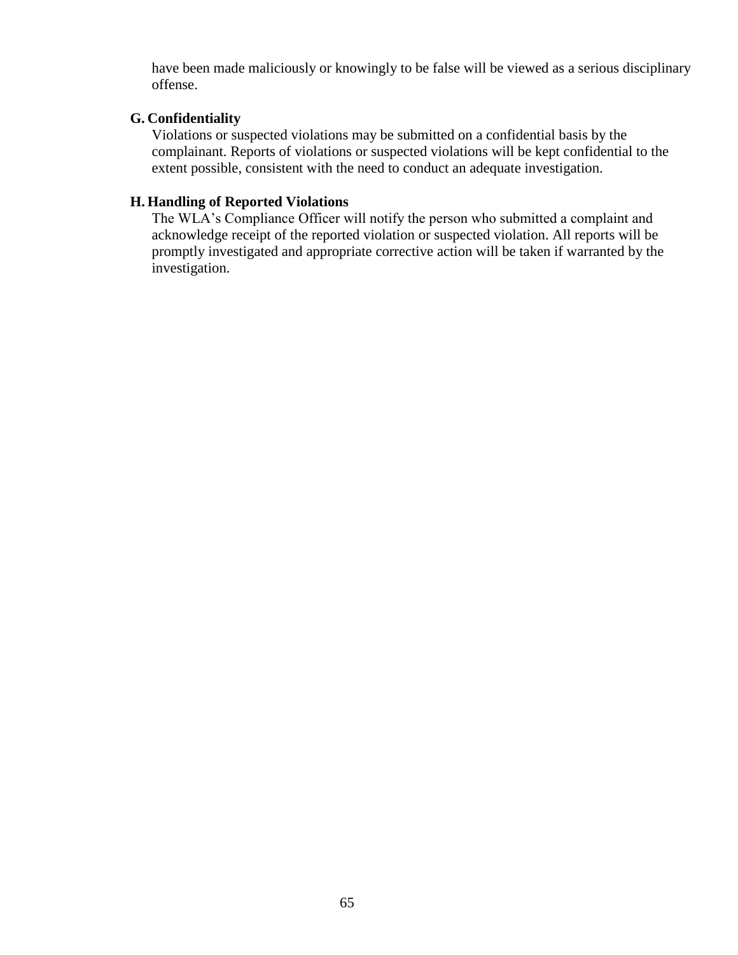have been made maliciously or knowingly to be false will be viewed as a serious disciplinary offense.

## **G. Confidentiality**

Violations or suspected violations may be submitted on a confidential basis by the complainant. Reports of violations or suspected violations will be kept confidential to the extent possible, consistent with the need to conduct an adequate investigation.

## **H. Handling of Reported Violations**

The WLA's Compliance Officer will notify the person who submitted a complaint and acknowledge receipt of the reported violation or suspected violation. All reports will be promptly investigated and appropriate corrective action will be taken if warranted by the investigation.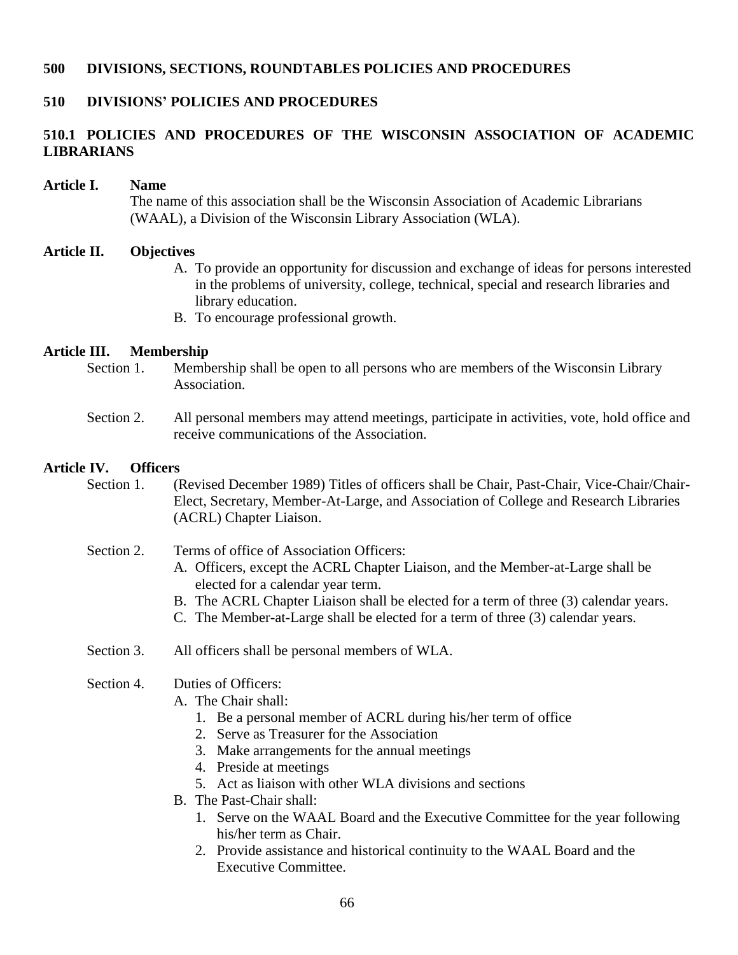### **500 DIVISIONS, SECTIONS, ROUNDTABLES POLICIES AND PROCEDURES**

### **510 DIVISIONS' POLICIES AND PROCEDURES**

## **510.1 POLICIES AND PROCEDURES OF THE WISCONSIN ASSOCIATION OF ACADEMIC LIBRARIANS**

#### **Article I. Name**

The name of this association shall be the Wisconsin Association of Academic Librarians (WAAL), a Division of the Wisconsin Library Association (WLA).

#### **Article II. Objectives**

- A. To provide an opportunity for discussion and exchange of ideas for persons interested in the problems of university, college, technical, special and research libraries and library education.
- B. To encourage professional growth.

## **Article III. Membership**

Section 1. Membership shall be open to all persons who are members of the Wisconsin Library Association.

## Section 2. All personal members may attend meetings, participate in activities, vote, hold office and receive communications of the Association.

## **Article IV. Officers**

- Section 1. (Revised December 1989) Titles of officers shall be Chair, Past-Chair, Vice-Chair/Chair-Elect, Secretary, Member-At-Large, and Association of College and Research Libraries (ACRL) Chapter Liaison.
- Section 2. Terms of office of Association Officers:
	- A. Officers, except the ACRL Chapter Liaison, and the Member-at-Large shall be elected for a calendar year term.
	- B. The ACRL Chapter Liaison shall be elected for a term of three (3) calendar years.
	- C. The Member-at-Large shall be elected for a term of three (3) calendar years.
- Section 3. All officers shall be personal members of WLA.

### Section 4. Duties of Officers:

- A. The Chair shall:
	- 1. Be a personal member of ACRL during his/her term of office
	- 2. Serve as Treasurer for the Association
	- 3. Make arrangements for the annual meetings
	- 4. Preside at meetings
	- 5. Act as liaison with other WLA divisions and sections
- B. The Past-Chair shall:
	- 1. Serve on the WAAL Board and the Executive Committee for the year following his/her term as Chair.
	- 2. Provide assistance and historical continuity to the WAAL Board and the Executive Committee.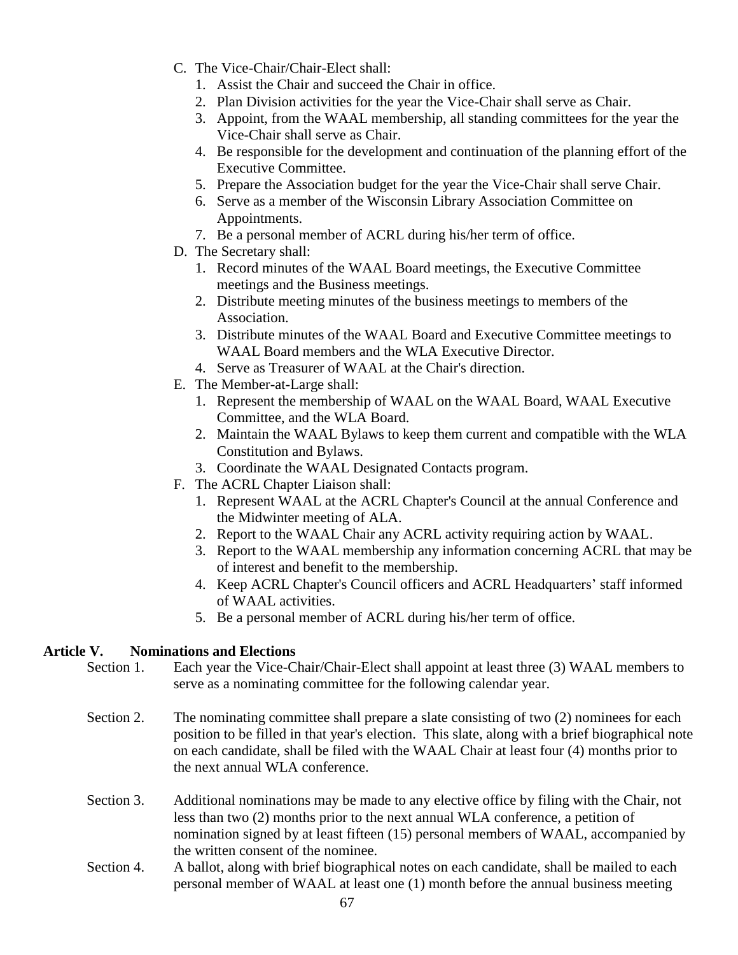- C. The Vice-Chair/Chair-Elect shall:
	- 1. Assist the Chair and succeed the Chair in office.
	- 2. Plan Division activities for the year the Vice-Chair shall serve as Chair.
	- 3. Appoint, from the WAAL membership, all standing committees for the year the Vice-Chair shall serve as Chair.
	- 4. Be responsible for the development and continuation of the planning effort of the Executive Committee.
	- 5. Prepare the Association budget for the year the Vice-Chair shall serve Chair.
	- 6. Serve as a member of the Wisconsin Library Association Committee on Appointments.
	- 7. Be a personal member of ACRL during his/her term of office.
- D. The Secretary shall:
	- 1. Record minutes of the WAAL Board meetings, the Executive Committee meetings and the Business meetings.
	- 2. Distribute meeting minutes of the business meetings to members of the Association.
	- 3. Distribute minutes of the WAAL Board and Executive Committee meetings to WAAL Board members and the WLA Executive Director.
	- 4. Serve as Treasurer of WAAL at the Chair's direction.
- E. The Member-at-Large shall:
	- 1. Represent the membership of WAAL on the WAAL Board, WAAL Executive Committee, and the WLA Board.
	- 2. Maintain the WAAL Bylaws to keep them current and compatible with the WLA Constitution and Bylaws.
	- 3. Coordinate the WAAL Designated Contacts program.
- F. The ACRL Chapter Liaison shall:
	- 1. Represent WAAL at the ACRL Chapter's Council at the annual Conference and the Midwinter meeting of ALA.
	- 2. Report to the WAAL Chair any ACRL activity requiring action by WAAL.
	- 3. Report to the WAAL membership any information concerning ACRL that may be of interest and benefit to the membership.
	- 4. Keep ACRL Chapter's Council officers and ACRL Headquarters' staff informed of WAAL activities.
	- 5. Be a personal member of ACRL during his/her term of office.

## **Article V. Nominations and Elections**

- Section 1. Each year the Vice-Chair/Chair-Elect shall appoint at least three (3) WAAL members to serve as a nominating committee for the following calendar year.
- Section 2. The nominating committee shall prepare a slate consisting of two (2) nominees for each position to be filled in that year's election. This slate, along with a brief biographical note on each candidate, shall be filed with the WAAL Chair at least four (4) months prior to the next annual WLA conference.
- Section 3. Additional nominations may be made to any elective office by filing with the Chair, not less than two (2) months prior to the next annual WLA conference, a petition of nomination signed by at least fifteen (15) personal members of WAAL, accompanied by the written consent of the nominee.
- Section 4. A ballot, along with brief biographical notes on each candidate, shall be mailed to each personal member of WAAL at least one (1) month before the annual business meeting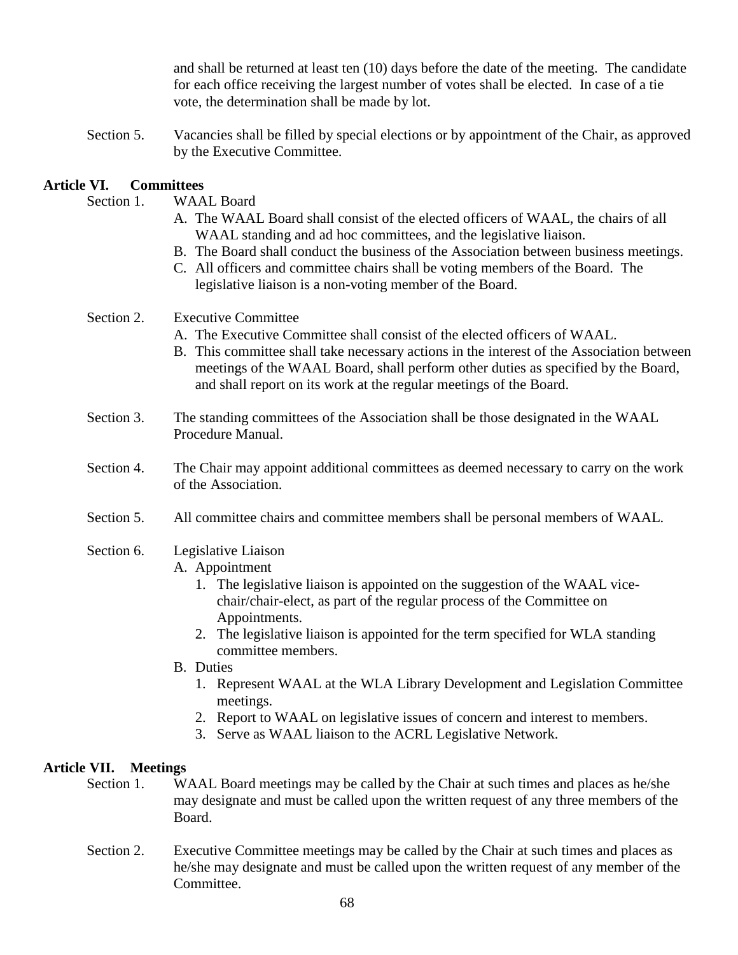and shall be returned at least ten (10) days before the date of the meeting. The candidate for each office receiving the largest number of votes shall be elected. In case of a tie vote, the determination shall be made by lot.

Section 5. Vacancies shall be filled by special elections or by appointment of the Chair, as approved by the Executive Committee.

## **Article VI. Committees**

| Section 1.                      | <b>WAAL Board</b><br>A. The WAAL Board shall consist of the elected officers of WAAL, the chairs of all<br>WAAL standing and ad hoc committees, and the legislative liaison.<br>B. The Board shall conduct the business of the Association between business meetings.<br>C. All officers and committee chairs shall be voting members of the Board. The<br>legislative liaison is a non-voting member of the Board.                                                                                                                                                                |
|---------------------------------|------------------------------------------------------------------------------------------------------------------------------------------------------------------------------------------------------------------------------------------------------------------------------------------------------------------------------------------------------------------------------------------------------------------------------------------------------------------------------------------------------------------------------------------------------------------------------------|
| Section 2.                      | <b>Executive Committee</b><br>A. The Executive Committee shall consist of the elected officers of WAAL.<br>B. This committee shall take necessary actions in the interest of the Association between<br>meetings of the WAAL Board, shall perform other duties as specified by the Board,<br>and shall report on its work at the regular meetings of the Board.                                                                                                                                                                                                                    |
| Section 3.                      | The standing committees of the Association shall be those designated in the WAAL<br>Procedure Manual.                                                                                                                                                                                                                                                                                                                                                                                                                                                                              |
| Section 4.                      | The Chair may appoint additional committees as deemed necessary to carry on the work<br>of the Association.                                                                                                                                                                                                                                                                                                                                                                                                                                                                        |
| Section 5.                      | All committee chairs and committee members shall be personal members of WAAL.                                                                                                                                                                                                                                                                                                                                                                                                                                                                                                      |
| Section 6.                      | Legislative Liaison<br>A. Appointment<br>1. The legislative liaison is appointed on the suggestion of the WAAL vice-<br>chair/chair-elect, as part of the regular process of the Committee on<br>Appointments.<br>2. The legislative liaison is appointed for the term specified for WLA standing<br>committee members.<br><b>B.</b> Duties<br>1. Represent WAAL at the WLA Library Development and Legislation Committee<br>meetings.<br>2. Report to WAAL on legislative issues of concern and interest to members.<br>3. Serve as WAAL liaison to the ACRL Legislative Network. |
| Article VII.<br><b>Meetings</b> |                                                                                                                                                                                                                                                                                                                                                                                                                                                                                                                                                                                    |
| Section 1.                      | WAAL Board meetings may be called by the Chair at such times and places as he/she<br>may designate and must be called upon the written request of any three members of the                                                                                                                                                                                                                                                                                                                                                                                                         |

Section 2. Executive Committee meetings may be called by the Chair at such times and places as he/she may designate and must be called upon the written request of any member of the Committee.

Board.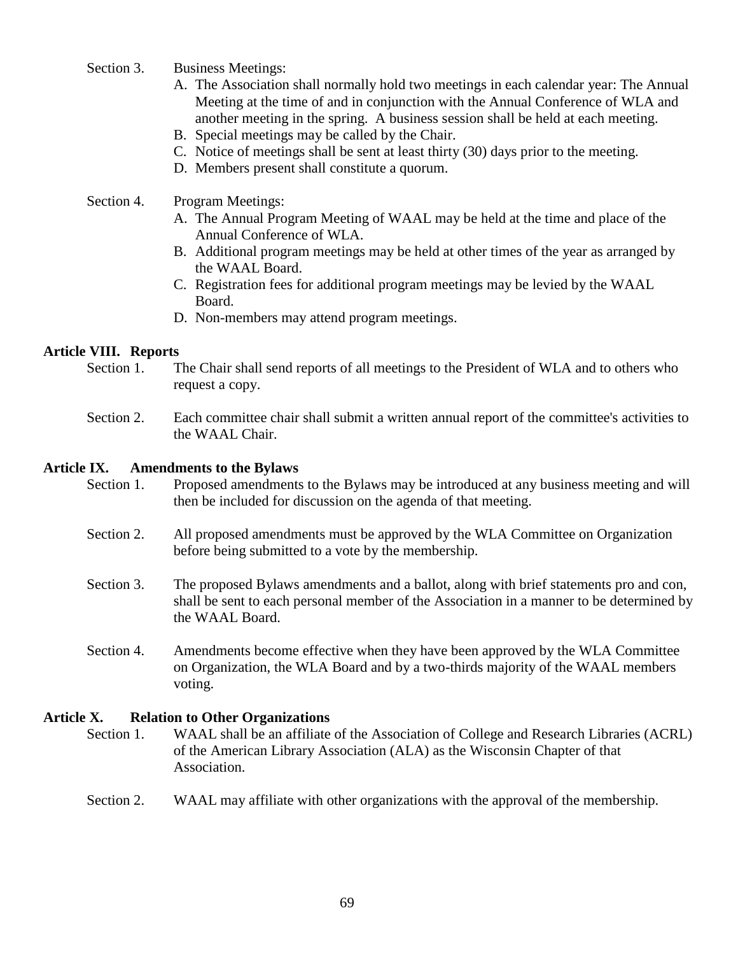- Section 3. Business Meetings:
	- A. The Association shall normally hold two meetings in each calendar year: The Annual Meeting at the time of and in conjunction with the Annual Conference of WLA and another meeting in the spring. A business session shall be held at each meeting.
	- B. Special meetings may be called by the Chair.
	- C. Notice of meetings shall be sent at least thirty (30) days prior to the meeting.
	- D. Members present shall constitute a quorum.

### Section 4. Program Meetings:

- A. The Annual Program Meeting of WAAL may be held at the time and place of the Annual Conference of WLA.
- B. Additional program meetings may be held at other times of the year as arranged by the WAAL Board.
- C. Registration fees for additional program meetings may be levied by the WAAL Board.
- D. Non-members may attend program meetings.

### **Article VIII. Reports**

- Section 1. The Chair shall send reports of all meetings to the President of WLA and to others who request a copy.
- Section 2. Each committee chair shall submit a written annual report of the committee's activities to the WAAL Chair.

#### **Article IX. Amendments to the Bylaws**

- Section 1. Proposed amendments to the Bylaws may be introduced at any business meeting and will then be included for discussion on the agenda of that meeting.
- Section 2. All proposed amendments must be approved by the WLA Committee on Organization before being submitted to a vote by the membership.
- Section 3. The proposed Bylaws amendments and a ballot, along with brief statements pro and con, shall be sent to each personal member of the Association in a manner to be determined by the WAAL Board.
- Section 4. Amendments become effective when they have been approved by the WLA Committee on Organization, the WLA Board and by a two-thirds majority of the WAAL members voting.

#### **Article X. Relation to Other Organizations**

Section 1. WAAL shall be an affiliate of the Association of College and Research Libraries (ACRL) of the American Library Association (ALA) as the Wisconsin Chapter of that Association.

### Section 2. WAAL may affiliate with other organizations with the approval of the membership.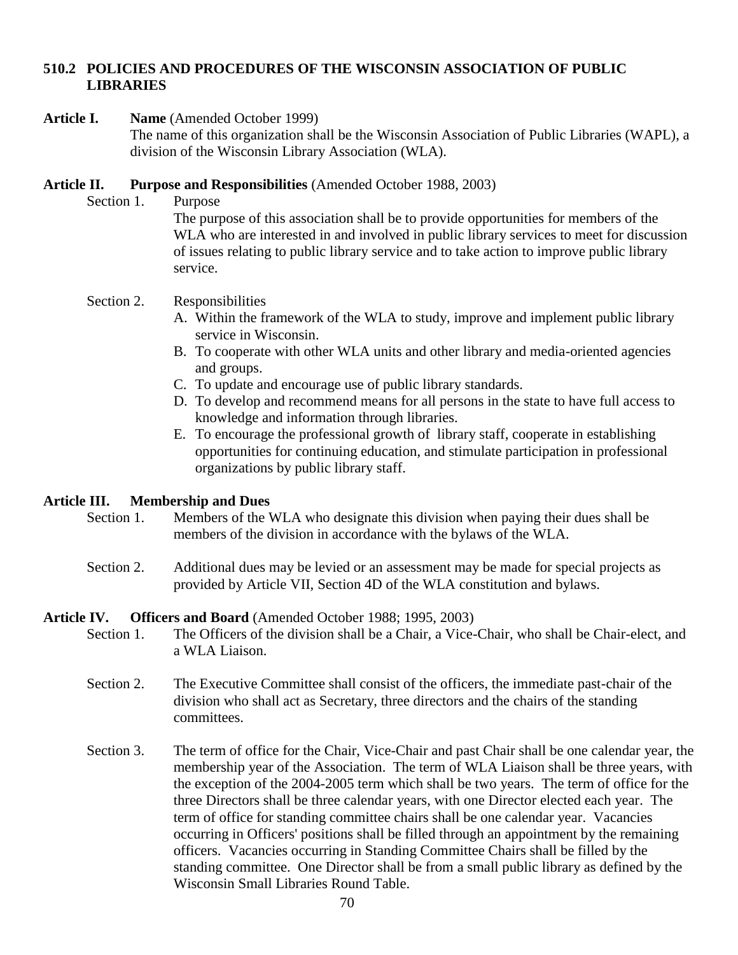## **510.2 POLICIES AND PROCEDURES OF THE WISCONSIN ASSOCIATION OF PUBLIC LIBRARIES**

### **Article I. Name** (Amended October 1999)

The name of this organization shall be the Wisconsin Association of Public Libraries (WAPL), a division of the Wisconsin Library Association (WLA).

## **Article II. Purpose and Responsibilities** (Amended October 1988, 2003)

Section 1. Purpose

The purpose of this association shall be to provide opportunities for members of the WLA who are interested in and involved in public library services to meet for discussion of issues relating to public library service and to take action to improve public library service.

## Section 2. Responsibilities

- A. Within the framework of the WLA to study, improve and implement public library service in Wisconsin.
- B. To cooperate with other WLA units and other library and media-oriented agencies and groups.
- C. To update and encourage use of public library standards.
- D. To develop and recommend means for all persons in the state to have full access to knowledge and information through libraries.
- E. To encourage the professional growth of library staff, cooperate in establishing opportunities for continuing education, and stimulate participation in professional organizations by public library staff.

## **Article III. Membership and Dues**

- Section 1. Members of the WLA who designate this division when paying their dues shall be members of the division in accordance with the bylaws of the WLA.
- Section 2. Additional dues may be levied or an assessment may be made for special projects as provided by Article VII, Section 4D of the WLA constitution and bylaws.

## **Article IV. Officers and Board** (Amended October 1988; 1995, 2003)

- Section 1. The Officers of the division shall be a Chair, a Vice-Chair, who shall be Chair-elect, and a WLA Liaison.
- Section 2. The Executive Committee shall consist of the officers, the immediate past-chair of the division who shall act as Secretary, three directors and the chairs of the standing committees.
- Section 3. The term of office for the Chair, Vice-Chair and past Chair shall be one calendar year, the membership year of the Association. The term of WLA Liaison shall be three years, with the exception of the 2004-2005 term which shall be two years. The term of office for the three Directors shall be three calendar years, with one Director elected each year. The term of office for standing committee chairs shall be one calendar year. Vacancies occurring in Officers' positions shall be filled through an appointment by the remaining officers. Vacancies occurring in Standing Committee Chairs shall be filled by the standing committee. One Director shall be from a small public library as defined by the Wisconsin Small Libraries Round Table.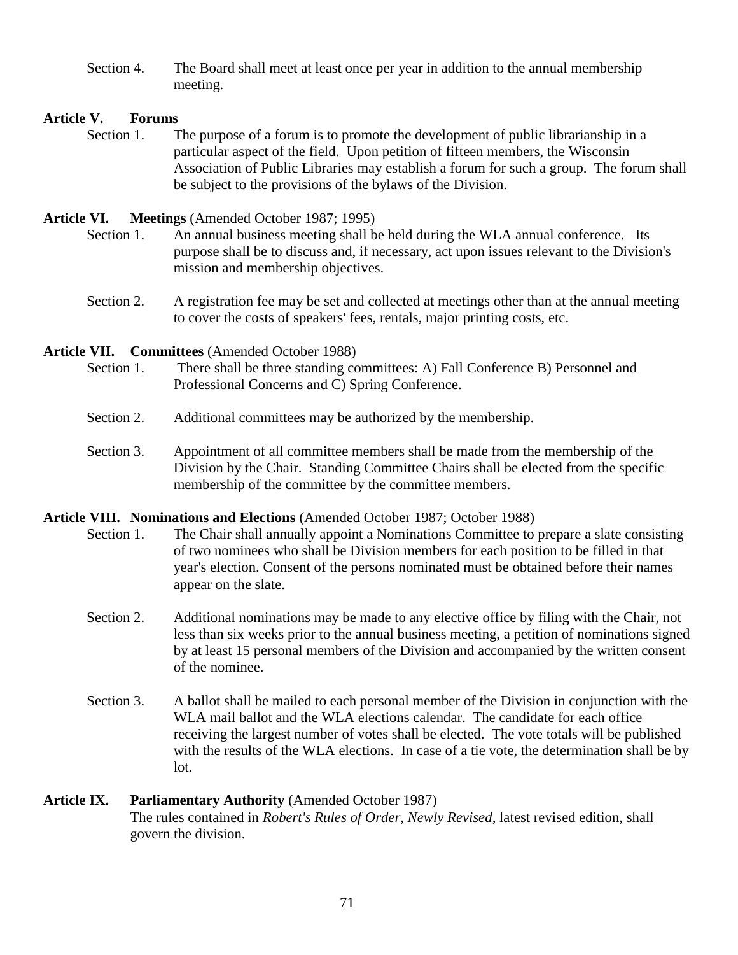Section 4. The Board shall meet at least once per year in addition to the annual membership meeting.

## **Article V. Forums**

Section 1. The purpose of a forum is to promote the development of public librarianship in a particular aspect of the field. Upon petition of fifteen members, the Wisconsin Association of Public Libraries may establish a forum for such a group. The forum shall be subject to the provisions of the bylaws of the Division.

## **Article VI. Meetings** (Amended October 1987; 1995)

- Section 1. An annual business meeting shall be held during the WLA annual conference. Its purpose shall be to discuss and, if necessary, act upon issues relevant to the Division's mission and membership objectives.
- Section 2. A registration fee may be set and collected at meetings other than at the annual meeting to cover the costs of speakers' fees, rentals, major printing costs, etc.

**Article VII. Committees** (Amended October 1988)

- Section 1. There shall be three standing committees: A) Fall Conference B) Personnel and Professional Concerns and C) Spring Conference.
- Section 2. Additional committees may be authorized by the membership.
- Section 3. Appointment of all committee members shall be made from the membership of the Division by the Chair. Standing Committee Chairs shall be elected from the specific membership of the committee by the committee members.

## **Article VIII. Nominations and Elections** (Amended October 1987; October 1988)

- Section 1. The Chair shall annually appoint a Nominations Committee to prepare a slate consisting of two nominees who shall be Division members for each position to be filled in that year's election. Consent of the persons nominated must be obtained before their names appear on the slate.
- Section 2. Additional nominations may be made to any elective office by filing with the Chair, not less than six weeks prior to the annual business meeting, a petition of nominations signed by at least 15 personal members of the Division and accompanied by the written consent of the nominee.
- Section 3. A ballot shall be mailed to each personal member of the Division in conjunction with the WLA mail ballot and the WLA elections calendar. The candidate for each office receiving the largest number of votes shall be elected. The vote totals will be published with the results of the WLA elections. In case of a tie vote, the determination shall be by lot.

# **Article IX. Parliamentary Authority** (Amended October 1987)

The rules contained in *Robert's Rules of Order, Newly Revised*, latest revised edition, shall govern the division.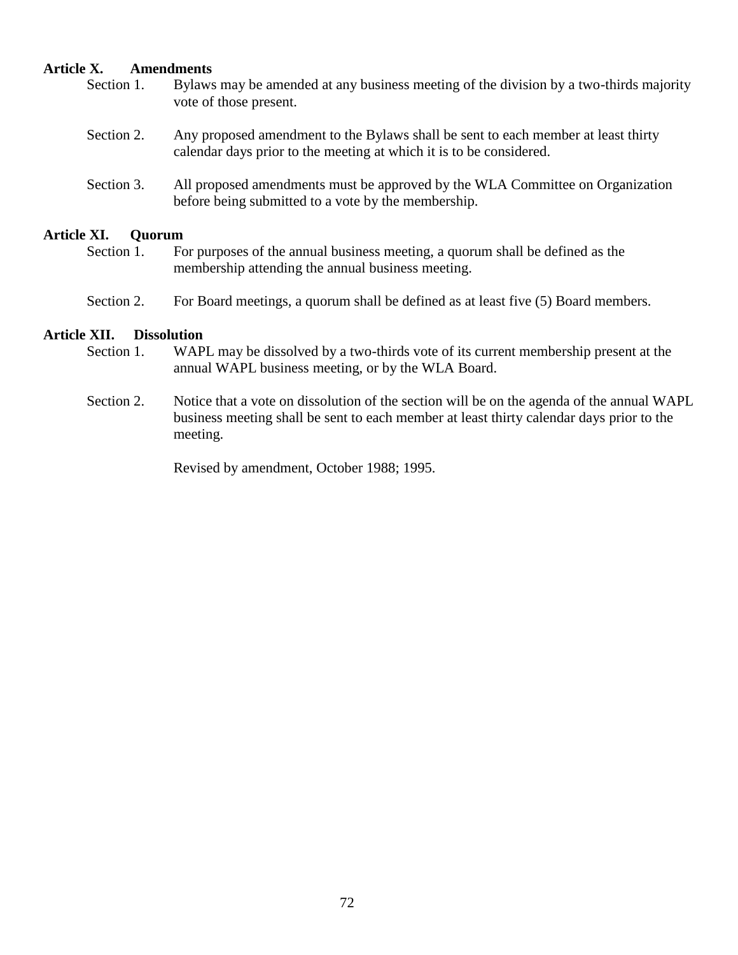### **Article X. Amendments**

- Section 1. Bylaws may be amended at any business meeting of the division by a two-thirds majority vote of those present.
- Section 2. Any proposed amendment to the Bylaws shall be sent to each member at least thirty calendar days prior to the meeting at which it is to be considered.
- Section 3. All proposed amendments must be approved by the WLA Committee on Organization before being submitted to a vote by the membership.

### **Article XI. Quorum**

- Section 1. For purposes of the annual business meeting, a quorum shall be defined as the membership attending the annual business meeting.
- Section 2. For Board meetings, a quorum shall be defined as at least five (5) Board members.

### **Article XII. Dissolution**

- Section 1. WAPL may be dissolved by a two-thirds vote of its current membership present at the annual WAPL business meeting, or by the WLA Board.
- Section 2. Notice that a vote on dissolution of the section will be on the agenda of the annual WAPL business meeting shall be sent to each member at least thirty calendar days prior to the meeting.

Revised by amendment, October 1988; 1995.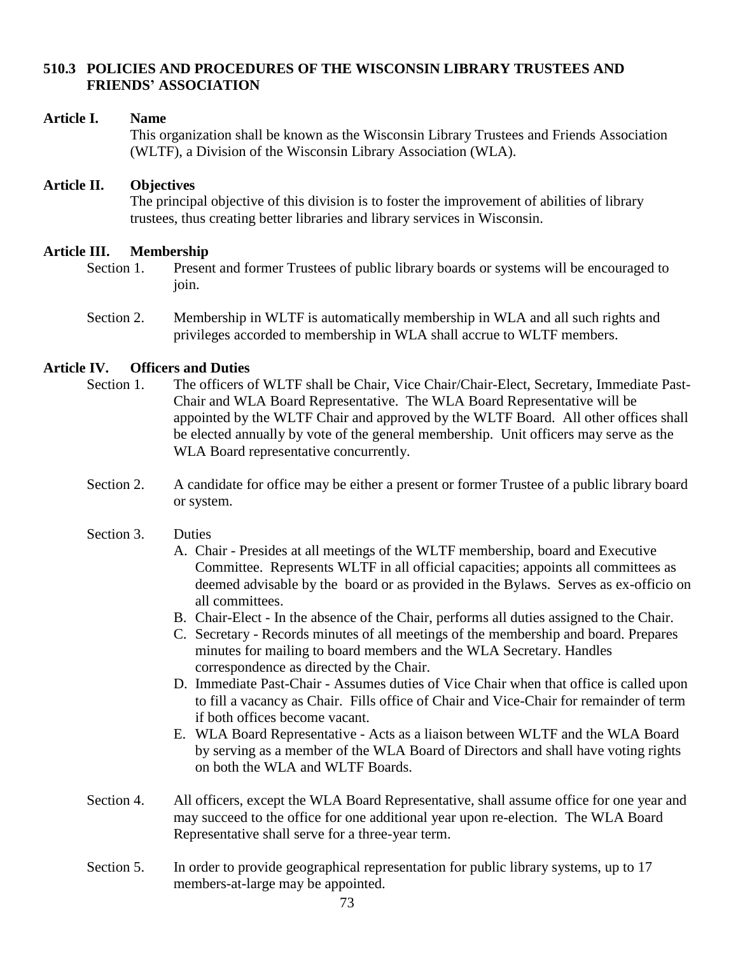# **510.3 POLICIES AND PROCEDURES OF THE WISCONSIN LIBRARY TRUSTEES AND FRIENDS' ASSOCIATION**

#### **Article I. Name**

This organization shall be known as the Wisconsin Library Trustees and Friends Association (WLTF), a Division of the Wisconsin Library Association (WLA).

## **Article II. Objectives**

The principal objective of this division is to foster the improvement of abilities of library trustees, thus creating better libraries and library services in Wisconsin.

#### **Article III. Membership**

- Section 1. Present and former Trustees of public library boards or systems will be encouraged to join.
- Section 2. Membership in WLTF is automatically membership in WLA and all such rights and privileges accorded to membership in WLA shall accrue to WLTF members.

# **Article IV. Officers and Duties**

- Section 1. The officers of WLTF shall be Chair, Vice Chair/Chair-Elect, Secretary, Immediate Past-Chair and WLA Board Representative. The WLA Board Representative will be appointed by the WLTF Chair and approved by the WLTF Board. All other offices shall be elected annually by vote of the general membership. Unit officers may serve as the WLA Board representative concurrently.
- Section 2. A candidate for office may be either a present or former Trustee of a public library board or system.

# Section 3. Duties

- A. Chair Presides at all meetings of the WLTF membership, board and Executive Committee. Represents WLTF in all official capacities; appoints all committees as deemed advisable by the board or as provided in the Bylaws. Serves as ex-officio on all committees.
- B. Chair-Elect In the absence of the Chair, performs all duties assigned to the Chair.
- C. Secretary Records minutes of all meetings of the membership and board. Prepares minutes for mailing to board members and the WLA Secretary. Handles correspondence as directed by the Chair.
- D. Immediate Past-Chair Assumes duties of Vice Chair when that office is called upon to fill a vacancy as Chair. Fills office of Chair and Vice-Chair for remainder of term if both offices become vacant.
- E. WLA Board Representative Acts as a liaison between WLTF and the WLA Board by serving as a member of the WLA Board of Directors and shall have voting rights on both the WLA and WLTF Boards.
- Section 4. All officers, except the WLA Board Representative, shall assume office for one year and may succeed to the office for one additional year upon re-election. The WLA Board Representative shall serve for a three-year term.
- Section 5. In order to provide geographical representation for public library systems, up to 17 members-at-large may be appointed.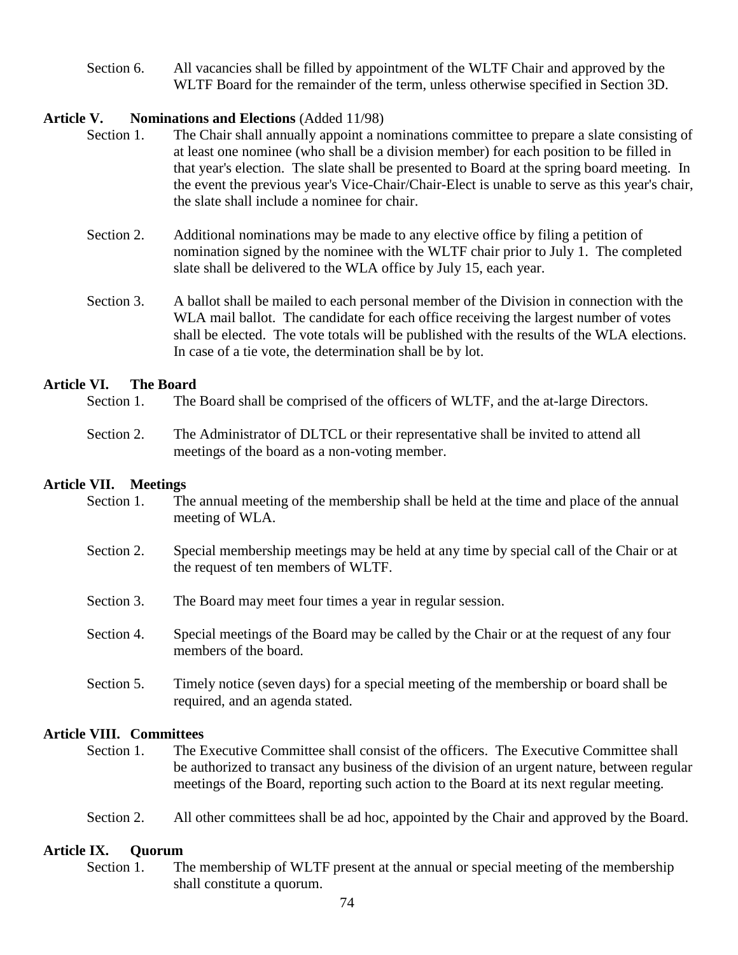Section 6. All vacancies shall be filled by appointment of the WLTF Chair and approved by the WLTF Board for the remainder of the term, unless otherwise specified in Section 3D.

### **Article V. Nominations and Elections** (Added 11/98)

- Section 1. The Chair shall annually appoint a nominations committee to prepare a slate consisting of at least one nominee (who shall be a division member) for each position to be filled in that year's election. The slate shall be presented to Board at the spring board meeting. In the event the previous year's Vice-Chair/Chair-Elect is unable to serve as this year's chair, the slate shall include a nominee for chair.
- Section 2. Additional nominations may be made to any elective office by filing a petition of nomination signed by the nominee with the WLTF chair prior to July 1. The completed slate shall be delivered to the WLA office by July 15, each year.
- Section 3. A ballot shall be mailed to each personal member of the Division in connection with the WLA mail ballot. The candidate for each office receiving the largest number of votes shall be elected. The vote totals will be published with the results of the WLA elections. In case of a tie vote, the determination shall be by lot.

#### **Article VI. The Board**

- Section 1. The Board shall be comprised of the officers of WLTF, and the at-large Directors.
- Section 2. The Administrator of DLTCL or their representative shall be invited to attend all meetings of the board as a non-voting member.

#### **Article VII. Meetings**

- Section 1. The annual meeting of the membership shall be held at the time and place of the annual meeting of WLA.
- Section 2. Special membership meetings may be held at any time by special call of the Chair or at the request of ten members of WLTF.
- Section 3. The Board may meet four times a year in regular session.
- Section 4. Special meetings of the Board may be called by the Chair or at the request of any four members of the board.
- Section 5. Timely notice (seven days) for a special meeting of the membership or board shall be required, and an agenda stated.

#### **Article VIII. Committees**

- Section 1. The Executive Committee shall consist of the officers. The Executive Committee shall be authorized to transact any business of the division of an urgent nature, between regular meetings of the Board, reporting such action to the Board at its next regular meeting.
- Section 2. All other committees shall be ad hoc, appointed by the Chair and approved by the Board.

## **Article IX. Quorum**

Section 1. The membership of WLTF present at the annual or special meeting of the membership shall constitute a quorum.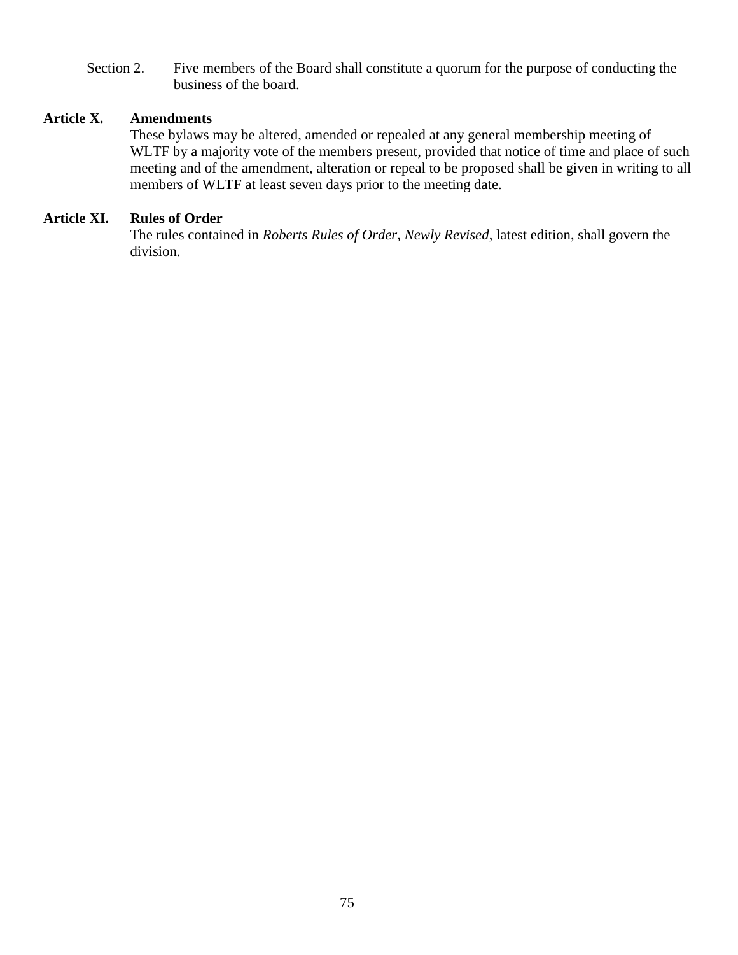Section 2. Five members of the Board shall constitute a quorum for the purpose of conducting the business of the board.

# **Article X. Amendments**

These bylaws may be altered, amended or repealed at any general membership meeting of WLTF by a majority vote of the members present, provided that notice of time and place of such meeting and of the amendment, alteration or repeal to be proposed shall be given in writing to all members of WLTF at least seven days prior to the meeting date.

## **Article XI. Rules of Order**

The rules contained in *Roberts Rules of Order, Newly Revised*, latest edition, shall govern the division.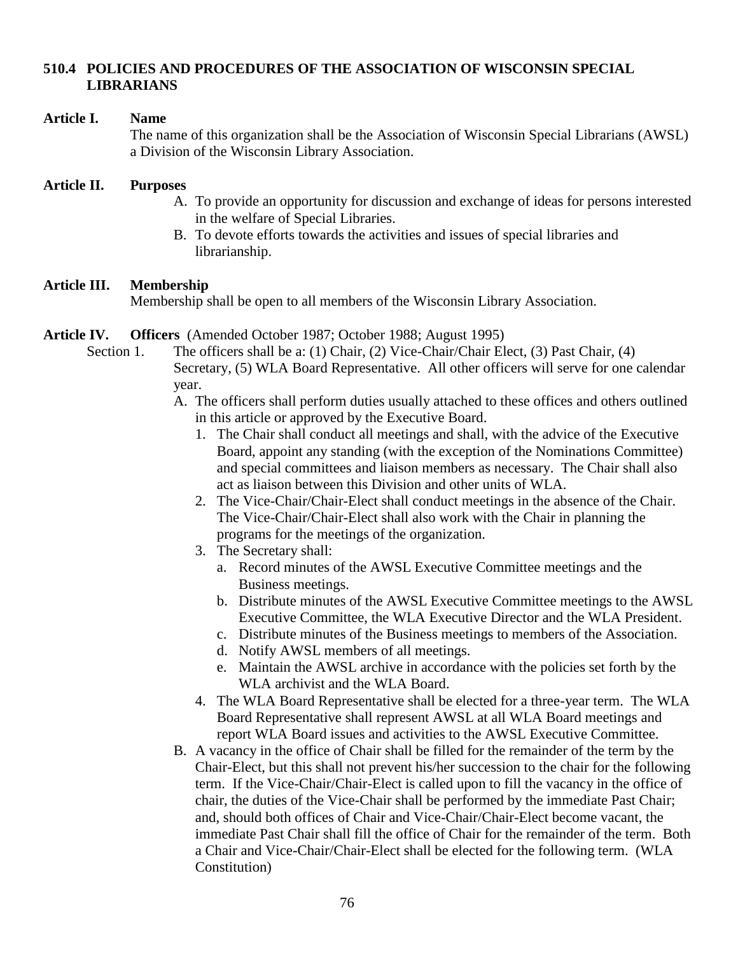# **510.4 POLICIES AND PROCEDURES OF THE ASSOCIATION OF WISCONSIN SPECIAL LIBRARIANS**

#### **Article I. Name**

The name of this organization shall be the Association of Wisconsin Special Librarians (AWSL) a Division of the Wisconsin Library Association.

## **Article II. Purposes**

- A. To provide an opportunity for discussion and exchange of ideas for persons interested in the welfare of Special Libraries.
- B. To devote efforts towards the activities and issues of special libraries and librarianship.

# **Article III. Membership**

Membership shall be open to all members of the Wisconsin Library Association.

#### **Article IV. Officers** (Amended October 1987; October 1988; August 1995)

- Section 1. The officers shall be a: (1) Chair, (2) Vice-Chair/Chair Elect, (3) Past Chair, (4) Secretary, (5) WLA Board Representative. All other officers will serve for one calendar year.
	- A. The officers shall perform duties usually attached to these offices and others outlined in this article or approved by the Executive Board.
		- 1. The Chair shall conduct all meetings and shall, with the advice of the Executive Board, appoint any standing (with the exception of the Nominations Committee) and special committees and liaison members as necessary. The Chair shall also act as liaison between this Division and other units of WLA.
		- 2. The Vice-Chair/Chair-Elect shall conduct meetings in the absence of the Chair. The Vice-Chair/Chair-Elect shall also work with the Chair in planning the programs for the meetings of the organization.
		- 3. The Secretary shall:
			- a. Record minutes of the AWSL Executive Committee meetings and the Business meetings.
			- b. Distribute minutes of the AWSL Executive Committee meetings to the AWSL Executive Committee, the WLA Executive Director and the WLA President.
			- c. Distribute minutes of the Business meetings to members of the Association.
			- d. Notify AWSL members of all meetings.
			- e. Maintain the AWSL archive in accordance with the policies set forth by the WLA archivist and the WLA Board.
		- 4. The WLA Board Representative shall be elected for a three-year term. The WLA Board Representative shall represent AWSL at all WLA Board meetings and report WLA Board issues and activities to the AWSL Executive Committee.
	- B. A vacancy in the office of Chair shall be filled for the remainder of the term by the Chair-Elect, but this shall not prevent his/her succession to the chair for the following term. If the Vice-Chair/Chair-Elect is called upon to fill the vacancy in the office of chair, the duties of the Vice-Chair shall be performed by the immediate Past Chair; and, should both offices of Chair and Vice-Chair/Chair-Elect become vacant, the immediate Past Chair shall fill the office of Chair for the remainder of the term. Both a Chair and Vice-Chair/Chair-Elect shall be elected for the following term. (WLA Constitution)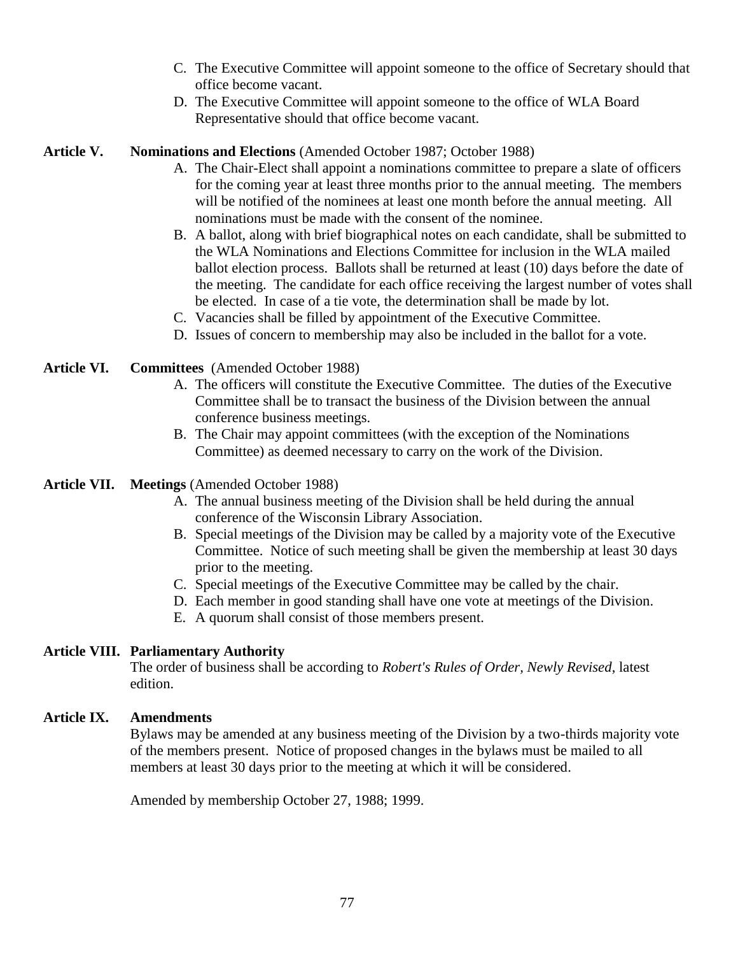- C. The Executive Committee will appoint someone to the office of Secretary should that office become vacant.
- D. The Executive Committee will appoint someone to the office of WLA Board Representative should that office become vacant.

# **Article V. Nominations and Elections** (Amended October 1987; October 1988)

- A. The Chair-Elect shall appoint a nominations committee to prepare a slate of officers for the coming year at least three months prior to the annual meeting. The members will be notified of the nominees at least one month before the annual meeting. All nominations must be made with the consent of the nominee.
- B. A ballot, along with brief biographical notes on each candidate, shall be submitted to the WLA Nominations and Elections Committee for inclusion in the WLA mailed ballot election process. Ballots shall be returned at least (10) days before the date of the meeting. The candidate for each office receiving the largest number of votes shall be elected. In case of a tie vote, the determination shall be made by lot.
- C. Vacancies shall be filled by appointment of the Executive Committee.
- D. Issues of concern to membership may also be included in the ballot for a vote.
- **Article VI. Committees** (Amended October 1988)
	- A. The officers will constitute the Executive Committee. The duties of the Executive Committee shall be to transact the business of the Division between the annual conference business meetings.
	- B. The Chair may appoint committees (with the exception of the Nominations Committee) as deemed necessary to carry on the work of the Division.
- **Article VII. Meetings** (Amended October 1988)
	- A. The annual business meeting of the Division shall be held during the annual conference of the Wisconsin Library Association.
	- B. Special meetings of the Division may be called by a majority vote of the Executive Committee. Notice of such meeting shall be given the membership at least 30 days prior to the meeting.
	- C. Special meetings of the Executive Committee may be called by the chair.
	- D. Each member in good standing shall have one vote at meetings of the Division.
	- E. A quorum shall consist of those members present.

# **Article VIII. Parliamentary Authority**

The order of business shall be according to *Robert's Rules of Order, Newly Revised*, latest edition.

# **Article IX. Amendments**

Bylaws may be amended at any business meeting of the Division by a two-thirds majority vote of the members present. Notice of proposed changes in the bylaws must be mailed to all members at least 30 days prior to the meeting at which it will be considered.

Amended by membership October 27, 1988; 1999.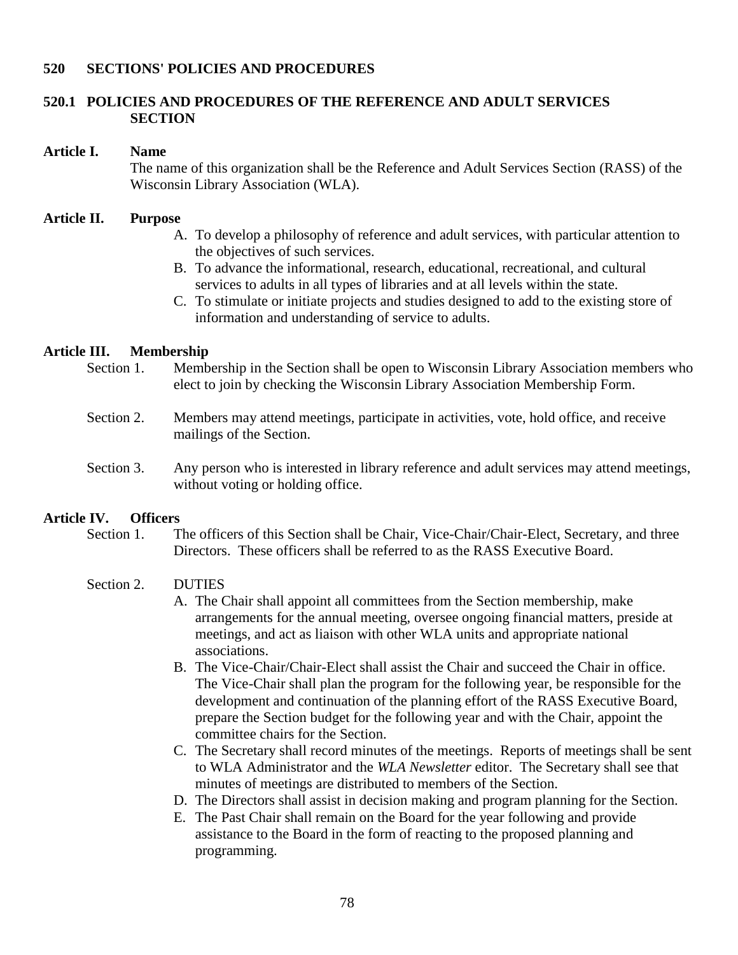## **520 SECTIONS' POLICIES AND PROCEDURES**

# **520.1 POLICIES AND PROCEDURES OF THE REFERENCE AND ADULT SERVICES SECTION**

#### **Article I. Name**

The name of this organization shall be the Reference and Adult Services Section (RASS) of the Wisconsin Library Association (WLA).

#### **Article II. Purpose**

- A. To develop a philosophy of reference and adult services, with particular attention to the objectives of such services.
- B. To advance the informational, research, educational, recreational, and cultural services to adults in all types of libraries and at all levels within the state.
- C. To stimulate or initiate projects and studies designed to add to the existing store of information and understanding of service to adults.

## **Article III. Membership**

- Section 1. Membership in the Section shall be open to Wisconsin Library Association members who elect to join by checking the Wisconsin Library Association Membership Form.
- Section 2. Members may attend meetings, participate in activities, vote, hold office, and receive mailings of the Section.
- Section 3. Any person who is interested in library reference and adult services may attend meetings, without voting or holding office.

# **Article IV. Officers**

Section 1. The officers of this Section shall be Chair, Vice-Chair/Chair-Elect, Secretary, and three Directors. These officers shall be referred to as the RASS Executive Board.

#### Section 2. DUTIES

- A. The Chair shall appoint all committees from the Section membership, make arrangements for the annual meeting, oversee ongoing financial matters, preside at meetings, and act as liaison with other WLA units and appropriate national associations.
- B. The Vice-Chair/Chair-Elect shall assist the Chair and succeed the Chair in office. The Vice-Chair shall plan the program for the following year, be responsible for the development and continuation of the planning effort of the RASS Executive Board, prepare the Section budget for the following year and with the Chair, appoint the committee chairs for the Section.
- C. The Secretary shall record minutes of the meetings. Reports of meetings shall be sent to WLA Administrator and the *WLA Newsletter* editor. The Secretary shall see that minutes of meetings are distributed to members of the Section.
- D. The Directors shall assist in decision making and program planning for the Section.
- E. The Past Chair shall remain on the Board for the year following and provide assistance to the Board in the form of reacting to the proposed planning and programming.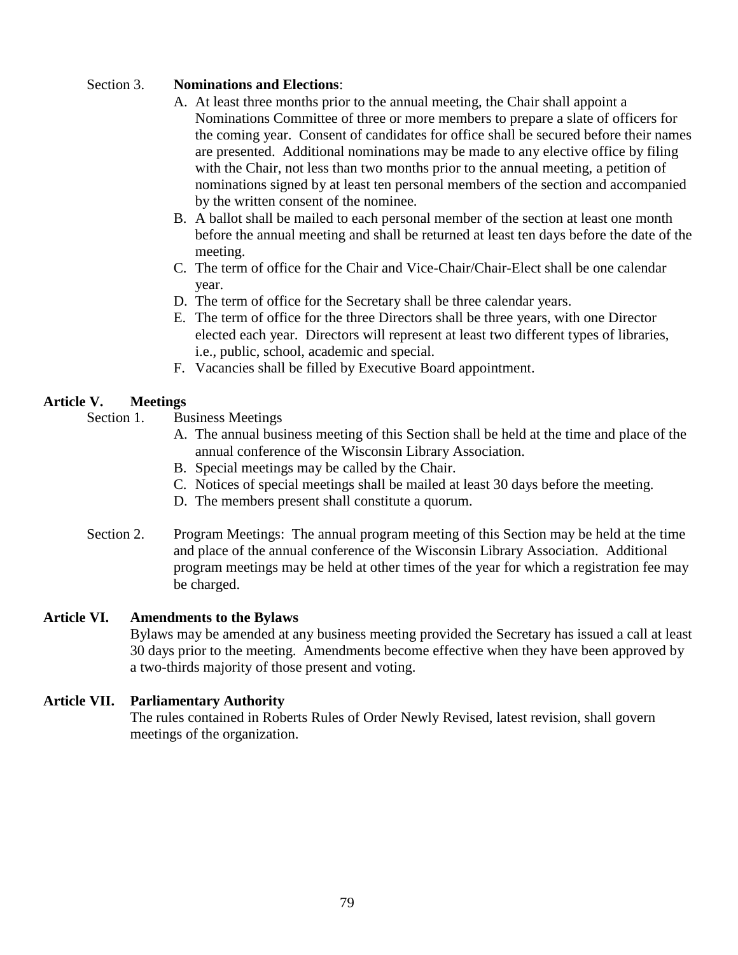# Section 3. **Nominations and Elections**:

- A. At least three months prior to the annual meeting, the Chair shall appoint a Nominations Committee of three or more members to prepare a slate of officers for the coming year. Consent of candidates for office shall be secured before their names are presented. Additional nominations may be made to any elective office by filing with the Chair, not less than two months prior to the annual meeting, a petition of nominations signed by at least ten personal members of the section and accompanied by the written consent of the nominee.
- B. A ballot shall be mailed to each personal member of the section at least one month before the annual meeting and shall be returned at least ten days before the date of the meeting.
- C. The term of office for the Chair and Vice-Chair/Chair-Elect shall be one calendar year.
- D. The term of office for the Secretary shall be three calendar years.
- E. The term of office for the three Directors shall be three years, with one Director elected each year. Directors will represent at least two different types of libraries, i.e., public, school, academic and special.
- F. Vacancies shall be filled by Executive Board appointment.

# **Article V. Meetings**

Section 1. Business Meetings

- A. The annual business meeting of this Section shall be held at the time and place of the annual conference of the Wisconsin Library Association.
- B. Special meetings may be called by the Chair.
- C. Notices of special meetings shall be mailed at least 30 days before the meeting.
- D. The members present shall constitute a quorum.
- Section 2. Program Meetings: The annual program meeting of this Section may be held at the time and place of the annual conference of the Wisconsin Library Association. Additional program meetings may be held at other times of the year for which a registration fee may be charged.

# **Article VI. Amendments to the Bylaws**

Bylaws may be amended at any business meeting provided the Secretary has issued a call at least 30 days prior to the meeting. Amendments become effective when they have been approved by a two-thirds majority of those present and voting.

# **Article VII. Parliamentary Authority**

The rules contained in Roberts Rules of Order Newly Revised, latest revision, shall govern meetings of the organization.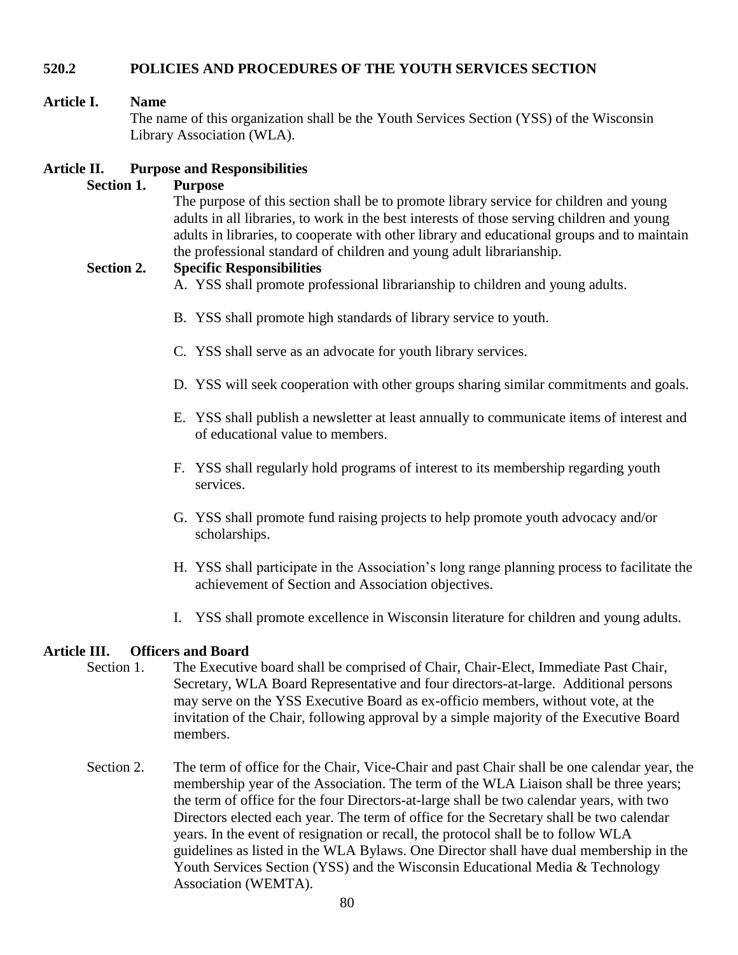# **520.2 POLICIES AND PROCEDURES OF THE YOUTH SERVICES SECTION**

# **Article I. Name**

The name of this organization shall be the Youth Services Section (YSS) of the Wisconsin Library Association (WLA).

# **Article II. Purpose and Responsibilities**

## **Section 1. Purpose**

The purpose of this section shall be to promote library service for children and young adults in all libraries, to work in the best interests of those serving children and young adults in libraries, to cooperate with other library and educational groups and to maintain the professional standard of children and young adult librarianship.

# **Section 2. Specific Responsibilities**

A. YSS shall promote professional librarianship to children and young adults.

- B. YSS shall promote high standards of library service to youth.
- C. YSS shall serve as an advocate for youth library services.
- D. YSS will seek cooperation with other groups sharing similar commitments and goals.
- E. YSS shall publish a newsletter at least annually to communicate items of interest and of educational value to members.
- F. YSS shall regularly hold programs of interest to its membership regarding youth services.
- G. YSS shall promote fund raising projects to help promote youth advocacy and/or scholarships.
- H. YSS shall participate in the Association's long range planning process to facilitate the achievement of Section and Association objectives.
- I. YSS shall promote excellence in Wisconsin literature for children and young adults.

# **Article III. Officers and Board**

- Section 1. The Executive board shall be comprised of Chair, Chair-Elect, Immediate Past Chair, Secretary, WLA Board Representative and four directors-at-large. Additional persons may serve on the YSS Executive Board as ex-officio members, without vote, at the invitation of the Chair, following approval by a simple majority of the Executive Board members.
- Section 2. The term of office for the Chair, Vice-Chair and past Chair shall be one calendar year, the membership year of the Association. The term of the WLA Liaison shall be three years; the term of office for the four Directors-at-large shall be two calendar years, with two Directors elected each year. The term of office for the Secretary shall be two calendar years. In the event of resignation or recall, the protocol shall be to follow WLA guidelines as listed in the WLA Bylaws. One Director shall have dual membership in the Youth Services Section (YSS) and the Wisconsin Educational Media & Technology Association (WEMTA).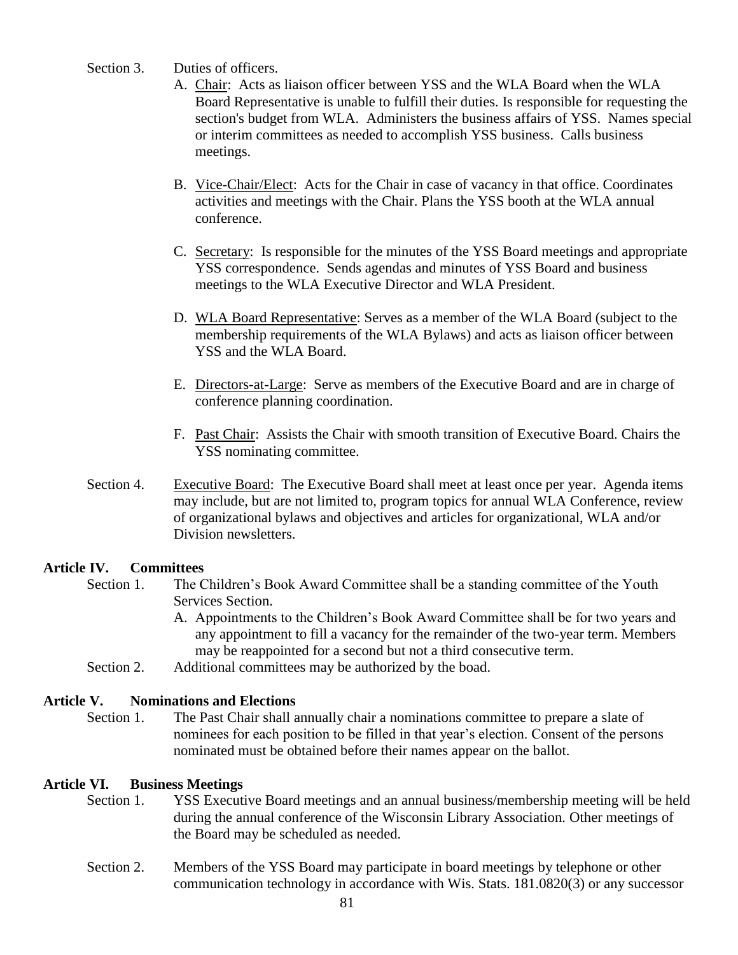- Section 3. Duties of officers.
	- A. Chair: Acts as liaison officer between YSS and the WLA Board when the WLA Board Representative is unable to fulfill their duties. Is responsible for requesting the section's budget from WLA. Administers the business affairs of YSS. Names special or interim committees as needed to accomplish YSS business. Calls business meetings.
	- B. Vice-Chair/Elect: Acts for the Chair in case of vacancy in that office. Coordinates activities and meetings with the Chair. Plans the YSS booth at the WLA annual conference.
	- C. Secretary: Is responsible for the minutes of the YSS Board meetings and appropriate YSS correspondence. Sends agendas and minutes of YSS Board and business meetings to the WLA Executive Director and WLA President.
	- D. WLA Board Representative: Serves as a member of the WLA Board (subject to the membership requirements of the WLA Bylaws) and acts as liaison officer between YSS and the WLA Board.
	- E. Directors-at-Large: Serve as members of the Executive Board and are in charge of conference planning coordination.
	- F. Past Chair: Assists the Chair with smooth transition of Executive Board. Chairs the YSS nominating committee.
- Section 4. Executive Board: The Executive Board shall meet at least once per year. Agenda items may include, but are not limited to, program topics for annual WLA Conference, review of organizational bylaws and objectives and articles for organizational, WLA and/or Division newsletters.

# **Article IV. Committees**

- Section 1. The Children's Book Award Committee shall be a standing committee of the Youth Services Section.
	- A. Appointments to the Children's Book Award Committee shall be for two years and any appointment to fill a vacancy for the remainder of the two-year term. Members may be reappointed for a second but not a third consecutive term.
- Section 2. Additional committees may be authorized by the boad.

# **Article V. Nominations and Elections**

Section 1. The Past Chair shall annually chair a nominations committee to prepare a slate of nominees for each position to be filled in that year's election. Consent of the persons nominated must be obtained before their names appear on the ballot.

# **Article VI. Business Meetings**

- Section 1. YSS Executive Board meetings and an annual business/membership meeting will be held during the annual conference of the Wisconsin Library Association. Other meetings of the Board may be scheduled as needed.
- Section 2. Members of the YSS Board may participate in board meetings by telephone or other communication technology in accordance with Wis. Stats. 181.0820(3) or any successor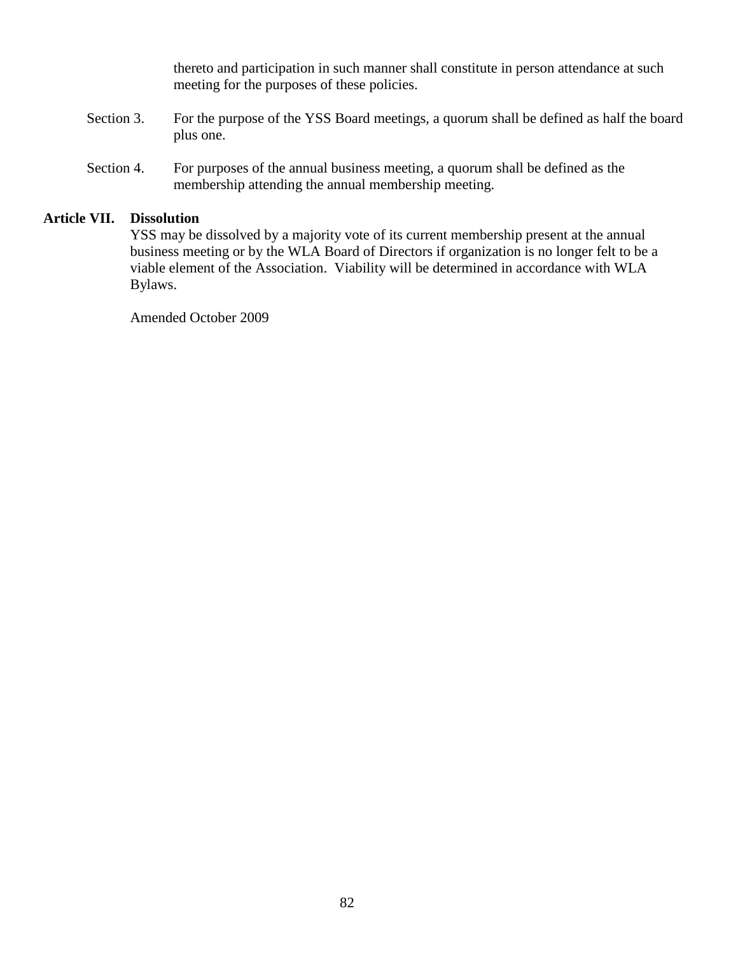thereto and participation in such manner shall constitute in person attendance at such meeting for the purposes of these policies.

- Section 3. For the purpose of the YSS Board meetings, a quorum shall be defined as half the board plus one.
- Section 4. For purposes of the annual business meeting, a quorum shall be defined as the membership attending the annual membership meeting.

# **Article VII. Dissolution**

YSS may be dissolved by a majority vote of its current membership present at the annual business meeting or by the WLA Board of Directors if organization is no longer felt to be a viable element of the Association. Viability will be determined in accordance with WLA Bylaws.

Amended October 2009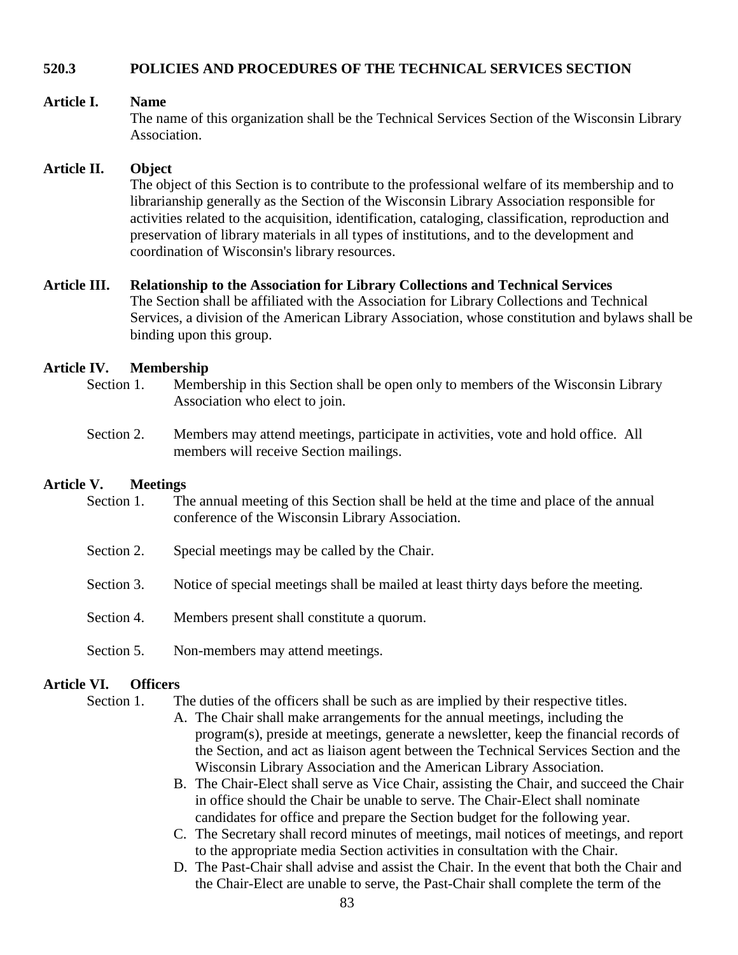# **520.3 POLICIES AND PROCEDURES OF THE TECHNICAL SERVICES SECTION**

## **Article I. Name**

The name of this organization shall be the Technical Services Section of the Wisconsin Library Association.

#### **Article II. Object**

The object of this Section is to contribute to the professional welfare of its membership and to librarianship generally as the Section of the Wisconsin Library Association responsible for activities related to the acquisition, identification, cataloging, classification, reproduction and preservation of library materials in all types of institutions, and to the development and coordination of Wisconsin's library resources.

# **Article III. Relationship to the Association for Library Collections and Technical Services**

The Section shall be affiliated with the Association for Library Collections and Technical Services, a division of the American Library Association, whose constitution and bylaws shall be binding upon this group.

#### **Article IV. Membership**

- Section 1. Membership in this Section shall be open only to members of the Wisconsin Library Association who elect to join.
- Section 2. Members may attend meetings, participate in activities, vote and hold office. All members will receive Section mailings.

# **Article V. Meetings**

- Section 1. The annual meeting of this Section shall be held at the time and place of the annual conference of the Wisconsin Library Association.
- Section 2. Special meetings may be called by the Chair.
- Section 3. Notice of special meetings shall be mailed at least thirty days before the meeting.
- Section 4. Members present shall constitute a quorum.
- Section 5. Non-members may attend meetings.

## **Article VI. Officers**

Section 1. The duties of the officers shall be such as are implied by their respective titles.

- A. The Chair shall make arrangements for the annual meetings, including the program(s), preside at meetings, generate a newsletter, keep the financial records of the Section, and act as liaison agent between the Technical Services Section and the Wisconsin Library Association and the American Library Association.
- B. The Chair-Elect shall serve as Vice Chair, assisting the Chair, and succeed the Chair in office should the Chair be unable to serve. The Chair-Elect shall nominate candidates for office and prepare the Section budget for the following year.
- C. The Secretary shall record minutes of meetings, mail notices of meetings, and report to the appropriate media Section activities in consultation with the Chair.
- D. The Past-Chair shall advise and assist the Chair. In the event that both the Chair and the Chair-Elect are unable to serve, the Past-Chair shall complete the term of the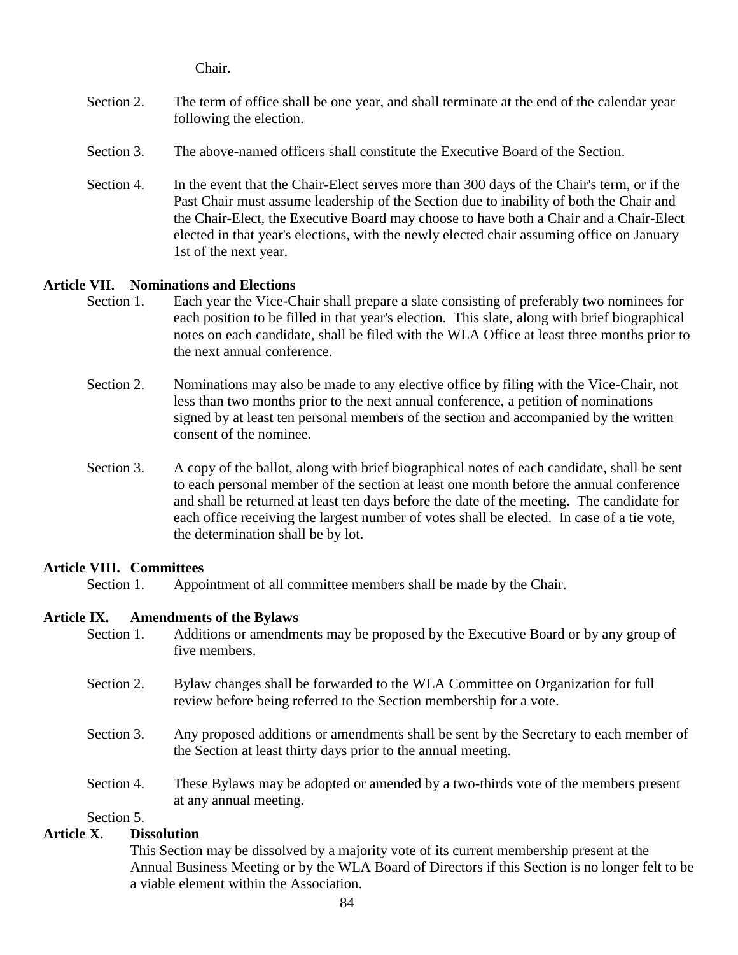Chair.

- Section 2. The term of office shall be one year, and shall terminate at the end of the calendar year following the election.
- Section 3. The above-named officers shall constitute the Executive Board of the Section.
- Section 4. In the event that the Chair-Elect serves more than 300 days of the Chair's term, or if the Past Chair must assume leadership of the Section due to inability of both the Chair and the Chair-Elect, the Executive Board may choose to have both a Chair and a Chair-Elect elected in that year's elections, with the newly elected chair assuming office on January 1st of the next year.

# **Article VII. Nominations and Elections**

- Section 1. Each year the Vice-Chair shall prepare a slate consisting of preferably two nominees for each position to be filled in that year's election. This slate, along with brief biographical notes on each candidate, shall be filed with the WLA Office at least three months prior to the next annual conference.
- Section 2. Nominations may also be made to any elective office by filing with the Vice-Chair, not less than two months prior to the next annual conference, a petition of nominations signed by at least ten personal members of the section and accompanied by the written consent of the nominee.
- Section 3. A copy of the ballot, along with brief biographical notes of each candidate, shall be sent to each personal member of the section at least one month before the annual conference and shall be returned at least ten days before the date of the meeting. The candidate for each office receiving the largest number of votes shall be elected. In case of a tie vote, the determination shall be by lot.

# **Article VIII. Committees**

Section 1. Appointment of all committee members shall be made by the Chair.

# **Article IX. Amendments of the Bylaws**

- Section 1. Additions or amendments may be proposed by the Executive Board or by any group of five members.
- Section 2. Bylaw changes shall be forwarded to the WLA Committee on Organization for full review before being referred to the Section membership for a vote.
- Section 3. Any proposed additions or amendments shall be sent by the Secretary to each member of the Section at least thirty days prior to the annual meeting.
- Section 4. These Bylaws may be adopted or amended by a two-thirds vote of the members present at any annual meeting.

Section 5.

# **Article X. Dissolution**

This Section may be dissolved by a majority vote of its current membership present at the Annual Business Meeting or by the WLA Board of Directors if this Section is no longer felt to be a viable element within the Association.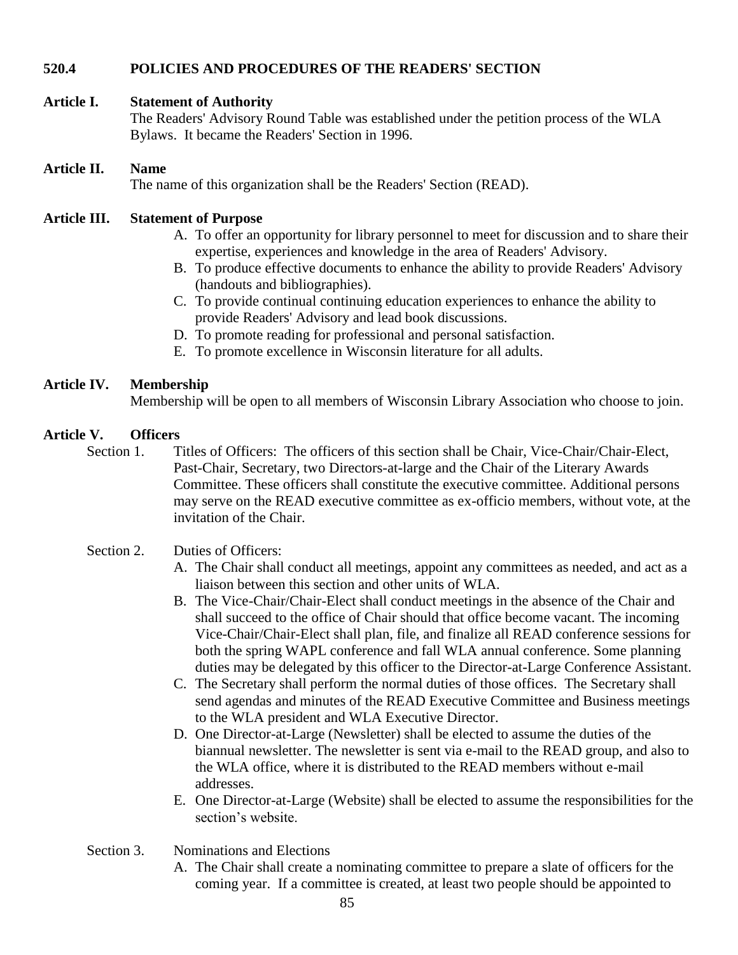# **520.4 POLICIES AND PROCEDURES OF THE READERS' SECTION**

# **Article I. Statement of Authority**

The Readers' Advisory Round Table was established under the petition process of the WLA Bylaws. It became the Readers' Section in 1996.

# **Article II. Name**

The name of this organization shall be the Readers' Section (READ).

# **Article III. Statement of Purpose**

- A. To offer an opportunity for library personnel to meet for discussion and to share their expertise, experiences and knowledge in the area of Readers' Advisory.
- B. To produce effective documents to enhance the ability to provide Readers' Advisory (handouts and bibliographies).
- C. To provide continual continuing education experiences to enhance the ability to provide Readers' Advisory and lead book discussions.
- D. To promote reading for professional and personal satisfaction.
- E. To promote excellence in Wisconsin literature for all adults.

# **Article IV. Membership**

Membership will be open to all members of Wisconsin Library Association who choose to join.

# **Article V. Officers**

Section 1. Titles of Officers: The officers of this section shall be Chair, Vice-Chair/Chair-Elect, Past-Chair, Secretary, two Directors-at-large and the Chair of the Literary Awards Committee. These officers shall constitute the executive committee. Additional persons may serve on the READ executive committee as ex-officio members, without vote, at the invitation of the Chair.

# Section 2. Duties of Officers:

- A. The Chair shall conduct all meetings, appoint any committees as needed, and act as a liaison between this section and other units of WLA.
- B. The Vice-Chair/Chair-Elect shall conduct meetings in the absence of the Chair and shall succeed to the office of Chair should that office become vacant. The incoming Vice-Chair/Chair-Elect shall plan, file, and finalize all READ conference sessions for both the spring WAPL conference and fall WLA annual conference. Some planning duties may be delegated by this officer to the Director-at-Large Conference Assistant.
- C. The Secretary shall perform the normal duties of those offices. The Secretary shall send agendas and minutes of the READ Executive Committee and Business meetings to the WLA president and WLA Executive Director.
- D. One Director-at-Large (Newsletter) shall be elected to assume the duties of the biannual newsletter. The newsletter is sent via e-mail to the READ group, and also to the WLA office, where it is distributed to the READ members without e-mail addresses.
- E. One Director-at-Large (Website) shall be elected to assume the responsibilities for the section's website.
- Section 3. Nominations and Elections
	- A. The Chair shall create a nominating committee to prepare a slate of officers for the coming year. If a committee is created, at least two people should be appointed to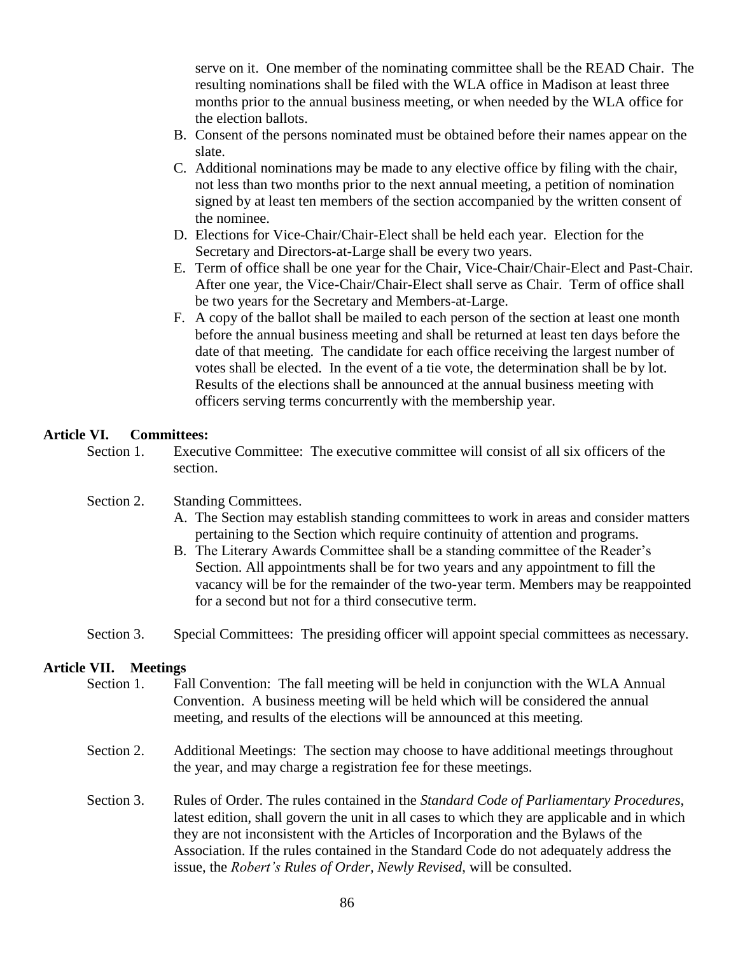serve on it. One member of the nominating committee shall be the READ Chair. The resulting nominations shall be filed with the WLA office in Madison at least three months prior to the annual business meeting, or when needed by the WLA office for the election ballots.

- B. Consent of the persons nominated must be obtained before their names appear on the slate.
- C. Additional nominations may be made to any elective office by filing with the chair, not less than two months prior to the next annual meeting, a petition of nomination signed by at least ten members of the section accompanied by the written consent of the nominee.
- D. Elections for Vice-Chair/Chair-Elect shall be held each year. Election for the Secretary and Directors-at-Large shall be every two years.
- E. Term of office shall be one year for the Chair, Vice-Chair/Chair-Elect and Past-Chair. After one year, the Vice-Chair/Chair-Elect shall serve as Chair. Term of office shall be two years for the Secretary and Members-at-Large.
- F. A copy of the ballot shall be mailed to each person of the section at least one month before the annual business meeting and shall be returned at least ten days before the date of that meeting. The candidate for each office receiving the largest number of votes shall be elected. In the event of a tie vote, the determination shall be by lot. Results of the elections shall be announced at the annual business meeting with officers serving terms concurrently with the membership year.

# **Article VI. Committees:**

Section 1. Executive Committee: The executive committee will consist of all six officers of the section.

# Section 2. Standing Committees.

- A. The Section may establish standing committees to work in areas and consider matters pertaining to the Section which require continuity of attention and programs.
- B. The Literary Awards Committee shall be a standing committee of the Reader's Section. All appointments shall be for two years and any appointment to fill the vacancy will be for the remainder of the two-year term. Members may be reappointed for a second but not for a third consecutive term.
- Section 3. Special Committees: The presiding officer will appoint special committees as necessary.

# **Article VII. Meetings**

- Section 1. Fall Convention: The fall meeting will be held in conjunction with the WLA Annual Convention. A business meeting will be held which will be considered the annual meeting, and results of the elections will be announced at this meeting.
- Section 2. Additional Meetings: The section may choose to have additional meetings throughout the year, and may charge a registration fee for these meetings.
- Section 3. Rules of Order. The rules contained in the *Standard Code of Parliamentary Procedures*, latest edition, shall govern the unit in all cases to which they are applicable and in which they are not inconsistent with the Articles of Incorporation and the Bylaws of the Association. If the rules contained in the Standard Code do not adequately address the issue, the *Robert's Rules of Order, Newly Revised*, will be consulted.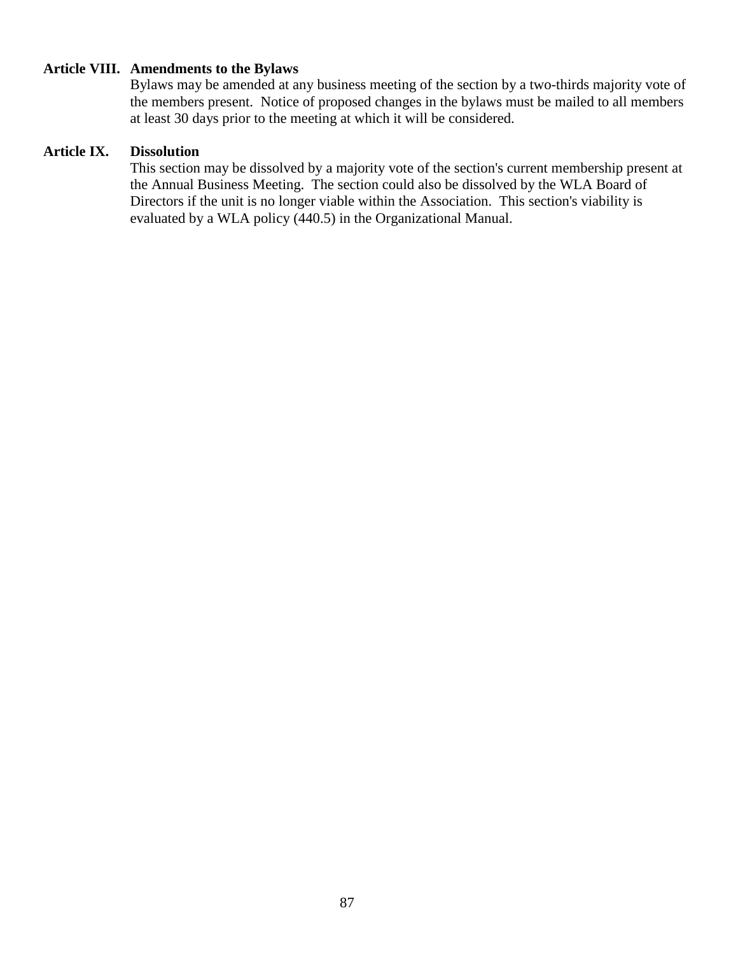# **Article VIII. Amendments to the Bylaws**

Bylaws may be amended at any business meeting of the section by a two-thirds majority vote of the members present. Notice of proposed changes in the bylaws must be mailed to all members at least 30 days prior to the meeting at which it will be considered.

## **Article IX. Dissolution**

This section may be dissolved by a majority vote of the section's current membership present at the Annual Business Meeting. The section could also be dissolved by the WLA Board of Directors if the unit is no longer viable within the Association. This section's viability is evaluated by a WLA policy (440.5) in the Organizational Manual.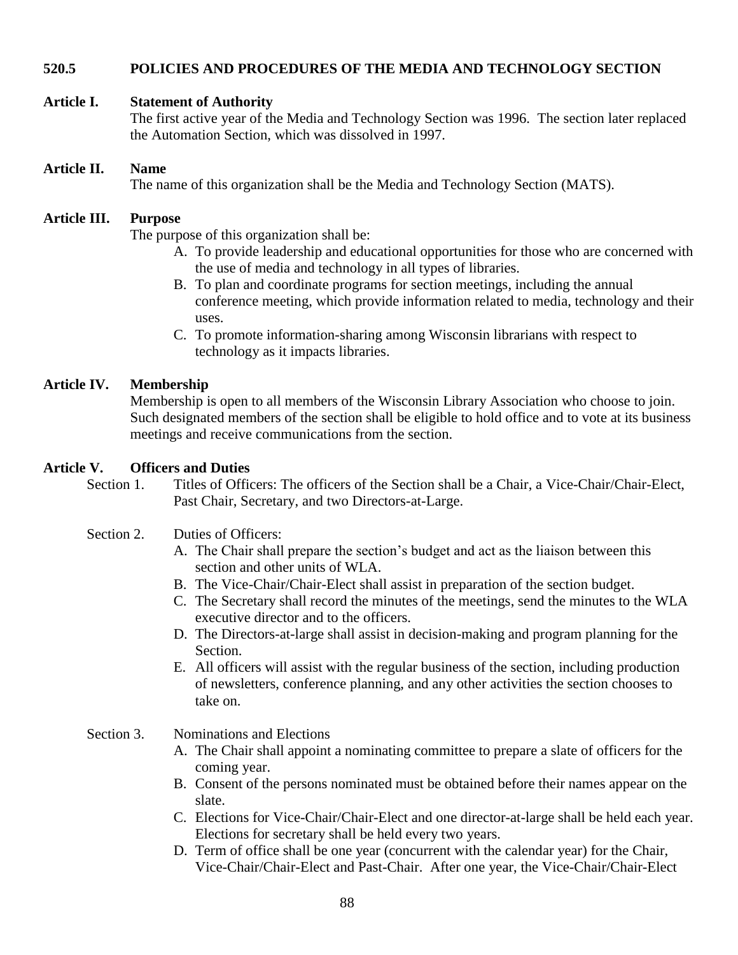# **520.5 POLICIES AND PROCEDURES OF THE MEDIA AND TECHNOLOGY SECTION**

# **Article I. Statement of Authority**

The first active year of the Media and Technology Section was 1996. The section later replaced the Automation Section, which was dissolved in 1997.

#### **Article II. Name**

The name of this organization shall be the Media and Technology Section (MATS).

# **Article III. Purpose**

The purpose of this organization shall be:

- A. To provide leadership and educational opportunities for those who are concerned with the use of media and technology in all types of libraries.
- B. To plan and coordinate programs for section meetings, including the annual conference meeting, which provide information related to media, technology and their uses.
- C. To promote information-sharing among Wisconsin librarians with respect to technology as it impacts libraries.

#### **Article IV. Membership**

Membership is open to all members of the Wisconsin Library Association who choose to join. Such designated members of the section shall be eligible to hold office and to vote at its business meetings and receive communications from the section.

#### **Article V. Officers and Duties**

Section 1. Titles of Officers: The officers of the Section shall be a Chair, a Vice-Chair/Chair-Elect, Past Chair, Secretary, and two Directors-at-Large.

# Section 2. Duties of Officers:

- A. The Chair shall prepare the section's budget and act as the liaison between this section and other units of WLA.
- B. The Vice-Chair/Chair-Elect shall assist in preparation of the section budget.
- C. The Secretary shall record the minutes of the meetings, send the minutes to the WLA executive director and to the officers.
- D. The Directors-at-large shall assist in decision-making and program planning for the Section.
- E. All officers will assist with the regular business of the section, including production of newsletters, conference planning, and any other activities the section chooses to take on.
- Section 3. Nominations and Elections
	- A. The Chair shall appoint a nominating committee to prepare a slate of officers for the coming year.
	- B. Consent of the persons nominated must be obtained before their names appear on the slate.
	- C. Elections for Vice-Chair/Chair-Elect and one director-at-large shall be held each year. Elections for secretary shall be held every two years.
	- D. Term of office shall be one year (concurrent with the calendar year) for the Chair, Vice-Chair/Chair-Elect and Past-Chair. After one year, the Vice-Chair/Chair-Elect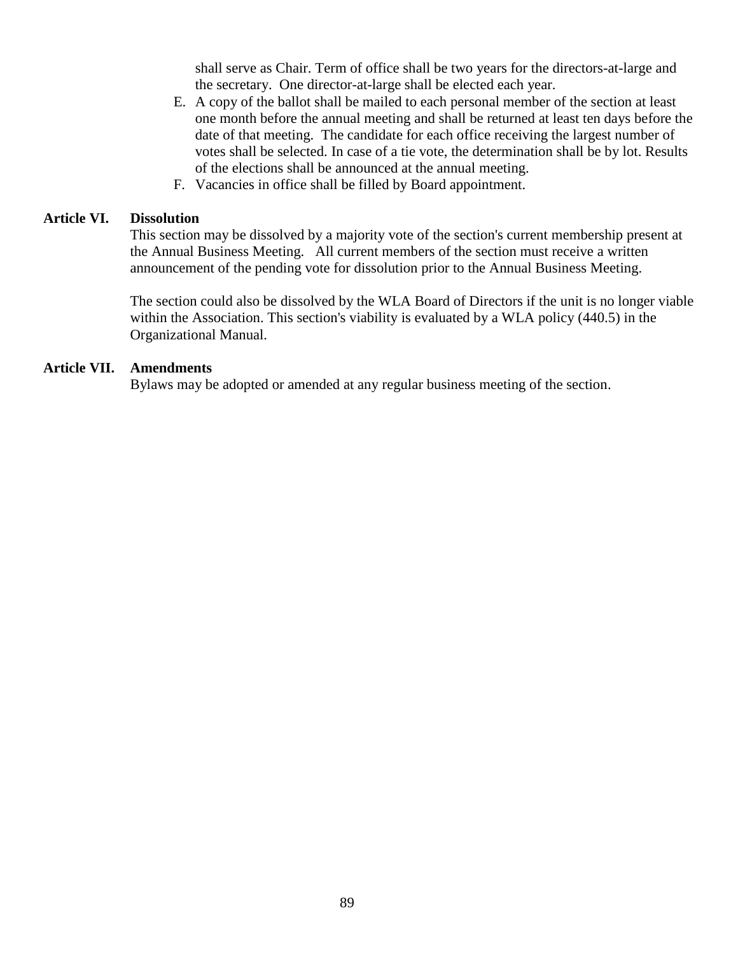shall serve as Chair. Term of office shall be two years for the directors-at-large and the secretary. One director-at-large shall be elected each year.

- E. A copy of the ballot shall be mailed to each personal member of the section at least one month before the annual meeting and shall be returned at least ten days before the date of that meeting. The candidate for each office receiving the largest number of votes shall be selected. In case of a tie vote, the determination shall be by lot. Results of the elections shall be announced at the annual meeting.
- F. Vacancies in office shall be filled by Board appointment.

## **Article VI. Dissolution**

This section may be dissolved by a majority vote of the section's current membership present at the Annual Business Meeting. All current members of the section must receive a written announcement of the pending vote for dissolution prior to the Annual Business Meeting.

The section could also be dissolved by the WLA Board of Directors if the unit is no longer viable within the Association. This section's viability is evaluated by a WLA policy (440.5) in the Organizational Manual.

#### **Article VII. Amendments**

Bylaws may be adopted or amended at any regular business meeting of the section.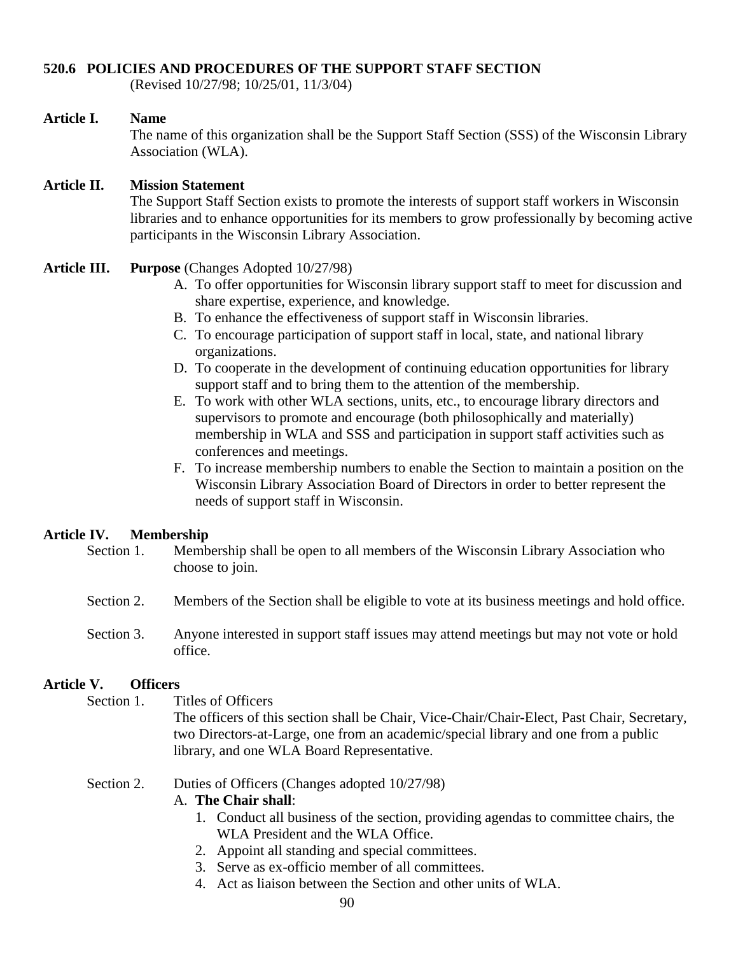# **520.6 POLICIES AND PROCEDURES OF THE SUPPORT STAFF SECTION**

(Revised 10/27/98; 10/25/01, 11/3/04)

#### **Article I. Name**

The name of this organization shall be the Support Staff Section (SSS) of the Wisconsin Library Association (WLA).

# **Article II. Mission Statement**

The Support Staff Section exists to promote the interests of support staff workers in Wisconsin libraries and to enhance opportunities for its members to grow professionally by becoming active participants in the Wisconsin Library Association.

- **Article III. Purpose** (Changes Adopted 10/27/98)
	- A. To offer opportunities for Wisconsin library support staff to meet for discussion and share expertise, experience, and knowledge.
	- B. To enhance the effectiveness of support staff in Wisconsin libraries.
	- C. To encourage participation of support staff in local, state, and national library organizations.
	- D. To cooperate in the development of continuing education opportunities for library support staff and to bring them to the attention of the membership.
	- E. To work with other WLA sections, units, etc., to encourage library directors and supervisors to promote and encourage (both philosophically and materially) membership in WLA and SSS and participation in support staff activities such as conferences and meetings.
	- F. To increase membership numbers to enable the Section to maintain a position on the Wisconsin Library Association Board of Directors in order to better represent the needs of support staff in Wisconsin.

# **Article IV. Membership**

- Section 1. Membership shall be open to all members of the Wisconsin Library Association who choose to join.
- Section 2. Members of the Section shall be eligible to vote at its business meetings and hold office.
- Section 3. Anyone interested in support staff issues may attend meetings but may not vote or hold office.

# **Article V. Officers**

Section 1. Titles of Officers

The officers of this section shall be Chair, Vice-Chair/Chair-Elect, Past Chair, Secretary, two Directors-at-Large, one from an academic/special library and one from a public library, and one WLA Board Representative.

Section 2. Duties of Officers (Changes adopted  $10/27/98$ )

# A. **The Chair shall**:

- 1. Conduct all business of the section, providing agendas to committee chairs, the WLA President and the WLA Office.
- 2. Appoint all standing and special committees.
- 3. Serve as ex-officio member of all committees.
- 4. Act as liaison between the Section and other units of WLA.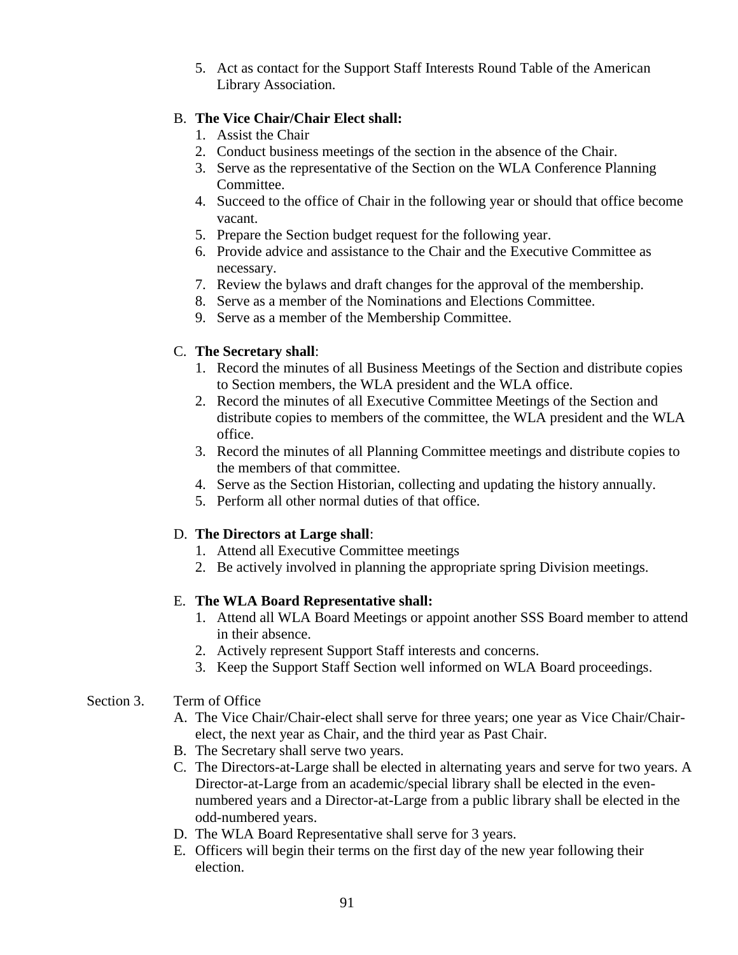5. Act as contact for the Support Staff Interests Round Table of the American Library Association.

# B. **The Vice Chair/Chair Elect shall:**

- 1. Assist the Chair
- 2. Conduct business meetings of the section in the absence of the Chair.
- 3. Serve as the representative of the Section on the WLA Conference Planning Committee.
- 4. Succeed to the office of Chair in the following year or should that office become vacant.
- 5. Prepare the Section budget request for the following year.
- 6. Provide advice and assistance to the Chair and the Executive Committee as necessary.
- 7. Review the bylaws and draft changes for the approval of the membership.
- 8. Serve as a member of the Nominations and Elections Committee.
- 9. Serve as a member of the Membership Committee.

# C. **The Secretary shall**:

- 1. Record the minutes of all Business Meetings of the Section and distribute copies to Section members, the WLA president and the WLA office.
- 2. Record the minutes of all Executive Committee Meetings of the Section and distribute copies to members of the committee, the WLA president and the WLA office.
- 3. Record the minutes of all Planning Committee meetings and distribute copies to the members of that committee.
- 4. Serve as the Section Historian, collecting and updating the history annually.
- 5. Perform all other normal duties of that office.

# D. **The Directors at Large shall**:

- 1. Attend all Executive Committee meetings
- 2. Be actively involved in planning the appropriate spring Division meetings.

# E. **The WLA Board Representative shall:**

- 1. Attend all WLA Board Meetings or appoint another SSS Board member to attend in their absence.
- 2. Actively represent Support Staff interests and concerns.
- 3. Keep the Support Staff Section well informed on WLA Board proceedings.

# Section 3. Term of Office

- A. The Vice Chair/Chair-elect shall serve for three years; one year as Vice Chair/Chairelect, the next year as Chair, and the third year as Past Chair.
- B. The Secretary shall serve two years.
- C. The Directors-at-Large shall be elected in alternating years and serve for two years. A Director-at-Large from an academic/special library shall be elected in the evennumbered years and a Director-at-Large from a public library shall be elected in the odd-numbered years.
- D. The WLA Board Representative shall serve for 3 years.
- E. Officers will begin their terms on the first day of the new year following their election.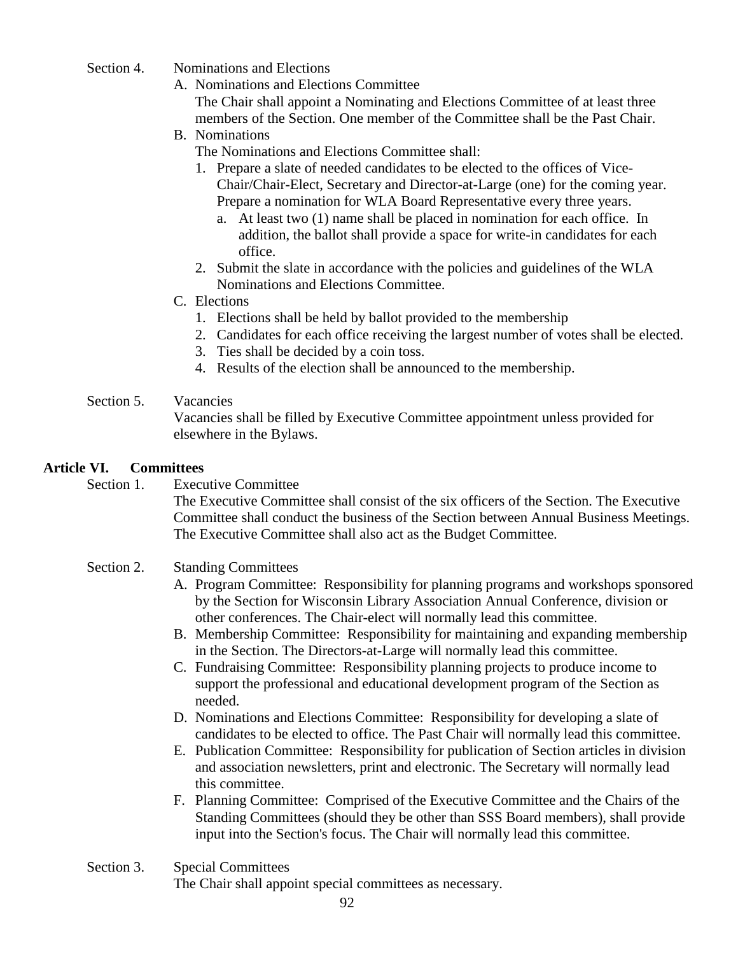- Section 4. Nominations and Elections
	- A. Nominations and Elections Committee

The Chair shall appoint a Nominating and Elections Committee of at least three members of the Section. One member of the Committee shall be the Past Chair.

B. Nominations

The Nominations and Elections Committee shall:

- 1. Prepare a slate of needed candidates to be elected to the offices of Vice-Chair/Chair-Elect, Secretary and Director-at-Large (one) for the coming year. Prepare a nomination for WLA Board Representative every three years.
	- a. At least two (1) name shall be placed in nomination for each office. In addition, the ballot shall provide a space for write-in candidates for each office.
- 2. Submit the slate in accordance with the policies and guidelines of the WLA Nominations and Elections Committee.
- C. Elections
	- 1. Elections shall be held by ballot provided to the membership
	- 2. Candidates for each office receiving the largest number of votes shall be elected.
	- 3. Ties shall be decided by a coin toss.
	- 4. Results of the election shall be announced to the membership.

# Section 5. Vacancies

Vacancies shall be filled by Executive Committee appointment unless provided for elsewhere in the Bylaws.

# **Article VI. Committees**

Section 1. Executive Committee

The Executive Committee shall consist of the six officers of the Section. The Executive Committee shall conduct the business of the Section between Annual Business Meetings. The Executive Committee shall also act as the Budget Committee.

# Section 2. Standing Committees

- A. Program Committee: Responsibility for planning programs and workshops sponsored by the Section for Wisconsin Library Association Annual Conference, division or other conferences. The Chair-elect will normally lead this committee.
- B. Membership Committee: Responsibility for maintaining and expanding membership in the Section. The Directors-at-Large will normally lead this committee.
- C. Fundraising Committee: Responsibility planning projects to produce income to support the professional and educational development program of the Section as needed.
- D. Nominations and Elections Committee: Responsibility for developing a slate of candidates to be elected to office. The Past Chair will normally lead this committee.
- E. Publication Committee: Responsibility for publication of Section articles in division and association newsletters, print and electronic. The Secretary will normally lead this committee.
- F. Planning Committee: Comprised of the Executive Committee and the Chairs of the Standing Committees (should they be other than SSS Board members), shall provide input into the Section's focus. The Chair will normally lead this committee.
- Section 3. Special Committees

The Chair shall appoint special committees as necessary.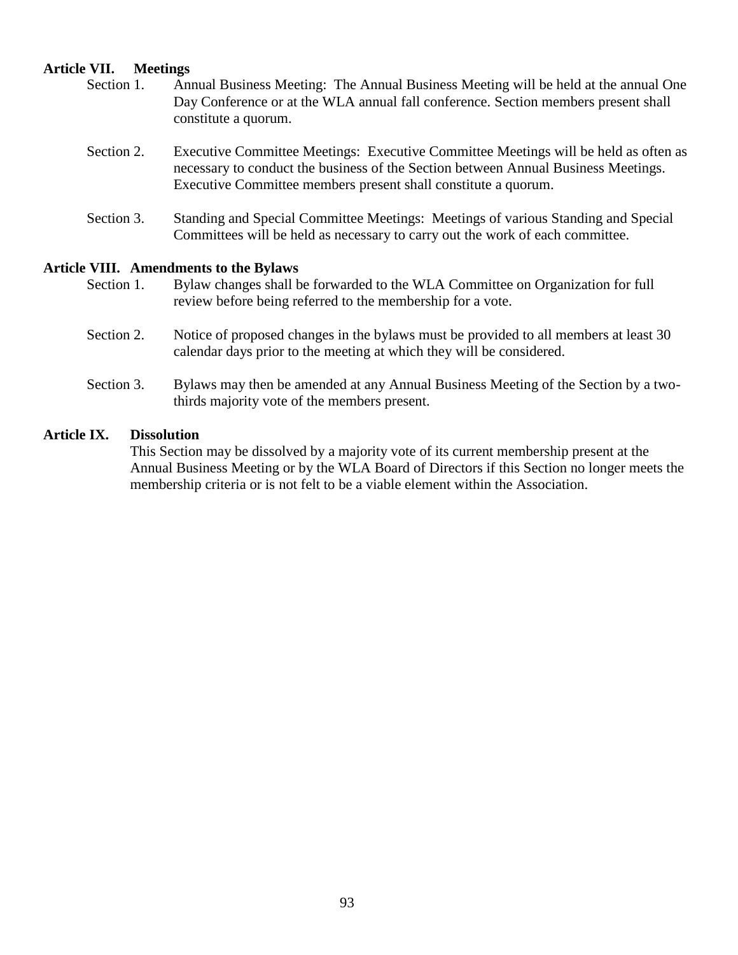## **Article VII. Meetings**

- Section 1. Annual Business Meeting: The Annual Business Meeting will be held at the annual One Day Conference or at the WLA annual fall conference. Section members present shall constitute a quorum.
- Section 2. Executive Committee Meetings: Executive Committee Meetings will be held as often as necessary to conduct the business of the Section between Annual Business Meetings. Executive Committee members present shall constitute a quorum.
- Section 3. Standing and Special Committee Meetings: Meetings of various Standing and Special Committees will be held as necessary to carry out the work of each committee.

#### **Article VIII. Amendments to the Bylaws**

- Section 1. Bylaw changes shall be forwarded to the WLA Committee on Organization for full review before being referred to the membership for a vote.
- Section 2. Notice of proposed changes in the bylaws must be provided to all members at least 30 calendar days prior to the meeting at which they will be considered.
- Section 3. Bylaws may then be amended at any Annual Business Meeting of the Section by a twothirds majority vote of the members present.

# **Article IX. Dissolution**

This Section may be dissolved by a majority vote of its current membership present at the Annual Business Meeting or by the WLA Board of Directors if this Section no longer meets the membership criteria or is not felt to be a viable element within the Association.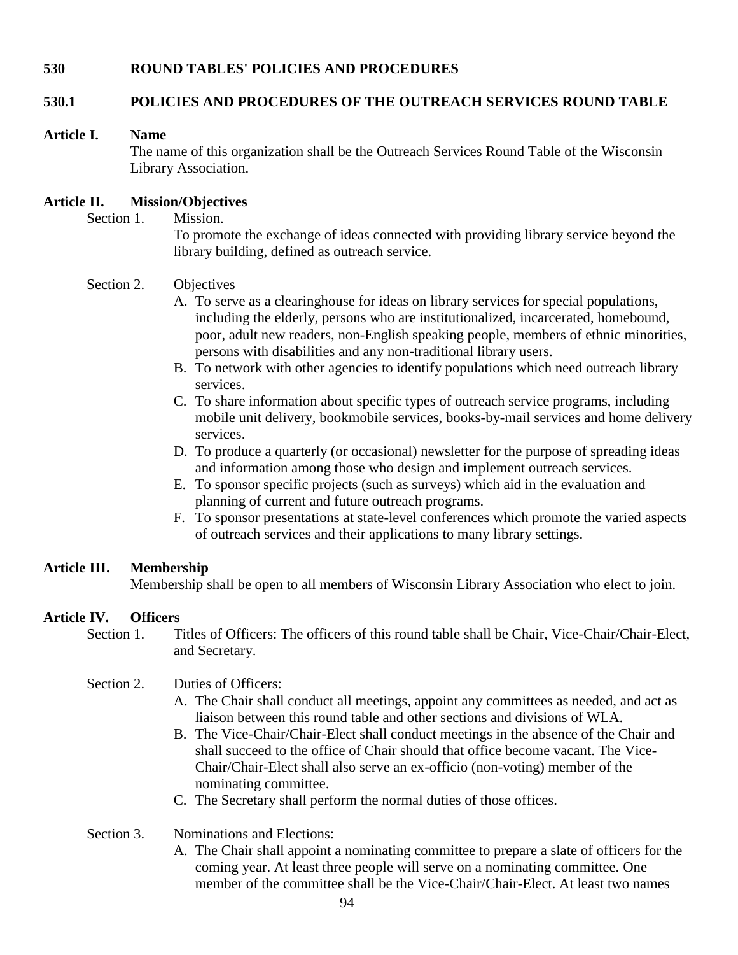# **530 ROUND TABLES' POLICIES AND PROCEDURES**

# **530.1 POLICIES AND PROCEDURES OF THE OUTREACH SERVICES ROUND TABLE**

#### **Article I. Name**

The name of this organization shall be the Outreach Services Round Table of the Wisconsin Library Association.

# **Article II. Mission/Objectives**

Section 1. Mission.

To promote the exchange of ideas connected with providing library service beyond the library building, defined as outreach service.

# Section 2. Objectives

- A. To serve as a clearinghouse for ideas on library services for special populations, including the elderly, persons who are institutionalized, incarcerated, homebound, poor, adult new readers, non-English speaking people, members of ethnic minorities, persons with disabilities and any non-traditional library users.
- B. To network with other agencies to identify populations which need outreach library services.
- C. To share information about specific types of outreach service programs, including mobile unit delivery, bookmobile services, books-by-mail services and home delivery services.
- D. To produce a quarterly (or occasional) newsletter for the purpose of spreading ideas and information among those who design and implement outreach services.
- E. To sponsor specific projects (such as surveys) which aid in the evaluation and planning of current and future outreach programs.
- F. To sponsor presentations at state-level conferences which promote the varied aspects of outreach services and their applications to many library settings.

# **Article III. Membership**

Membership shall be open to all members of Wisconsin Library Association who elect to join.

# **Article IV. Officers**

Section 1. Titles of Officers: The officers of this round table shall be Chair, Vice-Chair/Chair-Elect, and Secretary.

# Section 2. Duties of Officers:

- A. The Chair shall conduct all meetings, appoint any committees as needed, and act as liaison between this round table and other sections and divisions of WLA.
- B. The Vice-Chair/Chair-Elect shall conduct meetings in the absence of the Chair and shall succeed to the office of Chair should that office become vacant. The Vice-Chair/Chair-Elect shall also serve an ex-officio (non-voting) member of the nominating committee.
- C. The Secretary shall perform the normal duties of those offices.
- Section 3. Nominations and Elections:
	- A. The Chair shall appoint a nominating committee to prepare a slate of officers for the coming year. At least three people will serve on a nominating committee. One member of the committee shall be the Vice-Chair/Chair-Elect. At least two names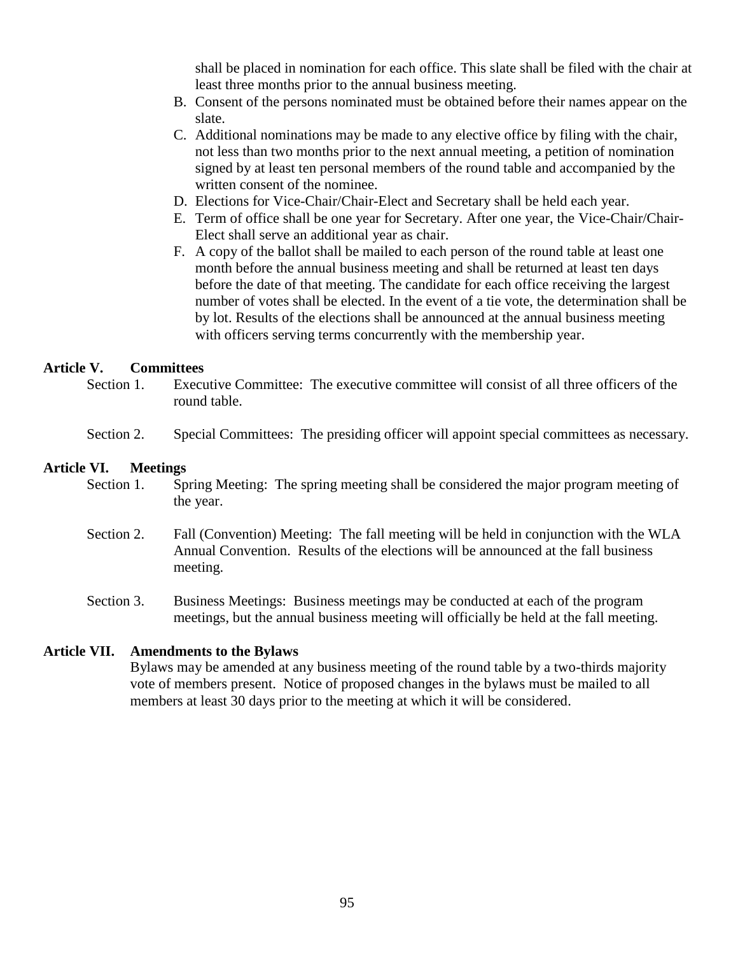shall be placed in nomination for each office. This slate shall be filed with the chair at least three months prior to the annual business meeting.

- B. Consent of the persons nominated must be obtained before their names appear on the slate.
- C. Additional nominations may be made to any elective office by filing with the chair, not less than two months prior to the next annual meeting, a petition of nomination signed by at least ten personal members of the round table and accompanied by the written consent of the nominee.
- D. Elections for Vice-Chair/Chair-Elect and Secretary shall be held each year.
- E. Term of office shall be one year for Secretary. After one year, the Vice-Chair/Chair-Elect shall serve an additional year as chair.
- F. A copy of the ballot shall be mailed to each person of the round table at least one month before the annual business meeting and shall be returned at least ten days before the date of that meeting. The candidate for each office receiving the largest number of votes shall be elected. In the event of a tie vote, the determination shall be by lot. Results of the elections shall be announced at the annual business meeting with officers serving terms concurrently with the membership year.

# **Article V. Committees**

- Section 1. Executive Committee: The executive committee will consist of all three officers of the round table.
- Section 2. Special Committees: The presiding officer will appoint special committees as necessary.

#### **Article VI. Meetings**

- Section 1. Spring Meeting: The spring meeting shall be considered the major program meeting of the year.
- Section 2. Fall (Convention) Meeting: The fall meeting will be held in conjunction with the WLA Annual Convention. Results of the elections will be announced at the fall business meeting.
- Section 3. Business Meetings: Business meetings may be conducted at each of the program meetings, but the annual business meeting will officially be held at the fall meeting.

# **Article VII. Amendments to the Bylaws**

Bylaws may be amended at any business meeting of the round table by a two-thirds majority vote of members present. Notice of proposed changes in the bylaws must be mailed to all members at least 30 days prior to the meeting at which it will be considered.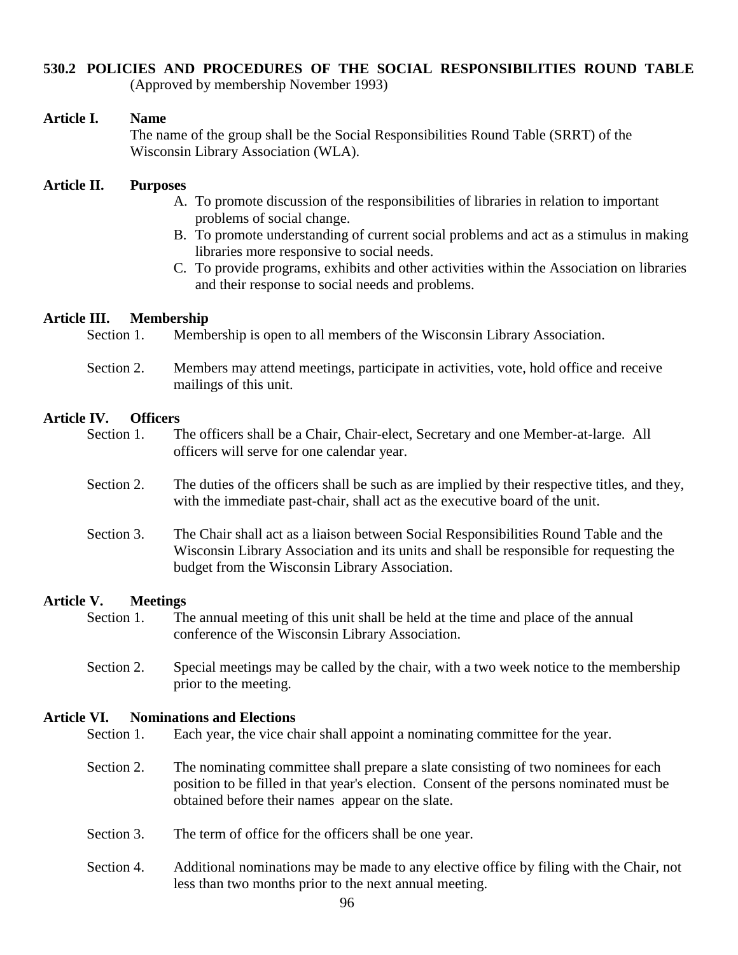# **530.2 POLICIES AND PROCEDURES OF THE SOCIAL RESPONSIBILITIES ROUND TABLE**

(Approved by membership November 1993)

# **Article I. Name**

The name of the group shall be the Social Responsibilities Round Table (SRRT) of the Wisconsin Library Association (WLA).

# **Article II. Purposes**

- A. To promote discussion of the responsibilities of libraries in relation to important problems of social change.
- B. To promote understanding of current social problems and act as a stimulus in making libraries more responsive to social needs.
- C. To provide programs, exhibits and other activities within the Association on libraries and their response to social needs and problems.

# **Article III. Membership**

| Section 1. | Membership is open to all members of the Wisconsin Library Association. |  |  |  |  |
|------------|-------------------------------------------------------------------------|--|--|--|--|
|            |                                                                         |  |  |  |  |

Section 2. Members may attend meetings, participate in activities, vote, hold office and receive mailings of this unit.

# **Article IV. Officers**

| Section 1. | The officers shall be a Chair, Chair-elect, Secretary and one Member-at-large. All |  |
|------------|------------------------------------------------------------------------------------|--|
|            | officers will serve for one calendar year.                                         |  |

- Section 2. The duties of the officers shall be such as are implied by their respective titles, and they, with the immediate past-chair, shall act as the executive board of the unit.
- Section 3. The Chair shall act as a liaison between Social Responsibilities Round Table and the Wisconsin Library Association and its units and shall be responsible for requesting the budget from the Wisconsin Library Association.

# **Article V. Meetings**

- Section 1. The annual meeting of this unit shall be held at the time and place of the annual conference of the Wisconsin Library Association.
- Section 2. Special meetings may be called by the chair, with a two week notice to the membership prior to the meeting.

# **Article VI. Nominations and Elections**

- Section 1. Each year, the vice chair shall appoint a nominating committee for the year.
- Section 2. The nominating committee shall prepare a slate consisting of two nominees for each position to be filled in that year's election. Consent of the persons nominated must be obtained before their names appear on the slate.
- Section 3. The term of office for the officers shall be one year.
- Section 4. Additional nominations may be made to any elective office by filing with the Chair, not less than two months prior to the next annual meeting.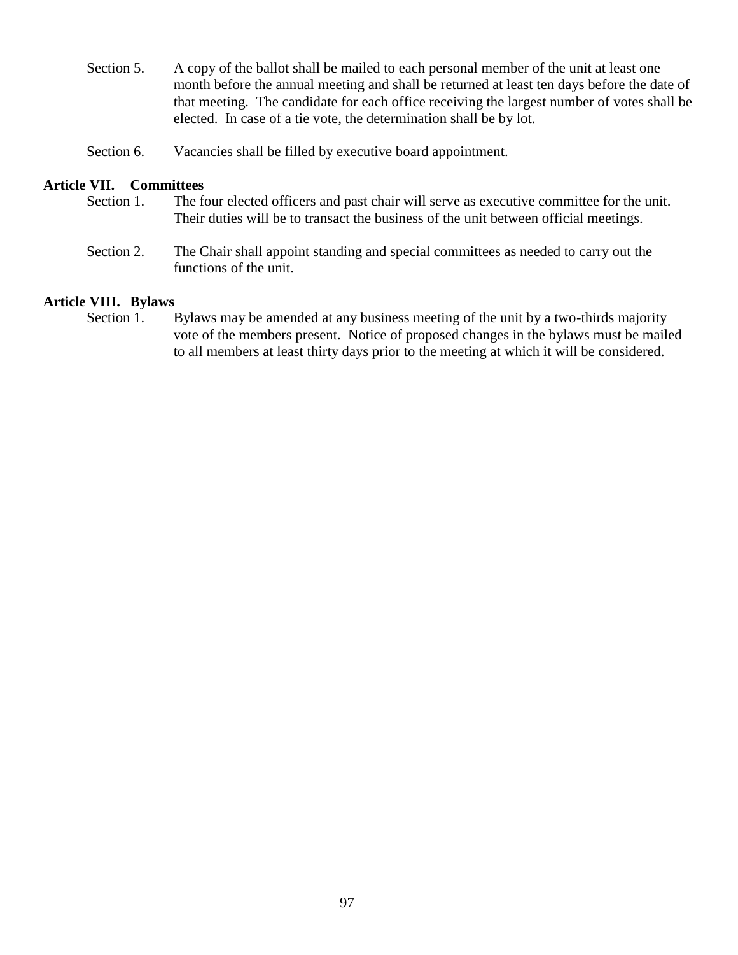Section 5. A copy of the ballot shall be mailed to each personal member of the unit at least one month before the annual meeting and shall be returned at least ten days before the date of that meeting. The candidate for each office receiving the largest number of votes shall be elected. In case of a tie vote, the determination shall be by lot.

Section 6. Vacancies shall be filled by executive board appointment.

## **Article VII. Committees**

- Section 1. The four elected officers and past chair will serve as executive committee for the unit. Their duties will be to transact the business of the unit between official meetings.
- Section 2. The Chair shall appoint standing and special committees as needed to carry out the functions of the unit.

# **Article VIII. Bylaws**

Section 1. Bylaws may be amended at any business meeting of the unit by a two-thirds majority vote of the members present. Notice of proposed changes in the bylaws must be mailed to all members at least thirty days prior to the meeting at which it will be considered.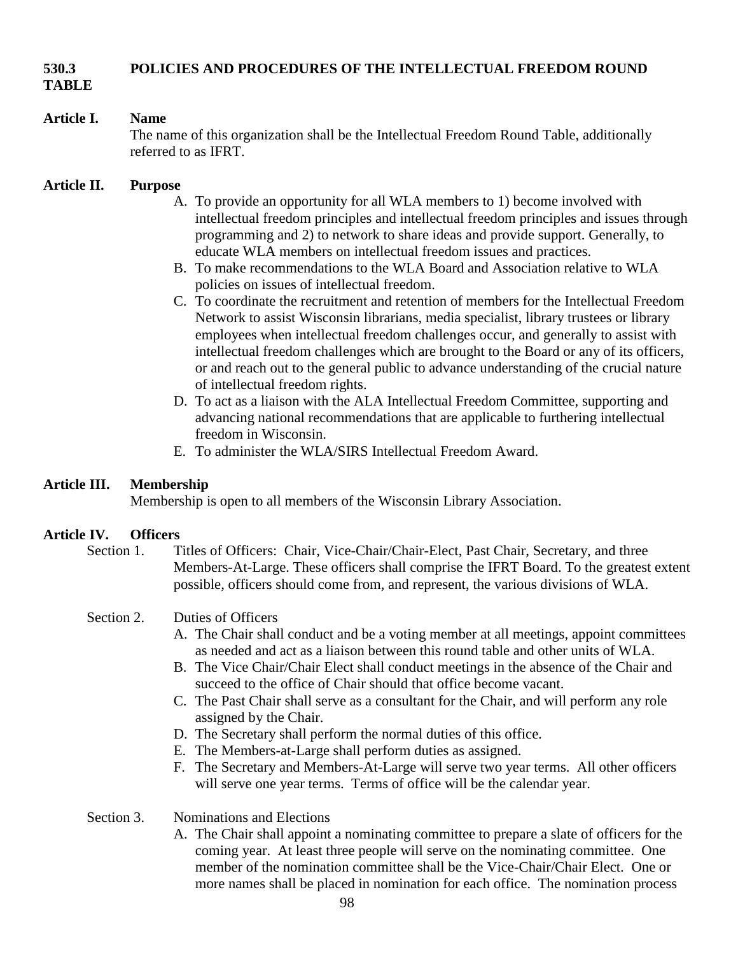# **530.3 POLICIES AND PROCEDURES OF THE INTELLECTUAL FREEDOM ROUND**

**TABLE**

# **Article I. Name**

The name of this organization shall be the Intellectual Freedom Round Table, additionally referred to as IFRT.

# **Article II. Purpose**

- A. To provide an opportunity for all WLA members to 1) become involved with intellectual freedom principles and intellectual freedom principles and issues through programming and 2) to network to share ideas and provide support. Generally, to educate WLA members on intellectual freedom issues and practices.
- B. To make recommendations to the WLA Board and Association relative to WLA policies on issues of intellectual freedom.
- C. To coordinate the recruitment and retention of members for the Intellectual Freedom Network to assist Wisconsin librarians, media specialist, library trustees or library employees when intellectual freedom challenges occur, and generally to assist with intellectual freedom challenges which are brought to the Board or any of its officers, or and reach out to the general public to advance understanding of the crucial nature of intellectual freedom rights.
- D. To act as a liaison with the ALA Intellectual Freedom Committee, supporting and advancing national recommendations that are applicable to furthering intellectual freedom in Wisconsin.
- E. To administer the WLA/SIRS Intellectual Freedom Award.

# **Article III. Membership**

Membership is open to all members of the Wisconsin Library Association.

# **Article IV. Officers**

Section 1. Titles of Officers: Chair, Vice-Chair/Chair-Elect, Past Chair, Secretary, and three Members-At-Large. These officers shall comprise the IFRT Board. To the greatest extent possible, officers should come from, and represent, the various divisions of WLA.

# Section 2. Duties of Officers

- A. The Chair shall conduct and be a voting member at all meetings, appoint committees as needed and act as a liaison between this round table and other units of WLA.
- B. The Vice Chair/Chair Elect shall conduct meetings in the absence of the Chair and succeed to the office of Chair should that office become vacant.
- C. The Past Chair shall serve as a consultant for the Chair, and will perform any role assigned by the Chair.
- D. The Secretary shall perform the normal duties of this office.
- E. The Members-at-Large shall perform duties as assigned.
- F. The Secretary and Members-At-Large will serve two year terms. All other officers will serve one year terms. Terms of office will be the calendar year.

# Section 3. Nominations and Elections

A. The Chair shall appoint a nominating committee to prepare a slate of officers for the coming year. At least three people will serve on the nominating committee. One member of the nomination committee shall be the Vice-Chair/Chair Elect. One or more names shall be placed in nomination for each office. The nomination process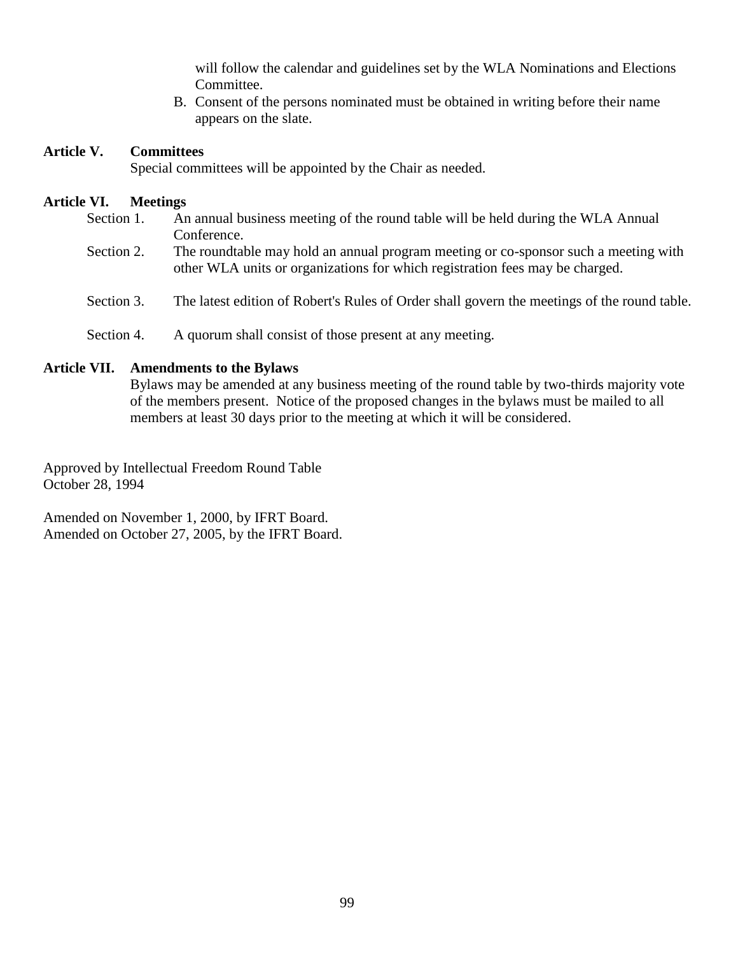will follow the calendar and guidelines set by the WLA Nominations and Elections Committee.

B. Consent of the persons nominated must be obtained in writing before their name appears on the slate.

## **Article V. Committees**

Special committees will be appointed by the Chair as needed.

#### **Article VI. Meetings**

- Section 1. An annual business meeting of the round table will be held during the WLA Annual Conference.
- Section 2. The roundtable may hold an annual program meeting or co-sponsor such a meeting with other WLA units or organizations for which registration fees may be charged.
- Section 3. The latest edition of Robert's Rules of Order shall govern the meetings of the round table.
- Section 4. A quorum shall consist of those present at any meeting.

# **Article VII. Amendments to the Bylaws**

Bylaws may be amended at any business meeting of the round table by two-thirds majority vote of the members present. Notice of the proposed changes in the bylaws must be mailed to all members at least 30 days prior to the meeting at which it will be considered.

Approved by Intellectual Freedom Round Table October 28, 1994

Amended on November 1, 2000, by IFRT Board. Amended on October 27, 2005, by the IFRT Board.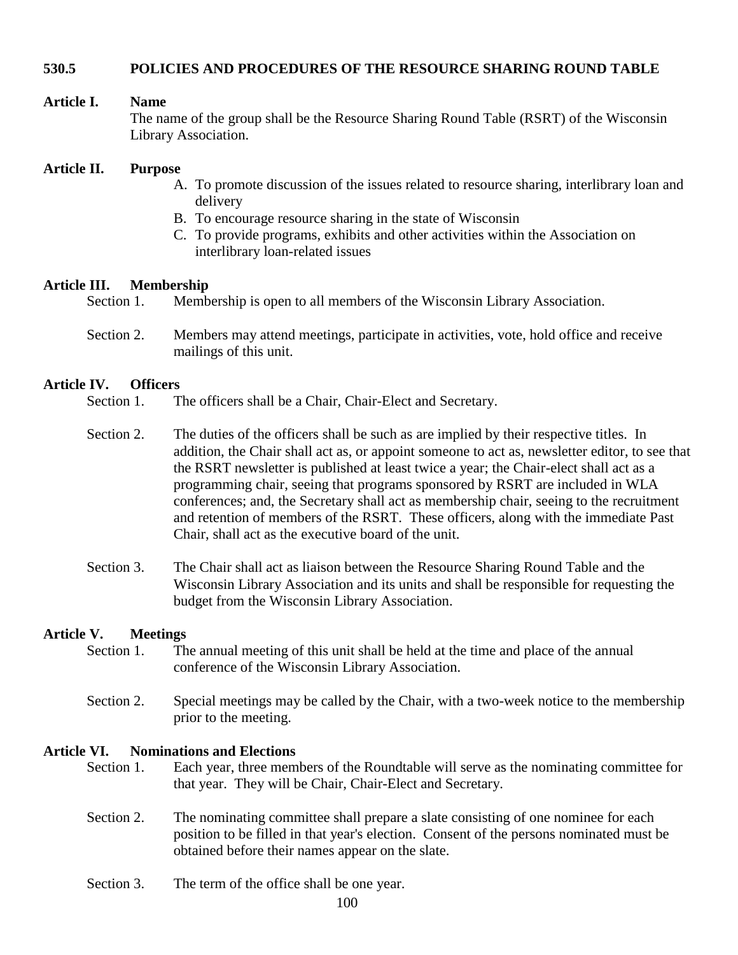## **530.5 POLICIES AND PROCEDURES OF THE RESOURCE SHARING ROUND TABLE**

#### **Article I. Name**

The name of the group shall be the Resource Sharing Round Table (RSRT) of the Wisconsin Library Association.

#### **Article II. Purpose**

- A. To promote discussion of the issues related to resource sharing, interlibrary loan and delivery
- B. To encourage resource sharing in the state of Wisconsin
- C. To provide programs, exhibits and other activities within the Association on interlibrary loan-related issues

#### **Article III. Membership**

- Section 1. Membership is open to all members of the Wisconsin Library Association.
- Section 2. Members may attend meetings, participate in activities, vote, hold office and receive mailings of this unit.

#### **Article IV. Officers**

- Section 1. The officers shall be a Chair, Chair-Elect and Secretary.
- Section 2. The duties of the officers shall be such as are implied by their respective titles. In addition, the Chair shall act as, or appoint someone to act as, newsletter editor, to see that the RSRT newsletter is published at least twice a year; the Chair-elect shall act as a programming chair, seeing that programs sponsored by RSRT are included in WLA conferences; and, the Secretary shall act as membership chair, seeing to the recruitment and retention of members of the RSRT. These officers, along with the immediate Past Chair, shall act as the executive board of the unit.
- Section 3. The Chair shall act as liaison between the Resource Sharing Round Table and the Wisconsin Library Association and its units and shall be responsible for requesting the budget from the Wisconsin Library Association.

#### **Article V. Meetings**

- Section 1. The annual meeting of this unit shall be held at the time and place of the annual conference of the Wisconsin Library Association.
- Section 2. Special meetings may be called by the Chair, with a two-week notice to the membership prior to the meeting.

#### **Article VI. Nominations and Elections**

- Section 1. Each year, three members of the Roundtable will serve as the nominating committee for that year. They will be Chair, Chair-Elect and Secretary.
- Section 2. The nominating committee shall prepare a slate consisting of one nominee for each position to be filled in that year's election. Consent of the persons nominated must be obtained before their names appear on the slate.
- Section 3. The term of the office shall be one year.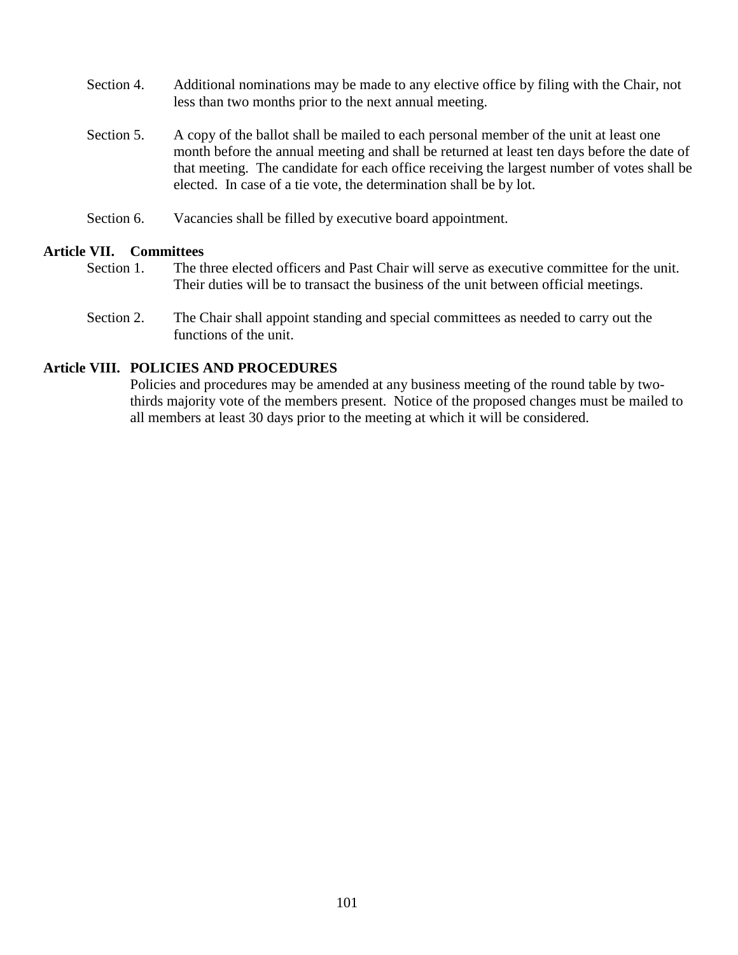- Section 4. Additional nominations may be made to any elective office by filing with the Chair, not less than two months prior to the next annual meeting.
- Section 5. A copy of the ballot shall be mailed to each personal member of the unit at least one month before the annual meeting and shall be returned at least ten days before the date of that meeting. The candidate for each office receiving the largest number of votes shall be elected. In case of a tie vote, the determination shall be by lot.
- Section 6. Vacancies shall be filled by executive board appointment.

#### **Article VII. Committees**

- Section 1. The three elected officers and Past Chair will serve as executive committee for the unit. Their duties will be to transact the business of the unit between official meetings.
- Section 2. The Chair shall appoint standing and special committees as needed to carry out the functions of the unit.

# **Article VIII. POLICIES AND PROCEDURES**

Policies and procedures may be amended at any business meeting of the round table by twothirds majority vote of the members present. Notice of the proposed changes must be mailed to all members at least 30 days prior to the meeting at which it will be considered.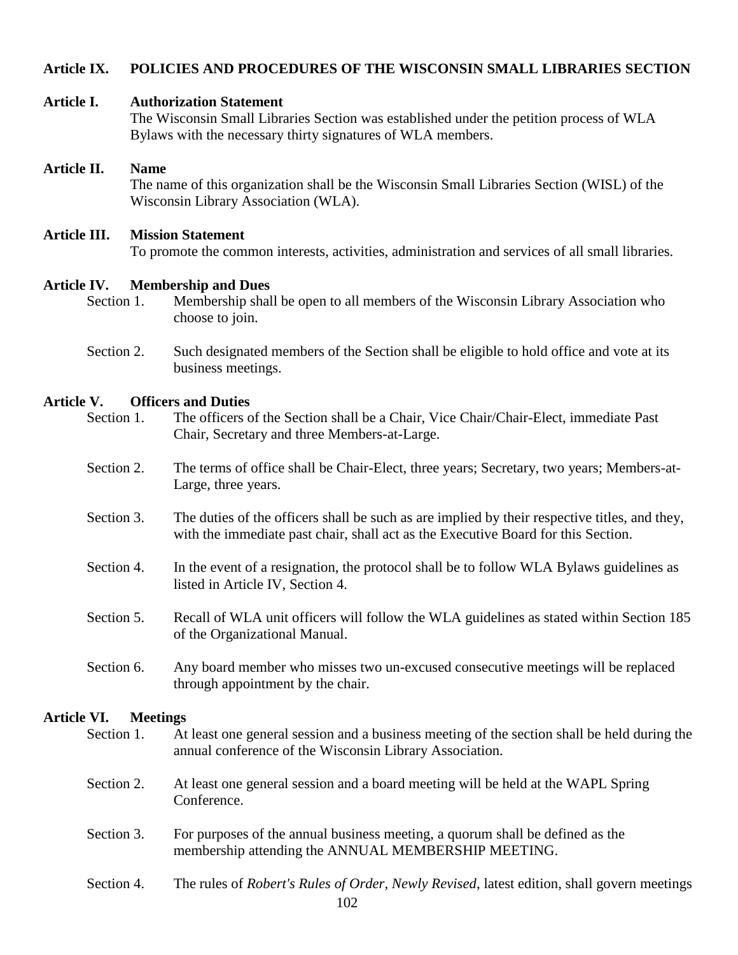# **Article IX. POLICIES AND PROCEDURES OF THE WISCONSIN SMALL LIBRARIES SECTION**

#### **Article I. Authorization Statement**

The Wisconsin Small Libraries Section was established under the petition process of WLA Bylaws with the necessary thirty signatures of WLA members.

# **Article II. Name**

The name of this organization shall be the Wisconsin Small Libraries Section (WISL) of the Wisconsin Library Association (WLA).

# **Article III. Mission Statement**

To promote the common interests, activities, administration and services of all small libraries.

#### **Article IV. Membership and Dues**

- Section 1. Membership shall be open to all members of the Wisconsin Library Association who choose to join.
- Section 2. Such designated members of the Section shall be eligible to hold office and vote at its business meetings.

# **Article V. Officers and Duties**

- Section 1. The officers of the Section shall be a Chair, Vice Chair/Chair-Elect, immediate Past Chair, Secretary and three Members-at-Large.
- Section 2. The terms of office shall be Chair-Elect, three years; Secretary, two years; Members-at-Large, three years.
- Section 3. The duties of the officers shall be such as are implied by their respective titles, and they, with the immediate past chair, shall act as the Executive Board for this Section.
- Section 4. In the event of a resignation, the protocol shall be to follow WLA Bylaws guidelines as listed in Article IV, Section 4.
- Section 5. Recall of WLA unit officers will follow the WLA guidelines as stated within Section 185 of the Organizational Manual.
- Section 6. Any board member who misses two un-excused consecutive meetings will be replaced through appointment by the chair.

# **Article VI. Meetings**

- Section 1. At least one general session and a business meeting of the section shall be held during the annual conference of the Wisconsin Library Association.
- Section 2. At least one general session and a board meeting will be held at the WAPL Spring Conference.
- Section 3. For purposes of the annual business meeting, a quorum shall be defined as the membership attending the ANNUAL MEMBERSHIP MEETING.
- 102 Section 4. The rules of *Robert's Rules of Order, Newly Revised*, latest edition, shall govern meetings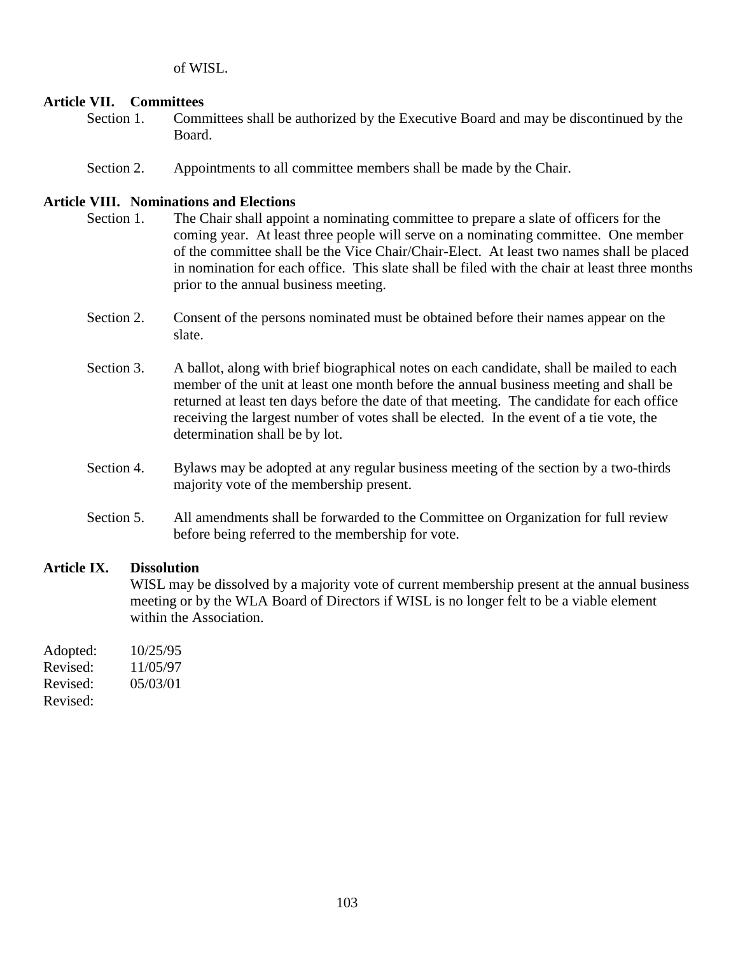of WISL.

# **Article VII. Committees**

- Section 1. Committees shall be authorized by the Executive Board and may be discontinued by the Board.
- Section 2. Appointments to all committee members shall be made by the Chair.

## **Article VIII. Nominations and Elections**

- Section 1. The Chair shall appoint a nominating committee to prepare a slate of officers for the coming year. At least three people will serve on a nominating committee. One member of the committee shall be the Vice Chair/Chair-Elect. At least two names shall be placed in nomination for each office. This slate shall be filed with the chair at least three months prior to the annual business meeting.
- Section 2. Consent of the persons nominated must be obtained before their names appear on the slate.
- Section 3. A ballot, along with brief biographical notes on each candidate, shall be mailed to each member of the unit at least one month before the annual business meeting and shall be returned at least ten days before the date of that meeting. The candidate for each office receiving the largest number of votes shall be elected. In the event of a tie vote, the determination shall be by lot.
- Section 4. Bylaws may be adopted at any regular business meeting of the section by a two-thirds majority vote of the membership present.
- Section 5. All amendments shall be forwarded to the Committee on Organization for full review before being referred to the membership for vote.

# **Article IX. Dissolution**

WISL may be dissolved by a majority vote of current membership present at the annual business meeting or by the WLA Board of Directors if WISL is no longer felt to be a viable element within the Association.

| Adopted: | 10/25/95 |
|----------|----------|
| Revised: | 11/05/97 |
| Revised: | 05/03/01 |
| Revised: |          |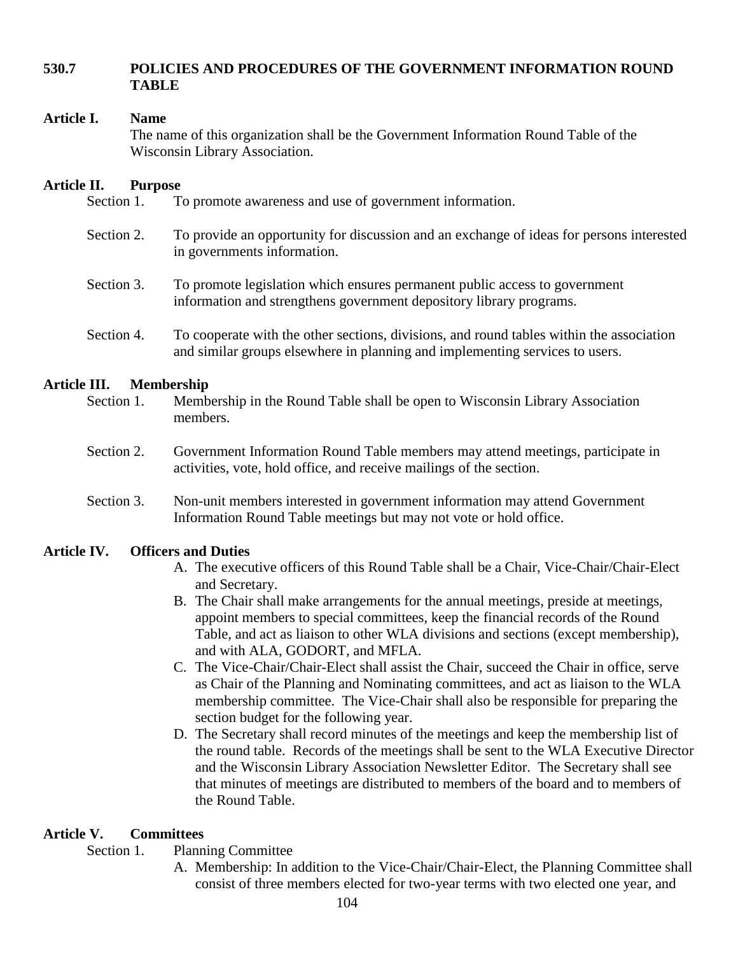# **530.7 POLICIES AND PROCEDURES OF THE GOVERNMENT INFORMATION ROUND TABLE**

### **Article I. Name**

The name of this organization shall be the Government Information Round Table of the Wisconsin Library Association.

## **Article II. Purpose**

Section 1. To promote awareness and use of government information.

- Section 2. To provide an opportunity for discussion and an exchange of ideas for persons interested in governments information.
- Section 3. To promote legislation which ensures permanent public access to government information and strengthens government depository library programs.
- Section 4. To cooperate with the other sections, divisions, and round tables within the association and similar groups elsewhere in planning and implementing services to users.

# **Article III. Membership**

- Section 1. Membership in the Round Table shall be open to Wisconsin Library Association members.
- Section 2. Government Information Round Table members may attend meetings, participate in activities, vote, hold office, and receive mailings of the section.
- Section 3. Non-unit members interested in government information may attend Government Information Round Table meetings but may not vote or hold office.

# **Article IV. Officers and Duties**

- A. The executive officers of this Round Table shall be a Chair, Vice-Chair/Chair-Elect and Secretary.
- B. The Chair shall make arrangements for the annual meetings, preside at meetings, appoint members to special committees, keep the financial records of the Round Table, and act as liaison to other WLA divisions and sections (except membership), and with ALA, GODORT, and MFLA.
- C. The Vice-Chair/Chair-Elect shall assist the Chair, succeed the Chair in office, serve as Chair of the Planning and Nominating committees, and act as liaison to the WLA membership committee. The Vice-Chair shall also be responsible for preparing the section budget for the following year.
- D. The Secretary shall record minutes of the meetings and keep the membership list of the round table. Records of the meetings shall be sent to the WLA Executive Director and the Wisconsin Library Association Newsletter Editor. The Secretary shall see that minutes of meetings are distributed to members of the board and to members of the Round Table.

# **Article V. Committees**

#### Section 1. Planning Committee

A. Membership: In addition to the Vice-Chair/Chair-Elect, the Planning Committee shall consist of three members elected for two-year terms with two elected one year, and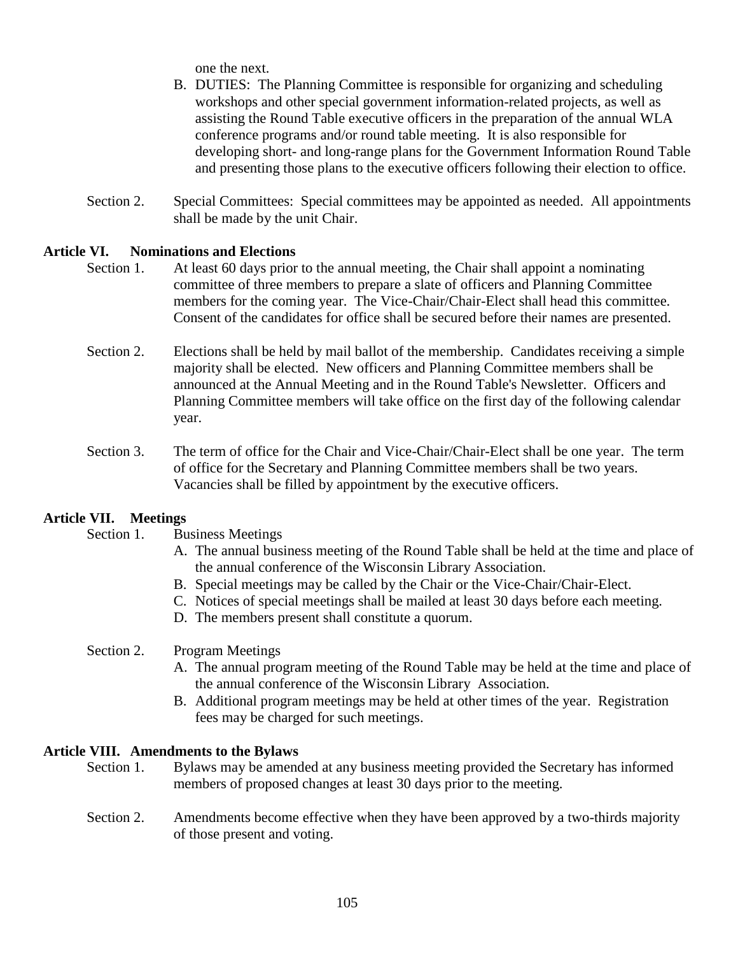one the next.

- B. DUTIES: The Planning Committee is responsible for organizing and scheduling workshops and other special government information-related projects, as well as assisting the Round Table executive officers in the preparation of the annual WLA conference programs and/or round table meeting. It is also responsible for developing short- and long-range plans for the Government Information Round Table and presenting those plans to the executive officers following their election to office.
- Section 2. Special Committees: Special committees may be appointed as needed. All appointments shall be made by the unit Chair.

# **Article VI. Nominations and Elections**

- Section 1. At least 60 days prior to the annual meeting, the Chair shall appoint a nominating committee of three members to prepare a slate of officers and Planning Committee members for the coming year. The Vice-Chair/Chair-Elect shall head this committee. Consent of the candidates for office shall be secured before their names are presented.
- Section 2. Elections shall be held by mail ballot of the membership. Candidates receiving a simple majority shall be elected. New officers and Planning Committee members shall be announced at the Annual Meeting and in the Round Table's Newsletter. Officers and Planning Committee members will take office on the first day of the following calendar year.
- Section 3. The term of office for the Chair and Vice-Chair/Chair-Elect shall be one year. The term of office for the Secretary and Planning Committee members shall be two years. Vacancies shall be filled by appointment by the executive officers.

# **Article VII. Meetings**

Section 1. Business Meetings

- A. The annual business meeting of the Round Table shall be held at the time and place of the annual conference of the Wisconsin Library Association.
- B. Special meetings may be called by the Chair or the Vice-Chair/Chair-Elect.
- C. Notices of special meetings shall be mailed at least 30 days before each meeting.
- D. The members present shall constitute a quorum.

#### Section 2. Program Meetings

- A. The annual program meeting of the Round Table may be held at the time and place of the annual conference of the Wisconsin Library Association.
- B. Additional program meetings may be held at other times of the year. Registration fees may be charged for such meetings.

#### **Article VIII. Amendments to the Bylaws**

- Section 1. Bylaws may be amended at any business meeting provided the Secretary has informed members of proposed changes at least 30 days prior to the meeting.
- Section 2. Amendments become effective when they have been approved by a two-thirds majority of those present and voting.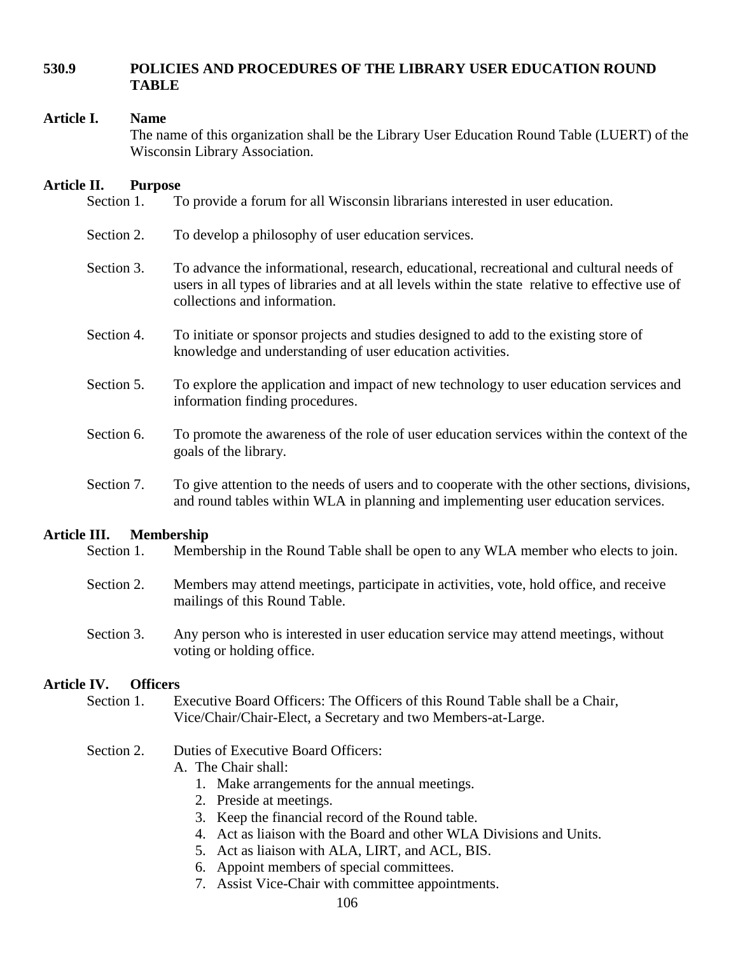# **530.9 POLICIES AND PROCEDURES OF THE LIBRARY USER EDUCATION ROUND TABLE**

#### **Article I. Name**

The name of this organization shall be the Library User Education Round Table (LUERT) of the Wisconsin Library Association.

#### **Article II. Purpose**

- Section 1. To provide a forum for all Wisconsin librarians interested in user education.
- Section 2. To develop a philosophy of user education services.
- Section 3. To advance the informational, research, educational, recreational and cultural needs of users in all types of libraries and at all levels within the state relative to effective use of collections and information.
- Section 4. To initiate or sponsor projects and studies designed to add to the existing store of knowledge and understanding of user education activities.
- Section 5. To explore the application and impact of new technology to user education services and information finding procedures.
- Section 6. To promote the awareness of the role of user education services within the context of the goals of the library.
- Section 7. To give attention to the needs of users and to cooperate with the other sections, divisions, and round tables within WLA in planning and implementing user education services.

# **Article III. Membership**

- Section 1. Membership in the Round Table shall be open to any WLA member who elects to join.
- Section 2. Members may attend meetings, participate in activities, vote, hold office, and receive mailings of this Round Table.
- Section 3. Any person who is interested in user education service may attend meetings, without voting or holding office.

#### **Article IV. Officers**

Section 1. Executive Board Officers: The Officers of this Round Table shall be a Chair, Vice/Chair/Chair-Elect, a Secretary and two Members-at-Large.

# Section 2. Duties of Executive Board Officers:

- A. The Chair shall:
	- 1. Make arrangements for the annual meetings.
	- 2. Preside at meetings.
	- 3. Keep the financial record of the Round table.
	- 4. Act as liaison with the Board and other WLA Divisions and Units.
	- 5. Act as liaison with ALA, LIRT, and ACL, BIS.
	- 6. Appoint members of special committees.
	- 7. Assist Vice-Chair with committee appointments.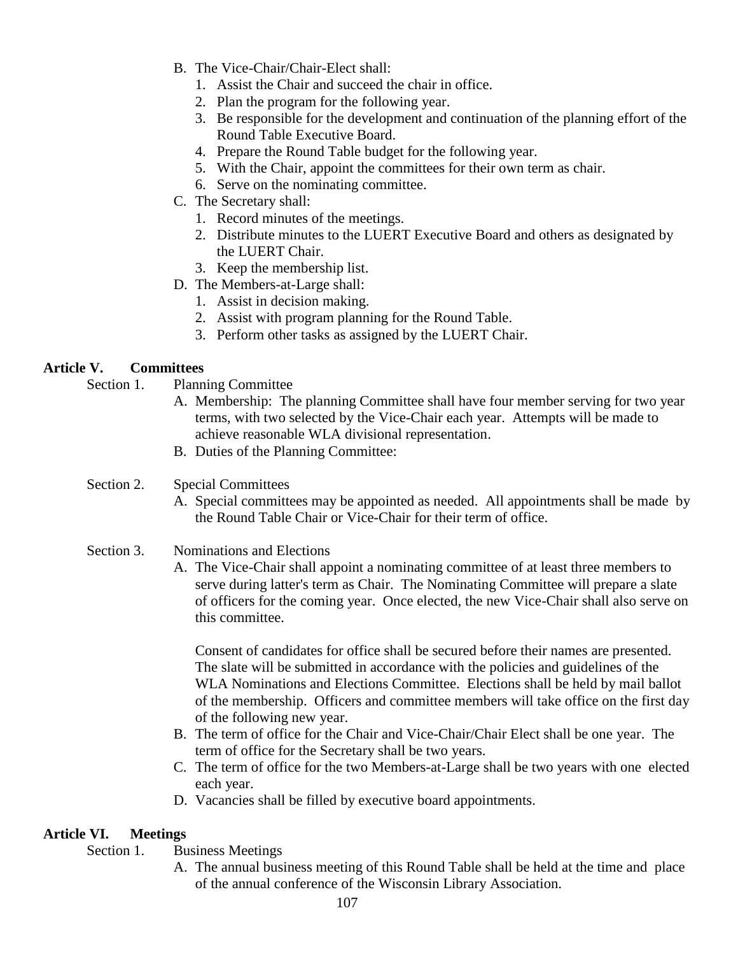- B. The Vice-Chair/Chair-Elect shall:
	- 1. Assist the Chair and succeed the chair in office.
	- 2. Plan the program for the following year.
	- 3. Be responsible for the development and continuation of the planning effort of the Round Table Executive Board.
	- 4. Prepare the Round Table budget for the following year.
	- 5. With the Chair, appoint the committees for their own term as chair.
	- 6. Serve on the nominating committee.
- C. The Secretary shall:
	- 1. Record minutes of the meetings.
	- 2. Distribute minutes to the LUERT Executive Board and others as designated by the LUERT Chair.
	- 3. Keep the membership list.
- D. The Members-at-Large shall:
	- 1. Assist in decision making.
	- 2. Assist with program planning for the Round Table.
	- 3. Perform other tasks as assigned by the LUERT Chair.

# **Article V. Committees**

- Section 1. Planning Committee
	- A. Membership: The planning Committee shall have four member serving for two year terms, with two selected by the Vice-Chair each year. Attempts will be made to achieve reasonable WLA divisional representation.
	- B. Duties of the Planning Committee:

#### Section 2. Special Committees

- A. Special committees may be appointed as needed. All appointments shall be made by the Round Table Chair or Vice-Chair for their term of office.
- Section 3. Nominations and Elections
	- A. The Vice-Chair shall appoint a nominating committee of at least three members to serve during latter's term as Chair. The Nominating Committee will prepare a slate of officers for the coming year. Once elected, the new Vice-Chair shall also serve on this committee.

Consent of candidates for office shall be secured before their names are presented. The slate will be submitted in accordance with the policies and guidelines of the WLA Nominations and Elections Committee. Elections shall be held by mail ballot of the membership. Officers and committee members will take office on the first day of the following new year.

- B. The term of office for the Chair and Vice-Chair/Chair Elect shall be one year. The term of office for the Secretary shall be two years.
- C. The term of office for the two Members-at-Large shall be two years with one elected each year.
- D. Vacancies shall be filled by executive board appointments.

#### **Article VI. Meetings**

- Section 1. Business Meetings
	- A. The annual business meeting of this Round Table shall be held at the time and place of the annual conference of the Wisconsin Library Association.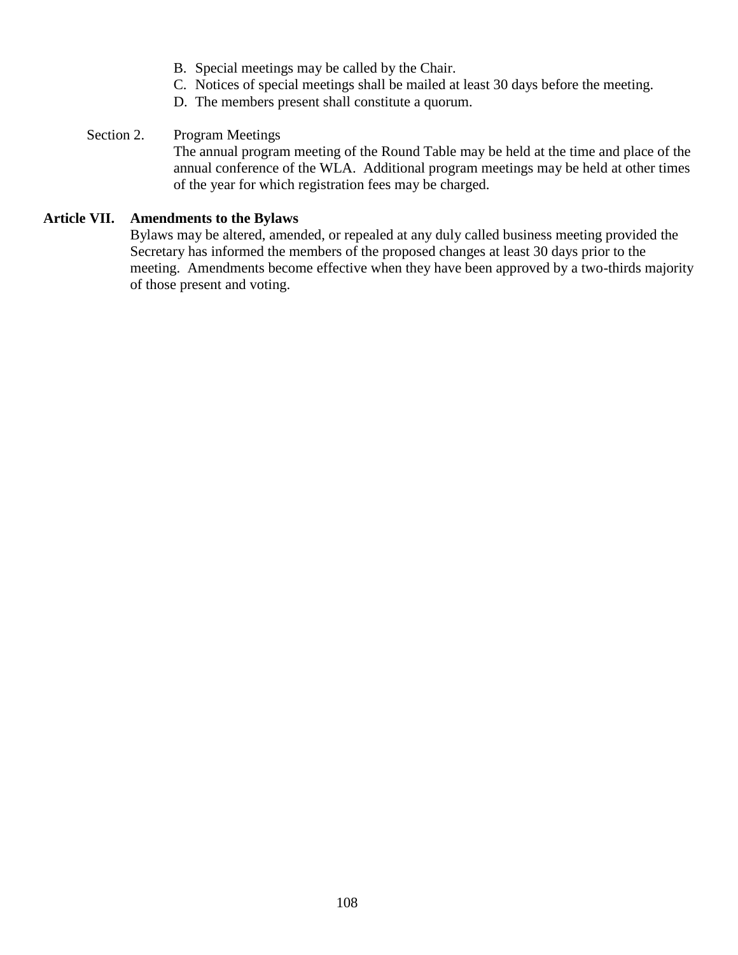- B. Special meetings may be called by the Chair.
- C. Notices of special meetings shall be mailed at least 30 days before the meeting.
- D. The members present shall constitute a quorum.

# Section 2. Program Meetings

The annual program meeting of the Round Table may be held at the time and place of the annual conference of the WLA. Additional program meetings may be held at other times of the year for which registration fees may be charged.

# **Article VII. Amendments to the Bylaws**

Bylaws may be altered, amended, or repealed at any duly called business meeting provided the Secretary has informed the members of the proposed changes at least 30 days prior to the meeting. Amendments become effective when they have been approved by a two-thirds majority of those present and voting.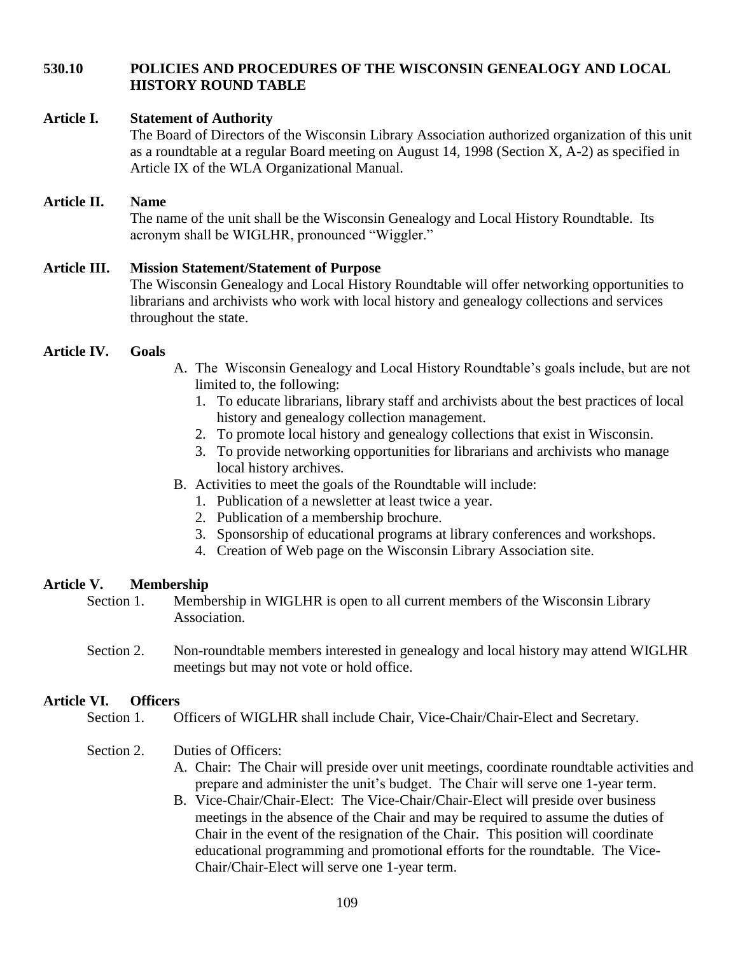# **530.10 POLICIES AND PROCEDURES OF THE WISCONSIN GENEALOGY AND LOCAL HISTORY ROUND TABLE**

### **Article I. Statement of Authority**

The Board of Directors of the Wisconsin Library Association authorized organization of this unit as a roundtable at a regular Board meeting on August 14, 1998 (Section X, A-2) as specified in Article IX of the WLA Organizational Manual.

# **Article II. Name**

The name of the unit shall be the Wisconsin Genealogy and Local History Roundtable. Its acronym shall be WIGLHR, pronounced "Wiggler."

# **Article III. Mission Statement/Statement of Purpose** The Wisconsin Genealogy and Local History Roundtable will offer networking opportunities to librarians and archivists who work with local history and genealogy collections and services throughout the state.

## **Article IV. Goals**

- A. The Wisconsin Genealogy and Local History Roundtable's goals include, but are not limited to, the following:
	- 1. To educate librarians, library staff and archivists about the best practices of local history and genealogy collection management.
	- 2. To promote local history and genealogy collections that exist in Wisconsin.
	- 3. To provide networking opportunities for librarians and archivists who manage local history archives.
- B. Activities to meet the goals of the Roundtable will include:
	- 1. Publication of a newsletter at least twice a year.
	- 2. Publication of a membership brochure.
	- 3. Sponsorship of educational programs at library conferences and workshops.
	- 4. Creation of Web page on the Wisconsin Library Association site.

### **Article V. Membership**

- Section 1. Membership in WIGLHR is open to all current members of the Wisconsin Library Association.
- Section 2. Non-roundtable members interested in genealogy and local history may attend WIGLHR meetings but may not vote or hold office.

## **Article VI. Officers**

Section 1. Officers of WIGLHR shall include Chair, Vice-Chair/Chair-Elect and Secretary.

### Section 2. Duties of Officers:

- A. Chair: The Chair will preside over unit meetings, coordinate roundtable activities and prepare and administer the unit's budget. The Chair will serve one 1-year term.
- B. Vice-Chair/Chair-Elect: The Vice-Chair/Chair-Elect will preside over business meetings in the absence of the Chair and may be required to assume the duties of Chair in the event of the resignation of the Chair. This position will coordinate educational programming and promotional efforts for the roundtable. The Vice-Chair/Chair-Elect will serve one 1-year term.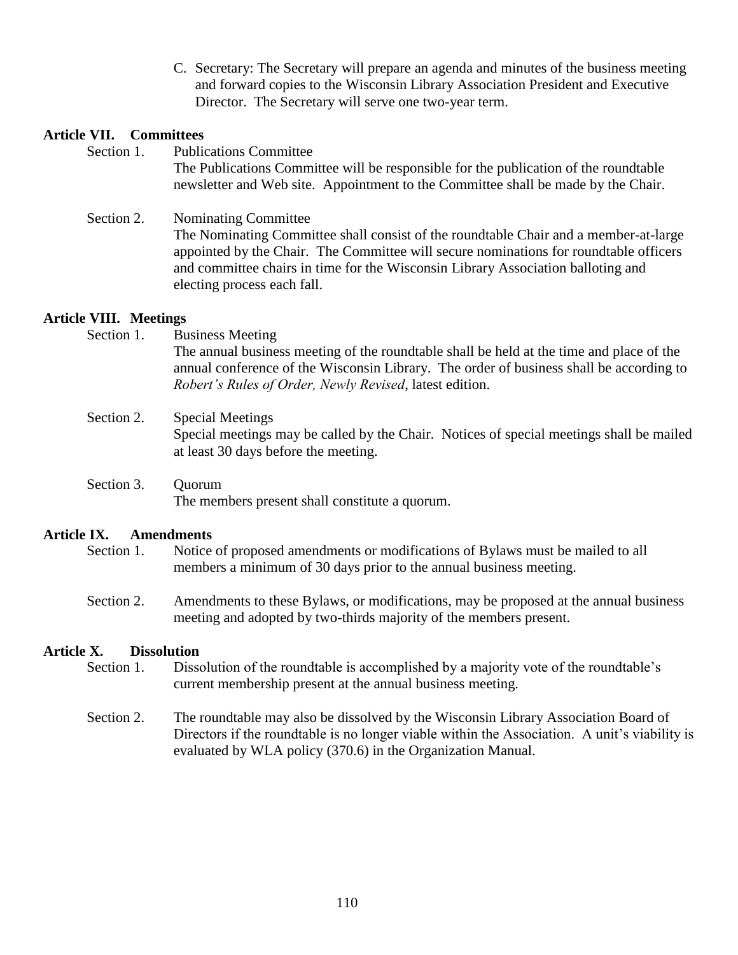C. Secretary: The Secretary will prepare an agenda and minutes of the business meeting and forward copies to the Wisconsin Library Association President and Executive Director. The Secretary will serve one two-year term.

newsletter and Web site. Appointment to the Committee shall be made by the Chair.

## **Article VII. Committees**

- Section 1. Publications Committee The Publications Committee will be responsible for the publication of the roundtable
- Section 2. Nominating Committee The Nominating Committee shall consist of the roundtable Chair and a member-at-large appointed by the Chair. The Committee will secure nominations for roundtable officers and committee chairs in time for the Wisconsin Library Association balloting and electing process each fall.

## **Article VIII. Meetings**

- Section 1. Business Meeting The annual business meeting of the roundtable shall be held at the time and place of the annual conference of the Wisconsin Library. The order of business shall be according to *Robert's Rules of Order, Newly Revised*, latest edition.
- Section 2. Special Meetings Special meetings may be called by the Chair. Notices of special meetings shall be mailed at least 30 days before the meeting.
- Section 3. Ouorum The members present shall constitute a quorum.

### **Article IX. Amendments**

- Section 1. Notice of proposed amendments or modifications of Bylaws must be mailed to all members a minimum of 30 days prior to the annual business meeting.
- Section 2. Amendments to these Bylaws, or modifications, may be proposed at the annual business meeting and adopted by two-thirds majority of the members present.

# **Article X. Dissolution**

- Section 1. Dissolution of the roundtable is accomplished by a majority vote of the roundtable's current membership present at the annual business meeting.
- Section 2. The roundtable may also be dissolved by the Wisconsin Library Association Board of Directors if the roundtable is no longer viable within the Association. A unit's viability is evaluated by WLA policy (370.6) in the Organization Manual.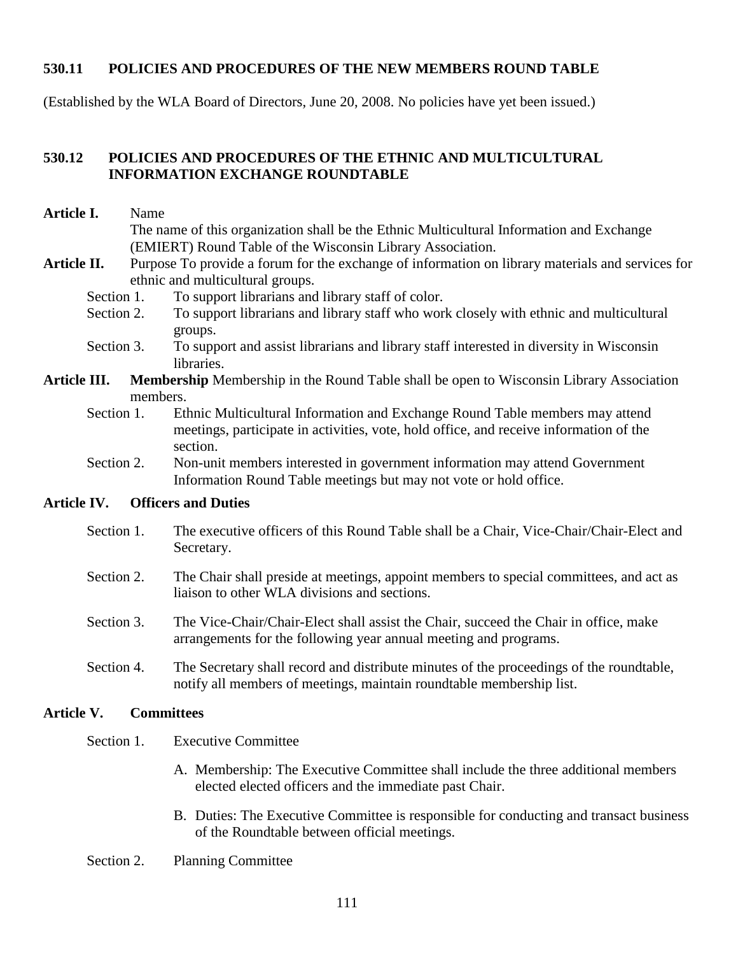### **530.11 POLICIES AND PROCEDURES OF THE NEW MEMBERS ROUND TABLE**

(Established by the WLA Board of Directors, June 20, 2008. No policies have yet been issued.)

### **530.12 POLICIES AND PROCEDURES OF THE ETHNIC AND MULTICULTURAL INFORMATION EXCHANGE ROUNDTABLE**

- **Article I.** Name The name of this organization shall be the Ethnic Multicultural Information and Exchange (EMIERT) Round Table of the Wisconsin Library Association.
- Article II. Purpose To provide a forum for the exchange of information on library materials and services for ethnic and multicultural groups.
	- Section 1. To support librarians and library staff of color.
	- Section 2. To support librarians and library staff who work closely with ethnic and multicultural groups.
	- Section 3. To support and assist librarians and library staff interested in diversity in Wisconsin libraries.
- **Article III. Membership** Membership in the Round Table shall be open to Wisconsin Library Association members.
	- Section 1. Ethnic Multicultural Information and Exchange Round Table members may attend meetings, participate in activities, vote, hold office, and receive information of the section.
	- Section 2. Non-unit members interested in government information may attend Government Information Round Table meetings but may not vote or hold office.

#### **Article IV. Officers and Duties**

- Section 1. The executive officers of this Round Table shall be a Chair, Vice-Chair/Chair-Elect and Secretary.
- Section 2. The Chair shall preside at meetings, appoint members to special committees, and act as liaison to other WLA divisions and sections.
- Section 3. The Vice-Chair/Chair-Elect shall assist the Chair, succeed the Chair in office, make arrangements for the following year annual meeting and programs.
- Section 4. The Secretary shall record and distribute minutes of the proceedings of the roundtable, notify all members of meetings, maintain roundtable membership list.

#### **Article V. Committees**

- Section 1. Executive Committee
	- A. Membership: The Executive Committee shall include the three additional members elected elected officers and the immediate past Chair.
	- B. Duties: The Executive Committee is responsible for conducting and transact business of the Roundtable between official meetings.
- Section 2. Planning Committee